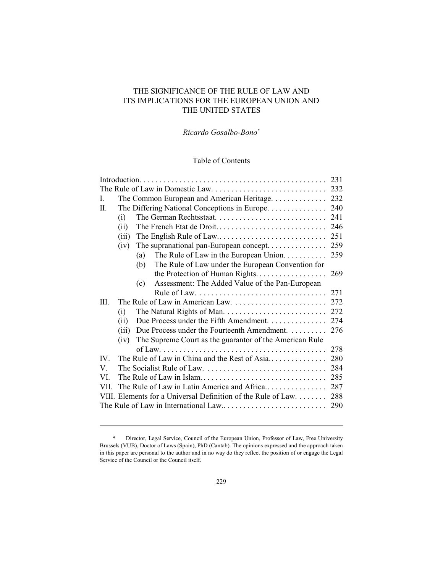# THE SIGNIFICANCE OF THE RULE OF LAW AND ITS IMPLICATIONS FOR THE EUROPEAN UNION AND THE UNITED STATES

# *Ricardo Gosalbo-Bono \**

# Table of Contents

| L.       |       | The Common European and American Heritage                     | 232 |  |  |
|----------|-------|---------------------------------------------------------------|-----|--|--|
| П.       |       | The Differing National Conceptions in Europe.                 | 240 |  |  |
|          | (i)   |                                                               | 241 |  |  |
|          | (ii)  | The French Etat de Droit                                      | 246 |  |  |
|          | (iii) | The English Rule of Law                                       | 251 |  |  |
|          | (iv)  | The supranational pan-European concept                        | 259 |  |  |
|          |       | The Rule of Law in the European Union.<br>(a)                 | 259 |  |  |
|          |       | The Rule of Law under the European Convention for<br>(b)      |     |  |  |
|          |       | the Protection of Human Rights                                | 269 |  |  |
|          |       | Assessment: The Added Value of the Pan-European<br>(c)        |     |  |  |
|          |       |                                                               | 271 |  |  |
| III.     |       |                                                               | 272 |  |  |
|          | (i)   |                                                               | 272 |  |  |
|          | (ii)  | Due Process under the Fifth Amendment.                        | 274 |  |  |
|          | (iii) | Due Process under the Fourteenth Amendment.                   | 276 |  |  |
|          | (iv)  | The Supreme Court as the guarantor of the American Rule       |     |  |  |
|          |       |                                                               | 278 |  |  |
| $IV_{-}$ |       | The Rule of Law in China and the Rest of Asia                 | 280 |  |  |
| V.       |       |                                                               | 284 |  |  |
| VL.      | 285   |                                                               |     |  |  |
| VII.     |       | The Rule of Law in Latin America and Africa                   | 287 |  |  |
|          |       | VIII. Elements for a Universal Definition of the Rule of Law. | 288 |  |  |
| 290      |       |                                                               |     |  |  |
|          |       |                                                               |     |  |  |

<sup>\*</sup> Director, Legal Service, Council of the European Union, Professor of Law, Free University Brussels (VUB), Doctor of Laws (Spain), PhD (Cantab). The opinions expressed and the approach taken in this paper are personal to the author and in no way do they reflect the position of or engage the Legal Service of the Council or the Council itself.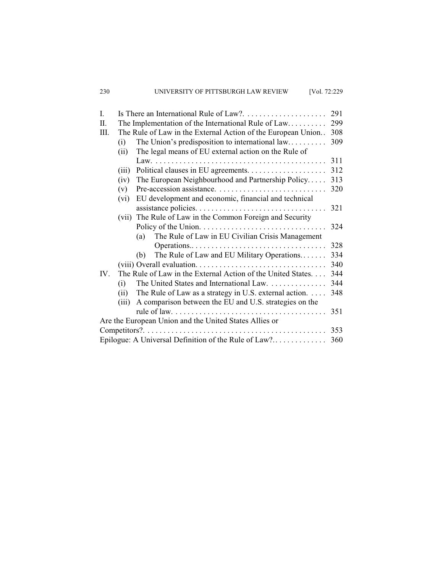| $\mathbf{I}$ .                                         |       | Is There an International Rule of Law?. $\dots \dots \dots \dots \dots \dots$ | 291 |  |
|--------------------------------------------------------|-------|-------------------------------------------------------------------------------|-----|--|
| Π.                                                     |       | The Implementation of the International Rule of Law                           | 299 |  |
| III.                                                   |       | The Rule of Law in the External Action of the European Union                  | 308 |  |
|                                                        | (i)   | The Union's predisposition to international $law$                             | 309 |  |
|                                                        | (ii)  | The legal means of EU external action on the Rule of                          |     |  |
|                                                        |       |                                                                               | 311 |  |
|                                                        | (iii) |                                                                               | 312 |  |
|                                                        | (iv)  | The European Neighbourhood and Partnership Policy                             | 313 |  |
|                                                        | (v)   |                                                                               | 320 |  |
|                                                        | (vi)  | EU development and economic, financial and technical                          |     |  |
|                                                        |       |                                                                               | 321 |  |
|                                                        |       | (vii) The Rule of Law in the Common Foreign and Security                      |     |  |
|                                                        |       |                                                                               | 324 |  |
|                                                        |       | The Rule of Law in EU Civilian Crisis Management<br>(a)                       |     |  |
|                                                        |       | Operations                                                                    | 328 |  |
|                                                        |       | The Rule of Law and EU Military Operations<br>(b)                             | 334 |  |
|                                                        |       |                                                                               | 340 |  |
| IV.                                                    |       | The Rule of Law in the External Action of the United States                   | 344 |  |
|                                                        | (i)   | The United States and International Law.                                      | 344 |  |
|                                                        | (ii)  | The Rule of Law as a strategy in U.S. external action. $\dots$                | 348 |  |
|                                                        | (iii) | A comparison between the EU and U.S. strategies on the                        |     |  |
|                                                        |       |                                                                               | 351 |  |
| Are the European Union and the United States Allies or |       |                                                                               |     |  |
|                                                        |       |                                                                               |     |  |
| Epilogue: A Universal Definition of the Rule of Law?   |       |                                                                               |     |  |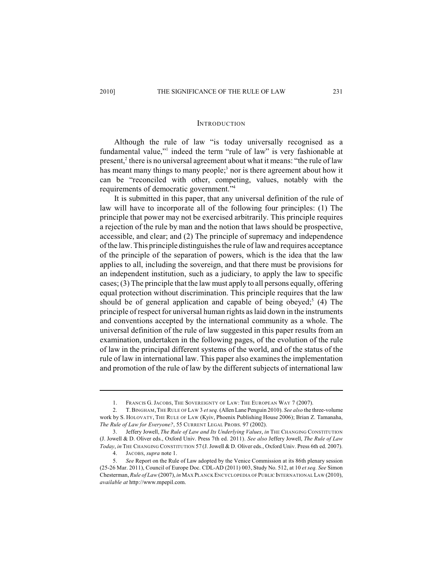### **INTRODUCTION**

Although the rule of law "is today universally recognised as a fundamental value," indeed the term "rule of law" is very fashionable at present, $2$  there is no universal agreement about what it means: "the rule of law has meant many things to many people; $<sup>3</sup>$  nor is there agreement about how it</sup> can be "reconciled with other, competing, values, notably with the requirements of democratic government."<sup>4</sup>

It is submitted in this paper, that any universal definition of the rule of law will have to incorporate all of the following four principles: (1) The principle that power may not be exercised arbitrarily. This principle requires a rejection of the rule by man and the notion that laws should be prospective, accessible, and clear; and (2) The principle of supremacy and independence of the law.This principle distinguishes the rule of law and requires acceptance of the principle of the separation of powers, which is the idea that the law applies to all, including the sovereign, and that there must be provisions for an independent institution, such as a judiciary, to apply the law to specific cases; (3) The principle that the law must apply to all persons equally, offering equal protection without discrimination. This principle requires that the law should be of general application and capable of being obeyed;<sup>5</sup> (4) The principle of respect for universal human rights as laid down in the instruments and conventions accepted by the international community as a whole. The universal definition of the rule of law suggested in this paper results from an examination, undertaken in the following pages, of the evolution of the rule of law in the principal different systems of the world, and of the status of the rule of law in international law. This paper also examines the implementation and promotion of the rule of law by the different subjects of international law

<sup>1.</sup> FRANCIS G. JACOBS, THE SOVEREIGNTY OF LAW: THE EUROPEAN WAY 7 (2007).

<sup>2.</sup> T.BINGHAM,THE RULE OF LAW 3 *et seq.* (Allen Lane Penguin 2010). *See also* the three-volume work by S. HOLOVATY, THE RULE OF LAW (Kyiv, Phoenix Publishing House 2006); Brian Z. Tamanaha, *The Rule of Law for Everyone?*, 55 CURRENT LEGAL PROBS. 97 (2002).

<sup>3.</sup> Jeffery Jowell, *The Rule of Law and Its Underlying Values*, *in* THE CHANGING CONSTITUTION (J. Jowell & D. Oliver eds., Oxford Univ. Press 7th ed. 2011). *See also* Jeffery Jowell, *The Rule of Law Today*, *in* THE CHANGING CONSTITUTION 57 (J. Jowell & D. Oliver eds., Oxford Univ. Press 6th ed. 2007).

<sup>4.</sup> JACOBS, *supra* note 1.

<sup>5.</sup> *See* Report on the Rule of Law adopted by the Venice Commission at its 86th plenary session (25-26 Mar. 2011), Council of Europe Doc. CDL-AD (2011) 003, Study No. 512, at 10 *et seq. See* Simon Chesterman, *Rule of Law* (2007), *in* MAX PLANCK ENCYCLOPEDIA OF PUBLIC INTERNATIONAL LAW (2010), *available at* http://www.mpepil.com.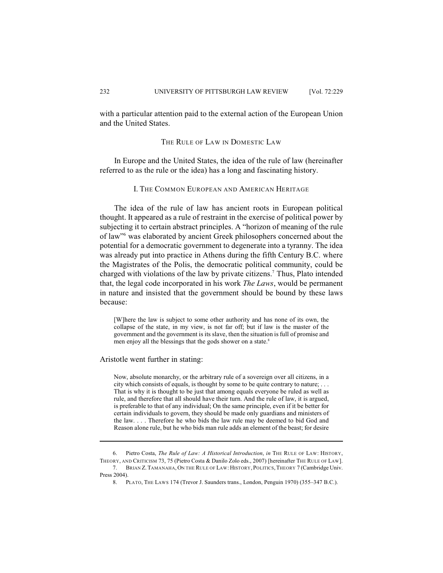with a particular attention paid to the external action of the European Union and the United States.

THE RULE OF LAW IN DOMESTIC LAW

In Europe and the United States, the idea of the rule of law (hereinafter referred to as the rule or the idea) has a long and fascinating history.

I. THE COMMON EUROPEAN AND AMERICAN HERITAGE

The idea of the rule of law has ancient roots in European political thought. It appeared as a rule of restraint in the exercise of political power by subjecting it to certain abstract principles. A "horizon of meaning of the rule of law" was elaborated by ancient Greek philosophers concerned about the potential for a democratic government to degenerate into a tyranny. The idea was already put into practice in Athens during the fifth Century B.C. where the Magistrates of the Polis, the democratic political community, could be charged with violations of the law by private citizens.<sup>7</sup> Thus, Plato intended that, the legal code incorporated in his work *The Laws*, would be permanent in nature and insisted that the government should be bound by these laws because:

[W]here the law is subject to some other authority and has none of its own, the collapse of the state, in my view, is not far off; but if law is the master of the government and the government is its slave, then the situation isfull of promise and men enjoy all the blessings that the gods shower on a state.<sup>8</sup>

Aristotle went further in stating:

Now, absolute monarchy, or the arbitrary rule of a sovereign over all citizens, in a city which consists of equals, is thought by some to be quite contrary to nature; . . . That is why it is thought to be just that among equals everyone be ruled as well as rule, and therefore that all should have their turn. And the rule of law, it is argued, is preferable to that of any individual; On the same principle, even if it be better for certain individuals to govern, they should be made only guardians and ministers of the law. . . . Therefore he who bids the law rule may be deemed to bid God and Reason alone rule, but he who bids man rule adds an element of the beast; for desire

8. PLATO, THE LAWS 174 (Trevor J. Saunders trans., London, Penguin 1970) (355–347 B.C.).

<sup>6.</sup> Pietro Costa, *The Rule of Law: A Historical Introduction*, *in* THE RULE OF LAW: HISTORY, THEORY, AND CRITICISM 73, 75 (Pietro Costa & Danilo Zolo eds., 2007) [hereinafter THE RULE OF LAW]. 7. BRIAN Z.TAMANAHA,ON THE RULE OF LAW:HISTORY, POLITICS,THEORY 7 (Cambridge Univ. Press 2004).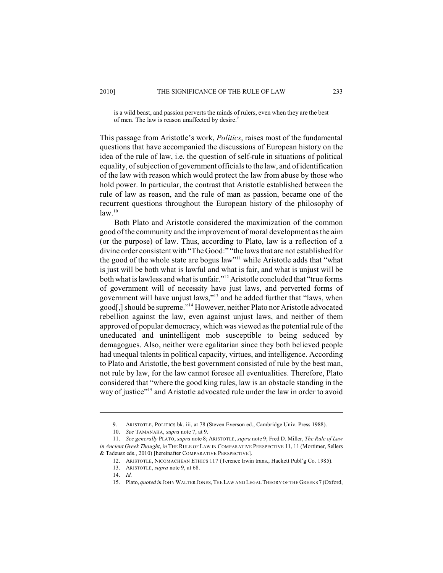is a wild beast, and passion perverts the minds of rulers, even when they are the best of men. The law is reason unaffected by desire.<sup>9</sup>

This passage from Aristotle's work, *Politics*, raises most of the fundamental questions that have accompanied the discussions of European history on the idea of the rule of law, i.e. the question of self-rule in situations of political equality, of subjection of government officials to the law, and of identification of the law with reason which would protect the law from abuse by those who hold power. In particular, the contrast that Aristotle established between the rule of law as reason, and the rule of man as passion, became one of the recurrent questions throughout the European history of the philosophy of  $law<sup>10</sup>$ 

Both Plato and Aristotle considered the maximization of the common good of the community and the improvement of moral development as the aim (or the purpose) of law. Thus, according to Plato, law is a reflection of a divine order consistent with "The Good:" "the laws that are not established for the good of the whole state are bogus law"<sup>11</sup> while Aristotle adds that "what is just will be both what is lawful and what is fair, and what is unjust will be both what is lawless and what is unfair."<sup>12</sup> Aristotle concluded that "true forms of government will of necessity have just laws, and perverted forms of government will have unjust laws,"<sup>13</sup> and he added further that "laws, when good[,] should be supreme."<sup>14</sup> However, neither Plato nor Aristotle advocated rebellion against the law, even against unjust laws, and neither of them approved of popular democracy, which was viewed as the potential rule of the uneducated and unintelligent mob susceptible to being seduced by demagogues. Also, neither were egalitarian since they both believed people had unequal talents in political capacity, virtues, and intelligence. According to Plato and Aristotle, the best government consisted of rule by the best man, not rule by law, for the law cannot foresee all eventualities. Therefore, Plato considered that "where the good king rules, law is an obstacle standing in the way of justice"<sup>15</sup> and Aristotle advocated rule under the law in order to avoid

<sup>9.</sup> ARISTOTLE, POLITICS bk. iii, at 78 (Steven Everson ed., Cambridge Univ. Press 1988).

<sup>10.</sup> *See* TAMANAHA, *supra* note 7, at 9.

<sup>11.</sup> *See generally* PLATO, *supra* note 8; ARISTOTLE, *supra* note 9; Fred D. Miller, *The Rule of Law in Ancient Greek Thought*, *in* THE RULE OF LAW IN COMPARATIVE PERSPECTIVE 11, 11 (Mortimer, Sellers & Tadeusz eds., 2010) [hereinafter COMPARATIVE PERSPECTIVE].

<sup>12.</sup> ARISTOTLE, NICOMACHEAN ETHICS 117 (Terence Irwin trans., Hackett Publ'g Co. 1985).

<sup>13.</sup> ARISTOTLE, *supra* note 9, at 68.

<sup>14.</sup> *Id.*

<sup>15.</sup> Plato, *quoted in* JOHN WALTER JONES,THE LAW AND LEGAL THEORY OF THE GREEKS 7 (Oxford,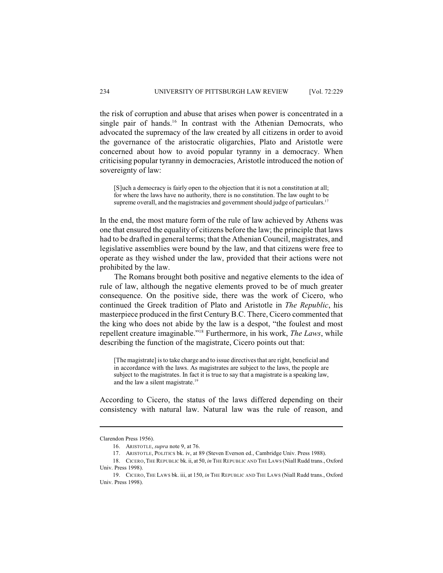the risk of corruption and abuse that arises when power is concentrated in a single pair of hands.<sup>16</sup> In contrast with the Athenian Democrats, who advocated the supremacy of the law created by all citizens in order to avoid the governance of the aristocratic oligarchies, Plato and Aristotle were concerned about how to avoid popular tyranny in a democracy. When criticising popular tyranny in democracies, Aristotle introduced the notion of sovereignty of law:

[S]uch a democracy is fairly open to the objection that it is not a constitution at all; for where the laws have no authority, there is no constitution. The law ought to be supreme overall, and the magistracies and government should judge of particulars.<sup>17</sup>

In the end, the most mature form of the rule of law achieved by Athens was one that ensured the equality of citizens before the law; the principle that laws had to be drafted in general terms; that the Athenian Council, magistrates, and legislative assemblies were bound by the law, and that citizens were free to operate as they wished under the law, provided that their actions were not prohibited by the law.

The Romans brought both positive and negative elements to the idea of rule of law, although the negative elements proved to be of much greater consequence. On the positive side, there was the work of Cicero, who continued the Greek tradition of Plato and Aristotle in *The Republic*, his masterpiece produced in the first Century B.C. There, Cicero commented that the king who does not abide by the law is a despot, "the foulest and most repellent creature imaginable."<sup>18</sup> Furthermore, in his work, *The Laws*, while describing the function of the magistrate, Cicero points out that:

[The magistrate] is to take charge and to issue directives that are right, beneficial and in accordance with the laws. As magistrates are subject to the laws, the people are subject to the magistrates. In fact it is true to say that a magistrate is a speaking law, and the law a silent magistrate.<sup>19</sup>

According to Cicero, the status of the laws differed depending on their consistency with natural law. Natural law was the rule of reason, and

Clarendon Press 1956).

<sup>16.</sup> ARISTOTLE, *supra* note 9, at 76.

<sup>17.</sup> ARISTOTLE, POLITICS bk. iv, at 89 (Steven Everson ed., Cambridge Univ. Press 1988).

<sup>18.</sup> CICERO,THE REPUBLIC bk. ii, at 50, *in* THE REPUBLIC AND THE LAWS (Niall Rudd trans., Oxford Univ. Press 1998).

<sup>19.</sup> CICERO, THE LAWS bk. iii, at 150, *in* THE REPUBLIC AND THE LAWS (Niall Rudd trans., Oxford Univ. Press 1998).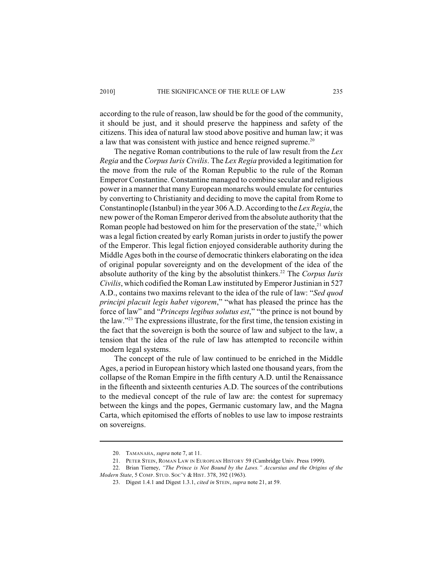according to the rule of reason, law should be for the good of the community, it should be just, and it should preserve the happiness and safety of the citizens. This idea of natural law stood above positive and human law; it was a law that was consistent with justice and hence reigned supreme.<sup>20</sup>

The negative Roman contributions to the rule of law result from the *Lex Regia* and the *Corpus Iuris Civilis*. The *Lex Regia* provided a legitimation for the move from the rule of the Roman Republic to the rule of the Roman Emperor Constantine. Constantine managed to combine secular and religious power in a manner that manyEuropean monarchs would emulate for centuries by converting to Christianity and deciding to move the capital from Rome to Constantinople (Istanbul) in the year 306 A.D. According to the *Lex Regia*, the new power of the Roman Emperor derived from the absolute authority that the Roman people had bestowed on him for the preservation of the state, $21$  which was a legal fiction created by early Roman jurists in order to justify the power of the Emperor. This legal fiction enjoyed considerable authority during the Middle Ages both in the course of democratic thinkers elaborating on the idea of original popular sovereignty and on the development of the idea of the absolute authority of the king by the absolutist thinkers.<sup>22</sup> The *Corpus Iuris Civilis*, which codified the Roman Law instituted by Emperor Justinian in 527 A.D., contains two maxims relevant to the idea of the rule of law: "*Sed quod principi placuit legis habet vigorem*," "what has pleased the prince has the force of law" and "*Princeps legibus solutus est*," "the prince is not bound by the law." $23$  The expressions illustrate, for the first time, the tension existing in the fact that the sovereign is both the source of law and subject to the law, a tension that the idea of the rule of law has attempted to reconcile within modern legal systems.

The concept of the rule of law continued to be enriched in the Middle Ages, a period in European history which lasted one thousand years, from the collapse of the Roman Empire in the fifth century A.D. until the Renaissance in the fifteenth and sixteenth centuries A.D. The sources of the contributions to the medieval concept of the rule of law are: the contest for supremacy between the kings and the popes, Germanic customary law, and the Magna Carta, which epitomised the efforts of nobles to use law to impose restraints on sovereigns.

<sup>20.</sup> TAMANAHA, *supra* note 7, at 11.

<sup>21.</sup> PETER STEIN, ROMAN LAW IN EUROPEAN HISTORY 59 (Cambridge Univ. Press 1999).

<sup>22.</sup> Brian Tierney, *"The Prince is Not Bound by the Laws." Accursius and the Origins of the Modern State*, 5 COMP. STUD. SOC'Y & HIST. 378, 392 (1963).

<sup>23.</sup> Digest 1.4.1 and Digest 1.3.1, *cited in* STEIN, *supra* note 21, at 59.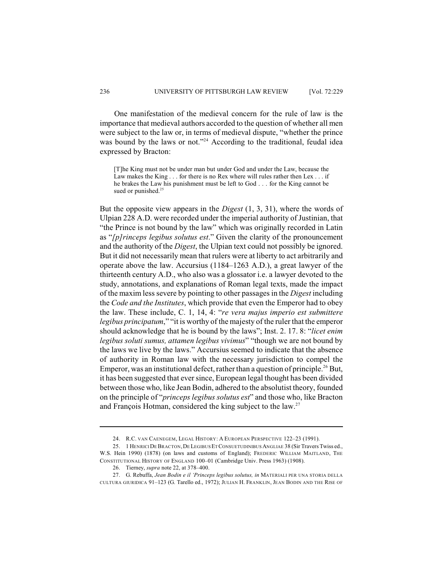One manifestation of the medieval concern for the rule of law is the importance that medieval authors accorded to the question of whether all men were subject to the law or, in terms of medieval dispute, "whether the prince was bound by the laws or not."<sup>24</sup> According to the traditional, feudal idea expressed by Bracton:

[T]he King must not be under man but under God and under the Law, because the Law makes the King . . . for there is no Rex where will rules rather then Lex . . . if he brakes the Law his punishment must be left to God . . . for the King cannot be sued or punished.<sup>25</sup>

But the opposite view appears in the *Digest* (1, 3, 31), where the words of Ulpian 228 A.D. were recorded under the imperial authority of Justinian, that "the Prince is not bound by the law" which was originally recorded in Latin as "*[p]rinceps legibus solutus est*." Given the clarity of the pronouncement and the authority of the *Digest*, the Ulpian text could not possibly be ignored. But it did not necessarily mean that rulers were at liberty to act arbitrarily and operate above the law. Accursius (1184–1263 A.D.), a great lawyer of the thirteenth century A.D., who also was a glossator i.e. a lawyer devoted to the study, annotations, and explanations of Roman legal texts, made the impact of the maxim less severe by pointing to other passages in the *Digest* including the *Code and the Institutes*, which provide that even the Emperor had to obey the law. These include, C. 1, 14, 4: "*re vera majus imperio est submittere legibus principatum*," "it is worthy of the majesty of the ruler that the emperor should acknowledge that he is bound by the laws"; Inst. 2. 17. 8: "*licet enim legibus soluti sumus, attamen legibus vivimus*" "though we are not bound by the laws we live by the laws." Accursius seemed to indicate that the absence of authority in Roman law with the necessary jurisdiction to compel the Emperor, was an institutional defect, rather than a question of principle.<sup>26</sup> But, it has been suggested that ever since, European legal thought has been divided between those who, like Jean Bodin, adhered to the absolutist theory, founded on the principle of "*princeps legibus solutus est*" and those who, like Bracton and François Hotman, considered the king subject to the law.<sup>27</sup>

<sup>24.</sup> R.C. VAN CAENEGEM, LEGAL HISTORY: A EUROPEAN PERSPECTIVE 122–23 (1991).

<sup>25. 1</sup> HENRICI DE BRACTON, DE LEGIBUS ET CONSUETUDINIBUS ANGLIAE 38 (Sir Travers Twiss ed., W.S. Hein 1990) (1878) (on laws and customs of England); FREDERIC WILLIAM MAITLAND, THE CONSTITUTIONAL HISTORY OF ENGLAND 100–01 (Cambridge Univ. Press 1963) (1908).

<sup>26.</sup> Tierney, *supra* note 22, at 378–400.

<sup>27.</sup> G. Rebuffa, *Jean Bodin e il 'Princeps legibus solutus, in* MATERIALI PER UNA STORIA DELLA CULTURA GIURIDICA 91–123 (G. Tarello ed., 1972); JULIAN H. FRANKLIN, JEAN BODIN AND THE RISE OF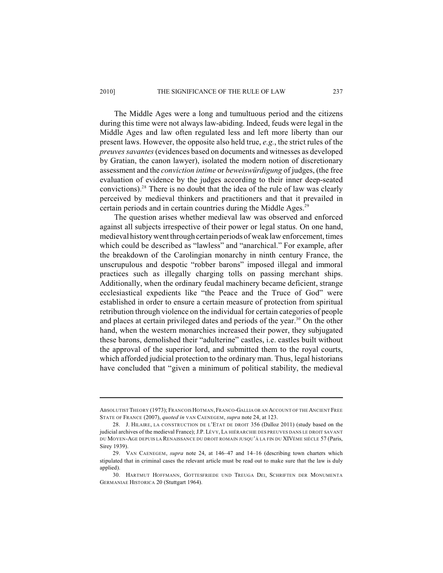The Middle Ages were a long and tumultuous period and the citizens during this time were not always law-abiding. Indeed, feuds were legal in the Middle Ages and law often regulated less and left more liberty than our present laws. However, the opposite also held true, *e.g.*, the strict rules of the *preuves savantes* (evidences based on documents and witnesses as developed by Gratian, the canon lawyer), isolated the modern notion of discretionary assessment and the *conviction intime* or *beweiswürdigung* of judges, (the free evaluation of evidence by the judges according to their inner deep-seated convictions).<sup>28</sup> There is no doubt that the idea of the rule of law was clearly perceived by medieval thinkers and practitioners and that it prevailed in certain periods and in certain countries during the Middle Ages.<sup>29</sup>

The question arises whether medieval law was observed and enforced against all subjects irrespective of their power or legal status. On one hand, medieval historywent through certain periods of weak law enforcement, times which could be described as "lawless" and "anarchical." For example, after the breakdown of the Carolingian monarchy in ninth century France, the unscrupulous and despotic "robber barons" imposed illegal and immoral practices such as illegally charging tolls on passing merchant ships. Additionally, when the ordinary feudal machinery became deficient, strange ecclesiastical expedients like "the Peace and the Truce of God" were established in order to ensure a certain measure of protection from spiritual retribution through violence on the individual for certain categories of people and places at certain privileged dates and periods of the year.<sup>30</sup> On the other hand, when the western monarchies increased their power, they subjugated these barons, demolished their "adulterine" castles, i.e. castles built without the approval of the superior lord, and submitted them to the royal courts, which afforded judicial protection to the ordinary man. Thus, legal historians have concluded that "given a minimum of political stability, the medieval

ABSOLUTIST THEORY (1973); FRANCOIS HOTMAN,FRANCO-GALLIA OR AN ACCOUNT OF THE ANCIENT FREE STATE OF FRANCE (2007), *quoted in* VAN CAENEGEM, *supra* note 24, at 123.

<sup>28.</sup> J. HILAIRE, LA CONSTRUCTION DE L'ETAT DE DROIT 356 (Dalloz 2011) (study based on the judicial archives of the medieval France); J.P. LÉVY, LA HIÉRARCHIE DES PREUVES DANS LE DROIT SAVANT DU MOYEN-AGE DEPUIS LA RENAISSANCE DU DROIT ROMAIN JUSQU'À LA FIN DU XIVÈME SIÈCLE 57 (Paris, Sirey 1939).

<sup>29.</sup> VAN CAENEGEM, *supra* note 24, at 146–47 and 14–16 (describing town charters which stipulated that in criminal cases the relevant article must be read out to make sure that the law is duly applied).

<sup>30.</sup> HARTMUT HOFFMANN, GOTTESFRIEDE UND TREUGA DEI, SCHRIFTEN DER MONUMENTA GERMANIAE HISTORICA 20 (Stuttgart 1964).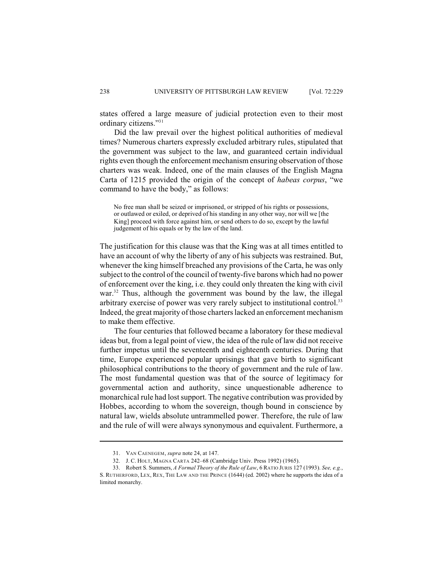states offered a large measure of judicial protection even to their most ordinary citizens." 31

Did the law prevail over the highest political authorities of medieval times? Numerous charters expressly excluded arbitrary rules, stipulated that the government was subject to the law, and guaranteed certain individual rights even though the enforcement mechanism ensuring observation of those charters was weak. Indeed, one of the main clauses of the English Magna Carta of 1215 provided the origin of the concept of *habeas corpus*, "we command to have the body," as follows:

No free man shall be seized or imprisoned, or stripped of his rights or possessions, or outlawed or exiled, or deprived of his standing in any other way, nor will we [the King] proceed with force against him, or send others to do so, except by the lawful judgement of his equals or by the law of the land.

The justification for this clause was that the King was at all times entitled to have an account of why the liberty of any of his subjects was restrained. But, whenever the king himself breached any provisions of the Carta, he was only subject to the control of the council of twenty-five barons which had no power of enforcement over the king, i.e. they could only threaten the king with civil war. $32$  Thus, although the government was bound by the law, the illegal arbitrary exercise of power was very rarely subject to institutional control.<sup>33</sup> Indeed, the great majority of those charters lacked an enforcement mechanism to make them effective.

The four centuries that followed became a laboratory for these medieval ideas but, from a legal point of view, the idea of the rule of law did not receive further impetus until the seventeenth and eighteenth centuries. During that time, Europe experienced popular uprisings that gave birth to significant philosophical contributions to the theory of government and the rule of law. The most fundamental question was that of the source of legitimacy for governmental action and authority, since unquestionable adherence to monarchical rule had lost support. The negative contribution was provided by Hobbes, according to whom the sovereign, though bound in conscience by natural law, wields absolute untrammelled power. Therefore, the rule of law and the rule of will were always synonymous and equivalent. Furthermore, a

<sup>31.</sup> VAN CAENEGEM, *supra* note 24, at 147.

<sup>32.</sup> J. C. HOLT, MAGNA CARTA 242–68 (Cambridge Univ. Press 1992) (1965).

<sup>33.</sup> Robert S. Summers, *A Formal Theory of the Rule of Law*, 6 RATIO JURIS 127 (1993). *See, e.g.*, S. RUTHERFORD, LEX, REX, THE LAW AND THE PRINCE (1644) (ed. 2002) where he supports the idea of a limited monarchy.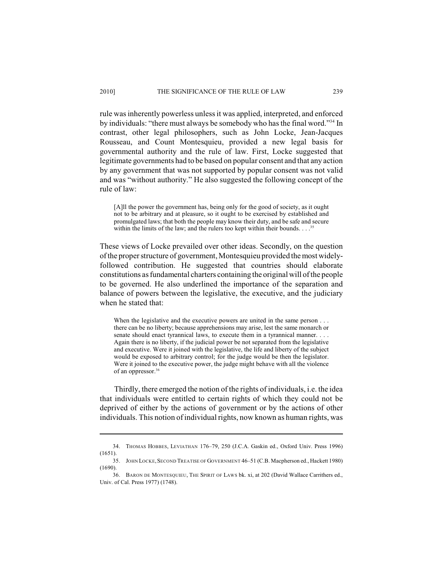rule was inherently powerless unless it was applied, interpreted, and enforced by individuals: "there must always be somebody who has the final word."<sup>34</sup> In contrast, other legal philosophers, such as John Locke, Jean-Jacques Rousseau, and Count Montesquieu, provided a new legal basis for governmental authority and the rule of law. First, Locke suggested that legitimate governments had to be based on popular consent and that any action by any government that was not supported by popular consent was not valid and was "without authority." He also suggested the following concept of the rule of law:

[A]ll the power the government has, being only for the good of society, as it ought not to be arbitrary and at pleasure, so it ought to be exercised by established and promulgated laws; that both the people may know their duty, and be safe and secure within the limits of the law; and the rulers too kept within their bounds.  $\ldots$ <sup>35</sup>

These views of Locke prevailed over other ideas. Secondly, on the question of the proper structure of government, Montesquieu provided the most widelyfollowed contribution. He suggested that countries should elaborate constitutions as fundamental charters containing the original will of the people to be governed. He also underlined the importance of the separation and balance of powers between the legislative, the executive, and the judiciary when he stated that:

When the legislative and the executive powers are united in the same person . . . there can be no liberty; because apprehensions may arise, lest the same monarch or senate should enact tyrannical laws, to execute them in a tyrannical manner. . . . Again there is no liberty, if the judicial power be not separated from the legislative and executive. Were it joined with the legislative, the life and liberty of the subject would be exposed to arbitrary control; for the judge would be then the legislator. Were it joined to the executive power, the judge might behave with all the violence of an oppressor.<sup>36</sup>

Thirdly, there emerged the notion of the rights of individuals, i.e. the idea that individuals were entitled to certain rights of which they could not be deprived of either by the actions of government or by the actions of other individuals. This notion of individual rights, now known as human rights, was

<sup>34.</sup> THOMAS HOBBES, LEVIATHAN 176–79, 250 (J.C.A. Gaskin ed., Oxford Univ. Press 1996)  $(1651)$ 

<sup>35.</sup> JOHN LOCKE,SECOND TREATISE OF GOVERNMENT 46–51 (C.B. Macpherson ed., Hackett 1980) (1690).

<sup>36.</sup> BARON DE MONTESQUIEU, THE SPIRIT OF LAWS bk. xi, at 202 (David Wallace Carrithers ed., Univ. of Cal. Press 1977) (1748).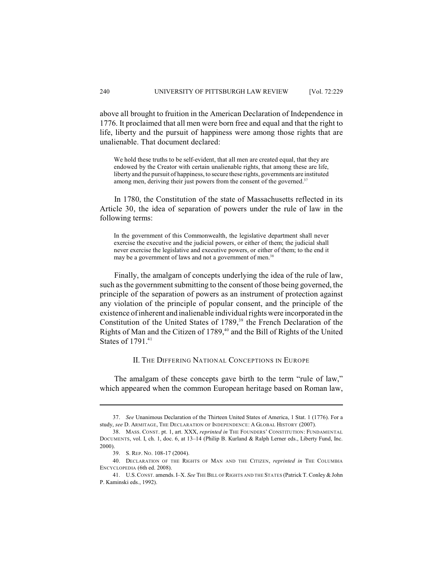above all brought to fruition in the American Declaration of Independence in 1776. It proclaimed that all men were born free and equal and that the right to life, liberty and the pursuit of happiness were among those rights that are unalienable. That document declared:

We hold these truths to be self-evident, that all men are created equal, that they are endowed by the Creator with certain unalienable rights, that among these are life, liberty and the pursuit of happiness, to secure these rights, governments are instituted among men, deriving their just powers from the consent of the governed.<sup>37</sup>

In 1780, the Constitution of the state of Massachusetts reflected in its Article 30, the idea of separation of powers under the rule of law in the following terms:

In the government of this Commonwealth, the legislative department shall never exercise the executive and the judicial powers, or either of them; the judicial shall never exercise the legislative and executive powers, or either of them; to the end it may be a government of laws and not a government of men.<sup>38</sup>

Finally, the amalgam of concepts underlying the idea of the rule of law, such as the government submitting to the consent of those being governed, the principle of the separation of powers as an instrument of protection against any violation of the principle of popular consent, and the principle of the existence of inherent and inalienable individual rights were incorporated in the Constitution of the United States of  $1789$ ,<sup>39</sup> the French Declaration of the Rights of Man and the Citizen of 1789,<sup>40</sup> and the Bill of Rights of the United States of 1791.<sup>41</sup>

II. THE DIFFERING NATIONAL CONCEPTIONS IN EUROPE

The amalgam of these concepts gave birth to the term "rule of law," which appeared when the common European heritage based on Roman law,

<sup>37.</sup> *See* Unanimous Declaration of the Thirteen United States of America, 1 Stat. 1 (1776). For a study, *see* D. ARMITAGE, THE DECLARATION OF INDEPENDENCE: A GLOBAL HISTORY (2007).

<sup>38.</sup> MASS. CONST. pt. 1, art. XXX, *reprinted in* THE FOUNDERS' CONSTITUTION: FUNDAMENTAL DOCUMENTS, vol. I, ch. 1, doc. 6, at 13–14 (Philip B. Kurland & Ralph Lerner eds., Liberty Fund, Inc. 2000).

<sup>39.</sup> S. REP. NO. 108-17 (2004).

<sup>40.</sup> DECLARATION OF THE RIGHTS OF MAN AND THE CITIZEN, *reprinted in* THE COLUMBIA ENCYCLOPEDIA (6th ed. 2008).

<sup>41.</sup> U.S.CONST. amends. I–X. *See* THE BILL OF RIGHTS AND THE STATES (Patrick T. Conley & John P. Kaminski eds., 1992).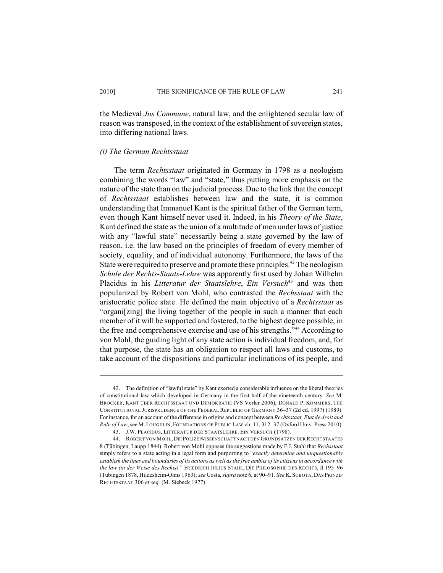the Medieval *Jus Commune*, natural law, and the enlightened secular law of reason was transposed, in the context of the establishment of sovereign states, into differing national laws.

# *(i) The German Rechtsstaat*

The term *Rechtsstaat* originated in Germany in 1798 as a neologism combining the words "law" and "state," thus putting more emphasis on the nature of the state than on the judicial process. Due to the link that the concept of *Rechtsstaat* establishes between law and the state, it is common understanding that Immanuel Kant is the spiritual father of the German term, even though Kant himself never used it. Indeed, in his *Theory of the State*, Kant defined the state as the union of a multitude of men under laws of justice with any "lawful state" necessarily being a state governed by the law of reason, i.e. the law based on the principles of freedom of every member of society, equality, and of individual autonomy. Furthermore, the laws of the State were required to preserve and promote these principles.<sup>42</sup> The neologism *Schule der Rechts-Staats-Lehre* was apparently first used by Johan Wilhelm Placidus in his *Litteratur der Staatslehre*, *Ein Versuch*<sup>43</sup> and was then popularized by Robert von Mohl, who contrasted the *Rechsstaat* with the aristocratic police state. He defined the main objective of a *Rechtsstaat* as "organi[zing] the living together of the people in such a manner that each member of it will be supported and fostered, to the highest degree possible, in the free and comprehensive exercise and use of his strengths."<sup>44</sup> According to von Mohl, the guiding light of any state action is individual freedom, and, for that purpose, the state has an obligation to respect all laws and customs, to take account of the dispositions and particular inclinations of its people, and

<sup>42.</sup> The definition of "lawful state" by Kant exerted a considerable influence on the liberal theories of constitutional law which developed in Germany in the first half of the nineteenth century. *See* M. BROCKER, KANT ÜBER RECHTSSTAAT UND DEMOKRATIE (VS Verlar 2006); DONALD P. KOMMERS, THE CONSTITUTIONAL JURISPRUDENCE OF THE FEDERAL REPUBLIC OF GERMANY 36–37 (2d ed. 1997) (1989). For instance, for an account of the difference in origins and concept between *Rechtsstaat, Etat de droit and Rule of Law*, see M.LOUGHLIN, FOUNDATIONS OF PUBLIC LAW ch. 11, 312–37 (Oxford Univ. Press 2010).

<sup>43.</sup> J.W. PLACIDUS, LITTERATUR DER STAATSLEHRE. EIN VERSUCH (1798).

<sup>44.</sup> ROBERT VON MOHL,DIE POLIZEIWISSENSCHAFT NACH DEN GRUNDSÄTZEN DER RECHTSTAATES 8 (Tübingen, Laupp 1844). Robert von Mohl opposes the suggestions made by F.J. Stahl that *Rechsstaat* simply refers to a state acting in a legal form and purporting to "*exactly determine and unquestionably establish the lines and boundaries of its actions as well asthe free ambits of its citizensin accordance with the law (in der Weise des Rechts).*" FRIEDRICH JULIUS STAHL, DIE PHILOSOPHIE DES RECHTS, II 195–96 (Tubingen 1878, Hildesheim-Olms 1963); *see* Costa, *supra* note 6, at 90–91. *See* K. SOBOTA, DAS PRINZIP RECHTSSTAAT 306 *et seq.* (M. Siebeck 1977).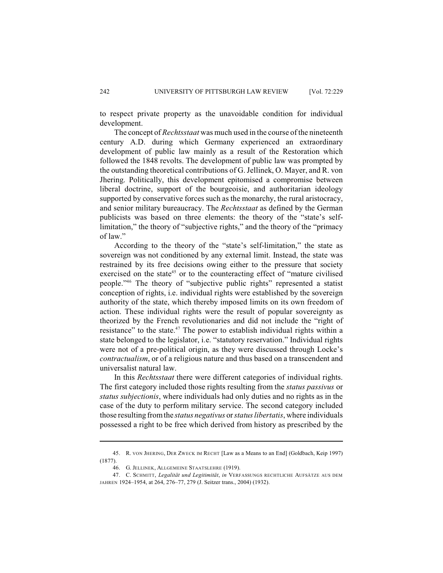to respect private property as the unavoidable condition for individual development.

The concept of *Rechtsstaat* was much used in the course of the nineteenth century A.D. during which Germany experienced an extraordinary development of public law mainly as a result of the Restoration which followed the 1848 revolts. The development of public law was prompted by the outstanding theoretical contributions of G.Jellinek, O. Mayer, and R. von Jhering. Politically, this development epitomised a compromise between liberal doctrine, support of the bourgeoisie, and authoritarian ideology supported by conservative forces such as the monarchy, the rural aristocracy, and senior military bureaucracy. The *Rechtsstaat* as defined by the German publicists was based on three elements: the theory of the "state's selflimitation," the theory of "subjective rights," and the theory of the "primacy of law."

According to the theory of the "state's self-limitation," the state as sovereign was not conditioned by any external limit. Instead, the state was restrained by its free decisions owing either to the pressure that society exercised on the state<sup>45</sup> or to the counteracting effect of "mature civilised" people."<sup>46</sup> The theory of "subjective public rights" represented a statist conception of rights, i.e. individual rights were established by the sovereign authority of the state, which thereby imposed limits on its own freedom of action. These individual rights were the result of popular sovereignty as theorized by the French revolutionaries and did not include the "right of resistance" to the state. $47$  The power to establish individual rights within a state belonged to the legislator, i.e. "statutory reservation." Individual rights were not of a pre-political origin, as they were discussed through Locke's *contractualism*, or of a religious nature and thus based on a transcendent and universalist natural law.

In this *Rechtsstaat* there were different categories of individual rights. The first category included those rights resulting from the *status passivus* or *status subjectionis*, where individuals had only duties and no rights as in the case of the duty to perform military service. The second category included those resulting from the *status negativus* or *status libertatis*, where individuals possessed a right to be free which derived from history as prescribed by the

<sup>45.</sup> R. VON JHERING, DER ZWECK IM RECHT [Law as a Means to an End] (Goldbach, Keip 1997) (1877).

<sup>46.</sup> G. JELLINEK, ALLGEMEINE STAATSLEHRE (1919).

<sup>47.</sup> C. SCHMITT, *Legalität und Legitimität*, *in* VERFASSUNGS RECHTLICHE AUFSÄTZE AUS DEM JAHREN 1924–1954, at 264, 276–77, 279 (J. Seitzer trans., 2004) (1932).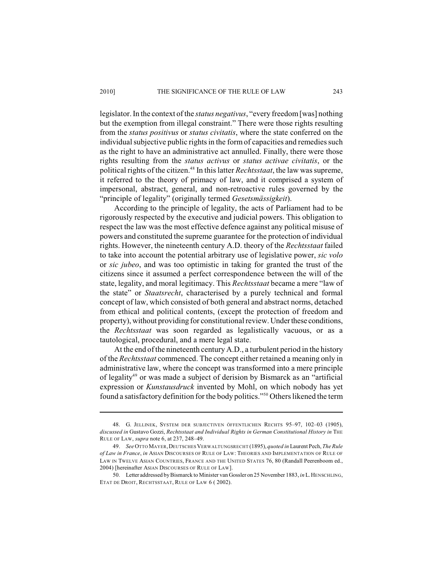### 2010] THE SIGNIFICANCE OF THE RULE OF LAW 243

legislator. In the context of the *status negativus*, "every freedom [was] nothing but the exemption from illegal constraint." There were those rights resulting from the *status positivus* or *status civitatis*, where the state conferred on the individual subjective public rights in the form of capacities and remedies such as the right to have an administrative act annulled. Finally, there were those rights resulting from the *status activus* or *status activae civitatis*, or the political rights of the citizen.<sup>48</sup> In this latter *Rechtsstaat*, the law was supreme, it referred to the theory of primacy of law, and it comprised a system of impersonal, abstract, general, and non-retroactive rules governed by the "principle of legality" (originally termed *Gesetsmässigkeit*).

According to the principle of legality, the acts of Parliament had to be rigorously respected by the executive and judicial powers. This obligation to respect the law was the most effective defence against any political misuse of powers and constituted the supreme guarantee for the protection of individual rights. However, the nineteenth century A.D. theory of the *Rechtsstaat* failed to take into account the potential arbitrary use of legislative power, *sic volo* or *sic jubeo*, and was too optimistic in taking for granted the trust of the citizens since it assumed a perfect correspondence between the will of the state, legality, and moral legitimacy. This *Rechtsstaat* became a mere "law of the state" or *Staatsrecht*, characterised by a purely technical and formal concept of law, which consisted of both general and abstract norms, detached from ethical and political contents, (except the protection of freedom and property), without providing for constitutional review. Under these conditions, the *Rechtsstaat* was soon regarded as legalistically vacuous, or as a tautological, procedural, and a mere legal state.

At the end of the nineteenth century A.D., a turbulent period in the history of the *Rechtsstaat* commenced. The concept either retained a meaning only in administrative law, where the concept was transformed into a mere principle of legality<sup>49</sup> or was made a subject of derision by Bismarck as an "artificial expression or *Kunstausdruck* invented by Mohl, on which nobody has yet found a satisfactory definition for the body politics."<sup>50</sup> Others likened the term

<sup>48.</sup> G. JELLINEK, SYSTEM DER SUBJECTIVEN ÖFFENTLICHEN RECHTS 95–97, 102–03 (1905), *discussed in* Gustavo Gozzi, *Rechtsstaat and Individual Rights in German Constitutional History in* THE RULE OF LAW, *supra* note 6, at 237, 248–49.

<sup>49.</sup> *See* OTTO MAYER,DEUTSCHES VERWALTUNGSRECHT (1895), *quoted in* Laurent Pech, *The Rule of Law in France*, *in* ASIAN DISCOURSES OF RULE OF LAW: THEORIES AND IMPLEMENTATION OF RULE OF LAW IN TWELVE ASIAN COUNTRIES, FRANCE AND THE UNITED STATES 76, 80 (Randall Peerenboom ed., 2004) [hereinafter ASIAN DISCOURSES OF RULE OF LAW].

<sup>50.</sup> Letter addressed by Bismarck to Minister van Gossler on 25 November 1883, *in* L.HENSCHLING, ETAT DE DROIT, RECHTSSTAAT, RULE OF LAW 6 ( 2002).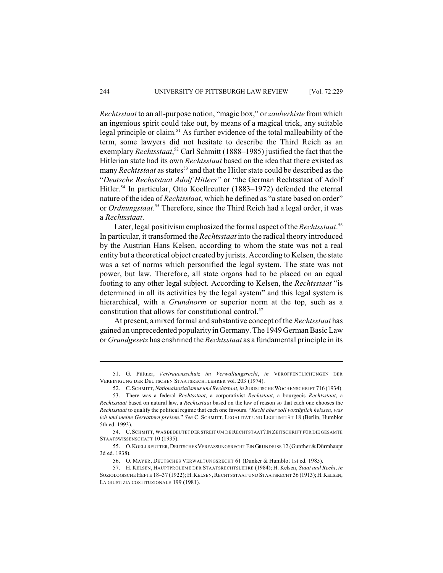*Rechtsstaat* to an all-purpose notion, "magic box," or*zauberkiste* from which an ingenious spirit could take out, by means of a magical trick, any suitable legal principle or claim.<sup>51</sup> As further evidence of the total malleability of the term, some lawyers did not hesitate to describe the Third Reich as an exemplary *Rechtsstaat*,<sup>52</sup> Carl Schmitt (1888–1985) justified the fact that the Hitlerian state had its own *Rechtsstaat* based on the idea that there existed as many *Rechtsstaat* as states<sup>53</sup> and that the Hitler state could be described as the "*Deutsche Rechststaat Adolf Hitlers"* or "the German Rechtsstaat of Adolf Hitler.<sup>54</sup> In particular, Otto Koellreutter (1883–1972) defended the eternal nature of the idea of *Rechtsstaat*, which he defined as "a state based on order" or *Ordnungstaat*.<sup>55</sup> Therefore, since the Third Reich had a legal order, it was a *Rechtsstaat*.

Later, legal positivism emphasized the formal aspect of the *Rechtsstaat*. 56 In particular, it transformed the *Rechtsstaat* into the radical theory introduced by the Austrian Hans Kelsen, according to whom the state was not a real entity but a theoretical object created by jurists. According to Kelsen, the state was a set of norms which personified the legal system. The state was not power, but law. Therefore, all state organs had to be placed on an equal footing to any other legal subject. According to Kelsen, the *Rechtsstaat* "is determined in all its activities by the legal system" and this legal system is hierarchical, with a *Grundnorm* or superior norm at the top, such as a constitution that allows for constitutional control. 57

At present, a mixed formal and substantive concept of the *Rechtsstaat* has gained an unprecedented popularity in Germany. The 1949 German Basic Law or *Grundgesetz* has enshrined the *Rechtsstaat* as a fundamental principle in its

<sup>51.</sup> G. Püttner, *Vertrauensschutz im Verwaltungsrecht*, *in* VERÖFFENTLICHUNGEN DER VEREINIGUNG DER DEUTSCHEN STAATSRECHTLEHRER vol. 203 (1974).

<sup>52.</sup> C.SCHMITT, *Nationalsozialismus und Rechtstaat*, *in* JURISTISCHE WOCHENSCHRIFT 716 (1934).

<sup>53.</sup> There was a federal *Rechtsstaat*, a corporativist *Rechtstaat*, a bourgeois *Rechtsstaat*, a *Rechtsstaat* based on natural law, a *Rechtsstaat* based on the law of reason so that each one chooses the *Rechtsstaat* to qualify the political regime that each one favours. "*Recht aber soll vorzüglich heissen, was ich und meine Gervattern preisen*." *See* C. SCHMITT, LEGALITÄT UND LEGITIMITÄT 18 (Berlin, Humblot 5th ed. 1993).

<sup>54.</sup> C.SCHMITT,WAS BEDEUTET DER STREIT UM DE RECHTSTAAT? IN ZEITSCHRIFT FÜR DIE GESAMTE STAATSWISSENSCHAFT 10 (1935).

<sup>55.</sup> O.KOELLREUTTER,DEUTSCHES VERFASSUNGSRECHT EIN GRUNDRISS 12 (Gunther & Dürmhaupt 3d ed. 1938).

<sup>56.</sup> O. MAYER, DEUTSCHES VERWALTUNGSRECHT 61 (Dunker & Humblot 1st ed. 1985).

<sup>57.</sup> H. KELSEN, HAUPTPROLEME DER STAATSRECHTSLEHRE (1984); H. Kelsen, *Staat und Recht*, *in* SOZIOLOGISCHE HEFTE 18-37 (1922); H. KELSEN, RECHTSSTAAT UND STAATSRECHT 36 (1913); H. KELSEN, LA GIUSTIZIA COSTITUZIONALE 199 (1981).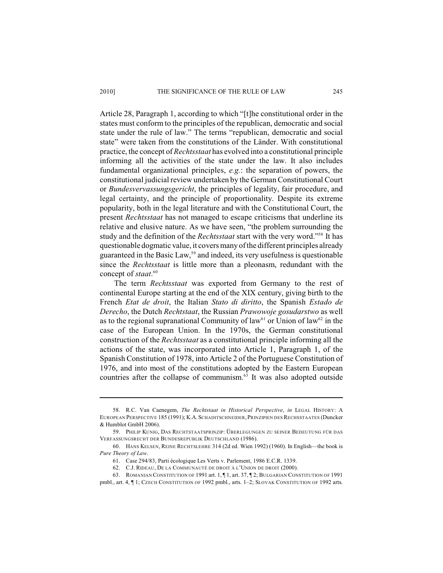### 2010] THE SIGNIFICANCE OF THE RULE OF LAW 245

Article 28, Paragraph 1, according to which "[t]he constitutional order in the states must conform to the principles of the republican, democratic and social state under the rule of law." The terms "republican, democratic and social state" were taken from the constitutions of the Länder. With constitutional practice, the concept of *Rechtsstaat* has evolved into a constitutional principle informing all the activities of the state under the law. It also includes fundamental organizational principles, *e.g.*: the separation of powers, the constitutional judicial review undertaken by the German Constitutional Court or *Bundesvervassungsgericht*, the principles of legality, fair procedure, and legal certainty, and the principle of proportionality. Despite its extreme popularity, both in the legal literature and with the Constitutional Court, the present *Rechtsstaat* has not managed to escape criticisms that underline its relative and elusive nature. As we have seen, "the problem surrounding the study and the definition of the *Rechtsstaat* start with the very word."<sup>58</sup> It has questionable dogmatic value, it covers many of the different principles already guaranteed in the Basic Law,<sup>59</sup> and indeed, its very usefulness is questionable since the *Rechtsstaat* is little more than a pleonasm, redundant with the concept of *staat*. 60

The term *Rechtsstaat* was exported from Germany to the rest of continental Europe starting at the end of the XIX century, giving birth to the French *Etat de droit*, the Italian *Stato di diritto*, the Spanish *Estado de Derecho*, the Dutch *Rechtstaat*, the Russian *Prawowoje gosudarstwo* as well as to the regional supranational Community of law<sup>61</sup> or Union of law<sup>62</sup> in the case of the European Union. In the 1970s, the German constitutional construction of the *Rechtsstaat* as a constitutional principle informing all the actions of the state, was incorporated into Article 1, Paragraph 1, of the Spanish Constitution of 1978, into Article 2 of the Portuguese Constitution of 1976, and into most of the constitutions adopted by the Eastern European countries after the collapse of communism. $63$  It was also adopted outside

<sup>58.</sup> R.C. Van Caenegem, *The Rechtstaat in Historical Perspective*, *in* LEGAL HISTORY: A EUROPEAN PERSPECTIVE 185 (1991); K.A. SCHADITSCHNEIDER, PRINZIPIEN DES RECHSSTAATES (Duncker & Humblot GmbH 2006).

<sup>59.</sup> PHILIP KUNIG, DAS RECHTSTAATSPRINZIP: ÜBERLEGUNGEN ZU SEINER BEDEUTUNG FÜR DAS VERFASSUNGSRECHT DER BUNDESREPUBLIK DEUTSCHLAND (1986).

<sup>60.</sup> HANS KELSEN, REINE RECHTSLEHRE 314 (2d ed. Wien 1992) (1960). In English—the book is *Pure Theory of Law*.

<sup>61.</sup> Case 294/83, Parti écologique Les Verts v. Parlement, 1986 E.C.R. 1339.

<sup>62.</sup> C.J. RIDEAU, DE LA COMMUNAUTÉ DE DROIT À L'UNION DE DROIT (2000).

<sup>63.</sup> ROMANIAN CONSTITUTION OF 1991 art. 1, ¶ 1, art. 37, ¶ 2; BULGARIAN CONSTITUTION OF 1991

pmbl., art. 4,  $\P$  1; Czech Constitution of 1992 pmbl., arts. 1-2; SLOVAK CONSTITUTION OF 1992 arts.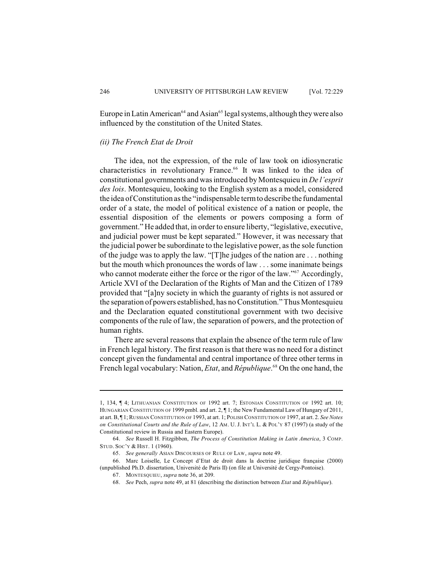Europe in Latin American<sup>64</sup> and Asian<sup>65</sup> legal systems, although they were also influenced by the constitution of the United States.

# *(ii) The French Etat de Droit*

The idea, not the expression, of the rule of law took on idiosyncratic characteristics in revolutionary France.<sup>66</sup> It was linked to the idea of constitutional governments and was introduced by Montesquieu in *De l'esprit des lois*. Montesquieu, looking to the English system as a model, considered the idea of Constitution as the "indispensable term to describe the fundamental order of a state, the model of political existence of a nation or people, the essential disposition of the elements or powers composing a form of government." He added that, in order to ensure liberty, "legislative, executive, and judicial power must be kept separated." However, it was necessary that the judicial power be subordinate to the legislative power, as the sole function of the judge was to apply the law. "[T]he judges of the nation are . . . nothing but the mouth which pronounces the words of law . . . some inanimate beings who cannot moderate either the force or the rigor of the law."<sup>67</sup> Accordingly, Article XVI of the Declaration of the Rights of Man and the Citizen of 1789 provided that "[a]ny society in which the guaranty of rights is not assured or the separation of powers established, has no Constitution." Thus Montesquieu and the Declaration equated constitutional government with two decisive components of the rule of law, the separation of powers, and the protection of human rights.

There are several reasons that explain the absence of the term rule of law in French legal history. The first reason is that there was no need for a distinct concept given the fundamental and central importance of three other terms in French legal vocabulary: Nation, *Etat*, and *République*.<sup>68</sup> On the one hand, the

<sup>1, 134, ¶ 4;</sup> LITHUANIAN CONSTITUTION OF 1992 art. 7; ESTONIAN CONSTITUTION OF 1992 art. 10; HUNGARIAN CONSTITUTION OF 1999 pmbl. and art. 2, ¶ 1; the New Fundamental Law of Hungary of 2011, at art.B, ¶ 1; RUSSIAN CONSTITUTION OF 1993, at art. 1; POLISH CONSTITUTION OF 1997, at art. 2. *See Notes on Constitutional Courts and the Rule of Law*, 12 AM. U. J. INT'L L. & POL'Y 87 (1997) (a study of the Constitutional review in Russia and Eastern Europe).

<sup>64.</sup> *See* Russell H. Fitzgibbon, *The Process of Constitution Making in Latin America*, 3 COMP. STUD. SOC'Y & HIST. 1 (1960).

<sup>65.</sup> *See generally* ASIAN DISCOURSES OF RULE OF LAW, *supra* note 49.

<sup>66.</sup> Marc Loiselle, Le Concept d'Etat de droit dans la doctrine juridique française (2000) (unpublished Ph.D. dissertation, Université de Paris II) (on file at Université de Cergy-Pontoise).

<sup>67.</sup> MONTESQUIEU, *supra* note 36, at 209.

<sup>68.</sup> *See* Pech, *supra* note 49, at 81 (describing the distinction between *Etat* and *République*).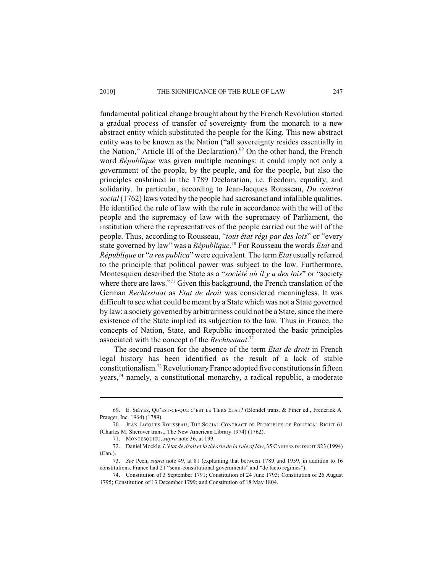fundamental political change brought about by the French Revolution started a gradual process of transfer of sovereignty from the monarch to a new abstract entity which substituted the people for the King. This new abstract entity was to be known as the Nation ("all sovereignty resides essentially in the Nation," Article III of the Declaration). $69$  On the other hand, the French word *République* was given multiple meanings: it could imply not only a government of the people, by the people, and for the people, but also the principles enshrined in the 1789 Declaration, i.e. freedom, equality, and solidarity. In particular, according to Jean-Jacques Rousseau, *Du contrat social* (1762) laws voted by the people had sacrosanct and infallible qualities. He identified the rule of law with the rule in accordance with the will of the people and the supremacy of law with the supremacy of Parliament, the institution where the representatives of the people carried out the will of the people. Thus, according to Rousseau, "*tout état régi par des lois*" or "every state governed by law" was a *République*.<sup>70</sup> For Rousseau the words *Etat* and *République* or "*a res publica*" were equivalent. The term *Etat* usually referred to the principle that political power was subject to the law. Furthermore, Montesquieu described the State as a "*société où il y a des lois*" or "society where there are laws."<sup>71</sup> Given this background, the French translation of the German *Rechtsstaat* as *Etat de droit* was considered meaningless. It was difficult to see what could be meant by a State which was not a State governed by law: a society governed by arbitrariness could not be a State, since the mere existence of the State implied its subjection to the law. Thus in France, the concepts of Nation, State, and Republic incorporated the basic principles associated with the concept of the *Rechtsstaat*. 72

The second reason for the absence of the term *Etat de droit* in French legal history has been identified as the result of a lack of stable constitutionalism.<sup>73</sup> Revolutionary France adopted five constitutions in fifteen years,<sup>74</sup> namely, a constitutional monarchy, a radical republic, a moderate

<sup>69.</sup> E. SIÉYES, QU'EST-CE-QUE C'EST LE TIERS ETAT? (Blondel trans. & Finer ed., Frederick A. Praeger, Inc. 1964) (1789).

<sup>70.</sup> JEAN-JACQUES ROUSSEAU, THE SOCIAL CONTRACT OR PRINCIPLES OF POLITICAL RIGHT 61 (Charles M. Sherover trans., The New American Library 1974) (1762).

<sup>71.</sup> MONTESQUIEU, *supra* note 36, at 199.

<sup>72.</sup> Daniel Mockle, *L'état de droit et la théorie de la rule of law*, 35 CAHIERS DE DROIT 823 (1994) (Can.).

<sup>73.</sup> *See* Pech, *supra* note 49, at 81 (explaining that between 1789 and 1959, in addition to 16 constitutions, France had 21 "semi-constitutional governments" and "de facto regimes").

<sup>74.</sup> Constitution of 3 September 1791; Constitution of 24 June 1793; Constitution of 26 August 1795; Constitution of 13 December 1799; and Constitution of 18 May 1804.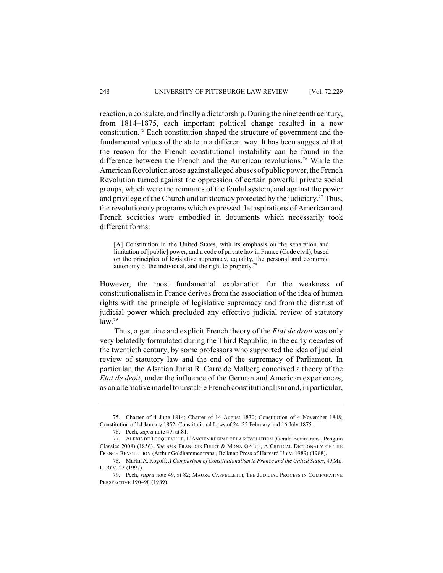reaction, a consulate, and finally a dictatorship. During the nineteenth century, from 1814–1875, each important political change resulted in a new constitution.<sup>75</sup> Each constitution shaped the structure of government and the fundamental values of the state in a different way. It has been suggested that the reason for the French constitutional instability can be found in the difference between the French and the American revolutions.<sup>76</sup> While the American Revolution arose against alleged abuses of public power, the French Revolution turned against the oppression of certain powerful private social groups, which were the remnants of the feudal system, and against the power and privilege of the Church and aristocracy protected by the judiciary.<sup>77</sup> Thus, the revolutionary programs which expressed the aspirations of American and French societies were embodied in documents which necessarily took different forms:

[A] Constitution in the United States, with its emphasis on the separation and limitation of [public] power; and a code of private law in France (Code civil), based on the principles of legislative supremacy, equality, the personal and economic autonomy of the individual, and the right to property.<sup>78</sup>

However, the most fundamental explanation for the weakness of constitutionalism in France derives from the association of the idea of human rights with the principle of legislative supremacy and from the distrust of judicial power which precluded any effective judicial review of statutory  $law.<sup>79</sup>$ 

Thus, a genuine and explicit French theory of the *Etat de droit* was only very belatedly formulated during the Third Republic, in the early decades of the twentieth century, by some professors who supported the idea of judicial review of statutory law and the end of the supremacy of Parliament. In particular, the Alsatian Jurist R. Carré de Malberg conceived a theory of the *Etat de droit*, under the influence of the German and American experiences, as an alternative model to unstable French constitutionalism and, in particular,

<sup>75.</sup> Charter of 4 June 1814; Charter of 14 August 1830; Constitution of 4 November 1848; Constitution of 14 January 1852; Constitutional Laws of 24–25 February and 16 July 1875.

<sup>76.</sup> Pech, *supra* note 49, at 81.

<sup>77.</sup> ALEXIS DE TOCQUEVILLE, L'ANCIEN RÉGIME ET LA RÉVOLUTION (Gerald Bevin trans., Penguin Classics 2008) (1856). *See also* FRANCOIS FURET & MONA OZOUF, A CRITICAL DICTIONARY OF THE FRENCH REVOLUTION (Arthur Goldhammer trans., Belknap Press of Harvard Univ. 1989) (1988).

<sup>78.</sup> Martin A. Rogoff, *A Comparison of Constitutionalism in France and the United States*, 49 ME. L. REV. 23 (1997).

<sup>79.</sup> Pech, *supra* note 49, at 82; MAURO CAPPELLETTI, THE JUDICIAL PROCESS IN COMPARATIVE PERSPECTIVE 190–98 (1989).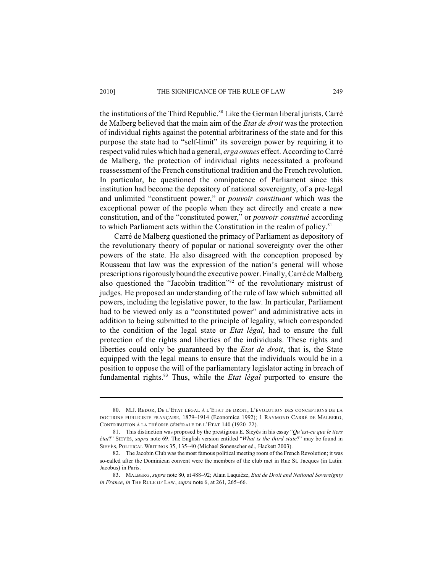the institutions of the Third Republic.<sup>80</sup> Like the German liberal jurists, Carré de Malberg believed that the main aim of the *Etat de droit* was the protection of individual rights against the potential arbitrariness of the state and for this purpose the state had to "self-limit" its sovereign power by requiring it to respect valid rules which had a general, *erga omnes* effect. According to Carré de Malberg, the protection of individual rights necessitated a profound reassessment of the French constitutional tradition and the French revolution. In particular, he questioned the omnipotence of Parliament since this institution had become the depository of national sovereignty, of a pre-legal and unlimited "constituent power," or *pouvoir constituant* which was the exceptional power of the people when they act directly and create a new constitution, and of the "constituted power," or *pouvoir constitué* according to which Parliament acts within the Constitution in the realm of policy.<sup>81</sup>

Carré de Malberg questioned the primacy of Parliament as depository of the revolutionary theory of popular or national sovereignty over the other powers of the state. He also disagreed with the conception proposed by Rousseau that law was the expression of the nation's general will whose prescriptions rigorously bound the executive power. Finally, Carré de Malberg also questioned the "Jacobin tradition"<sup>82</sup> of the revolutionary mistrust of judges. He proposed an understanding of the rule of law which submitted all powers, including the legislative power, to the law. In particular, Parliament had to be viewed only as a "constituted power" and administrative acts in addition to being submitted to the principle of legality, which corresponded to the condition of the legal state or *Etat légal*, had to ensure the full protection of the rights and liberties of the individuals. These rights and liberties could only be guaranteed by the *Etat de droit*, that is, the State equipped with the legal means to ensure that the individuals would be in a position to oppose the will of the parliamentary legislator acting in breach of fundamental rights.<sup>83</sup> Thus, while the *Etat légal* purported to ensure the

<sup>80.</sup> M.J. REDOR, DE L'ETAT LÉGAL À L'ETAT DE DROIT, L'ÉVOLUTION DES CONCEPTIONS DE LA DOCTRINE PUBLICISTE FRANÇAISE, 1879–1914 (Economica 1992); 1 RAYMOND CARRÉ DE MALBERG, CONTRIBUTION À LA THÉORIE GÉNÉRALE DE L'ETAT 140 (1920–22).

<sup>81.</sup> This distinction was proposed by the prestigious E. Sieyès in his essay "*Qu'est-ce que le tiers état*?" SIEYÈS, *supra* note 69. The English version entitled "*What is the third state*?" may be found in SIEYÈS, POLITICAL WRITINGS 35, 135–40 (Michael Sonenscher ed., Hackett 2003).

<sup>82.</sup> The Jacobin Club was the most famous political meeting room of the French Revolution; it was so-called after the Dominican convent were the members of the club met in Rue St. Jacques (in Latin: Jacobus) in Paris.

<sup>83.</sup> MALBERG, *supra* note 80, at 488–92; Alain Laquièze, *Etat de Droit and National Sovereignty in France*, *in* THE RULE OF LAW, *supra* note 6, at 261, 265–66.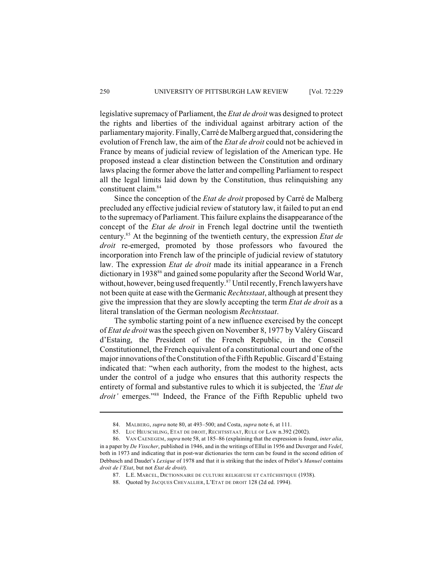legislative supremacy of Parliament, the *Etat de droit* was designed to protect the rights and liberties of the individual against arbitrary action of the parliamentary majority. Finally, Carré de Malberg argued that, considering the evolution of French law, the aim of the *Etat de droit* could not be achieved in France by means of judicial review of legislation of the American type. He proposed instead a clear distinction between the Constitution and ordinary laws placing the former above the latter and compelling Parliament to respect all the legal limits laid down by the Constitution, thus relinquishing any constituent claim.<sup>84</sup>

Since the conception of the *Etat de droit* proposed by Carré de Malberg precluded any effective judicial review of statutory law, it failed to put an end to the supremacy of Parliament. This failure explains the disappearance of the concept of the *Etat de droit* in French legal doctrine until the twentieth century.<sup>85</sup> At the beginning of the twentieth century, the expression *Etat de droit* re-emerged, promoted by those professors who favoured the incorporation into French law of the principle of judicial review of statutory law. The expression *Etat de droit* made its initial appearance in a French dictionary in 1938<sup>86</sup> and gained some popularity after the Second World War, without, however, being used frequently.<sup>87</sup> Until recently, French lawyers have not been quite at ease with the Germanic *Rechtsstaat*, although at present they give the impression that they are slowly accepting the term *Etat de droit* as a literal translation of the German neologism *Rechtsstaat*.

The symbolic starting point of a new influence exercised by the concept of *Etat de droit* wasthe speech given on November 8, 1977 by Valéry Giscard d'Estaing, the President of the French Republic, in the Conseil Constitutionnel, the French equivalent of a constitutional court and one of the major innovations of the Constitution of the Fifth Republic. Giscard d'Estaing indicated that: "when each authority, from the modest to the highest, acts under the control of a judge who ensures that this authority respects the entirety of formal and substantive rules to which it is subjected, the *'Etat de droit'* emerges."<sup>88</sup> Indeed, the France of the Fifth Republic upheld two

<sup>84.</sup> MALBERG, *supra* note 80, at 493–500; and Costa, *supra* note 6, at 111.

<sup>85.</sup> LUC HEUSCHLING, ETAT DE DROIT, RECHTSSTAAT, RULE OF LAW n.392 (2002).

<sup>86.</sup> VAN CAENEGEM, *supra* note 58, at 185–86 (explaining that the expression is found, *inter alia*, in a paper by *De Visscher*, published in 1946, and in the writings of Ellul in 1956 and Duverger and *Vedel*, both in 1973 and indicating that in post-war dictionaries the term can be found in the second edition of Debbasch and Daudet's *Lexique* of 1978 and that it is striking that the index of Prélot's *Manuel* contains *droit de l'Etat*, but not *Etat de droit*).

<sup>87.</sup> L.E. MARCEL, DICTIONNAIRE DE CULTURE RELIGIEUSE ET CATÉCHISTIQUE (1938).

<sup>88.</sup> Quoted by JACQUES CHEVALLIER, L'ETAT DE DROIT 128 (2d ed. 1994).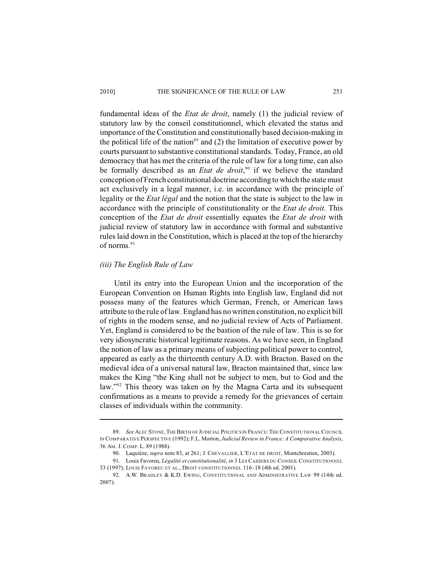### 2010] THE SIGNIFICANCE OF THE RULE OF LAW 251

fundamental ideas of the *Etat de droit*, namely (1) the judicial review of statutory law by the conseil constitutionnel, which elevated the status and importance of the Constitution and constitutionally based decision-making in the political life of the nation<sup>89</sup> and (2) the limitation of executive power by courts pursuant to substantive constitutional standards. Today, France, an old democracy that has met the criteria of the rule of law for a long time, can also be formally described as an *Etat de droit*,<sup>90</sup> if we believe the standard conception of French constitutional doctrine according to which the state must act exclusively in a legal manner, i.e. in accordance with the principle of legality or the *Etat légal* and the notion that the state is subject to the law in accordance with the principle of constitutionality or the *Etat de droit.* This conception of the *Etat de droit* essentially equates the *Etat de droit* with judicial review of statutory law in accordance with formal and substantive rules laid down in the Constitution, which is placed at the top of the hierarchy of norms.<sup>91</sup>

# *(iii) The English Rule of Law*

Until its entry into the European Union and the incorporation of the European Convention on Human Rights into English law, England did not possess many of the features which German, French, or American laws attribute to the rule of law. England has no written constitution, no explicit bill of rights in the modern sense, and no judicial review of Acts of Parliament. Yet, England is considered to be the bastion of the rule of law. This is so for very idiosyncratic historical legitimate reasons. As we have seen, in England the notion of law as a primary means of subjecting political power to control, appeared as early as the thirteenth century A.D. with Bracton. Based on the medieval idea of a universal natural law, Bracton maintained that, since law makes the King "the King shall not be subject to men, but to God and the law."<sup>92</sup> This theory was taken on by the Magna Carta and its subsequent confirmations as a means to provide a remedy for the grievances of certain classes of individuals within the community.

<sup>89.</sup> *See* ALEC STONE,THE BIRTH OF JUDICIAL POLITICS IN FRANCE:THE CONSTITUTIONAL COUNCIL IN COMPARATIVE PERSPECTIVE (1992); F.L. Morton, *Judicial Review in France: A Comparative Analysis*, 36 AM. J. COMP. L. 89 (1988).

<sup>90.</sup> Laquièze, *supra* note 83, at 261; J. CHEVALLIER, L'ETAT DE DROIT, Montchrestien, 2003).

<sup>91.</sup> Louis Favoreu, *Légalité et constitutionalité*, *in* 3 LES CAHIERS DU CONSEIL CONSTITUTIONNEL 33 (1997); LOUIS FAVOREU ET AL., DROIT CONSTITUTIONNEL 116–18 (4th ed. 2001).

<sup>92.</sup> A.W. BRADLEY & K.D. EWING, CONSTITUTIONAL AND ADMINISTRATIVE LAW 99 (14th ed. 2007).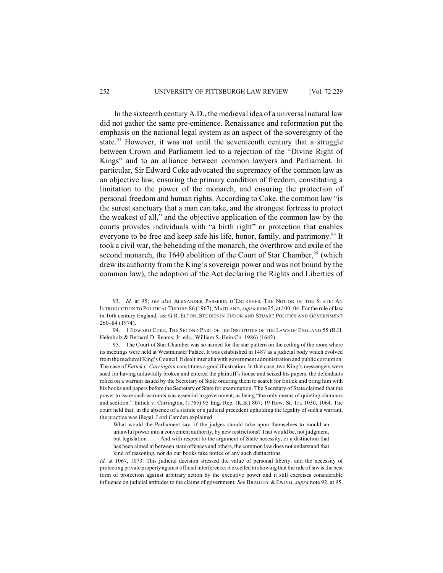In the sixteenth century A.D., the medieval idea of a universal natural law did not gather the same pre-eminence. Renaissance and reformation put the emphasis on the national legal system as an aspect of the sovereignty of the state.<sup>93</sup> However, it was not until the seventeenth century that a struggle between Crown and Parliament led to a rejection of the "Divine Right of Kings" and to an alliance between common lawyers and Parliament. In particular, Sir Edward Coke advocated the supremacy of the common law as an objective law, ensuring the primary condition of freedom, constituting a limitation to the power of the monarch, and ensuring the protection of personal freedom and human rights. According to Coke, the common law "is the surest sanctuary that a man can take, and the strongest fortress to protect the weakest of all," and the objective application of the common law by the courts provides individuals with "a birth right" or protection that enables everyone to be free and keep safe his life, honor, family, and patrimony.<sup>94</sup> It took a civil war, the beheading of the monarch, the overthrow and exile of the second monarch, the 1640 abolition of the Court of Star Chamber,  $95$  (which drew its authority from the King's sovereign power and was not bound by the common law), the adoption of the Act declaring the Rights and Liberties of

<sup>93.</sup> *Id.* at 95; *see also* ALEXANDER PASSERIN D'ENTRÈVES, THE NOTION OF THE STATE: AN INTRODUCTION TO POLITICAL THEORY 86 (1967); MAITLAND, *supra* note 25, at 100–04. For the rule of law in 16th century England, see G.R. ELTON, STUDIES IN TUDOR AND STUART POLITICS AND GOVERNMENT 260–84 (1974).

<sup>94.</sup> 1 EDWARD COKE, THE SECOND PART OF THE INSTITUTES OF THE LAWS OF ENGLAND 55 (R.H. Helmholz & Bernard D. Reams, Jr. eds., William S. Hein Co. 1986) (1642).

<sup>95.</sup> The Court of Star Chamber was so named for the star pattern on the ceiling of the room where its meetings were held at Westminster Palace. It was established in 1487 as a judicial body which evolved from the medieval King's Council. It dealt inter alia with government administration and public corruption. The case of *Entick v. Carrington* constitutes a good illustration. In that case, two King's messengers were sued for having unlawfully broken and entered the plaintiff's house and seized his papers: the defendants relied on a warrant issued by the Secretary of State ordering them to search for Entick and bring him with his books and papers before the Secretary of State for examination. The Secretary of State claimed that the power to issue such warrants was essential to government, as being "the only means of quieting clamours and sedition." Entick v. Carrington, (1765) 95 Eng. Rep. (K.B.) 807; 19 How. St. Tri. 1030, 1064. The court held that, in the absence of a statute or a judicial precedent upholding the legality of such a warrant, the practice was illegal. Lord Camden explained:

What would the Parliament say, if the judges should take upon themselves to mould an unlawful power into a convenient authority, by new restrictions? That would be, not judgment, but legislation . . . . And with respect to the argument of State necessity, or a distinction that has been aimed at between state offences and others, the common law does not understand that kind of reasoning, nor do our books take notice of any such distinctions.

*Id.* at 1067, 1073. This judicial decision stressed the value of personal liberty, and the necessity of protecting private property against official interference; it excelled in showing that the rule of law is the best form of protection against arbitrary action by the executive power and it still exercises considerable influence on judicial attitudes to the claims of government. *See* BRADLEY & EWING, *supra* note 92, at 95.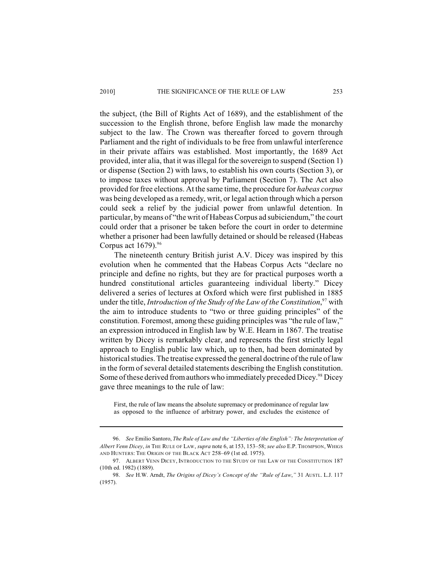### 2010] THE SIGNIFICANCE OF THE RULE OF LAW 253

the subject, (the Bill of Rights Act of 1689), and the establishment of the succession to the English throne, before English law made the monarchy subject to the law. The Crown was thereafter forced to govern through Parliament and the right of individuals to be free from unlawful interference in their private affairs was established. Most importantly, the 1689 Act provided, inter alia, that it was illegal for the sovereign to suspend (Section 1) or dispense (Section 2) with laws, to establish his own courts (Section 3), or to impose taxes without approval by Parliament (Section 7). The Act also provided for free elections. At the same time, the procedure for *habeas corpus* was being developed as a remedy, writ, or legal action through which a person could seek a relief by the judicial power from unlawful detention. In particular, by means of "the writ of Habeas Corpus ad subiciendum," the court could order that a prisoner be taken before the court in order to determine whether a prisoner had been lawfully detained or should be released (Habeas Corpus act 1679).<sup>96</sup>

The nineteenth century British jurist A.V. Dicey was inspired by this evolution when he commented that the Habeas Corpus Acts "declare no principle and define no rights, but they are for practical purposes worth a hundred constitutional articles guaranteeing individual liberty." Dicey delivered a series of lectures at Oxford which were first published in 1885 under the title, *Introduction of the Study of the Law of the Constitution*,<sup>97</sup> with the aim to introduce students to "two or three guiding principles" of the constitution. Foremost, among these guiding principles was "the rule of law," an expression introduced in English law by W.E. Hearn in 1867. The treatise written by Dicey is remarkably clear, and represents the first strictly legal approach to English public law which, up to then, had been dominated by historical studies. The treatise expressed the general doctrine of the rule of law in the form of several detailed statements describing the English constitution. Some of these derived from authors who immediately preceded Dicey.<sup>98</sup> Dicey gave three meanings to the rule of law:

First, the rule of law means the absolute supremacy or predominance of regular law as opposed to the influence of arbitrary power, and excludes the existence of

<sup>96.</sup> *See* Emilio Santoro, *The Rule of Law and the "Liberties of the English": The Interpretation of Albert Venn Dicey*, *in* THE RULE OF LAW, *supra* note 6, at 153, 153–58; *see also* E.P. THOMPSON, WHIGS AND HUNTERS: THE ORIGIN OF THE BLACK ACT 258–69 (1st ed. 1975).

<sup>97.</sup> ALBERT VENN DICEY, INTRODUCTION TO THE STUDY OF THE LAW OF THE CONSTITUTION 187 (10th ed. 1982) (1889).

<sup>98.</sup> *See* H.W. Arndt, *The Origins of Dicey's Concept of the "Rule of Law*,*"* 31 AUSTL. L.J. 117 (1957).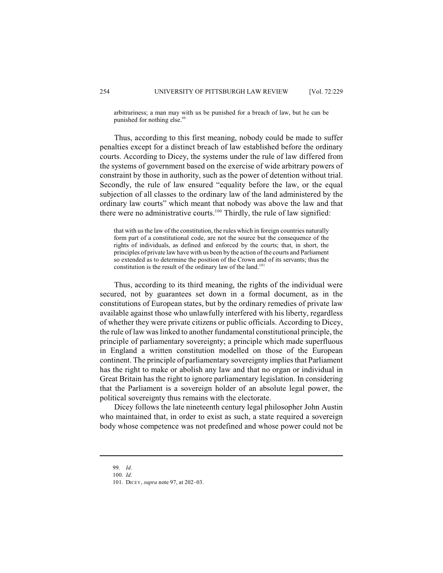arbitrariness; a man may with us be punished for a breach of law, but he can be punished for nothing else.<sup>99</sup>

Thus, according to this first meaning, nobody could be made to suffer penalties except for a distinct breach of law established before the ordinary courts. According to Dicey, the systems under the rule of law differed from the systems of government based on the exercise of wide arbitrary powers of constraint by those in authority, such as the power of detention without trial. Secondly, the rule of law ensured "equality before the law, or the equal subjection of all classes to the ordinary law of the land administered by the ordinary law courts" which meant that nobody was above the law and that there were no administrative courts.<sup>100</sup> Thirdly, the rule of law signified:

that with us the law of the constitution, the rules which in foreign countries naturally form part of a constitutional code, are not the source but the consequence of the rights of individuals, as defined and enforced by the courts; that, in short, the principles of private law have with us been by the action of the courts and Parliament so extended as to determine the position of the Crown and of its servants; thus the constitution is the result of the ordinary law of the land.<sup>101</sup>

Thus, according to its third meaning, the rights of the individual were secured, not by guarantees set down in a formal document, as in the constitutions of European states, but by the ordinary remedies of private law available against those who unlawfully interfered with his liberty, regardless of whether they were private citizens or public officials. According to Dicey, the rule of law was linked to another fundamental constitutional principle, the principle of parliamentary sovereignty; a principle which made superfluous in England a written constitution modelled on those of the European continent. The principle of parliamentary sovereignty implies that Parliament has the right to make or abolish any law and that no organ or individual in Great Britain has the right to ignore parliamentary legislation. In considering that the Parliament is a sovereign holder of an absolute legal power, the political sovereignty thus remains with the electorate.

Dicey follows the late nineteenth century legal philosopher John Austin who maintained that, in order to exist as such, a state required a sovereign body whose competence was not predefined and whose power could not be

<sup>99.</sup> *Id*.

<sup>100.</sup> *Id*.

<sup>101.</sup> DICEY, *supra* note 97, at 202–03.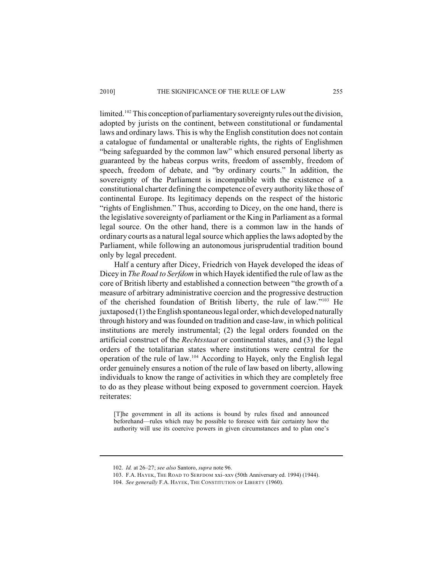### 2010] THE SIGNIFICANCE OF THE RULE OF LAW 255

limited.<sup>102</sup> This conception of parliamentary sovereignty rules out the division, adopted by jurists on the continent, between constitutional or fundamental laws and ordinary laws. This is why the English constitution does not contain a catalogue of fundamental or unalterable rights, the rights of Englishmen "being safeguarded by the common law" which ensured personal liberty as guaranteed by the habeas corpus writs, freedom of assembly, freedom of speech, freedom of debate, and "by ordinary courts." In addition, the sovereignty of the Parliament is incompatible with the existence of a constitutional charter defining the competence of every authority like those of continental Europe. Its legitimacy depends on the respect of the historic "rights of Englishmen." Thus, according to Dicey, on the one hand, there is the legislative sovereignty of parliament or the King in Parliament as a formal legal source. On the other hand, there is a common law in the hands of ordinary courts as a natural legal source which applies the laws adopted by the Parliament, while following an autonomous jurisprudential tradition bound only by legal precedent.

Half a century after Dicey, Friedrich von Hayek developed the ideas of Dicey in *The Road to Serfdom* in which Hayek identified the rule of law as the core of British liberty and established a connection between "the growth of a measure of arbitrary administrative coercion and the progressive destruction of the cherished foundation of British liberty, the rule of law." $103$  He juxtaposed (1) the English spontaneous legal order, which developed naturally through history and was founded on tradition and case-law, in which political institutions are merely instrumental; (2) the legal orders founded on the artificial construct of the *Rechtsstaat* or continental states, and (3) the legal orders of the totalitarian states where institutions were central for the operation of the rule of law.<sup>104</sup> According to Hayek, only the English legal order genuinely ensures a notion of the rule of law based on liberty, allowing individuals to know the range of activities in which they are completely free to do as they please without being exposed to government coercion. Hayek reiterates:

[T]he government in all its actions is bound by rules fixed and announced beforehand—rules which may be possible to foresee with fair certainty how the authority will use its coercive powers in given circumstances and to plan one's

<sup>102.</sup> *Id.* at 26–27; *see also* Santoro, *supra* note 96.

<sup>103.</sup> F.A. HAYEK, THE ROAD TO SERFDOM xxi–xxv (50th Anniversary ed. 1994) (1944).

<sup>104.</sup> *See generally* F.A. HAYEK, THE CONSTITUTION OF LIBERTY (1960).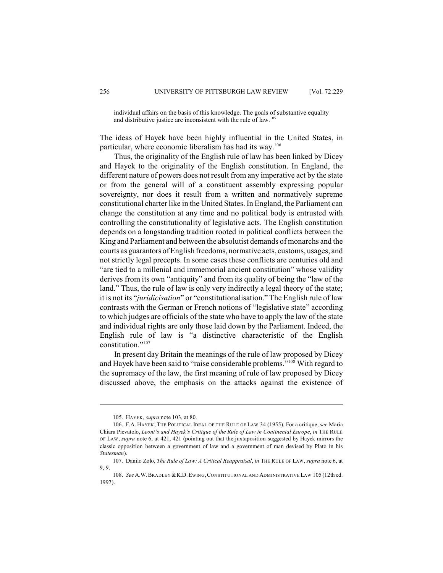individual affairs on the basis of this knowledge. The goals of substantive equality and distributive justice are inconsistent with the rule of law.<sup>105</sup>

The ideas of Hayek have been highly influential in the United States, in particular, where economic liberalism has had its way.<sup>106</sup>

Thus, the originality of the English rule of law has been linked by Dicey and Hayek to the originality of the English constitution. In England, the different nature of powers does not result from any imperative act by the state or from the general will of a constituent assembly expressing popular sovereignty, nor does it result from a written and normatively supreme constitutional charter like in the United States. In England, the Parliament can change the constitution at any time and no political body is entrusted with controlling the constitutionality of legislative acts. The English constitution depends on a longstanding tradition rooted in political conflicts between the King and Parliament and between the absolutist demands of monarchs and the courts as guarantors of English freedoms, normative acts, customs, usages, and not strictly legal precepts. In some cases these conflicts are centuries old and "are tied to a millenial and immemorial ancient constitution" whose validity derives from its own "antiquity" and from its quality of being the "law of the land." Thus, the rule of law is only very indirectly a legal theory of the state; it is not its "*juridicisation*" or "constitutionalisation." The English rule of law contrasts with the German or French notions of "legislative state" according to which judges are officials of the state who have to apply the law of the state and individual rights are only those laid down by the Parliament. Indeed, the English rule of law is "a distinctive characteristic of the English constitution."<sup>107</sup>

In present day Britain the meanings of the rule of law proposed by Dicey and Hayek have been said to "raise considerable problems."<sup>108</sup> With regard to the supremacy of the law, the first meaning of rule of law proposed by Dicey discussed above, the emphasis on the attacks against the existence of

<sup>105.</sup> HAYEK, *supra* note 103, at 80.

<sup>106.</sup> F.A. HAYEK, THE POLITICAL IDEAL OF THE RULE OF LAW 34 (1955). For a critique, *see* Maria Chiara Pievatolo, *Leoni's and Hayek's Critique of the Rule of Law in Continental Europe*, *in* THE RULE OF LAW, *supra* note 6, at 421, 421 (pointing out that the juxtaposition suggested by Hayek mirrors the classic opposition between a government of law and a government of man devised by Plato in his *Statesman*).

<sup>107.</sup> Danilo Zolo, *The Rule of Law: A Critical Reappraisal*, *in* THE RULE OF LAW, *supra* note 6, at 9, 9.

<sup>108.</sup> *See* A.W.BRADLEY &K.D.EWING,CONSTITUTIONAL AND ADMINISTRATIVE LAW 105 (12th ed. 1997).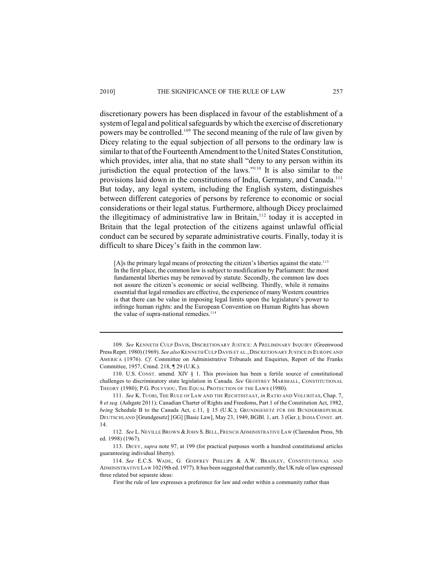discretionary powers has been displaced in favour of the establishment of a system of legal and political safeguards by which the exercise of discretionary powers may be controlled.<sup>109</sup> The second meaning of the rule of law given by Dicey relating to the equal subjection of all persons to the ordinary law is similar to that of the Fourteenth Amendment to the United States Constitution, which provides, inter alia, that no state shall "deny to any person within its jurisdiction the equal protection of the laws." $10$  It is also similar to the provisions laid down in the constitutions of India, Germany, and Canada.<sup>111</sup> But today, any legal system, including the English system, distinguishes between different categories of persons by reference to economic or social considerations or their legal status. Furthermore, although Dicey proclaimed the illegitimacy of administrative law in Britain, $112$  today it is accepted in Britain that the legal protection of the citizens against unlawful official conduct can be secured by separate administrative courts. Finally, today it is difficult to share Dicey's faith in the common law.

 $[A]$ s the primary legal means of protecting the citizen's liberties against the state.<sup>113</sup> In the first place, the common law is subject to modification by Parliament: the most fundamental liberties may be removed by statute. Secondly, the common law does not assure the citizen's economic or social wellbeing. Thirdly, while it remains essential that legal remedies are effective, the experience of many Western countries is that there can be value in imposing legal limits upon the legislature's power to infringe human rights: and the European Convention on Human Rights has shown the value of supra-national remedies.<sup>114</sup>

109. *See* KENNETH CULP DAVIS, DISCRETIONARY JUSTICE: A PRELIMINARY INQUIRY (Greenwood Press Reprt. 1980) (1969). *See also* KENNETH CULPDAVIS ET AL.,DISCRETIONARY JUSTICE IN EUROPE AND AMERICA (1976). *Cf.* Committee on Administrative Tribunals and Enquiries, Report of the Franks Committee, 1957, Cmnd. 218, ¶ 29 (U.K.).

<sup>110.</sup> U.S. CONST. amend. XIV § 1. This provision has been a fertile source of constitutional challenges to discriminatory state legislation in Canada. *See* GEOFFREY MARSHALL, CONSTITUTIONAL THEORY (1980); P.G. POLYVIOU, THE EQUAL PROTECTION OF THE LAWS (1980).

<sup>111.</sup> *See* K. TUORI, THE RULE OF LAW AND THE RECHTSSTAAT, *in* RATIO AND VOLURITAS, Chap. 7, 8 *et seq.* (Ashgate 2011); Canadian Charter of Rights and Freedoms, Part 1 of the Constitution Act, 1982, *being* Schedule B to the Canada Act, c.11, § 15 (U.K.); GRUNDGESETZ FÜR DIE BUNDERSREPUBLIK DEUTSCHLAND [Grundgesetz] [GG] [Basic Law], May 23, 1949, BGBl. 1, art. 3 (Ger.); INDIA CONST. art. 14.

<sup>112.</sup> *See* L. NEVILLE BROWN &JOHN S.BELL, FRENCH ADMINISTRATIVE LAW (Clarendon Press, 5th ed. 1998) (1967).

<sup>113.</sup> DICEY, *supra* note 97, at 199 (for practical purposes worth a hundred constitutional articles guaranteeing individual liberty).

<sup>114.</sup> *See* E.C.S. WADE, G. GODFREY PHILLIPS & A.W. BRADLEY, CONSTITUTIONAL AND ADMINISTRATIVE LAW 102(9th ed. 1977). It has been suggested that currently, the UK rule of law expressed three related but separate ideas:

First the rule of law expresses a preference for law and order within a community rather than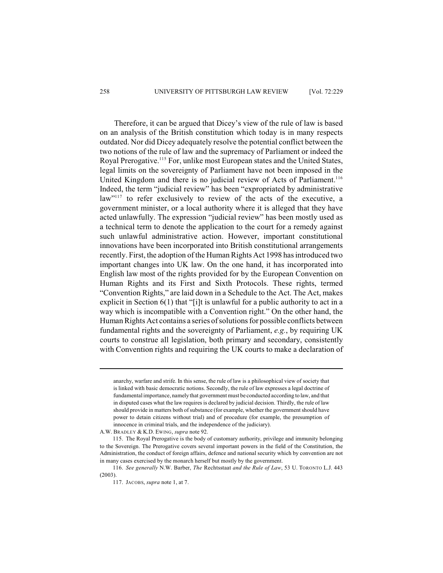Therefore, it can be argued that Dicey's view of the rule of law is based on an analysis of the British constitution which today is in many respects outdated. Nor did Dicey adequately resolve the potential conflict between the two notions of the rule of law and the supremacy of Parliament or indeed the Royal Prerogative.<sup>115</sup> For, unlike most European states and the United States, legal limits on the sovereignty of Parliament have not been imposed in the United Kingdom and there is no judicial review of Acts of Parliament.<sup>116</sup> Indeed, the term "judicial review" has been "expropriated by administrative law"<sup>117</sup> to refer exclusively to review of the acts of the executive, a government minister, or a local authority where it is alleged that they have acted unlawfully. The expression "judicial review" has been mostly used as a technical term to denote the application to the court for a remedy against such unlawful administrative action. However, important constitutional innovations have been incorporated into British constitutional arrangements recently. First, the adoption of the Human Rights Act 1998 has introduced two important changes into UK law. On the one hand, it has incorporated into English law most of the rights provided for by the European Convention on Human Rights and its First and Sixth Protocols. These rights, termed "Convention Rights," are laid down in a Schedule to the Act. The Act, makes explicit in Section 6(1) that "[i]t is unlawful for a public authority to act in a way which is incompatible with a Convention right." On the other hand, the Human Rights Act contains a series of solutions for possible conflicts between fundamental rights and the sovereignty of Parliament, *e.g.*, by requiring UK courts to construe all legislation, both primary and secondary, consistently with Convention rights and requiring the UK courts to make a declaration of

anarchy, warfare and strife. In this sense, the rule of law is a philosophical view of society that is linked with basic democratic notions. Secondly, the rule of law expresses a legal doctrine of fundamental importance, namely that government must be conducted according to law, and that in disputed cases what the law requires is declared by judicial decision. Thirdly, the rule of law should provide in matters both of substance (for example, whether the government should have power to detain citizens without trial) and of procedure (for example, the presumption of innocence in criminal trials, and the independence of the judiciary).

A.W. BRADLEY & K.D. EWING, *supra* note 92.

<sup>115.</sup> The Royal Prerogative is the body of customary authority, privilege and immunity belonging to the Sovereign. The Prerogative covers several important powers in the field of the Constitution, the Administration, the conduct of foreign affairs, defence and national security which by convention are not in many cases exercised by the monarch herself but mostly by the government.

<sup>116.</sup> *See generally* N.W. Barber, *The* Rechtsstaat *and the Rule of Law*, 53 U. TORONTO L.J. 443 (2003).

<sup>117.</sup> JACOBS, *supra* note 1, at 7.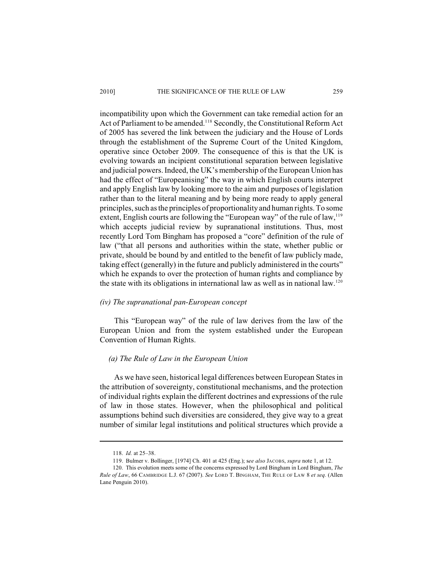incompatibility upon which the Government can take remedial action for an Act of Parliament to be amended.<sup>118</sup> Secondly, the Constitutional Reform Act of 2005 has severed the link between the judiciary and the House of Lords through the establishment of the Supreme Court of the United Kingdom, operative since October 2009. The consequence of this is that the UK is evolving towards an incipient constitutional separation between legislative and judicial powers. Indeed, the UK's membership of the European Union has had the effect of "Europeanising" the way in which English courts interpret and apply English law by looking more to the aim and purposes of legislation rather than to the literal meaning and by being more ready to apply general principles, such as the principles of proportionality and human rights. To some extent, English courts are following the "European way" of the rule of law,  $119$ which accepts judicial review by supranational institutions. Thus, most recently Lord Tom Bingham has proposed a "core" definition of the rule of law ("that all persons and authorities within the state, whether public or private, should be bound by and entitled to the benefit of law publicly made, taking effect (generally) in the future and publicly administered in the courts" which he expands to over the protection of human rights and compliance by the state with its obligations in international law as well as in national law.<sup>120</sup>

# *(iv) The supranational pan-European concept*

This "European way" of the rule of law derives from the law of the European Union and from the system established under the European Convention of Human Rights.

## *(a) The Rule of Law in the European Union*

As we have seen, historical legal differences between European States in the attribution of sovereignty, constitutional mechanisms, and the protection of individual rights explain the different doctrines and expressions of the rule of law in those states. However, when the philosophical and political assumptions behind such diversities are considered, they give way to a great number of similar legal institutions and political structures which provide a

<sup>118.</sup> *Id.* at 25–38.

<sup>119.</sup> Bulmer v. Bollinger, [1974] Ch. 401 at 425 (Eng.); s*ee also* JACOBS, *supra* note 1, at 12.

<sup>120.</sup> This evolution meets some of the concerns expressed by Lord Bingham in Lord Bingham, *The Rule of Law*, 66 CAMBRIDGE L.J. 67 (2007). *See* LORD T. BINGHAM, THE RULE OF LAW 8 *et seq.* (Allen Lane Penguin 2010).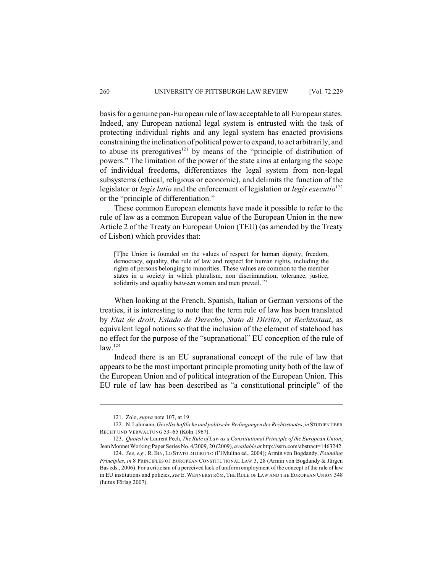basis for a genuine pan-European rule of law acceptable to all European states. Indeed, any European national legal system is entrusted with the task of protecting individual rights and any legal system has enacted provisions constraining the inclination of political power to expand, to act arbitrarily, and to abuse its prerogatives<sup>121</sup> by means of the "principle of distribution of powers." The limitation of the power of the state aims at enlarging the scope of individual freedoms, differentiates the legal system from non-legal subsystems (ethical, religious or economic), and delimits the function of the legislator or *legis latio* and the enforcement of legislation or *legis executio*<sup>122</sup> or the "principle of differentiation."

These common European elements have made it possible to refer to the rule of law as a common European value of the European Union in the new Article 2 of the Treaty on European Union (TEU) (as amended by the Treaty of Lisbon) which provides that:

[T]he Union is founded on the values of respect for human dignity, freedom, democracy, equality, the rule of law and respect for human rights, including the rights of persons belonging to minorities. These values are common to the member states in a society in which pluralism, non discrimination, tolerance, justice, solidarity and equality between women and men prevail.<sup>123</sup>

When looking at the French, Spanish, Italian or German versions of the treaties, it is interesting to note that the term rule of law has been translated by *Etat de droit*, *Estado de Derecho*, *Stato di Diritto*, or *Rechtsstaat*, as equivalent legal notions so that the inclusion of the element of statehood has no effect for the purpose of the "supranational" EU conception of the rule of  $law.<sup>124</sup>$ 

Indeed there is an EU supranational concept of the rule of law that appears to be the most important principle promoting unity both of the law of the European Union and of political integration of the European Union. This EU rule of law has been described as "a constitutional principle" of the

<sup>121.</sup> Zolo, *supra* note 107, at 19.

<sup>122.</sup> N. Luhmann, *Gesellschaftliche und politische Bedingungen des Rechtsstaates*, *in* STUDIEN ÜBER RECHT UND VERWALTUNG 53–65 (Köln 1967).

<sup>123.</sup> *Quoted in* Laurent Pech, *The Rule of Law as a Constitutional Principle of the European Union*; Jean Monnet Working Paper Series No. 4/2009, 20 (2009), *available at* http://ssrn.com/abstract=1463242.

<sup>124.</sup> *See, e.g.*, R. BIN, LO STATO DI DIRITTO (I'l Mulino ed., 2004); Armin von Bogdandy, *Founding Principles*, *in* 8 PRINCIPLES OF EUROPEAN CONSTITUTIONAL LAW 3, 28 (Armin von Bogdandy & Jürgen Bas eds., 2006). For a criticism of a perceived lack of uniform employment of the concept of the rule of law in EU institutions and policies, *see* E.WENNERSTRÖM, THE RULE OF LAW AND THE EUROPEAN UNION 348 (Iuitus Förlag 2007).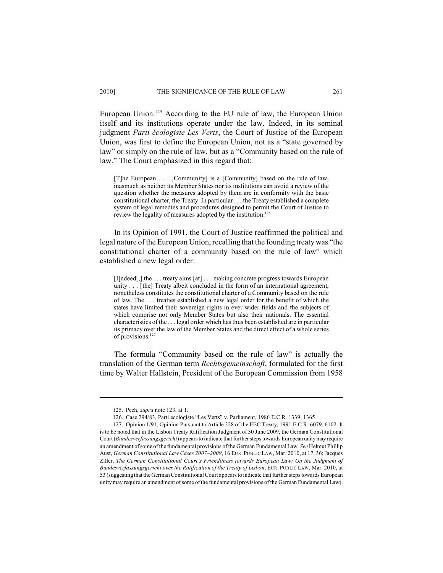European Union.<sup>125</sup> According to the EU rule of law, the European Union itself and its institutions operate under the law. Indeed, in its seminal judgment *Parti écologiste Les Verts*, the Court of Justice of the European Union, was first to define the European Union, not as a "state governed by law" or simply on the rule of law, but as a "Community based on the rule of law." The Court emphasized in this regard that:

[T]he European . . . [Community] is a [Community] based on the rule of law, inasmuch as neither its Member States nor its institutions can avoid a review of the question whether the measures adopted by them are in conformity with the basic constitutional charter, the Treaty. In particular . . . the Treaty established a complete system of legal remedies and procedures designed to permit the Court of Justice to review the legality of measures adopted by the institution.<sup>126</sup>

In its Opinion of 1991, the Court of Justice reaffirmed the political and legal nature of the European Union, recalling that the founding treaty was "the constitutional charter of a community based on the rule of law" which established a new legal order:

[I]ndeed[,] the ... treaty aims [at] ... making concrete progress towards European unity . . . [the] Treaty albeit concluded in the form of an international agreement, nonetheless constitutes the constitutional charter of a Community based on the rule of law. The . . . treaties established a new legal order for the benefit of which the states have limited their sovereign rights in ever wider fields and the subjects of which comprise not only Member States but also their nationals. The essential characteristics of the . . . legal order which has thus been established are in particular its primacy over the law of the Member States and the direct effect of a whole series of provisions. $12$ 

The formula "Community based on the rule of law" is actually the translation of the German term *Rechtsgemeinschaft*, formulated for the first time by Walter Hallstein, President of the European Commission from 1958

<sup>125.</sup> Pech, *supra* note 123, at 1.

<sup>126.</sup> Case 294/83, Parti ecologiste "Les Verts" v. Parliament, 1986 E.C.R. 1339, 1365.

<sup>127.</sup> Opinion 1/91, Opinion Pursuant to Article 228 of the EEC Treaty, 1991 E.C.R. 6079, 6102. It is to be noted that in the Lisbon Treaty Ratification Judgment of 30 June 2009, the German Constitutional Court (*Bundesverfassungsgericht*) appears to indicate that further steps towards European unity may require an amendment of some of the fundamental provisions of the German Fundamental Law. *See* Helmut Phillip Aust, *German Constitutional Law Cases 2007–2009*, 16 EUR. PUBLIC LAW, Mar. 2010, at 17, 36; Jacques Ziller, *The German Constitutional Court's Friendliness towards European Law: On the Judgment of Bundesverfassungsgericht over the Ratification of the Treaty of Lisbon*, EUR. PUBLIC LAW, Mar. 2010, at 53 (suggesting that the German Constitutional Court appears to indicate that further steps towards European unity may require an amendment of some of the fundamental provisions of the German Fundamental Law).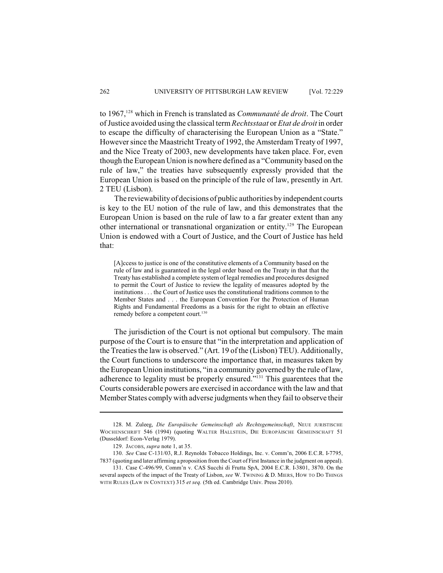to 1967,<sup>128</sup> which in French is translated as *Communauté de droit*. The Court of Justice avoided using the classical term *Rechtsstaat* or *Etat de droit* in order to escape the difficulty of characterising the European Union as a "State." However since the Maastricht Treaty of 1992, the Amsterdam Treaty of 1997, and the Nice Treaty of 2003, new developments have taken place. For, even though the European Union is nowhere defined as a "Community based on the rule of law," the treaties have subsequently expressly provided that the European Union is based on the principle of the rule of law, presently in Art. 2 TEU (Lisbon).

The reviewability of decisions of public authorities by independent courts is key to the EU notion of the rule of law, and this demonstrates that the European Union is based on the rule of law to a far greater extent than any other international or transnational organization or entity.<sup>129</sup> The European Union is endowed with a Court of Justice, and the Court of Justice has held that:

[A]ccess to justice is one of the constitutive elements of a Community based on the rule of law and is guaranteed in the legal order based on the Treaty in that that the Treaty has established a complete system of legal remedies and procedures designed to permit the Court of Justice to review the legality of measures adopted by the institutions . . . the Court of Justice uses the constitutional traditions common to the Member States and . . . the European Convention For the Protection of Human Rights and Fundamental Freedoms as a basis for the right to obtain an effective remedy before a competent court.<sup>130</sup>

The jurisdiction of the Court is not optional but compulsory. The main purpose of the Court is to ensure that "in the interpretation and application of the Treaties the law is observed." (Art. 19 of the (Lisbon) TEU). Additionally, the Court functions to underscore the importance that, in measures taken by the European Union institutions, "in a community governed by the rule of law, adherence to legality must be properly ensured." $^{131}$  This guarentees that the Courts considerable powers are exercised in accordance with the law and that Member States comply with adverse judgments when they fail to observe their

<sup>128.</sup> M. Zuleeg, *Die Europäische Gemeinschaft als Rechtsgemeinschaft*, NEUE JURISTISCHE WOCHENSCHRIFT 546 (1994) (quoting WALTER HALLSTEIN, DIE EUROPÄISCHE GEMEINSCHAFT 51 (Dusseldorf: Econ-Verlag 1979).

<sup>129.</sup> JACOBS, *supra* note 1, at 35.

<sup>130.</sup> *See* Case C-131/03, R.J. Reynolds Tobacco Holdings, Inc. v. Comm'n, 2006 E.C.R. I-7795, 7837 (quoting and later affirming a proposition from the Court of First Instance in the judgment on appeal).

<sup>131.</sup> Case C-496/99, Comm'n v. CAS Succhi di Frutta SpA, 2004 E.C.R. I-3801, 3870. On the several aspects of the impact of the Treaty of Lisbon, *see* W. TWINING & D. MIERS, HOW TO DO THINGS WITH RULES (LAW IN CONTEXT) 315 *et seq.* (5th ed. Cambridge Univ. Press 2010).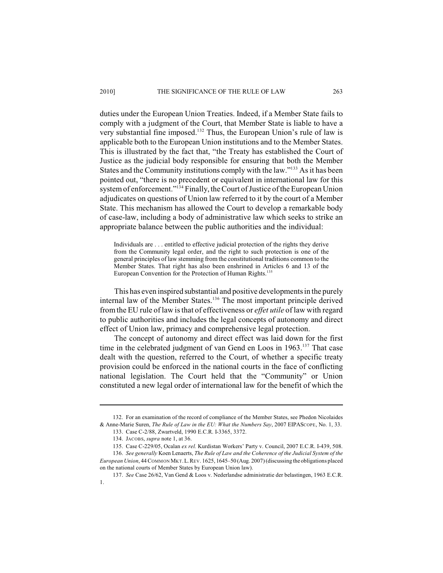# 2010] THE SIGNIFICANCE OF THE RULE OF LAW 263

duties under the European Union Treaties. Indeed, if a Member State fails to comply with a judgment of the Court, that Member State is liable to have a very substantial fine imposed.<sup>132</sup> Thus, the European Union's rule of law is applicable both to the European Union institutions and to the Member States. This is illustrated by the fact that, "the Treaty has established the Court of Justice as the judicial body responsible for ensuring that both the Member States and the Community institutions comply with the law."<sup>133</sup> As it has been pointed out, "there is no precedent or equivalent in international law for this system of enforcement."<sup>134</sup> Finally, the Court of Justice of the European Union adjudicates on questions of Union law referred to it by the court of a Member State. This mechanism has allowed the Court to develop a remarkable body of case-law, including a body of administrative law which seeks to strike an appropriate balance between the public authorities and the individual:

Individuals are . . . entitled to effective judicial protection of the rights they derive from the Community legal order, and the right to such protection is one of the general principles of law stemming from the constitutional traditions common to the Member States. That right has also been enshrined in Articles 6 and 13 of the European Convention for the Protection of Human Rights.<sup>135</sup>

This has even inspired substantial and positive developments in the purely internal law of the Member States.<sup>136</sup> The most important principle derived from the EU rule of law is that of effectiveness or *effet utile* of law with regard to public authorities and includes the legal concepts of autonomy and direct effect of Union law, primacy and comprehensive legal protection.

The concept of autonomy and direct effect was laid down for the first time in the celebrated judgment of van Gend en Loos in 1963.<sup>137</sup> That case dealt with the question, referred to the Court, of whether a specific treaty provision could be enforced in the national courts in the face of conflicting national legislation. The Court held that the "Community" or Union constituted a new legal order of international law for the benefit of which the

<sup>132.</sup> For an examination of the record of compliance of the Member States, see Phedon Nicolaides & Anne-Marie Suren, *The Rule of Law in the EU: What the Numbers Say*, 2007 EIPASCOPE, No. 1, 33.

<sup>133.</sup> Case C-2/88, Zwartveld, 1990 E.C.R. I-3365, 3372.

<sup>134.</sup> JACOBS, *supra* note 1, at 36.

<sup>135.</sup> Case C-229/05, Ocalan *ex rel.* Kurdistan Workers' Party v. Council, 2007 E.C.R. I-439, 508.

<sup>136.</sup> *See generally* Koen Lenaerts, *The Rule of Law and the Coherence of the Judicial System of the European Union*, 44 COMMON MKT.L.REV. 1625, 1645–50 (Aug. 2007) (discussing the obligations placed on the national courts of Member States by European Union law).

<sup>137.</sup> *See* Case 26/62, Van Gend & Loos v. Nederlandse administratie der belastingen, 1963 E.C.R. 1.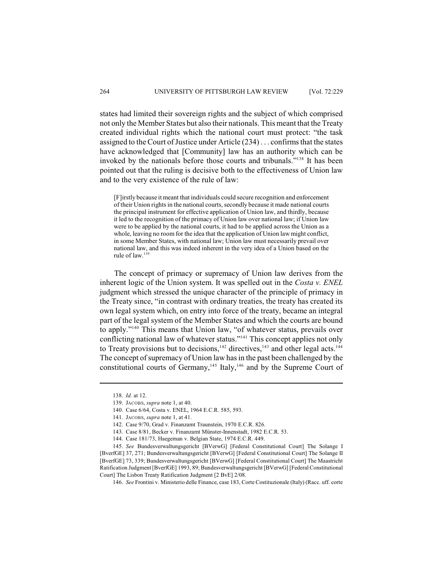states had limited their sovereign rights and the subject of which comprised not only the Member States but also their nationals. This meant that the Treaty created individual rights which the national court must protect: "the task assigned to the Court of Justice under Article (234) . . . confirms that the states have acknowledged that [Community] law has an authority which can be invoked by the nationals before those courts and tribunals."<sup>138</sup> It has been pointed out that the ruling is decisive both to the effectiveness of Union law and to the very existence of the rule of law:

[F]irstly because it meant that individuals could secure recognition and enforcement of their Union rightsin the national courts, secondly because it made national courts the principal instrument for effective application of Union law, and thirdly, because it led to the recognition of the primacy of Union law over national law; if Union law were to be applied by the national courts, it had to be applied across the Union as a whole, leaving no room for the idea that the application of Union law might conflict, in some Member States, with national law; Union law must necessarily prevail over national law, and this was indeed inherent in the very idea of a Union based on the rule of law.<sup>139</sup>

The concept of primacy or supremacy of Union law derives from the inherent logic of the Union system. It was spelled out in the *Costa v. ENEL* judgment which stressed the unique character of the principle of primacy in the Treaty since, "in contrast with ordinary treaties, the treaty has created its own legal system which, on entry into force of the treaty, became an integral part of the legal system of the Member States and which the courts are bound to apply."<sup>140</sup> This means that Union law, "of whatever status, prevails over conflicting national law of whatever status."<sup>141</sup> This concept applies not only to Treaty provisions but to decisions,  $142$  directives,  $143$  and other legal acts.  $144$ The concept of supremacy of Union law has in the past been challenged by the constitutional courts of Germany,<sup>145</sup> Italy,<sup>146</sup> and by the Supreme Court of

<sup>138.</sup> *Id.* at 12.

<sup>139.</sup> JACOBS, *supra* note 1, at 40.

<sup>140.</sup> Case 6/64, Costa v. ENEL, 1964 E.C.R. 585, 593.

<sup>141.</sup> JACOBS, *supra* note 1, at 41.

<sup>142.</sup> Case 9/70, Grad v. Finanzamt Traunstein, 1970 E.C.R. 826.

<sup>143.</sup> Case 8/81, Becker v. Finanzamt Münster-Innenstadt, 1982 E.C.R. 53.

<sup>144.</sup> Case 181/73, Haegeman v. Belgian State, 1974 E.C.R. 449.

<sup>145.</sup> *See* Bundesverwaltungsgericht [BVerwG] [Federal Constitutional Court] The Solange I [BverfGE] 37, 271; Bundesverwaltungsgericht [BVerwG] [Federal Constitutional Court] The Solange II [BverfGE] 73, 339; Bundesverwaltungsgericht [BVerwG] [Federal Constitutional Court] The Maastricht Ratification Judgment [BverfGE] 1993, 89; Bundesverwaltungsgericht [BVerwG] [Federal Constitutional Court] The Lisbon Treaty Ratification Judgment [2 BvE] 2/08.

<sup>146.</sup> *See* Frontini v. Ministerio delle Finance, case 183, Corte Costituzionale (Italy) (Racc. uff. corte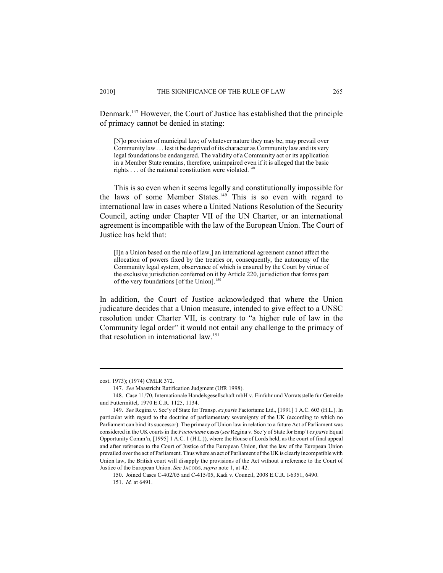Denmark.<sup>147</sup> However, the Court of Justice has established that the principle of primacy cannot be denied in stating:

[N]o provision of municipal law; of whatever nature they may be, may prevail over Community law . . . lest it be deprived of its character as Community law and its very legal foundations be endangered. The validity of a Community act or its application in a Member State remains, therefore, unimpaired even if it is alleged that the basic rights  $\dots$  of the national constitution were violated.<sup>148</sup>

This is so even when it seems legally and constitutionally impossible for the laws of some Member States.<sup>149</sup> This is so even with regard to international law in cases where a United Nations Resolution of the Security Council, acting under Chapter VII of the UN Charter, or an international agreement is incompatible with the law of the European Union. The Court of Justice has held that:

[I]n a Union based on the rule of law,] an international agreement cannot affect the allocation of powers fixed by the treaties or, consequently, the autonomy of the Community legal system, observance of which is ensured by the Court by virtue of the exclusive jurisdiction conferred on it by Article 220, jurisdiction that forms part of the very foundations [of the Union].<sup>150</sup>

In addition, the Court of Justice acknowledged that where the Union judicature decides that a Union measure, intended to give effect to a UNSC resolution under Charter VII, is contrary to "a higher rule of law in the Community legal order" it would not entail any challenge to the primacy of that resolution in international law.151

cost. 1973); (1974) CMLR 372.

<sup>147.</sup> *See* Maastricht Ratification Judgment (UfR 1998).

<sup>148.</sup> Case 11/70, Internationale Handelsgesellschaft mbH v. Einfuhr und Vorratsstelle fur Getreide und Futtermittel, 1970 E.C.R. 1125, 1134.

<sup>149.</sup> *See* Regina v. Sec'y of State for Transp. *ex parte* Factortame Ltd., [1991] 1 A.C. 603 (H.L.). In particular with regard to the doctrine of parliamentary sovereignty of the UK (according to which no Parliament can bind its successor). The primacy of Union law in relation to a future Act of Parliament was considered in the UK courts in the *Factortame* cases (*see* Regina v. Sec'y of State for Emp't *ex parte* Equal Opportunity Comm'n, [1995] 1 A.C. 1 (H.L.)), where the House of Lords held, as the court of final appeal and after reference to the Court of Justice of the European Union, that the law of the European Union prevailed over the act of Parliament. Thus where an act of Parliament ofthe UK is clearly incompatible with Union law, the British court will disapply the provisions of the Act without a reference to the Court of Justice of the European Union. *See* JACOBS, *supra* note 1, at 42.

<sup>150.</sup> Joined Cases C-402/05 and C-415/05, Kadi v. Council, 2008 E.C.R. I-6351, 6490.

<sup>151.</sup> *Id.* at 6491.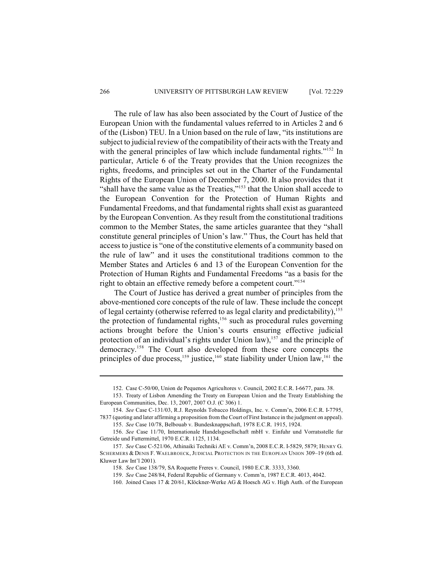The rule of law has also been associated by the Court of Justice of the European Union with the fundamental values referred to in Articles 2 and 6 of the (Lisbon) TEU. In a Union based on the rule of law, "its institutions are subject to judicial review of the compatibility of their acts with the Treaty and with the general principles of law which include fundamental rights."<sup>152</sup> In particular, Article 6 of the Treaty provides that the Union recognizes the rights, freedoms, and principles set out in the Charter of the Fundamental Rights of the European Union of December 7, 2000. It also provides that it "shall have the same value as the Treaties," $153$  that the Union shall accede to the European Convention for the Protection of Human Rights and Fundamental Freedoms, and that fundamental rights shall exist as guaranteed by the European Convention. As they result from the constitutional traditions common to the Member States, the same articles guarantee that they "shall constitute general principles of Union's law." Thus, the Court has held that access to justice is "one of the constitutive elements of a community based on the rule of law" and it uses the constitutional traditions common to the Member States and Articles 6 and 13 of the European Convention for the Protection of Human Rights and Fundamental Freedoms "as a basis for the right to obtain an effective remedy before a competent court." 154

The Court of Justice has derived a great number of principles from the above-mentioned core concepts of the rule of law. These include the concept of legal certainty (otherwise referred to as legal clarity and predictability),<sup>155</sup> the protection of fundamental rights,  $156$  such as procedural rules governing actions brought before the Union's courts ensuring effective judicial protection of an individual's rights under Union law),  $157$  and the principle of democracy.<sup>158</sup> The Court also developed from these core concepts the principles of due process,  $159$  justice,  $160$  state liability under Union law,  $161$  the

<sup>152.</sup> Case C-50/00, Union de Pequenos Agricultores v. Council, 2002 E.C.R. I-6677, para. 38.

<sup>153.</sup> Treaty of Lisbon Amending the Treaty on European Union and the Treaty Establishing the European Communities, Dec. 13, 2007, 2007 O.J. (C 306) 1.

<sup>154.</sup> *See* Case C-131/03, R.J. Reynolds Tobacco Holdings, Inc. v. Comm'n, 2006 E.C.R. I-7795, 7837 (quoting and later affirming a proposition from the Court of First Instance in the judgment on appeal).

<sup>155.</sup> *See* Case 10/78, Belbouab v. Bundesknappschaft, 1978 E.C.R. 1915, 1924.

<sup>156.</sup> *See* Case 11/70, Internationale Handelsgesellschaft mbH v. Einfuhr und Vorratsstelle fur Getreide und Futtermittel, 1970 E.C.R. 1125, 1134.

<sup>157.</sup> *See* Case C-521/06, Athinaiki Techniki AE v. Comm'n, 2008 E.C.R. I-5829, 5879; HENRY G. SCHERMERS & DENIS F. WAELBROECK, JUDICIAL PROTECTION IN THE EUROPEAN UNION 309–19 (6th ed. Kluwer Law Int'l 2001).

<sup>158.</sup> *See* Case 138/79, SA Roquette Freres v. Council, 1980 E.C.R. 3333, 3360.

<sup>159.</sup> *See* Case 248/84, Federal Republic of Germany v. Comm'n, 1987 E.C.R. 4013, 4042.

<sup>160.</sup> Joined Cases 17 & 20/61, Klöckner-Werke AG & Hoesch AG v. High Auth. of the European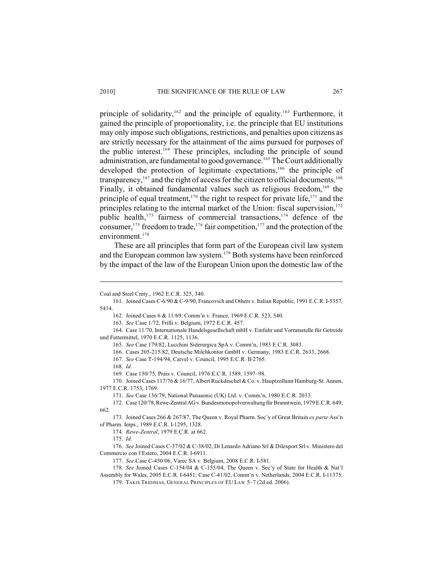principle of solidarity,  $162$  and the principle of equality. <sup>163</sup> Furthermore, it gained the principle of proportionality, i.e. the principle that EU institutions may only impose such obligations, restrictions, and penalties upon citizens as are strictly necessary for the attainment of the aims pursued for purposes of the public interest.<sup>164</sup> These principles, including the principle of sound administration, are fundamental to good governance.<sup>165</sup> The Court additionally developed the protection of legitimate expectations,  $166$  the principle of transparency,  $167$  and the right of access for the citizen to official documents.  $168$ Finally, it obtained fundamental values such as religious freedom,  $169$  the principle of equal treatment,<sup>170</sup> the right to respect for private life,<sup>171</sup> and the principles relating to the internal market of the Union: fiscal supervision,<sup>172</sup> public health,  $173$  fairness of commercial transactions,  $174$  defence of the consumer,  $175$  freedom to trade,  $176$  fair competition,  $177$  and the protection of the environment.<sup>178</sup>

These are all principles that form part of the European civil law system and the European common law system.<sup>179</sup> Both systems have been reinforced by the impact of the law of the European Union upon the domestic law of the

168. *Id.*

169. Case 130/75, Prais v. Council, 1976 E.C.R. 1589, 1597–98.

170. Joined Cases 117/76 & 16/77, Albert Ruckdeschel & Co. v. Hauptzollamt Hamburg-St. Annen, 1977 E.C.R. 1753, 1769.

174. *Rewe-Zentral*, 1979 E.C.R. at 662.

175. *Id.*

Coal and Steel Cmty., 1962 E.C.R. 325, 340.

<sup>161.</sup> Joined Cases C-6/90 & C-9/90, Francovich and Others v. Italian Republic, 1991 E.C.R. I-5357, 5414.

<sup>162.</sup> Joined Cases 6 & 11/69, Comm'n v. France, 1969 E.C.R. 523, 540.

<sup>163.</sup> *See* Case 1/72, Frilli v. Belgium, 1972 E.C.R. 457.

<sup>164.</sup> Case 11/70, Internationale Handelsgesellschaft mbH v. Einfuhr und Vorratsstelle für Getreide und Futtermittel, 1970 E.C.R. 1125, 1136.

<sup>165.</sup> *See* Case 179/82, Lucchini Siderurgica SpA v. Comm'n, 1983 E.C.R. 3083.

<sup>166.</sup> Cases 205-215/82, Deutsche Milchkontor GmbH v. Germany, 1983 E.C.R. 2633, 2668.

<sup>167.</sup> *See* Case T-194/94, Carvel v. Council, 1995 E.C.R. II-2765.

<sup>171.</sup> *See* Case 136/79, National Panasonic (UK) Ltd. v. Comm'n, 1980 E.C.R. 2033.

<sup>172.</sup> Case 120/78, Rewe-Zentral AG v. Bundesmonopolverwaltung für Branntwein, 1979 E.C.R. 649, 662.

<sup>173.</sup> Joined Cases 266 & 267/87, The Queen v. Royal Pharm. Soc'y of Great Britain *ex parte* Ass'n of Pharm. Imps., 1989 E.C.R. I-1295, 1328.

<sup>176.</sup> *See* Joined Cases C-37/02 & C-38/02, Di Lenardo Adriano Srl & Dilexport Srl v. Ministero del Commercio con l'Estero, 2004 E.C.R. I-6911.

<sup>177.</sup> *See* Case C-450/06, Varec SA v. Belgium, 2008 E.C.R. I-581.

<sup>178.</sup> *See* Joined Cases C-154/04 & C-155/04, The Queen v. Sec'y of State for Health & Nat'l Assembly for Wales, 2005 E.C.R. I-6451; Case C-41/02, Comm'n v. Netherlands, 2004 E.C.R. I-11375.

<sup>179.</sup> TAKIS TRIDIMAS, GENERAL PRINCIPLES OF EU LAW 5–7 (2d ed. 2006).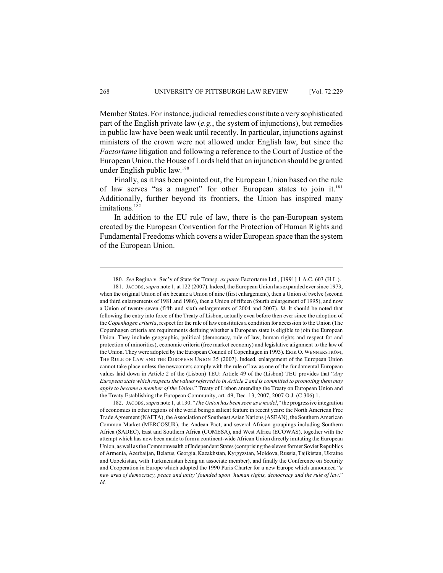Member States. For instance, judicial remedies constitute a very sophisticated part of the English private law (*e.g.*, the system of injunctions), but remedies in public law have been weak until recently. In particular, injunctions against ministers of the crown were not allowed under English law, but since the *Factortame* litigation and following a reference to the Court of Justice of the European Union, the House of Lords held that an injunction should be granted under English public law.<sup>180</sup>

Finally, as it has been pointed out, the European Union based on the rule of law serves "as a magnet" for other European states to join it.<sup>181</sup> Additionally, further beyond its frontiers, the Union has inspired many imitations.<sup>182</sup>

In addition to the EU rule of law, there is the pan-European system created by the European Convention for the Protection of Human Rights and Fundamental Freedoms which covers a wider European space than the system of the European Union.

<sup>180.</sup> *See* Regina v. Sec'y of State for Transp. *ex parte* Factortame Ltd., [1991] 1 A.C. 603 (H.L.).

<sup>181.</sup> JACOBS, *supra* note 1, at 122 (2007). Indeed, theEuropean Union has expanded ever since 1973, when the original Union of six became a Union of nine (first enlargement), then a Union of twelve (second and third enlargements of 1981 and 1986), then a Union of fifteen (fourth enlargement of 1995), and now a Union of twenty-seven (fifth and sixth enlargements of 2004 and 2007). *Id.* It should be noted that following the entry into force of the Treaty of Lisbon, actually even before then ever since the adoption of the *Copenhagen criteria*, respect for the rule of law constitutes a condition for accession to the Union (The Copenhagen criteria are requirements defining whether a European state is eligible to join the European Union. They include geographic, political (democracy, rule of law, human rights and respect for and protection of minorities), economic criteria (free market economy) and legislative alignment to the law of the Union. They were adopted by the European Council of Copenhagen in 1993). ERIK O. WENNERSTRÖM, THE RULE OF LAW AND THE EUROPEAN UNION 35 (2007). Indeed, enlargement of the European Union cannot take place unless the newcomers comply with the rule of law as one of the fundamental European values laid down in Article 2 of the (Lisbon) TEU: Article 49 of the (Lisbon) TEU provides that "*Any European state which respectsthe valuesreferred to in Article 2 and is committed to promoting them may apply to become a member of the Union*." Treaty of Lisbon amending the Treaty on European Union and the Treaty Establishing the European Community, art. 49, Dec. 13, 2007, 2007 O.J. (C 306) 1.

<sup>182.</sup> JACOBS, *supra* note 1, at 130. "*The Union has been seen as a model*," the progressive integration of economies in other regions of the world being a salient feature in recent years: the North American Free Trade Agreement (NAFTA), the Association ofSoutheast Asian Nations (ASEAN), the Southern American Common Market (MERCOSUR), the Andean Pact, and several African groupings including Southern Africa (SADEC), East and Southern Africa (COMESA), and West Africa (ECOWAS), together with the attempt which has now been made to form a continent-wide African Union directly imitating the European Union, as well as the Commonwealth of Independent States (comprising the eleven former Soviet Republics of Armenia, Azerbaijan, Belarus, Georgia, Kazakhstan, Kyrgyzstan, Moldova, Russia, Tajikistan, Ukraine and Uzbekistan, with Turkmenistan being an associate member), and finally the Conference on Security and Cooperation in Europe which adopted the 1990 Paris Charter for a new Europe which announced "*a new area of democracy, peace and unity' founded upon 'human rights, democracy and the rule of law*." *Id.*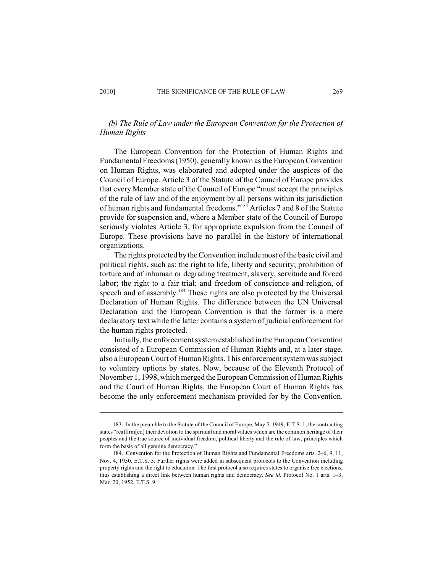# *(b) The Rule of Law under the European Convention for the Protection of Human Rights*

The European Convention for the Protection of Human Rights and Fundamental Freedoms (1950), generally known as the European Convention on Human Rights, was elaborated and adopted under the auspices of the Council of Europe. Article 3 of the Statute of the Council of Europe provides that every Member state of the Council of Europe "must accept the principles of the rule of law and of the enjoyment by all persons within its jurisdiction of human rights and fundamental freedoms."<sup>183</sup> Articles 7 and 8 of the Statute provide for suspension and, where a Member state of the Council of Europe seriously violates Article 3, for appropriate expulsion from the Council of Europe. These provisions have no parallel in the history of international organizations.

The rights protected by the Convention include most of the basic civil and political rights, such as: the right to life, liberty and security; prohibition of torture and of inhuman or degrading treatment, slavery, servitude and forced labor; the right to a fair trial; and freedom of conscience and religion, of speech and of assembly.<sup>184</sup> These rights are also protected by the Universal Declaration of Human Rights. The difference between the UN Universal Declaration and the European Convention is that the former is a mere declaratory text while the latter contains a system of judicial enforcement for the human rights protected.

Initially, the enforcement system established in the European Convention consisted of a European Commission of Human Rights and, at a later stage, also a European Court of Human Rights. This enforcement system was subject to voluntary options by states. Now, because of the Eleventh Protocol of November 1, 1998, which merged the European Commission of Human Rights and the Court of Human Rights, the European Court of Human Rights has become the only enforcement mechanism provided for by the Convention.

<sup>183.</sup> In the preamble to the Statute of the Council of Europe, May 5, 1949, E.T.S. 1, the contracting states "reaffirm[ed] their devotion to the spiritual and moral values which are the common heritage of their peoples and the true source of individual freedom, political liberty and the rule of law, principles which form the basis of all genuine democracy."

<sup>184.</sup> Convention for the Protection of Human Rights and Fundamental Freedoms arts. 2–6, 9, 11, Nov. 4, 1950, E.T.S. 5. Further rights were added in subsequent protocols to the Convention including property rights and the right to education. The first protocol also requires states to organise free elections, thus establishing a direct link between human rights and democracy. *See id.* Protocol No. 1 arts. 1–3, Mar. 20, 1952, E.T.S. 9.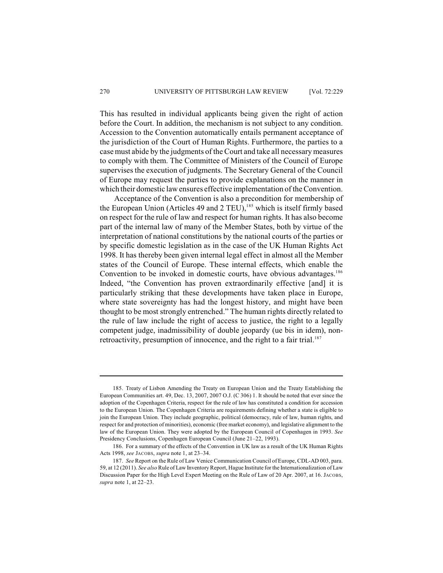This has resulted in individual applicants being given the right of action before the Court. In addition, the mechanism is not subject to any condition. Accession to the Convention automatically entails permanent acceptance of the jurisdiction of the Court of Human Rights. Furthermore, the parties to a case must abide by the judgments of the Court and take all necessary measures to comply with them. The Committee of Ministers of the Council of Europe supervises the execution of judgments. The Secretary General of the Council of Europe may request the parties to provide explanations on the manner in which their domestic law ensures effective implementation of the Convention.

Acceptance of the Convention is also a precondition for membership of the European Union (Articles 49 and 2 TEU),<sup>185</sup> which is itself firmly based on respect for the rule of law and respect for human rights. It has also become part of the internal law of many of the Member States, both by virtue of the interpretation of national constitutions by the national courts of the parties or by specific domestic legislation as in the case of the UK Human Rights Act 1998. It has thereby been given internal legal effect in almost all the Member states of the Council of Europe. These internal effects, which enable the Convention to be invoked in domestic courts, have obvious advantages.<sup>186</sup> Indeed, "the Convention has proven extraordinarily effective [and] it is particularly striking that these developments have taken place in Europe, where state sovereignty has had the longest history, and might have been thought to be most strongly entrenched." The human rights directly related to the rule of law include the right of access to justice, the right to a legally competent judge, inadmissibility of double jeopardy (ue bis in idem), nonretroactivity, presumption of innocence, and the right to a fair trial.<sup>187</sup>

<sup>185.</sup> Treaty of Lisbon Amending the Treaty on European Union and the Treaty Establishing the European Communities art. 49, Dec. 13, 2007, 2007 O.J. (C 306) 1. It should be noted that ever since the adoption of the Copenhagen Criteria, respect for the rule of law has constituted a condition for accession to the European Union. The Copenhagen Criteria are requirements defining whether a state is eligible to join the European Union. They include geographic, political (democracy, rule of law, human rights, and respect for and protection of minorities), economic (free market economy), and legislative alignment to the law of the European Union. They were adopted by the European Council of Copenhagen in 1993. *See* Presidency Conclusions, Copenhagen European Council (June 21–22, 1993).

<sup>186.</sup> For a summary of the effects of the Convention in UK law as a result of the UK Human Rights Acts 1998, *see* JACOBS, *supra* note 1, at 23–34.

<sup>187.</sup> *See* Report on the Rule of Law Venice Communication Council of Europe, CDL-AD 003, para. 59, at 12 (2011). *See also* Rule of Law InventoryReport, Hague Institute for the Internationalization of Law Discussion Paper for the High Level Expert Meeting on the Rule of Law of 20 Apr. 2007, at 16. JACOBS, *supra* note 1, at 22–23.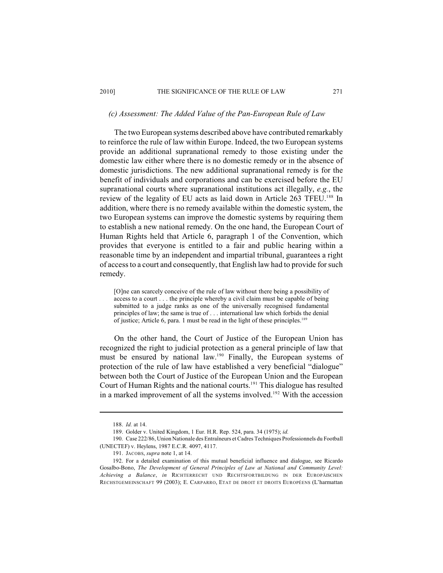#### *(c) Assessment: The Added Value of the Pan-European Rule of Law*

The two European systems described above have contributed remarkably to reinforce the rule of law within Europe. Indeed, the two European systems provide an additional supranational remedy to those existing under the domestic law either where there is no domestic remedy or in the absence of domestic jurisdictions. The new additional supranational remedy is for the benefit of individuals and corporations and can be exercised before the EU supranational courts where supranational institutions act illegally, *e.g.*, the review of the legality of EU acts as laid down in Article 263 TFEU.<sup>188</sup> In addition, where there is no remedy available within the domestic system, the two European systems can improve the domestic systems by requiring them to establish a new national remedy. On the one hand, the European Court of Human Rights held that Article 6, paragraph 1 of the Convention, which provides that everyone is entitled to a fair and public hearing within a reasonable time by an independent and impartial tribunal, guarantees a right of access to a court and consequently, that English law had to provide for such remedy.

[O]ne can scarcely conceive of the rule of law without there being a possibility of access to a court . . . the principle whereby a civil claim must be capable of being submitted to a judge ranks as one of the universally recognised fundamental principles of law; the same is true of . . . international law which forbids the denial of justice; Article 6, para. 1 must be read in the light of these principles.<sup>189</sup>

On the other hand, the Court of Justice of the European Union has recognized the right to judicial protection as a general principle of law that must be ensured by national law.<sup>190</sup> Finally, the European systems of protection of the rule of law have established a very beneficial "dialogue" between both the Court of Justice of the European Union and the European Court of Human Rights and the national courts.<sup>191</sup> This dialogue has resulted in a marked improvement of all the systems involved.<sup>192</sup> With the accession

<sup>188.</sup> *Id.* at 14.

<sup>189.</sup> Golder v. United Kingdom, 1 Eur. H.R. Rep. 524, para. 34 (1975); *id.*

<sup>190.</sup> Case 222/86, Union Nationale des Entraîneurs et Cadres Techniques Professionnels du Football (UNECTEF) v. Heylens, 1987 E.C.R. 4097, 4117.

<sup>191.</sup> JACOBS, *supra* note 1, at 14.

<sup>192.</sup> For a detailed examination of this mutual beneficial influence and dialogue, see Ricardo Gosalbo-Bono, *The Development of General Principles of Law at National and Community Level: Achieving a Balance*, *in* RICHTERRECHT UND RECHTSFORTBILDUNG IN DER EUROPÄISCHEN RECHSTGEMEINSCHAFT 99 (2003); E. CARPARRO, ETAT DE DROIT ET DROITS EUROPÉENS (L'harmattan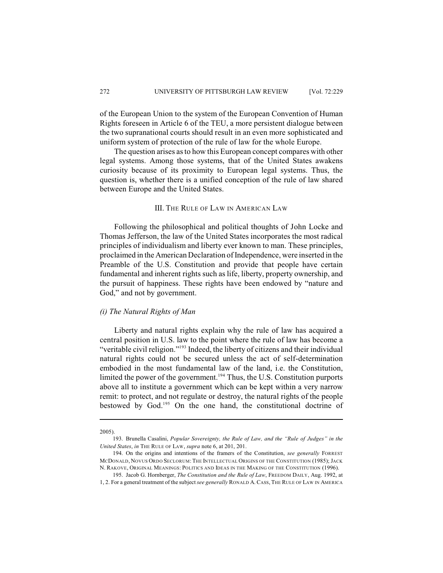of the European Union to the system of the European Convention of Human Rights foreseen in Article 6 of the TEU, a more persistent dialogue between the two supranational courts should result in an even more sophisticated and uniform system of protection of the rule of law for the whole Europe.

The question arises as to how this European concept compares with other legal systems. Among those systems, that of the United States awakens curiosity because of its proximity to European legal systems. Thus, the question is, whether there is a unified conception of the rule of law shared between Europe and the United States.

## III. THE RULE OF LAW IN AMERICAN LAW

Following the philosophical and political thoughts of John Locke and Thomas Jefferson, the law of the United States incorporates the most radical principles of individualism and liberty ever known to man. These principles, proclaimed in the American Declaration of Independence, were inserted in the Preamble of the U.S. Constitution and provide that people have certain fundamental and inherent rights such as life, liberty, property ownership, and the pursuit of happiness. These rights have been endowed by "nature and God," and not by government.

## *(i) The Natural Rights of Man*

Liberty and natural rights explain why the rule of law has acquired a central position in U.S. law to the point where the rule of law has become a "veritable civil religion."<sup>193</sup> Indeed, the liberty of citizens and their individual natural rights could not be secured unless the act of self-determination embodied in the most fundamental law of the land, i.e. the Constitution, limited the power of the government.<sup>194</sup> Thus, the U.S. Constitution purports above all to institute a government which can be kept within a very narrow remit: to protect, and not regulate or destroy, the natural rights of the people bestowed by God.<sup>195</sup> On the one hand, the constitutional doctrine of

<sup>2005).</sup>

<sup>193.</sup> Brunella Casalini, *Popular Sovereignty, the Rule of Law, and the "Rule of Judges" in the United States*, *in* THE RULE OF LAW, *supra* note 6, at 201, 201.

<sup>194.</sup> On the origins and intentions of the framers of the Constitution, *see generally* FORREST MCDONALD, NOVUS ORDO SECLORUM: THE INTELLECTUAL ORIGINS OF THE CONSTITUTION (1985); JACK N. RAKOVE, ORIGINAL MEANINGS: POLITICS AND IDEAS IN THE MAKING OF THE CONSTITUTION (1996).

<sup>195.</sup> Jacob G. Hornberger, *The Constitution and the Rule of Law*, FREEDOM DAILY, Aug. 1992, at 1, 2. For a general treatment of the subject *see generally* RONALD A. CASS, THE RULE OF LAW IN AMERICA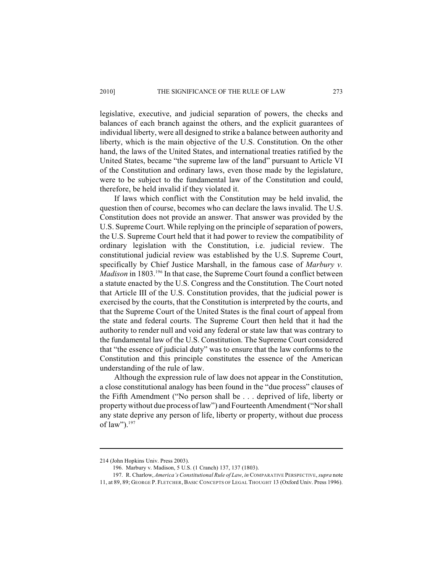legislative, executive, and judicial separation of powers, the checks and balances of each branch against the others, and the explicit guarantees of individual liberty, were all designed to strike a balance between authority and liberty, which is the main objective of the U.S. Constitution. On the other hand, the laws of the United States, and international treaties ratified by the United States, became "the supreme law of the land" pursuant to Article VI of the Constitution and ordinary laws, even those made by the legislature, were to be subject to the fundamental law of the Constitution and could, therefore, be held invalid if they violated it.

If laws which conflict with the Constitution may be held invalid, the question then of course, becomes who can declare the laws invalid. The U.S. Constitution does not provide an answer. That answer was provided by the U.S. Supreme Court. While replying on the principle of separation of powers, the U.S. Supreme Court held that it had power to review the compatibility of ordinary legislation with the Constitution, i.e. judicial review. The constitutional judicial review was established by the U.S. Supreme Court, specifically by Chief Justice Marshall, in the famous case of *Marbury v. Madison* in 1803.<sup>196</sup> In that case, the Supreme Court found a conflict between a statute enacted by the U.S. Congress and the Constitution. The Court noted that Article III of the U.S. Constitution provides, that the judicial power is exercised by the courts, that the Constitution is interpreted by the courts, and that the Supreme Court of the United States is the final court of appeal from the state and federal courts. The Supreme Court then held that it had the authority to render null and void any federal or state law that was contrary to the fundamental law of the U.S. Constitution. The Supreme Court considered that "the essence of judicial duty" was to ensure that the law conforms to the Constitution and this principle constitutes the essence of the American understanding of the rule of law.

Although the expression rule of law does not appear in the Constitution, a close constitutional analogy has been found in the "due process" clauses of the Fifth Amendment ("No person shall be . . . deprived of life, liberty or property without due process of law") and Fourteenth Amendment ("Nor shall any state deprive any person of life, liberty or property, without due process of law").<sup>197</sup>

<sup>214 (</sup>John Hopkins Univ. Press 2003).

<sup>196.</sup> Marbury v. Madison, 5 U.S. (1 Cranch) 137, 137 (1803).

<sup>197.</sup> R. Charlow, *America's Constitutional Rule of Law*, *in* COMPARATIVE PERSPECTIVE, *supra* note

<sup>11,</sup> at 89, 89; GEORGE P. FLETCHER, BASIC CONCEPTS OF LEGAL THOUGHT 13 (Oxford Univ. Press 1996).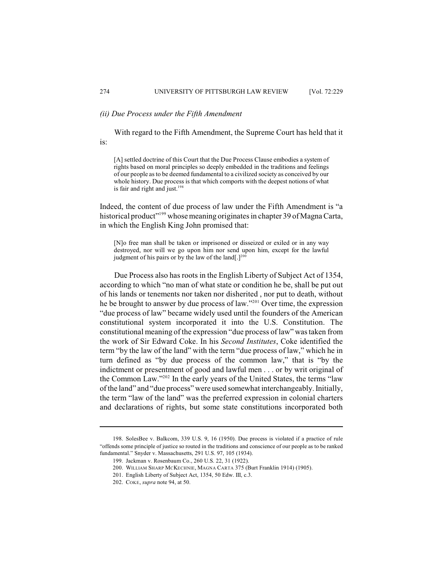# *(ii) Due Process under the Fifth Amendment*

With regard to the Fifth Amendment, the Supreme Court has held that it is:

[A] settled doctrine of this Court that the Due Process Clause embodies a system of rights based on moral principles so deeply embedded in the traditions and feelings of our people as to be deemed fundamental to a civilized society as conceived by our whole history. Due process is that which comports with the deepest notions of what is fair and right and just. $198$ 

Indeed, the content of due process of law under the Fifth Amendment is "a historical product"<sup>199</sup> whose meaning originates in chapter 39 of Magna Carta, in which the English King John promised that:

[N]o free man shall be taken or imprisoned or disseized or exiled or in any way destroyed, nor will we go upon him nor send upon him, except for the lawful judgment of his pairs or by the law of the land[.]<sup>200</sup>

Due Process also has roots in the English Liberty of Subject Act of 1354, according to which "no man of what state or condition he be, shall be put out of his lands or tenements nor taken nor disherited , nor put to death, without he be brought to answer by due process of law."<sup>201</sup> Over time, the expression "due process of law" became widely used until the founders of the American constitutional system incorporated it into the U.S. Constitution. The constitutional meaning of the expression "due process of law" was taken from the work of Sir Edward Coke. In his *Second Institutes*, Coke identified the term "by the law of the land" with the term "due process of law," which he in turn defined as "by due process of the common law," that is "by the indictment or presentment of good and lawful men . . . or by writ original of the Common Law."<sup>202</sup> In the early years of the United States, the terms "law" of the land" and "due process" were used somewhat interchangeably. Initially, the term "law of the land" was the preferred expression in colonial charters and declarations of rights, but some state constitutions incorporated both

<sup>198.</sup> SolesBee v. Balkcom, 339 U.S. 9, 16 (1950). Due process is violated if a practice of rule "offends some principle of justice so routed in the traditions and conscience of our people as to be ranked fundamental." Snyder v. Massachusetts, 291 U.S. 97, 105 (1934).

<sup>199.</sup> Jackman v. Rosenbaum Co., 260 U.S. 22, 31 (1922).

<sup>200.</sup> WILLIAM SHARP MCKECHNIE, MAGNA CARTA 375 (Burt Franklin 1914) (1905).

<sup>201.</sup> English Liberty of Subject Act, 1354, 50 Edw. III, c.3.

<sup>202.</sup> COKE, *supra* note 94, at 50.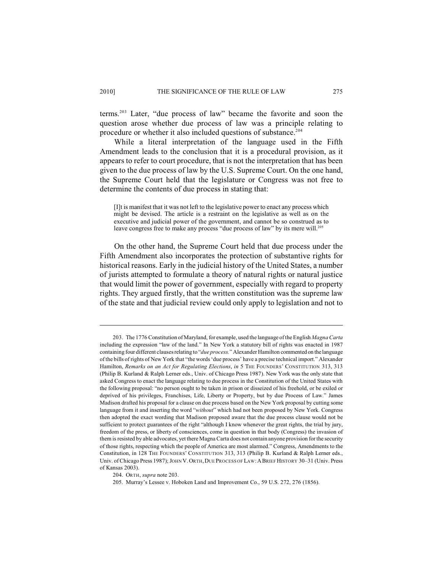terms.<sup> $203$ </sup> Later, "due process of law" became the favorite and soon the question arose whether due process of law was a principle relating to procedure or whether it also included questions of substance.<sup>204</sup>

While a literal interpretation of the language used in the Fifth Amendment leads to the conclusion that it is a procedural provision, as it appears to refer to court procedure, that is not the interpretation that has been given to the due process of law by the U.S. Supreme Court. On the one hand, the Supreme Court held that the legislature or Congress was not free to determine the contents of due process in stating that:

[I]t is manifest that it was not left to the legislative power to enact any process which might be devised. The article is a restraint on the legislative as well as on the executive and judicial power of the government, and cannot be so construed as to leave congress free to make any process "due process of law" by its mere will.<sup>205</sup>

On the other hand, the Supreme Court held that due process under the Fifth Amendment also incorporates the protection of substantive rights for historical reasons. Early in the judicial history of the United States, a number of jurists attempted to formulate a theory of natural rights or natural justice that would limit the power of government, especially with regard to property rights. They argued firstly, that the written constitution was the supreme law of the state and that judicial review could only apply to legislation and not to

<sup>203.</sup> The 1776 Constitution of Maryland, for example, used the language of the English *Magna Carta* including the expression "law of the land." In New York a statutory bill of rights was enacted in 1987 containing four different clauses relating to "*due process.*" Alexander Hamilton commented on the language of the bills of rights of New York that "the words 'due process' have a precise technical import." Alexander Hamilton, *Remarks on an Act for Regulating Elections*, *in* 5 THE FOUNDERS' CONSTITUTION 313, 313 (Philip B. Kurland & Ralph Lerner eds., Univ. of Chicago Press 1987). New York was the only state that asked Congress to enact the language relating to due process in the Constitution of the United States with the following proposal: "no person ought to be taken in prison or disseized of his freehold, or be exiled or deprived of his privileges, Franchises, Life, Liberty or Property, but by due Process of Law." James Madison drafted his proposal for a clause on due process based on the New York proposal by cutting some language from it and inserting the word "*without*" which had not been proposed by New York. Congress then adopted the exact wording that Madison proposed aware that the due process clause would not be sufficient to protect guarantees of the right "although I know whenever the great rights, the trial by jury, freedom of the press, or liberty of consciences, come in question in that body (Congress) the invasion of them is resisted by able advocates, yet there Magna Carta does not contain anyone provision for the security of those rights, respecting which the people of America are most alarmed." Congress, Amendments to the Constitution, in 128 THE FOUNDERS' CONSTITUTION 313, 313 (Philip B. Kurland & Ralph Lerner eds., Univ. of Chicago Press 1987); JOHN V.ORTH,DUE PROCESS OF LAW:ABRIEF HISTORY 30–31 (Univ. Press of Kansas 2003).

<sup>204.</sup> ORTH, *supra* note 203.

<sup>205.</sup> Murray's Lessee v. Hoboken Land and Improvement Co., 59 U.S. 272, 276 (1856).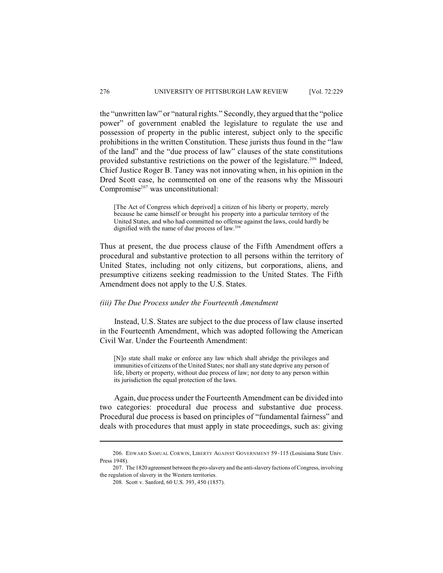the "unwritten law" or "natural rights." Secondly, they argued that the "police power" of government enabled the legislature to regulate the use and possession of property in the public interest, subject only to the specific prohibitions in the written Constitution. These jurists thus found in the "law of the land" and the "due process of law" clauses of the state constitutions provided substantive restrictions on the power of the legislature.<sup>206</sup> Indeed, Chief Justice Roger B. Taney was not innovating when, in his opinion in the Dred Scott case, he commented on one of the reasons why the Missouri Compromise $207$  was unconstitutional:

[The Act of Congress which deprived] a citizen of his liberty or property, merely because he came himself or brought his property into a particular territory of the United States, and who had committed no offense against the laws, could hardly be dignified with the name of due process of law.<sup>208</sup>

Thus at present, the due process clause of the Fifth Amendment offers a procedural and substantive protection to all persons within the territory of United States, including not only citizens, but corporations, aliens, and presumptive citizens seeking readmission to the United States. The Fifth Amendment does not apply to the U.S. States.

#### *(iii) The Due Process under the Fourteenth Amendment*

Instead, U.S. States are subject to the due process of law clause inserted in the Fourteenth Amendment, which was adopted following the American Civil War. Under the Fourteenth Amendment:

[N]o state shall make or enforce any law which shall abridge the privileges and immunities of citizens of the United States; nor shall any state deprive any person of life, liberty or property, without due process of law; nor deny to any person within its jurisdiction the equal protection of the laws.

Again, due process under the Fourteenth Amendment can be divided into two categories: procedural due process and substantive due process. Procedural due process is based on principles of "fundamental fairness" and deals with procedures that must apply in state proceedings, such as: giving

<sup>206.</sup> EDWARD SAMUAL CORWIN, LIBERTY AGAINST GOVERNMENT 59–115 (Louisiana State Univ. Press 1948).

<sup>207.</sup> The 1820 agreement between the pro-slavery and the anti-slavery factions of Congress, involving the regulation of slavery in the Western territories.

<sup>208.</sup> Scott v. Sanford, 60 U.S. 393, 450 (1857).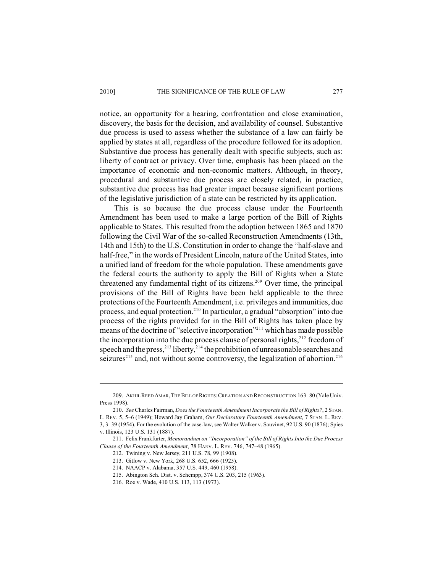notice, an opportunity for a hearing, confrontation and close examination, discovery, the basis for the decision, and availability of counsel. Substantive due process is used to assess whether the substance of a law can fairly be applied by states at all, regardless of the procedure followed for its adoption. Substantive due process has generally dealt with specific subjects, such as: liberty of contract or privacy. Over time, emphasis has been placed on the importance of economic and non-economic matters. Although, in theory, procedural and substantive due process are closely related, in practice, substantive due process has had greater impact because significant portions of the legislative jurisdiction of a state can be restricted by its application.

This is so because the due process clause under the Fourteenth Amendment has been used to make a large portion of the Bill of Rights applicable to States. This resulted from the adoption between 1865 and 1870 following the Civil War of the so-called Reconstruction Amendments (13th, 14th and 15th) to the U.S. Constitution in order to change the "half-slave and half-free," in the words of President Lincoln, nature of the United States, into a unified land of freedom for the whole population. These amendments gave the federal courts the authority to apply the Bill of Rights when a State threatened any fundamental right of its citizens.<sup>209</sup> Over time, the principal provisions of the Bill of Rights have been held applicable to the three protections of the Fourteenth Amendment, i.e. privileges and immunities, due process, and equal protection.<sup>210</sup> In particular, a gradual "absorption" into due process of the rights provided for in the Bill of Rights has taken place by means of the doctrine of "selective incorporation"<sup>211</sup> which has made possible the incorporation into the due process clause of personal rights, $^{212}$  freedom of speech and the press,  $^{213}$  liberty,  $^{214}$  the prohibition of unreasonable searches and seizures<sup> $215$ </sup> and, not without some controversy, the legalization of abortion.<sup>216</sup>

<sup>209.</sup> AKHIL REED AMAR,THE BILL OF RIGHTS:CREATION AND RECONSTRUCTION 163–80 (Yale Univ. Press 1998).

<sup>210.</sup> *See* Charles Fairman, *Does the Fourteenth Amendment Incorporate the Bill of Rights?*, 2 STAN. L. REV. 5, 5–6 (1949); Howard Jay Graham, *Our Declaratory Fourteenth Amendment*, 7 STAN. L. REV. 3, 3–39 (1954). For the evolution of the case-law, see Walter Walker v. Sauvinet, 92 U.S. 90 (1876); Spies v. Illinois, 123 U.S. 131 (1887).

<sup>211.</sup> Felix Frankfurter, *Memorandum on "Incorporation" of the Bill of Rights Into the Due Process Clause of the Fourteenth Amendment*, 78 HARV. L. REV. 746, 747–48 (1965).

<sup>212.</sup> Twining v. New Jersey, 211 U.S. 78, 99 (1908).

<sup>213.</sup> Gitlow v. New York, 268 U.S. 652, 666 (1925).

<sup>214.</sup> NAACP v. Alabama, 357 U.S. 449, 460 (1958).

<sup>215.</sup> Abington Sch. Dist. v. Schempp, 374 U.S. 203, 215 (1963).

<sup>216.</sup> Roe v. Wade, 410 U.S. 113, 113 (1973).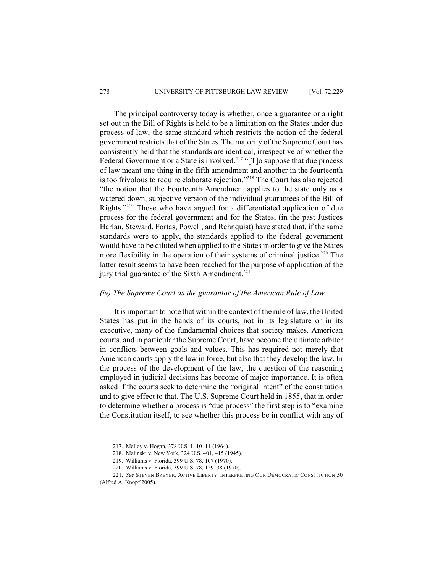The principal controversy today is whether, once a guarantee or a right set out in the Bill of Rights is held to be a limitation on the States under due process of law, the same standard which restricts the action of the federal government restricts that of the States. The majority of the Supreme Court has consistently held that the standards are identical, irrespective of whether the Federal Government or a State is involved.<sup>217</sup> "[T]o suppose that due process of law meant one thing in the fifth amendment and another in the fourteenth is too frivolous to require elaborate rejection."<sup>218</sup> The Court has also rejected "the notion that the Fourteenth Amendment applies to the state only as a watered down, subjective version of the individual guarantees of the Bill of Rights."<sup>219</sup> Those who have argued for a differentiated application of due process for the federal government and for the States, (in the past Justices Harlan, Steward, Fortas, Powell, and Rehnquist) have stated that, if the same standards were to apply, the standards applied to the federal government would have to be diluted when applied to the States in order to give the States more flexibility in the operation of their systems of criminal justice.<sup>220</sup> The latter result seems to have been reached for the purpose of application of the jury trial guarantee of the Sixth Amendment.<sup>221</sup>

### *(iv) The Supreme Court as the guarantor of the American Rule of Law*

It is important to note that within the context of the rule of law, the United States has put in the hands of its courts, not in its legislature or in its executive, many of the fundamental choices that society makes. American courts, and in particular the Supreme Court, have become the ultimate arbiter in conflicts between goals and values. This has required not merely that American courts apply the law in force, but also that they develop the law. In the process of the development of the law, the question of the reasoning employed in judicial decisions has become of major importance. It is often asked if the courts seek to determine the "original intent" of the constitution and to give effect to that. The U.S. Supreme Court held in 1855, that in order to determine whether a process is "due process" the first step is to "examine the Constitution itself, to see whether this process be in conflict with any of

<sup>217.</sup> Malloy v. Hogan, 378 U.S. 1, 10–11 (1964).

<sup>218.</sup> Malinski v. New York, 324 U.S. 401, 415 (1945).

<sup>219.</sup> Williams v. Florida, 399 U.S. 78, 107 (1970).

<sup>220.</sup> Williams v. Florida, 399 U.S. 78, 129–38 (1970).

<sup>221.</sup> *See* STEVEN BREYER, ACTIVE LIBERTY: INTERPRETING OUR DEMOCRATIC CONSTITUTION 50

<sup>(</sup>Alfred A. Knopf 2005).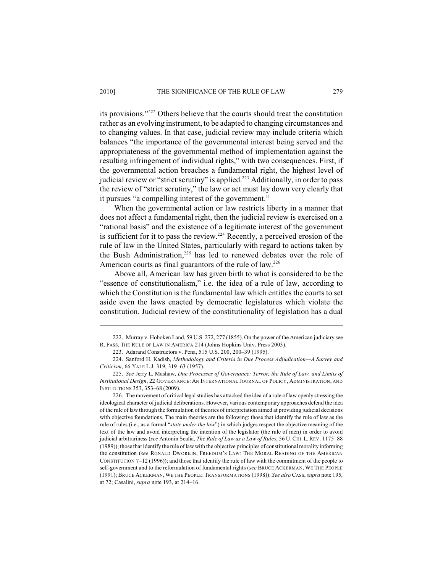its provisions."<sup>222</sup> Others believe that the courts should treat the constitution rather as an evolving instrument, to be adapted to changing circumstances and to changing values. In that case, judicial review may include criteria which balances "the importance of the governmental interest being served and the appropriateness of the governmental method of implementation against the resulting infringement of individual rights," with two consequences. First, if the governmental action breaches a fundamental right, the highest level of judicial review or "strict scrutiny" is applied.<sup>223</sup> Additionally, in order to pass the review of "strict scrutiny," the law or act must lay down very clearly that it pursues "a compelling interest of the government."

When the governmental action or law restricts liberty in a manner that does not affect a fundamental right, then the judicial review is exercised on a "rational basis" and the existence of a legitimate interest of the government is sufficient for it to pass the review.<sup>224</sup> Recently, a perceived erosion of the rule of law in the United States, particularly with regard to actions taken by the Bush Administration, $225$  has led to renewed debates over the role of American courts as final guarantors of the rule of law.<sup>226</sup>

Above all, American law has given birth to what is considered to be the "essence of constitutionalism," i.e. the idea of a rule of law, according to which the Constitution is the fundamental law which entitles the courts to set aside even the laws enacted by democratic legislatures which violate the constitution. Judicial review of the constitutionality of legislation has a dual

<sup>222.</sup> Murray v. Hoboken Land, 59 U.S. 272, 277 (1855). On the power of the American judiciary see R. FASS, THE RULE OF LAW IN AMERICA 214 (Johns Hopkins Univ. Press 2003).

<sup>223.</sup> Adarand Constructors v. Pena, 515 U.S. 200, 200–39 (1995).

<sup>224.</sup> Sanford H. Kadish, *Methodology and Criteria in Due Process Adjudication—A Survey and Criticism*, 66 YALE L.J. 319, 319–63 (1957).

<sup>225.</sup> *See* Jerry L. Mashaw, *Due Processes of Governance: Terror, the Rule of Law, and Limits of Institutional Design*, 22 GOVERNANCE: AN INTERNATIONAL JOURNAL OF POLICY, ADMINISTRATION, AND INSTITUTIONS 353, 353–68 (2009).

<sup>226.</sup> The movement of critical legal studies has attacked the idea of a rule of law openly stressing the ideological character of judicial deliberations. However, various contemporary approaches defend the idea of the rule of law through the formulation of theories of interpretation aimed at providing judicial decisions with objective foundations. The main theories are the following: those that identify the rule of law as the rule of rules (i.e., as a formal "*state under the law*") in which judges respect the objective meaning of the text of the law and avoid interpreting the intention of the legislator (the rule of men) in order to avoid judicial arbitrariness (*see* Antonin Scalia, *The Rule of Law as a Law of Rules*, 56 U.CHI. L.REV. 1175–88 (1989)); those that identify the rule of law with the objective principles of constitutional morality informing the constitution (*see* RONALD DWORKIN, FREEDOM'S LAW: THE MORAL READING OF THE AMERICAN CONSTITUTION 7–12 (1996)); and those that identify the rule of law with the commitment of the people to self-government and to the reformulation of fundamental rights (*see* BRUCE ACKERMAN, WE THE PEOPLE (1991); BRUCE ACKERMAN,WE THE PEOPLE:TRANSFORMATIONS (1998)). *See also* CASS, *supra* note 195, at 72; Casalini, *supra* note 193, at 214–16.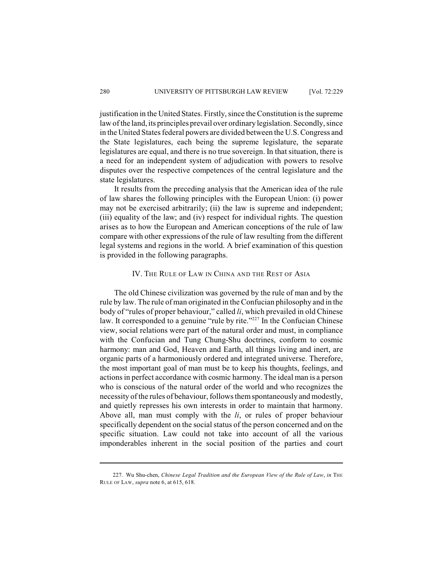justification in the United States. Firstly, since the Constitution is the supreme law of the land, its principles prevail over ordinary legislation. Secondly, since in the United States federal powers are divided between the U.S. Congress and the State legislatures, each being the supreme legislature, the separate legislatures are equal, and there is no true sovereign. In that situation, there is a need for an independent system of adjudication with powers to resolve disputes over the respective competences of the central legislature and the state legislatures.

It results from the preceding analysis that the American idea of the rule of law shares the following principles with the European Union: (i) power may not be exercised arbitrarily; (ii) the law is supreme and independent; (iii) equality of the law; and (iv) respect for individual rights. The question arises as to how the European and American conceptions of the rule of law compare with other expressions of the rule of law resulting from the different legal systems and regions in the world. A brief examination of this question is provided in the following paragraphs.

## IV. THE RULE OF LAW IN CHINA AND THE REST OF ASIA

The old Chinese civilization was governed by the rule of man and by the rule by law. The rule of man originated in the Confucian philosophy and in the body of "rules of proper behaviour," called *li*, which prevailed in old Chinese law. It corresponded to a genuine "rule by rite."<sup>227</sup> In the Confucian Chinese view, social relations were part of the natural order and must, in compliance with the Confucian and Tung Chung-Shu doctrines, conform to cosmic harmony: man and God, Heaven and Earth, all things living and inert, are organic parts of a harmoniously ordered and integrated universe. Therefore, the most important goal of man must be to keep his thoughts, feelings, and actions in perfect accordance with cosmic harmony. The ideal man is a person who is conscious of the natural order of the world and who recognizes the necessity of the rules of behaviour, followsthem spontaneously and modestly, and quietly represses his own interests in order to maintain that harmony. Above all, man must comply with the *li*, or rules of proper behaviour specifically dependent on the social status of the person concerned and on the specific situation. Law could not take into account of all the various imponderables inherent in the social position of the parties and court

<sup>227.</sup> Wu Shu-chen, *Chinese Legal Tradition and the European View of the Rule of Law*, *in* THE RULE OF LAW, *supra* note 6, at 615, 618.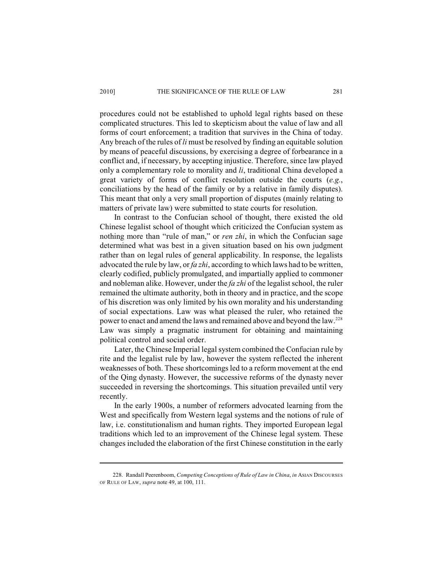procedures could not be established to uphold legal rights based on these complicated structures. This led to skepticism about the value of law and all forms of court enforcement; a tradition that survives in the China of today. Any breach of the rules of *li* must be resolved by finding an equitable solution by means of peaceful discussions, by exercising a degree of forbearance in a conflict and, if necessary, by accepting injustice. Therefore, since law played only a complementary role to morality and *li*, traditional China developed a great variety of forms of conflict resolution outside the courts (*e.g.*, conciliations by the head of the family or by a relative in family disputes). This meant that only a very small proportion of disputes (mainly relating to matters of private law) were submitted to state courts for resolution.

In contrast to the Confucian school of thought, there existed the old Chinese legalist school of thought which criticized the Confucian system as nothing more than "rule of man," or *ren zhi*, in which the Confucian sage determined what was best in a given situation based on his own judgment rather than on legal rules of general applicability. In response, the legalists advocated the rule by law, or *fa zhi*, according to which laws had to be written, clearly codified, publicly promulgated, and impartially applied to commoner and nobleman alike. However, under the *fa zhi* of the legalist school, the ruler remained the ultimate authority, both in theory and in practice, and the scope of his discretion was only limited by his own morality and his understanding of social expectations. Law was what pleased the ruler, who retained the power to enact and amend the laws and remained above and beyond the law.<sup>228</sup> Law was simply a pragmatic instrument for obtaining and maintaining political control and social order.

Later, the Chinese Imperial legal system combined the Confucian rule by rite and the legalist rule by law, however the system reflected the inherent weaknesses of both. These shortcomings led to a reform movement at the end of the Qing dynasty. However, the successive reforms of the dynasty never succeeded in reversing the shortcomings. This situation prevailed until very recently.

In the early 1900s, a number of reformers advocated learning from the West and specifically from Western legal systems and the notions of rule of law, i.e. constitutionalism and human rights. They imported European legal traditions which led to an improvement of the Chinese legal system. These changes included the elaboration of the first Chinese constitution in the early

<sup>228.</sup> Randall Peerenboom, *Competing Conceptions of Rule of Law in China*, *in* ASIAN DISCOURSES OF RULE OF LAW, *supra* note 49, at 100, 111.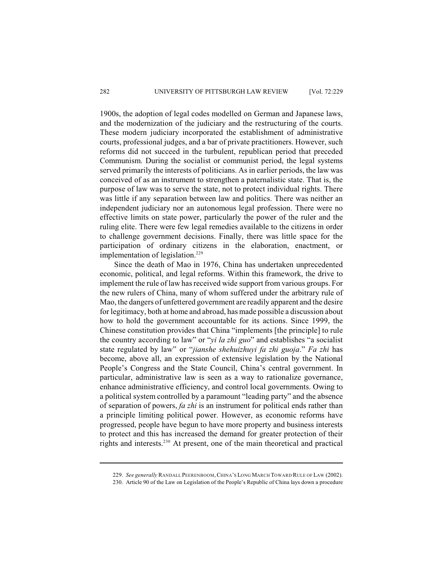1900s, the adoption of legal codes modelled on German and Japanese laws, and the modernization of the judiciary and the restructuring of the courts. These modern judiciary incorporated the establishment of administrative courts, professional judges, and a bar of private practitioners. However, such reforms did not succeed in the turbulent, republican period that preceded Communism. During the socialist or communist period, the legal systems served primarily the interests of politicians. As in earlier periods, the law was conceived of as an instrument to strengthen a paternalistic state. That is, the purpose of law was to serve the state, not to protect individual rights. There was little if any separation between law and politics. There was neither an independent judiciary nor an autonomous legal profession. There were no effective limits on state power, particularly the power of the ruler and the ruling elite. There were few legal remedies available to the citizens in order to challenge government decisions. Finally, there was little space for the participation of ordinary citizens in the elaboration, enactment, or implementation of legislation.<sup>229</sup>

Since the death of Mao in 1976, China has undertaken unprecedented economic, political, and legal reforms. Within this framework, the drive to implement the rule of law has received wide support from various groups. For the new rulers of China, many of whom suffered under the arbitrary rule of Mao, the dangers of unfettered government are readily apparent and the desire for legitimacy, both at home and abroad, has made possible a discussion about how to hold the government accountable for its actions. Since 1999, the Chinese constitution provides that China "implements [the principle] to rule the country according to law" or "*yi la zhi guo*" and establishes "a socialist state regulated by law" or "*jianshe shehuizhuyi fa zhi guoja*." *Fa zhi* has become, above all, an expression of extensive legislation by the National People's Congress and the State Council, China's central government. In particular, administrative law is seen as a way to rationalize governance, enhance administrative efficiency, and control local governments. Owing to a political system controlled by a paramount "leading party" and the absence of separation of powers, *fa zhi* is an instrument for political ends rather than a principle limiting political power. However, as economic reforms have progressed, people have begun to have more property and business interests to protect and this has increased the demand for greater protection of their rights and interests. $230$  At present, one of the main theoretical and practical

<sup>229.</sup> *See generally* RANDALL PEERENBOOM,CHINA'S LONG MARCH TOWARD RULE OF LAW (2002).

<sup>230.</sup> Article 90 of the Law on Legislation of the People's Republic of China lays down a procedure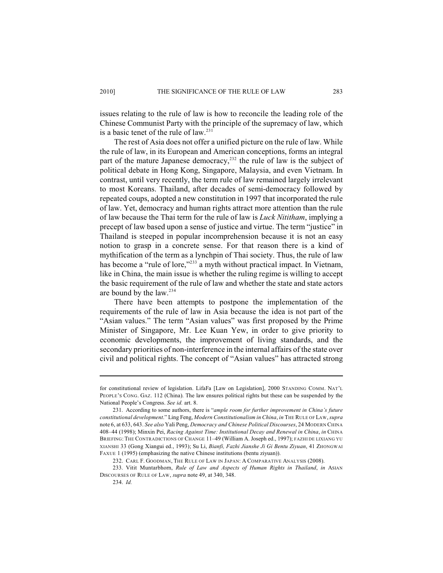issues relating to the rule of law is how to reconcile the leading role of the Chinese Communist Party with the principle of the supremacy of law, which is a basic tenet of the rule of  $law.^{231}$ 

The rest of Asia does not offer a unified picture on the rule of law. While the rule of law, in its European and American conceptions, forms an integral part of the mature Japanese democracy, $^{232}$  the rule of law is the subject of political debate in Hong Kong, Singapore, Malaysia, and even Vietnam. In contrast, until very recently, the term rule of law remained largely irrelevant to most Koreans. Thailand, after decades of semi-democracy followed by repeated coups, adopted a new constitution in 1997 that incorporated the rule of law. Yet, democracy and human rights attract more attention than the rule of law because the Thai term for the rule of law is *Luck Nititham*, implying a precept of law based upon a sense of justice and virtue. The term "justice" in Thailand is steeped in popular incomprehension because it is not an easy notion to grasp in a concrete sense. For that reason there is a kind of mythification of the term as a lynchpin of Thai society. Thus, the rule of law has become a "rule of lore," $^{233}$  a myth without practical impact. In Vietnam, like in China, the main issue is whether the ruling regime is willing to accept the basic requirement of the rule of law and whether the state and state actors are bound by the law.<sup>234</sup>

There have been attempts to postpone the implementation of the requirements of the rule of law in Asia because the idea is not part of the "Asian values." The term "Asian values" was first proposed by the Prime Minister of Singapore, Mr. Lee Kuan Yew, in order to give priority to economic developments, the improvement of living standards, and the secondary priorities of non-interference in the internal affairs of the state over civil and political rights. The concept of "Asian values" has attracted strong

for constitutional review of legislation. LifaFa [Law on Legislation], 2000 STANDING COMM. NAT'L PEOPLE'S CONG. GAZ. 112 (China). The law ensures political rights but these can be suspended by the National People's Congress. *See id.* art. 8.

<sup>231.</sup> According to some authors, there is "*ample room for further improvement in China's future constitutional development*." Ling Feng, *Modern Constitutionalism in China*, *in* THE RULE OF LAW, *supra* note 6, at 633, 643. *See also* Yali Peng, *Democracy and Chinese Political Discourses*, 24 MODERN CHINA 408–44 (1998); Minxin Pei, *Racing Against Time: Institutional Decay and Renewal in China*, *in* CHINA BRIEFING: THE CONTRADICTIONS OF CHANGE 11–49 (William A. Joseph ed., 1997); FAZHI DE LIXIANG YU XIANSHI 33 (Gong Xiangui ed., 1993); Su Li, *Bianfi, Fazhi Jianshe Ji Gi Bentu Ziyuan*, 41 ZHONGWAI FAXUE 1 (1995) (emphasizing the native Chinese institutions (bentu ziyuan)).

<sup>232.</sup> CARL F. GOODMAN, THE RULE OF LAW IN JAPAN: A COMPARATIVE ANALYSIS (2008).

<sup>233.</sup> Vitit Muntarbhorn, *Rule of Law and Aspects of Human Rights in Thailand*, *in* ASIAN DISCOURSES OF RULE OF LAW, *supra* note 49, at 340, 348. 234. *Id.*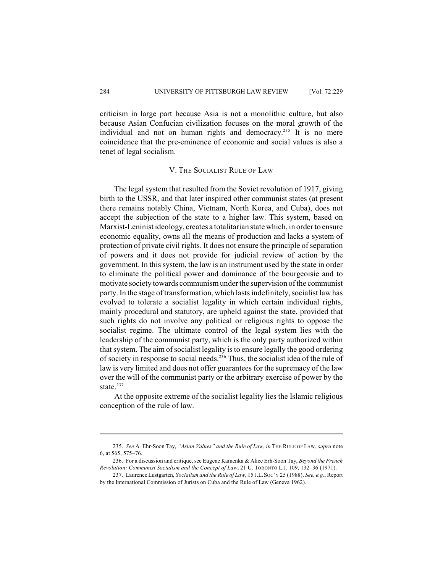criticism in large part because Asia is not a monolithic culture, but also because Asian Confucian civilization focuses on the moral growth of the individual and not on human rights and democracy.<sup>235</sup> It is no mere coincidence that the pre-eminence of economic and social values is also a tenet of legal socialism.

#### V. THE SOCIALIST RULE OF LAW

The legal system that resulted from the Soviet revolution of 1917, giving birth to the USSR, and that later inspired other communist states (at present there remains notably China, Vietnam, North Korea, and Cuba), does not accept the subjection of the state to a higher law. This system, based on Marxist-Leninist ideology, creates a totalitarian state which, in order to ensure economic equality, owns all the means of production and lacks a system of protection of private civil rights. It does not ensure the principle of separation of powers and it does not provide for judicial review of action by the government. In this system, the law is an instrument used by the state in order to eliminate the political power and dominance of the bourgeoisie and to motivate society towards communism under the supervision of the communist party. In the stage of transformation, which lasts indefinitely, socialist law has evolved to tolerate a socialist legality in which certain individual rights, mainly procedural and statutory, are upheld against the state, provided that such rights do not involve any political or religious rights to oppose the socialist regime. The ultimate control of the legal system lies with the leadership of the communist party, which is the only party authorized within that system. The aim of socialist legality is to ensure legally the good ordering of society in response to social needs.<sup>236</sup> Thus, the socialist idea of the rule of law is very limited and does not offer guarantees for the supremacy of the law over the will of the communist party or the arbitrary exercise of power by the state.<sup>237</sup>

At the opposite extreme of the socialist legality lies the Islamic religious conception of the rule of law.

<sup>235.</sup> *See* A. Ehr-Soon Tay, *"Asian Values" and the Rule of Law*, *in* THE RULE OF LAW, *supra* note 6, at 565, 575–76.

<sup>236.</sup> For a discussion and critique, see Eugene Kamenka & Alice Erh-Soon Tay, *Beyond the French Revolution: Communist Socialism and the Concept of Law*, 21 U. TORONTO L.J. 109, 132–36 (1971).

<sup>237.</sup> Laurence Lustgarten, *Socialism and the Rule of Law*, 15 J.L.SOC'Y 25 (1988). *See, e.g.*, Report by the International Commission of Jurists on Cuba and the Rule of Law (Geneva 1962).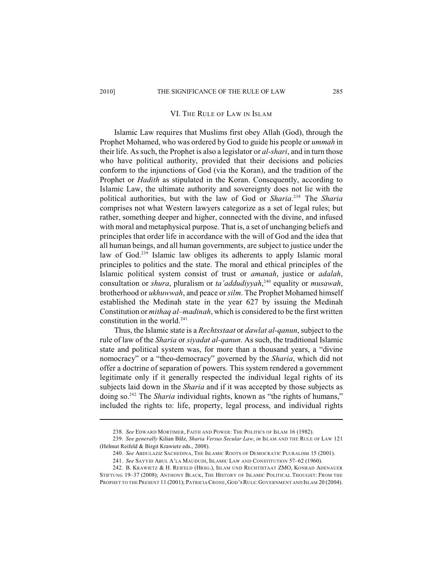#### VI. THE RULE OF LAW IN ISLAM

Islamic Law requires that Muslims first obey Allah (God), through the Prophet Mohamed, who was ordered by God to guide his people or *ummah* in their life. As such, the Prophet is also a legislator or *al-shari*, and in turn those who have political authority, provided that their decisions and policies conform to the injunctions of God (via the Koran), and the tradition of the Prophet or *Hadith* as stipulated in the Koran. Consequently, according to Islamic Law, the ultimate authority and sovereignty does not lie with the political authorities, but with the law of God or *Sharia*.<sup>238</sup> The *Sharia* comprises not what Western lawyers categorize as a set of legal rules; but rather, something deeper and higher, connected with the divine, and infused with moral and metaphysical purpose. That is, a set of unchanging beliefs and principles that order life in accordance with the will of God and the idea that all human beings, and all human governments, are subject to justice under the law of God. $239$  Islamic law obliges its adherents to apply Islamic moral principles to politics and the state. The moral and ethical principles of the Islamic political system consist of trust or *amanah*, justice or *adalah*, consultation or *shura*, pluralism or *ta'addudiyyah*,<sup>240</sup> equality or *musawah*, brotherhood or *ukhuwwah*, and peace or *silm*. The Prophet Mohamed himself established the Medinah state in the year 627 by issuing the Medinah Constitution or *mithaq al–madinah*, which is considered to be the first written constitution in the world.<sup>241</sup>

Thus, the Islamic state is a *Rechtsstaat* or *dawlat al-qanun*, subject to the rule of law of the *Sharia* or *siyadat al-qanun*. As such, the traditional Islamic state and political system was, for more than a thousand years, a "divine nomocracy" or a "theo-democracy" governed by the *Sharia*, which did not offer a doctrine of separation of powers. This system rendered a government legitimate only if it generally respected the individual legal rights of its subjects laid down in the *Sharia* and if it was accepted by those subjects as doing so.<sup>242</sup> The *Sharia* individual rights, known as "the rights of humans," included the rights to: life, property, legal process, and individual rights

<sup>238.</sup> *See* EDWARD MORTIMER, FAITH AND POWER: THE POLITICS OF ISLAM 16 (1982).

<sup>239.</sup> *See generally* Kilian Bälz, *Sharia Versus Secular Law*, *in* ISLAM AND THE RULE OF LAW 121 (Helmut Reifeld & Birgit Krawietz eds., 2008).

<sup>240.</sup> *See* ABDULAZIZ SACHEDINA, THE ISLAMIC ROOTS OF DEMOCRATIC PLURALISM 15 (2001).

<sup>241.</sup> *See* SAYYID ABUL A'LA MAUDUDI, ISLAMIC LAW AND CONSTITUTION 57–62 (1960).

<sup>242.</sup> B. KRAWIETZ & H. REIFELD (HRSG.), ISLAM UND RECHTISTAAT ZMO, KONRAD ADENAUER STIFTUNG 19–37 (2008); ANTHONY BLACK, THE HISTORY OF ISLAMIC POLITICAL THOUGHT: FROM THE PROPHET TO THE PRESENT 11 (2001); PATRICIA CRONE, GOD'S RULE: GOVERNMENT AND ISLAM 20 (2004).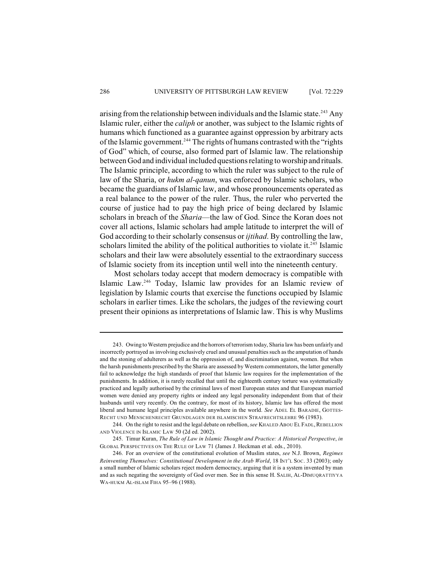arising from the relationship between individuals and the Islamic state.<sup>243</sup> Any Islamic ruler, either the *caliph* or another, was subject to the Islamic rights of humans which functioned as a guarantee against oppression by arbitrary acts of the Islamic government.<sup>244</sup> The rights of humans contrasted with the "rights of God" which, of course, also formed part of Islamic law. The relationship between God and individual included questions relating to worship and rituals. The Islamic principle, according to which the ruler was subject to the rule of law of the Sharia, or *hukm al-qanun*, was enforced by Islamic scholars, who became the guardians of Islamic law, and whose pronouncements operated as a real balance to the power of the ruler. Thus, the ruler who perverted the course of justice had to pay the high price of being declared by Islamic scholars in breach of the *Sharia*—the law of God. Since the Koran does not cover all actions, Islamic scholars had ample latitude to interpret the will of God according to their scholarly consensus or *ijtihad*. By controlling the law, scholars limited the ability of the political authorities to violate it. $245$  Islamic scholars and their law were absolutely essential to the extraordinary success of Islamic society from its inception until well into the nineteenth century.

Most scholars today accept that modern democracy is compatible with Islamic Law.<sup>246</sup> Today, Islamic law provides for an Islamic review of legislation by Islamic courts that exercise the functions occupied by Islamic scholars in earlier times. Like the scholars, the judges of the reviewing court present their opinions as interpretations of Islamic law. This is why Muslims

<sup>243.</sup> Owing to Western prejudice and the horrors of terrorism today, Sharia law has been unfairly and incorrectly portrayed as involving exclusively cruel and unusual penalties such asthe amputation of hands and the stoning of adulterers as well as the oppression of, and discrimination against, women. But when the harsh punishments prescribed by the Sharia are assessed by Western commentators, the latter generally fail to acknowledge the high standards of proof that Islamic law requires for the implementation of the punishments. In addition, it is rarely recalled that until the eighteenth century torture was systematically practiced and legally authorised by the criminal laws of most European states and that European married women were denied any property rights or indeed any legal personality independent from that of their husbands until very recently. On the contrary, for most of its history, Islamic law has offered the most liberal and humane legal principles available anywhere in the world. *See* ADEL EL BARADIE, GOTTES-RECHT UND MENSCHENRECHT GRUNDLAGEN DER ISLAMISCHEN STRAFRECHTSLEHRE 96 (1983).

<sup>244.</sup> On the right to resist and the legal debate on rebellion, *see* KHALED ABOU EL FADL,REBELLION AND VIOLENCE IN ISLAMIC LAW 50 (2d ed. 2002).

<sup>245.</sup> Timur Kuran, *The Rule of Law in Islamic Thought and Practice: A Historical Perspective*, *in* GLOBAL PERSPECTIVES ON THE RULE OF LAW 71 (James J. Heckman et al. eds., 2010).

<sup>246.</sup> For an overview of the constitutional evolution of Muslim states, *see* N.J. Brown, *Regimes Reinventing Themselves: Constitutional Development in the Arab World*, 18 INT'L SOC. 33 (2003); only a small number of Islamic scholars reject modern democracy, arguing that it is a system invented by man and as such negating the sovereignty of God over men. See in this sense H. SALIH, AL-DIMUQRATTIYYA WA-HUKM AL-ISLAM FIHA 95–96 (1988).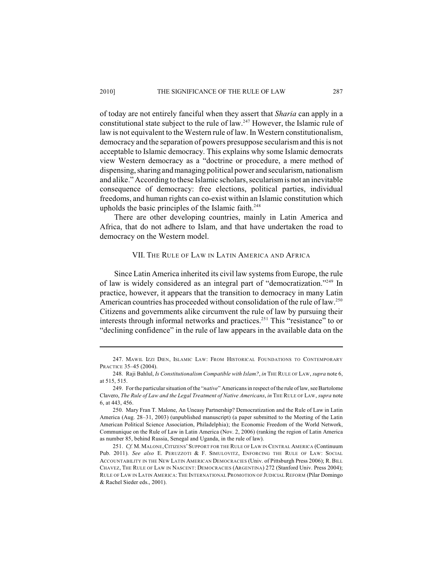of today are not entirely fanciful when they assert that *Sharia* can apply in a constitutional state subject to the rule of law.<sup>247</sup> However, the Islamic rule of law is not equivalent to the Western rule of law. In Western constitutionalism, democracy and the separation of powers presuppose secularism and this is not acceptable to Islamic democracy. This explains why some Islamic democrats view Western democracy as a "doctrine or procedure, a mere method of dispensing, sharing and managing political power and secularism, nationalism and alike." According to these Islamic scholars, secularism is not an inevitable consequence of democracy: free elections, political parties, individual freedoms, and human rights can co-exist within an Islamic constitution which upholds the basic principles of the Islamic faith. $248$ 

There are other developing countries, mainly in Latin America and Africa, that do not adhere to Islam, and that have undertaken the road to democracy on the Western model.

## VII. THE RULE OF LAW IN LATIN AMERICA AND AFRICA

Since Latin America inherited its civil law systems from Europe, the rule of law is widely considered as an integral part of "democratization."<sup>249</sup> In practice, however, it appears that the transition to democracy in many Latin American countries has proceeded without consolidation of the rule of law.<sup>250</sup> Citizens and governments alike circumvent the rule of law by pursuing their interests through informal networks and practices.<sup>251</sup> This "resistance" to or "declining confidence" in the rule of law appears in the available data on the

<sup>247.</sup> MAWIL IZZI DIEN, ISLAMIC LAW: FROM HISTORICAL FOUNDATIONS TO CONTEMPORARY PRACTICE 35–45 (2004).

<sup>248.</sup> Raji Bahlul, *Is Constitutionalism Compatible with Islam?*, *in* THE RULE OF LAW, *supra* note 6, at 515, 515.

<sup>249.</sup> For the particular situation of the "*native*" Americans in respect ofthe rule of law, see Bartolome Clavero, *The Rule of Law and the Legal Treatment of Native Americans*, *in* THE RULE OF LAW, *supra* note 6, at 443, 456.

<sup>250.</sup> Mary Fran T. Malone, An Uneasy Partnership? Democratization and the Rule of Law in Latin America (Aug. 28–31, 2003) (unpublished manuscript) (a paper submitted to the Meeting of the Latin American Political Science Association, Philadelphia); the Economic Freedom of the World Network, Communique on the Rule of Law in Latin America (Nov. 2, 2006) (ranking the region of Latin America as number 85, behind Russia, Senegal and Uganda, in the rule of law).

<sup>251.</sup> *Cf.* M.MALONE,CITIZENS'SUPPORT FOR THE RULE OF LAW IN CENTRAL AMERICA (Continuum Pub. 2011). *See also* E. PERUZZOTI & F. SIMULOVITZ, ENFORCING THE RULE OF LAW: SOCIAL ACCOUNTABILITY IN THE NEW LATIN AMERICAN DEMOCRACIES (Univ. of Pittsburgh Press 2006); R. BILL CHAVEZ, THE RULE OF LAW IN NASCENT: DEMOCRACIES (ARGENTINA) 272 (Stanford Univ. Press 2004); RULE OF LAW IN LATIN AMERICA:THE INTERNATIONAL PROMOTION OF JUDICIAL REFORM (Pilar Domingo & Rachel Sieder eds., 2001).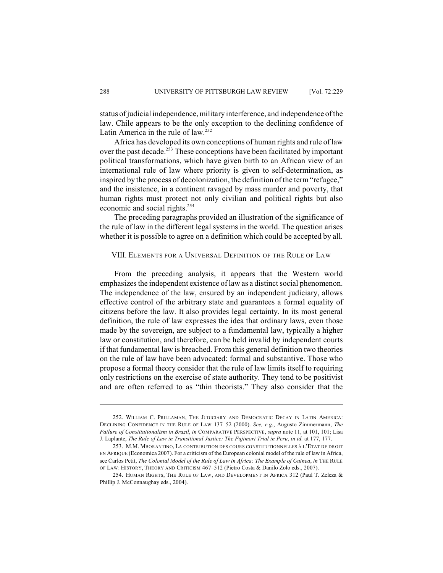status of judicial independence, military interference, and independence of the law. Chile appears to be the only exception to the declining confidence of Latin America in the rule of law.<sup>252</sup>

Africa has developed its own conceptions of human rights and rule of law over the past decade.<sup>253</sup> These conceptions have been facilitated by important political transformations, which have given birth to an African view of an international rule of law where priority is given to self-determination, as inspired by the process of decolonization, the definition of the term "refugee," and the insistence, in a continent ravaged by mass murder and poverty, that human rights must protect not only civilian and political rights but also economic and social rights.<sup>254</sup>

The preceding paragraphs provided an illustration of the significance of the rule of law in the different legal systems in the world. The question arises whether it is possible to agree on a definition which could be accepted by all.

## VIII. ELEMENTS FOR A UNIVERSAL DEFINITION OF THE RULE OF LAW

From the preceding analysis, it appears that the Western world emphasizes the independent existence of law as a distinct social phenomenon. The independence of the law, ensured by an independent judiciary, allows effective control of the arbitrary state and guarantees a formal equality of citizens before the law. It also provides legal certainty. In its most general definition, the rule of law expresses the idea that ordinary laws, even those made by the sovereign, are subject to a fundamental law, typically a higher law or constitution, and therefore, can be held invalid by independent courts if that fundamental law is breached. From this general definition two theories on the rule of law have been advocated: formal and substantive. Those who propose a formal theory consider that the rule of law limits itself to requiring only restrictions on the exercise of state authority. They tend to be positivist and are often referred to as "thin theorists." They also consider that the

<sup>252.</sup> WILLIAM C. PRILLAMAN, THE JUDICIARY AND DEMOCRATIC DECAY IN LATIN AMERICA: DECLINING CONFIDENCE IN THE RULE OF LAW 137–52 (2000). *See, e.g.*, Augusto Zimmermann, *The Failure of Constitutionalism in Brazil*, *in* COMPARATIVE PERSPECTIVE, *supra* note 11, at 101, 101; Lisa J. Laplante, *The Rule of Law in Transitional Justice: The Fujimori Trial in Peru*, *in id.* at 177, 177.

<sup>253.</sup> M.M. MBORANTINO, LA CONTRIBUTION DES COURS CONSTITUTIONNELLES À L'ETAT DE DROIT EN AFRIQUE (Economica 2007). For a criticism of the European colonial model of the rule of law in Africa, see Carlos Petit, *The Colonial Model of the Rule of Law in Africa: The Example of Guinea, in* THE RULE OF LAW: HISTORY, THEORY AND CRITICISM 467–512 (Pietro Costa & Danilo Zolo eds., 2007).

<sup>254.</sup> HUMAN RIGHTS, THE RULE OF LAW, AND DEVELOPMENT IN AFRICA 312 (Paul T. Zeleza & Phillip J. McConnaughay eds., 2004).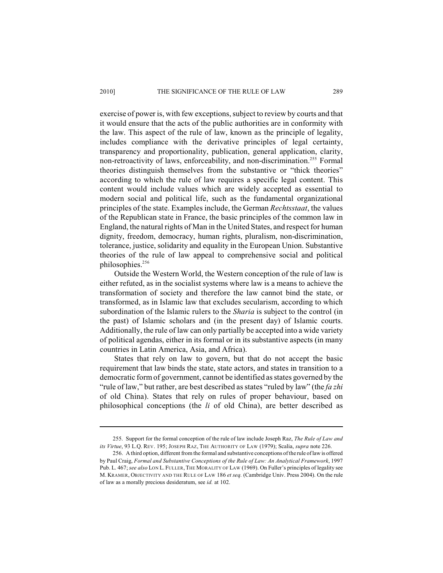#### 2010] THE SIGNIFICANCE OF THE RULE OF LAW 289

exercise of power is, with few exceptions, subject to review by courts and that it would ensure that the acts of the public authorities are in conformity with the law. This aspect of the rule of law, known as the principle of legality, includes compliance with the derivative principles of legal certainty, transparency and proportionality, publication, general application, clarity, non-retroactivity of laws, enforceability, and non-discrimination.<sup>255</sup> Formal theories distinguish themselves from the substantive or "thick theories" according to which the rule of law requires a specific legal content. This content would include values which are widely accepted as essential to modern social and political life, such as the fundamental organizational principles of the state. Examples include, the German *Rechtsstaat*, the values of the Republican state in France, the basic principles of the common law in England, the natural rights of Man in the United States, and respect for human dignity, freedom, democracy, human rights, pluralism, non-discrimination, tolerance, justice, solidarity and equality in the European Union. Substantive theories of the rule of law appeal to comprehensive social and political philosophies.<sup>256</sup>

Outside the Western World, the Western conception of the rule of law is either refuted, as in the socialist systems where law is a means to achieve the transformation of society and therefore the law cannot bind the state, or transformed, as in Islamic law that excludes secularism, according to which subordination of the Islamic rulers to the *Sharia* is subject to the control (in the past) of Islamic scholars and (in the present day) of Islamic courts. Additionally, the rule of law can only partially be accepted into a wide variety of political agendas, either in its formal or in its substantive aspects (in many countries in Latin America, Asia, and Africa).

States that rely on law to govern, but that do not accept the basic requirement that law binds the state, state actors, and states in transition to a democratic form of government, cannot be identified as states governed by the "rule of law," but rather, are best described as states "ruled by law" (the *fa zhi* of old China). States that rely on rules of proper behaviour, based on philosophical conceptions (the *li* of old China), are better described as

<sup>255.</sup> Support for the formal conception of the rule of law include Joseph Raz, *The Rule of Law and its Virtue*, 93 L.Q. REV. 195; JOSEPH RAZ, THE AUTHORITY OF LAW (1979); Scalia, *supra* note 226.

<sup>256.</sup> A third option, different from the formal and substantive conceptions of the rule of law is offered by Paul Craig, *Formal and Substantive Conceptions of the Rule of Law: An Analytical Framework*, 1997 Pub. L. 467; *see also* LON L. FULLER, THE MORALITY OF LAW (1969). On Fuller's principles of legality see M. KRAMER, OBJECTIVITY AND THE RULE OF LAW 186 *et seq.* (Cambridge Univ. Press 2004). On the rule of law as a morally precious desideratum, see *id.* at 102.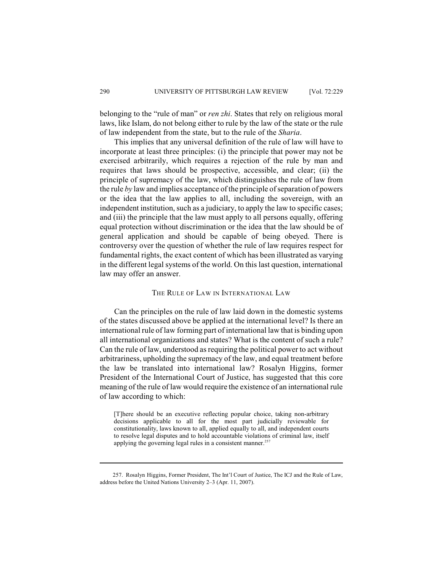belonging to the "rule of man" or *ren zhi*. States that rely on religious moral laws, like Islam, do not belong either to rule by the law of the state or the rule of law independent from the state, but to the rule of the *Sharia*.

This implies that any universal definition of the rule of law will have to incorporate at least three principles: (i) the principle that power may not be exercised arbitrarily, which requires a rejection of the rule by man and requires that laws should be prospective, accessible, and clear; (ii) the principle of supremacy of the law, which distinguishes the rule of law from the rule *by* law and implies acceptance of the principle of separation of powers or the idea that the law applies to all, including the sovereign, with an independent institution, such as a judiciary, to apply the law to specific cases; and (iii) the principle that the law must apply to all persons equally, offering equal protection without discrimination or the idea that the law should be of general application and should be capable of being obeyed. There is controversy over the question of whether the rule of law requires respect for fundamental rights, the exact content of which has been illustrated as varying in the different legal systems of the world. On this last question, international law may offer an answer.

## THE RULE OF LAW IN INTERNATIONAL LAW

Can the principles on the rule of law laid down in the domestic systems of the states discussed above be applied at the international level? Is there an international rule of law forming part of international law that is binding upon all international organizations and states? What is the content of such a rule? Can the rule of law, understood as requiring the political power to act without arbitrariness, upholding the supremacy of the law, and equal treatment before the law be translated into international law? Rosalyn Higgins, former President of the International Court of Justice, has suggested that this core meaning of the rule of law would require the existence of an international rule of law according to which:

[T]here should be an executive reflecting popular choice, taking non-arbitrary decisions applicable to all for the most part judicially reviewable for constitutionality, laws known to all, applied equally to all, and independent courts to resolve legal disputes and to hold accountable violations of criminal law, itself applying the governing legal rules in a consistent manner.<sup>257</sup>

<sup>257.</sup> Rosalyn Higgins, Former President, The Int'l Court of Justice, The ICJ and the Rule of Law, address before the United Nations University 2–3 (Apr. 11, 2007).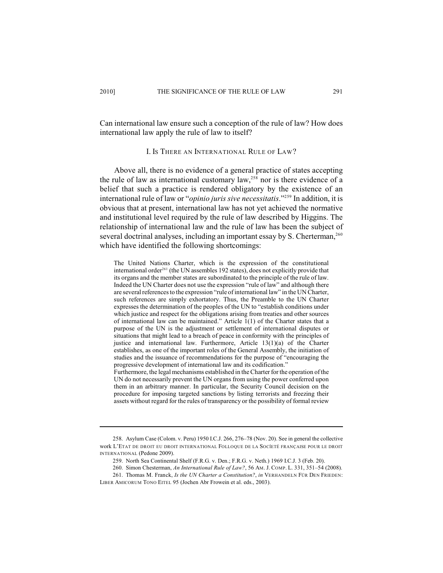Can international law ensure such a conception of the rule of law? How does international law apply the rule of law to itself?

### I. IS THERE AN INTERNATIONAL RULE OF LAW?

Above all, there is no evidence of a general practice of states accepting the rule of law as international customary  $law<sub>1</sub><sup>258</sup>$  nor is there evidence of a belief that such a practice is rendered obligatory by the existence of an international rule of law or "*opinio juris sive necessitatis*."<sup>259</sup> In addition, it is obvious that at present, international law has not yet achieved the normative and institutional level required by the rule of law described by Higgins. The relationship of international law and the rule of law has been the subject of several doctrinal analyses, including an important essay by S. Cherterman,<sup>260</sup> which have identified the following shortcomings:

The United Nations Charter, which is the expression of the constitutional international order<sup>261</sup> (the UN assembles 192 states), does not explicitly provide that its organs and the member states are subordinated to the principle of the rule of law. Indeed the UN Charter does not use the expression "rule of law" and although there are several references to the expression "rule of international law" in the UN Charter, such references are simply exhortatory. Thus, the Preamble to the UN Charter expresses the determination of the peoples of the UN to "establish conditions under which justice and respect for the obligations arising from treaties and other sources of international law can be maintained." Article 1(1) of the Charter states that a purpose of the UN is the adjustment or settlement of international disputes or situations that might lead to a breach of peace in conformity with the principles of justice and international law. Furthermore, Article 13(1)(a) of the Charter establishes, as one of the important roles of the General Assembly, the initiation of studies and the issuance of recommendations for the purpose of "encouraging the progressive development of international law and its codification."

Furthermore, the legal mechanisms established in the Charter for the operation of the UN do not necessarily prevent the UN organs from using the power conferred upon them in an arbitrary manner. In particular, the Security Council decision on the procedure for imposing targeted sanctions by listing terrorists and freezing their assets without regard for the rules of transparency or the possibility of formal review

<sup>258.</sup> Asylum Case (Colom. v. Peru) 1950 I.C.J. 266, 276–78 (Nov. 20). See in general the collective work L'ETAT DE DROIT EU DROIT INTERNATIONAL FOLLOQUE DE LA SOCÍETÉ FRANÇAISE POUR LE DROIT INTERNATIONAL (Pedone 2009).

<sup>259.</sup> North Sea Continental Shelf (F.R.G. v. Den.; F.R.G. v. Neth.) 1969 I.C.J. 3 (Feb. 20).

<sup>260.</sup> Simon Chesterman, *An International Rule of Law?*, 56 AM. J. COMP. L. 331, 351–54 (2008).

<sup>261.</sup> Thomas M. Franck, *Is the UN Charter a Constitution?*, *in* VERHANDELN FÜR DEN FRIEDEN: LIBER AMICORUM TONO EITEL 95 (Jochen Abr Frowein et al. eds., 2003).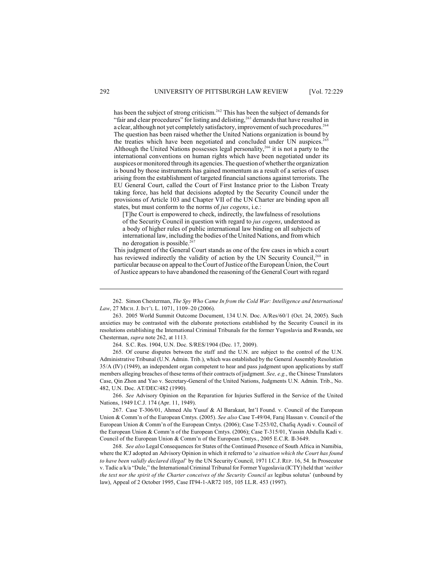has been the subject of strong criticism.<sup>262</sup> This has been the subject of demands for "fair and clear procedures" for listing and delisting,<sup>263</sup> demands that have resulted in a clear, although not yet completely satisfactory, improvement of such procedures.<sup>264</sup> The question has been raised whether the United Nations organization is bound by the treaties which have been negotiated and concluded under UN auspices.<sup>2</sup> Although the United Nations possesses legal personality,<sup> $266$ </sup> it is not a party to the international conventions on human rights which have been negotiated under its auspices or monitored through its agencies. The question of whether the organization is bound by those instruments has gained momentum as a result of a series of cases arising from the establishment of targeted financial sanctions against terrorists. The EU General Court, called the Court of First Instance prior to the Lisbon Treaty taking force, has held that decisions adopted by the Security Council under the provisions of Article 103 and Chapter VII of the UN Charter are binding upon all states, but must conform to the norms of *jus cogens*, i.e.:

[T]he Court is empowered to check, indirectly, the lawfulness of resolutions of the Security Council in question with regard to *jus cogens*, understood as a body of higher rules of public international law binding on all subjects of international law, including the bodies of the United Nations, and from which no derogation is possible.<sup>26</sup>

This judgment of the General Court stands as one of the few cases in which a court has reviewed indirectly the validity of action by the UN Security Council,<sup>268</sup> in particular because on appeal to theCourt ofJustice oftheEuropean Union, the Court of Justice appears to have abandoned the reasoning of the General Court with regard

262. Simon Chesterman, *The Spy Who Came In from the Cold War: Intelligence and International Law*, 27 MICH. J. INT'L L. 1071, 1109–20 (2006).

263. 2005 World Summit Outcome Document, 134 U.N. Doc. A/Res/60/1 (Oct. 24, 2005). Such anxieties may be contrasted with the elaborate protections established by the Security Council in its resolutions establishing the International Criminal Tribunals for the former Yugoslavia and Rwanda, see Chesterman, *supra* note 262, at 1113.

264. S.C. Res. 1904, U.N. Doc. S/RES/1904 (Dec. 17, 2009).

265. Of course disputes between the staff and the U.N. are subject to the control of the U.N. Administrative Tribunal (U.N. Admin. Trib.), which was established by the General Assembly Resolution 35/A (IV) (1949), an independent organ competent to hear and pass judgment upon applications by staff members alleging breaches of these terms of their contracts of judgment. *See, e.g.*, the Chinese Translators Case, Qin Zhon and Yao v. Secretary-General of the United Nations, Judgments U.N. Admin. Trib., No. 482, U.N. Doc. AT/DEC/482 (1990).

266. *See* Advisory Opinion on the Reparation for Injuries Suffered in the Service of the United Nations, 1949 I.C.J. 174 (Apr. 11, 1949).

267. Case T-306/01, Ahmed Alu Yusuf & Al Barakaat, Int'l Found. v. Council of the European Union & Comm'n of the European Cmtys. (2005). *See also* Case T-49/04, Faraj Hassan v. Council of the European Union & Comm'n of the European Cmtys. (2006); Case T-253/02, Chafiq Ayadi v. Council of the European Union & Comm'n of the European Cmtys. (2006); Case T-315/01, Yassin Abdulla Kadi v. Council of the European Union & Comm'n of the European Cmtys., 2005 E.C.R. II-3649.

268. *See also* Legal Consequences for States of the Continued Presence of South Africa in Namibia, where the ICJ adopted an Advisory Opinion in which it referred to '*a situation which the Court has found to have been validly declared illegal*' by the UN Security Council, 1971 I.C.J. REP. 16, 54. In Prosecutor v. Tadic a/k/a "Dule," the International Criminal Tribunal for Former Yugoslavia (ICTY) held that '*neither the text nor the spirit of the Charter conceives of the Security Council as* legibus solutus' (unbound by law), Appeal of 2 October 1995, Case IT94-1-AR72 105, 105 I.L.R. 453 (1997).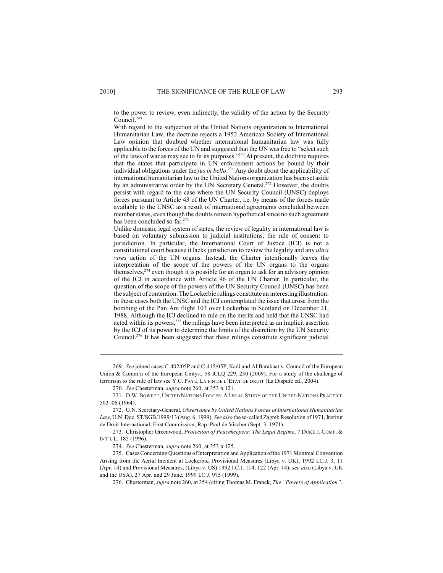to the power to review, even indirectly, the validity of the action by the Security Council.<sup>269</sup>

With regard to the subjection of the United Nations organization to International Humanitarian Law, the doctrine rejects a 1952 American Society of International Law opinion that doubted whether international humanitarian law was fully applicable to the forces of the UN and suggested that the UN was free to "select such of the laws of war as may see to fit its purposes."<sup> $270$ </sup> At present, the doctrine requires that the states that participate in UN enforcement actions be bound by their individual obligations under the *jus in bello*.<sup>271</sup> Any doubt about the applicability of international humanitarian law to the United Nations organization has been set aside by an administrative order by the UN Secretary General.<sup>272</sup> However, the doubts persist with regard to the case where the UN Security Council (UNSC) deploys forces pursuant to Article 43 of the UN Charter, i.e. by means of the forces made available to the UNSC as a result of international agreements concluded between member states, even though the doubts remain hypothetical since no such agreement has been concluded so far. 273

Unlike domestic legal system of states, the review of legality in international law is based on voluntary submission to judicial institutions, the rule of consent to jurisdiction. In particular, the International Court of Justice (ICJ) is not a constitutional court because it lacks jurisdiction to review the legality and any *ultra vires* action of the UN organs. Instead, the Charter intentionally leaves the interpretation of the scope of the powers of the UN organs to the organs themselves,  $2^{74}$  even though it is possible for an organ to ask for an advisory opinion of the ICJ in accordance with Article 96 of the UN Charter. In particular, the question of the scope of the powers of the UN Security Council (UNSC) has been the subject of contention. The Lockerbie rulings constitute an interesting illustration: in these cases both the UNSC and the ICJ contemplated the issue that arose from the bombing of the Pan Am flight 103 over Lockerbie in Scotland on December 21, 1988. Although the ICJ declined to rule on the merits and held that the UNSC had acted within its powers, $275$  the rulings have been interpreted as an implicit assertion by the ICJ of its power to determine the limits of the discretion by the UN Security Council.<sup>276</sup> It has been suggested that these rulings constitute significant judicial

269. *See* joined cases C-402/05P and C-415/05P, Kadi and Al Barakaat v. Council of the European Union & Comm'n of the European Cmtys., 58 ICLQ 229, 230 (2009). For a study of the challenge of terrorism to the rule of law see Y.C. PAYE, LA FIN DE L'ETAT DE DROIT (La Dispute ed., 2004).

270. *See* Chesterman, *supra* note 260, at 353 n.121.

271. D.W.BOWETT, UNITED NATIONS FORCES:ALEGAL STUDY OF THE UNITED NATIONS PRACTICE 503–06 (1964).

272. U.N. Secretary-General, *Observance by United Nations Forces of International Humanitarian Law*, U.N. Doc. ST/SGB/1999/13 (Aug. 6, 1999). *See also* the so-called Zagreb Resolution of 1971, Institut de Droit International, First Commission, Rap. Paul de Vischer (Sept. 3, 1971).

273. Christopher Greenwood, *Protection of Peacekeepers: The Legal Regime*, 7 DUKE J. COMP. & INT'L L. 185 (1996).

274. *See* Chesterman, *supra* note 260, at 353 n.125.

275. Cases Concerning Questions of Interpretation and Application of the 1971 Montreal Convention Arising from the Aerial Incident at Lockerbie, Provisional Measures (Libya v. UK), 1992 I.C.J. 3, 11 (Apr. 14) and Provisional Measures, (Libya v. US) 1992 I.C.J. 114, 122 (Apr. 14); *see also* (Libya v. UK and the USA), 27 Apr. and 29 June, 1999 I.C.J. 975 (1999).

276. Chesterman, *supra* note 260, at 354 (citing Thomas M. Franck, *The "Powers of Application":*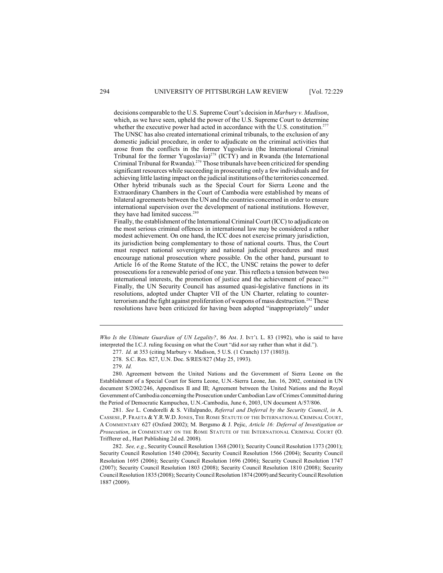decisions comparable to the U.S. Supreme Court's decision in *Marbury v. Madison*, which, as we have seen, upheld the power of the U.S. Supreme Court to determine whether the executive power had acted in accordance with the U.S. constitution.<sup>277</sup> The UNSC has also created international criminal tribunals, to the exclusion of any domestic judicial procedure, in order to adjudicate on the criminal activities that arose from the conflicts in the former Yugoslavia (the International Criminal Tribunal for the former Yugoslavia)<sup>278</sup> (ICTY) and in Rwanda (the International Criminal Tribunal for Rwanda).<sup>279</sup> Those tribunals have been criticized for spending significant resources while succeeding in prosecuting only a few individuals and for achieving little lasting impact on the judicial institutions of the territories concerned. Other hybrid tribunals such as the Special Court for Sierra Leone and the Extraordinary Chambers in the Court of Cambodia were established by means of bilateral agreements between the UN and the countries concerned in order to ensure international supervision over the development of national institutions. However, they have had limited success.<sup>280</sup>

Finally, the establishment of the International Criminal Court (ICC) to adjudicate on the most serious criminal offences in international law may be considered a rather modest achievement. On one hand, the ICC does not exercise primary jurisdiction, its jurisdiction being complementary to those of national courts. Thus, the Court must respect national sovereignty and national judicial procedures and must encourage national prosecution where possible. On the other hand, pursuant to Article 16 of the Rome Statute of the ICC, the UNSC retains the power to defer prosecutions for a renewable period of one year. This reflects a tension between two international interests, the promotion of justice and the achievement of peace.<sup>281</sup> Finally, the UN Security Council has assumed quasi-legislative functions in its resolutions, adopted under Chapter VII of the UN Charter, relating to counterterrorism and the fight against proliferation of weapons of mass destruction.<sup>282</sup> These resolutions have been criticized for having been adopted "inappropriately" under

*Who Is the Ultimate Guardian of UN Legality?*, 86 AM. J. INT'L L. 83 (1992), who is said to have interpreted the I.C.J. ruling focusing on what the Court "did *not* say rather than what it did.").

280. Agreement between the United Nations and the Government of Sierra Leone on the Establishment of a Special Court for Sierra Leone, U.N.-Sierra Leone, Jan. 16, 2002, contained in UN document S/2002/246, Appendixes II and III; Agreement between the United Nations and the Royal Government of Cambodia concerning the Prosecution under Cambodian Law of Crimes Committed during the Period of Democratic Kampuchea, U.N.-Cambodia, June 6, 2003, UN document A/57/806.

281. *See* L. Condorelli & S. Villalpando, *Referral and Deferral by the Security Council*, *in* A. CASSESE, P. FRAETA & Y.R.W.D.JONES, THE ROME STATUTE OF THE INTERNATIONAL CRIMINAL COURT, A COMMENTARY 627 (Oxford 2002); M. Bergsmo & J. Pejic, *Article 16: Deferral of Investigation or Prosecution*, *in* COMMENTARY ON THE ROME STATUTE OF THE INTERNATIONAL CRIMINAL COURT (O. Triffterer ed., Hart Publishing 2d ed. 2008).

282. *See, e.g.*, Security Council Resolution 1368 (2001); Security Council Resolution 1373 (2001); Security Council Resolution 1540 (2004); Security Council Resolution 1566 (2004); Security Council Resolution 1695 (2006); Security Council Resolution 1696 (2006); Security Council Resolution 1747 (2007); Security Council Resolution 1803 (2008); Security Council Resolution 1810 (2008); Security Council Resolution 1835 (2008); Security Council Resolution 1874 (2009) and Security Council Resolution 1887 (2009).

<sup>277.</sup> *Id.* at 353 (citing Marbury v. Madison, 5 U.S. (1 Cranch) 137 (1803)).

<sup>278.</sup> S.C. Res. 827, U.N. Doc. S/RES/827 (May 25, 1993).

<sup>279.</sup> *Id.*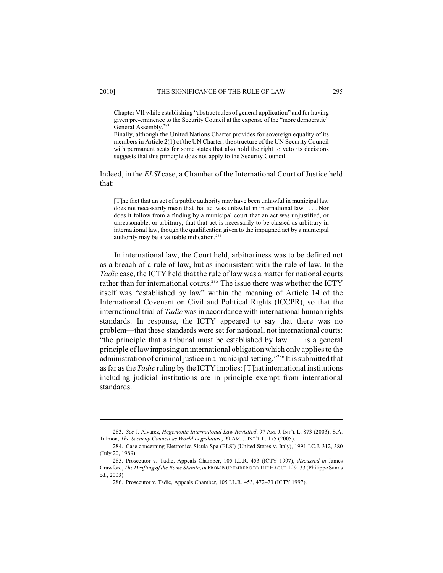Chapter VII while establishing "abstract rules of general application" and for having given pre-eminence to the Security Council at the expense of the "more democratic" General Assembly.<sup>283</sup>

Finally, although the United Nations Charter provides for sovereign equality of its members in Article 2(1) of the UN Charter, the structure of the UN Security Council with permanent seats for some states that also hold the right to veto its decisions suggests that this principle does not apply to the Security Council.

Indeed, in the *ELSI* case, a Chamber of the International Court of Justice held that:

[T]he fact that an act of a public authority may have been unlawful in municipal law does not necessarily mean that that act was unlawful in international law . . . . Nor does it follow from a finding by a municipal court that an act was unjustified, or unreasonable, or arbitrary, that that act is necessarily to be classed as arbitrary in international law, though the qualification given to the impugned act by a municipal authority may be a valuable indication.<sup>284</sup>

In international law, the Court held, arbitrariness was to be defined not as a breach of a rule of law, but as inconsistent with the rule of law. In the *Tadic* case, the ICTY held that the rule of law was a matter for national courts rather than for international courts.<sup>285</sup> The issue there was whether the ICTY itself was "established by law" within the meaning of Article 14 of the International Covenant on Civil and Political Rights (ICCPR), so that the international trial of *Tadic* was in accordance with international human rights standards. In response, the ICTY appeared to say that there was no problem—that these standards were set for national, not international courts: "the principle that a tribunal must be established by law . . . is a general principle of law imposing an international obligation which only applies to the administration of criminal justice in a municipal setting."<sup>286</sup> It is submitted that as far as the *Tadic* ruling by the ICTY implies: [T]hat international institutions including judicial institutions are in principle exempt from international standards.

<sup>283.</sup> *See* J. Alvarez, *Hegemonic International Law Revisited*, 97 AM. J. INT'L L. 873 (2003); S.A. Talmon, *The Security Council as World Legislature*, 99 AM. J. INT'L L. 175 (2005).

<sup>284.</sup> Case concerning Elettronica Sicula Spa (ELSI) (United States v. Italy), 1991 I.C.J. 312, 380 (July 20, 1989).

<sup>285.</sup> Prosecutor v. Tadic, Appeals Chamber, 105 I.L.R. 453 (ICTY 1997), *discussed in* James Crawford, *The Drafting of the Rome Statute*, *in* FROM NUREMBERG TO THE HAGUE 129–33 (Philippe Sands ed., 2003).

<sup>286.</sup> Prosecutor v. Tadic, Appeals Chamber, 105 I.L.R. 453, 472–73 (ICTY 1997).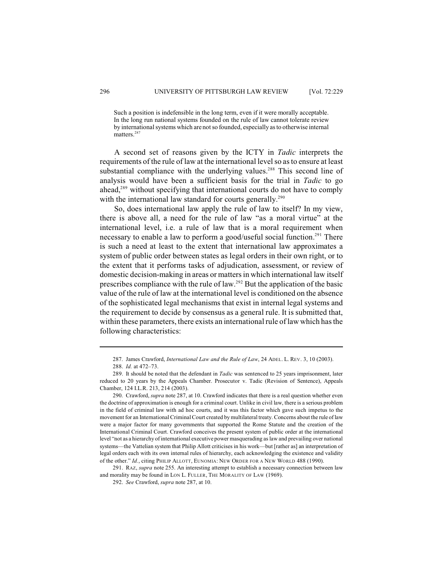Such a position is indefensible in the long term, even if it were morally acceptable. In the long run national systems founded on the rule of law cannot tolerate review by international systems which are not so founded, especially as to otherwise internal matters.<sup>287</sup>

A second set of reasons given by the ICTY in *Tadic* interprets the requirements of the rule of law at the international level so as to ensure at least substantial compliance with the underlying values.<sup>288</sup> This second line of analysis would have been a sufficient basis for the trial in *Tadic* to go ahead,<sup>289</sup> without specifying that international courts do not have to comply with the international law standard for courts generally.<sup>290</sup>

So, does international law apply the rule of law to itself? In my view, there is above all, a need for the rule of law "as a moral virtue" at the international level, i.e. a rule of law that is a moral requirement when necessary to enable a law to perform a good/useful social function.<sup>291</sup> There is such a need at least to the extent that international law approximates a system of public order between states as legal orders in their own right, or to the extent that it performs tasks of adjudication, assessment, or review of domestic decision-making in areas or mattersin which international law itself prescribes compliance with the rule of law.<sup>292</sup> But the application of the basic value of the rule of law at the international level is conditioned on the absence of the sophisticated legal mechanisms that exist in internal legal systems and the requirement to decide by consensus as a general rule. It is submitted that, within these parameters, there exists an international rule of law which has the following characteristics:

291. RAZ, *supra* note 255. An interesting attempt to establish a necessary connection between law and morality may be found in LON L. FULLER, THE MORALITY OF LAW (1969).

<sup>287.</sup> James Crawford, *International Law and the Rule of Law*, 24 ADEL. L. REV. 3, 10 (2003).

<sup>288.</sup> *Id.* at 472–73.

<sup>289.</sup> It should be noted that the defendant in *Tadic* was sentenced to 25 years imprisonment, later reduced to 20 years by the Appeals Chamber. Prosecutor v. Tadic (Revision of Sentence), Appeals Chamber, 124 I.L.R. 213, 214 (2003).

<sup>290.</sup> Crawford, *supra* note 287, at 10. Crawford indicates that there is a real question whether even the doctrine of approximation is enough for a criminal court. Unlike in civil law, there is a serious problem in the field of criminal law with ad hoc courts, and it was this factor which gave such impetus to the movement for an International Criminal Court created by multilateral treaty. Concerns about the rule of law were a major factor for many governments that supported the Rome Statute and the creation of the International Criminal Court. Crawford conceives the present system of public order at the international level "not as a hierarchy of international executive power masquerading as law and prevailing over national systems—the Vattelian system that Philip Allott criticises in his work—but [rather as] an interpretation of legal orders each with its own internal rules of hierarchy, each acknowledging the existence and validity of the other." *Id.*, citing PHILIP ALLOTT, EUNOMIA: NEW ORDER FOR A NEW WORLD 488 (1990).

<sup>292.</sup> *See* Crawford, *supra* note 287, at 10.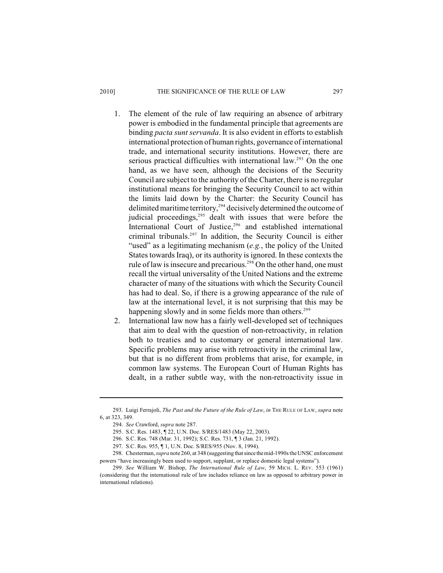#### 2010] THE SIGNIFICANCE OF THE RULE OF LAW 297

- 1. The element of the rule of law requiring an absence of arbitrary power is embodied in the fundamental principle that agreements are binding *pacta sunt servanda*. It is also evident in efforts to establish international protection of human rights, governance of international trade, and international security institutions. However, there are serious practical difficulties with international law.<sup>293</sup> On the one hand, as we have seen, although the decisions of the Security Council are subject to the authority of the Charter, there is no regular institutional means for bringing the Security Council to act within the limits laid down by the Charter: the Security Council has delimited maritime territory,<sup>294</sup> decisively determined the outcome of judicial proceedings, <sup>295</sup> dealt with issues that were before the International Court of Justice,<sup>296</sup> and established international criminal tribunals.<sup>297</sup> In addition, the Security Council is either "used" as a legitimating mechanism (*e.g.*, the policy of the United States towards Iraq), or its authority is ignored. In these contexts the rule of law is insecure and precarious.<sup>298</sup> On the other hand, one must recall the virtual universality of the United Nations and the extreme character of many of the situations with which the Security Council has had to deal. So, if there is a growing appearance of the rule of law at the international level, it is not surprising that this may be happening slowly and in some fields more than others.<sup>299</sup>
- 2. International law now has a fairly well-developed set of techniques that aim to deal with the question of non-retroactivity, in relation both to treaties and to customary or general international law. Specific problems may arise with retroactivity in the criminal law, but that is no different from problems that arise, for example, in common law systems. The European Court of Human Rights has dealt, in a rather subtle way, with the non-retroactivity issue in

<sup>293.</sup> Luigi Ferrajoli, *The Past and the Future of the Rule of Law*, *in* THE RULE OF LAW, *supra* note 6, at 323, 349.

<sup>294.</sup> *See* Crawford, *supra* note 287.

<sup>295.</sup> S.C. Res. 1483, ¶ 22, U.N. Doc. S/RES/1483 (May 22, 2003).

<sup>296.</sup> S.C. Res. 748 (Mar. 31, 1992); S.C. Res. 731, ¶ 3 (Jan. 21, 1992).

<sup>297.</sup> S.C. Res. 955, ¶ 1, U.N. Doc. S/RES/955 (Nov. 8, 1994).

<sup>298.</sup> Chesterman, *supra* note 260, at 348 (suggesting that since the mid-1990s the UNSC enforcement powers "have increasingly been used to support, supplant, or replace domestic legal systems").

<sup>299.</sup> *See* William W. Bishop, *The International Rule of Law*, 59 MICH. L. REV. 553 (1961) (considering that the international rule of law includes reliance on law as opposed to arbitrary power in international relations).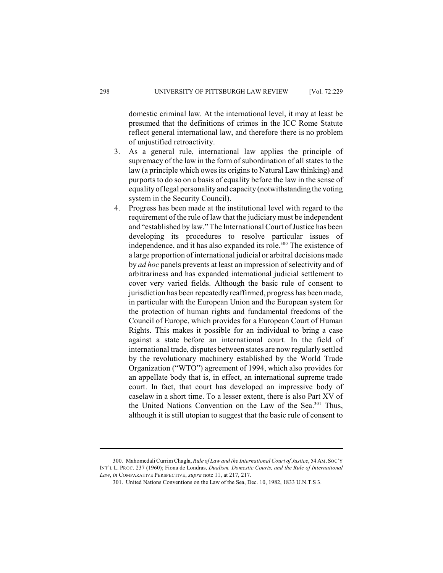domestic criminal law. At the international level, it may at least be presumed that the definitions of crimes in the ICC Rome Statute reflect general international law, and therefore there is no problem of unjustified retroactivity.

- 3. As a general rule, international law applies the principle of supremacy of the law in the form of subordination of all states to the law (a principle which owes its origins to Natural Law thinking) and purports to do so on a basis of equality before the law in the sense of equality of legal personality and capacity (notwithstanding the voting system in the Security Council).
- 4. Progress has been made at the institutional level with regard to the requirement of the rule of law that the judiciary must be independent and "established by law." The International Court of Justice has been developing its procedures to resolve particular issues of independence, and it has also expanded its role.<sup>300</sup> The existence of a large proportion of international judicial or arbitral decisions made by *ad hoc* panels prevents at least an impression of selectivity and of arbitrariness and has expanded international judicial settlement to cover very varied fields. Although the basic rule of consent to jurisdiction has been repeatedly reaffirmed, progress has been made, in particular with the European Union and the European system for the protection of human rights and fundamental freedoms of the Council of Europe, which provides for a European Court of Human Rights. This makes it possible for an individual to bring a case against a state before an international court. In the field of international trade, disputes between states are now regularly settled by the revolutionary machinery established by the World Trade Organization ("WTO") agreement of 1994, which also provides for an appellate body that is, in effect, an international supreme trade court. In fact, that court has developed an impressive body of caselaw in a short time. To a lesser extent, there is also Part XV of the United Nations Convention on the Law of the Sea.<sup>301</sup> Thus, although it is still utopian to suggest that the basic rule of consent to

<sup>300.</sup> Mahomedali Currim Chagla, *Rule of Law and the International Court of Justice*, 54 AM.SOC'Y INT'L L. PROC. 237 (1960); Fiona de Londras, *Dualism, Domestic Courts, and the Rule of International Law*, *in* COMPARATIVE PERSPECTIVE, *supra* note 11, at 217, 217.

<sup>301.</sup> United Nations Conventions on the Law of the Sea, Dec. 10, 1982, 1833 U.N.T.S 3.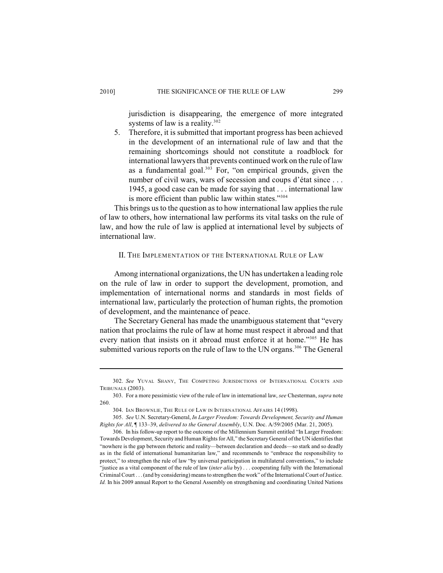jurisdiction is disappearing, the emergence of more integrated systems of law is a reality. $302$ 

5. Therefore, it is submitted that important progress has been achieved in the development of an international rule of law and that the remaining shortcomings should not constitute a roadblock for international lawyers that prevents continued work on the rule of law as a fundamental goal.<sup>303</sup> For, "on empirical grounds, given the number of civil wars, wars of secession and coups d'état since . . . 1945, a good case can be made for saying that . . . international law is more efficient than public law within states."304

This brings us to the question as to how international law applies the rule of law to others, how international law performs its vital tasks on the rule of law, and how the rule of law is applied at international level by subjects of international law.

#### II. THE IMPLEMENTATION OF THE INTERNATIONAL RULE OF LAW

Among international organizations, the UN has undertaken a leading role on the rule of law in order to support the development, promotion, and implementation of international norms and standards in most fields of international law, particularly the protection of human rights, the promotion of development, and the maintenance of peace.

The Secretary General has made the unambiguous statement that "every nation that proclaims the rule of law at home must respect it abroad and that every nation that insists on it abroad must enforce it at home."<sup>305</sup> He has submitted various reports on the rule of law to the UN organs.<sup>306</sup> The General

<sup>302.</sup> *See* YUVAL SHANY, THE COMPETING JURISDICTIONS OF INTERNATIONAL COURTS AND TRIBUNALS (2003).

<sup>303.</sup> For a more pessimistic view of the rule of law in international law, *see* Chesterman, *supra* note 260.

<sup>304.</sup> IAN BROWNLIE, THE RULE OF LAW IN INTERNATIONAL AFFAIRS 14 (1998).

<sup>305.</sup> *See* U.N. Secretary-General, *In Larger Freedom: Towards Development, Security and Human Rights for All*, ¶ 133–39, *delivered to the General Assembly*, U.N. Doc. A/59/2005 (Mar. 21, 2005).

<sup>306.</sup> In his follow-up report to the outcome of the Millennium Summit entitled "In Larger Freedom: Towards Development, Security and Human Rights for All," the Secretary General of the UN identifies that "nowhere is the gap between rhetoric and reality—between declaration and deeds—so stark and so deadly as in the field of international humanitarian law," and recommends to "embrace the responsibility to protect," to strengthen the rule of law "by universal participation in multilateral conventions," to include "justice as a vital component of the rule of law (*inter alia* by) . . . cooperating fully with the International Criminal Court . . . (and by considering) means to strengthen the work" of the International Court of Justice. *Id.* In his 2009 annual Report to the General Assembly on strengthening and coordinating United Nations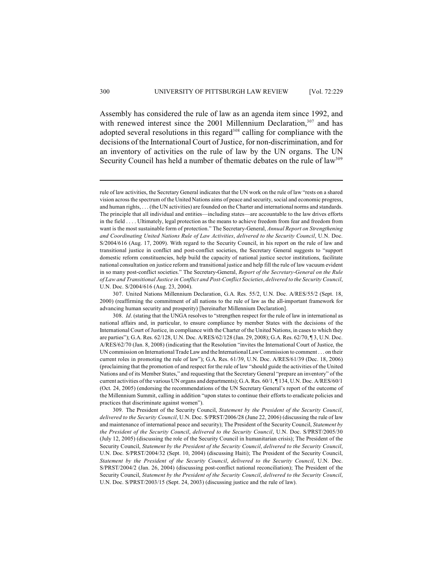Assembly has considered the rule of law as an agenda item since 1992, and with renewed interest since the 2001 Millennium Declaration,  $307$  and has adopted several resolutions in this regard $308$  calling for compliance with the decisions of the International Court of Justice, for non-discrimination, and for an inventory of activities on the rule of law by the UN organs. The UN Security Council has held a number of thematic debates on the rule of  $law<sup>309</sup>$ 

rule of law activities, the Secretary General indicates that the UN work on the rule of law "rests on a shared vision across the spectrum of the United Nations aims of peace and security, social and economic progress, and human rights, . . . (the UN activities) are founded on the Charter and international norms and standards. The principle that all individual and entities—including states—are accountable to the law drives efforts in the field . . . . Ultimately, legal protection as the means to achieve freedom from fear and freedom from want is the most sustainable form of protection." The Secretary-General, *Annual Report on Strengthening and Coordinating United Nations Rule of Law Activities*, *delivered to the Security Council*, U.N. Doc. S/2004/616 (Aug. 17, 2009). With regard to the Security Council, in his report on the rule of law and transitional justice in conflict and post-conflict societies, the Secretary General suggests to "support domestic reform constituencies, help build the capacity of national justice sector institutions, facilitate national consultation on justice reform and transitional justice and help fill the rule of law vacuum evident in so many post-conflict societies." The Secretary-General, *Report of the Secretary-General on the Rule of Law and Transitional Justice in Conflict and Post-Conflict Societies*, *delivered to the Security Council*, U.N. Doc. S/2004/616 (Aug. 23, 2004).

<sup>307.</sup> United Nations Millennium Declaration, G.A. Res. 55/2, U.N. Doc. A/RES/55/2 (Sept. 18, 2000) (reaffirming the commitment of all nations to the rule of law as the all-important framework for advancing human security and prosperity) [hereinafter Millennium Declaration].

<sup>308.</sup> *Id*. (stating that the UNGA resolves to "strengthen respect for the rule of law in international as national affairs and, in particular, to ensure compliance by member States with the decisions of the International Court of Justice, in compliance with the Charter of the United Nations, in casesto which they are parties"); G.A. Res. 62/128, U.N. Doc. A/RES/62/128 (Jan. 29, 2008); G.A. Res. 62/70, ¶ 3, U.N. Doc. A/RES/62/70 (Jan. 8, 2008) (indicating that the Resolution "invites the International Court of Justice, the UN commission on International Trade Law and the InternationalLawCommission to comment . . . on their current roles in promoting the rule of law"); G.A. Res. 61/39, U.N. Doc. A/RES/61/39 (Dec. 18, 2006) (proclaiming that the promotion of and respect for the rule of law "should guide the activities of the United Nations and of its Member States," and requesting that the Secretary General "prepare an inventory" of the current activities of the various UN organs and departments); G.A. Res. 60/1, ¶ 134, U.N. Doc. A/RES/60/1 (Oct. 24, 2005) (endorsing the recommendations of the UN Secretary General's report of the outcome of the Millennium Summit, calling in addition "upon states to continue their efforts to eradicate policies and practices that discriminate against women").

<sup>309.</sup> The President of the Security Council, *Statement by the President of the Security Council*, *delivered to the Security Council*, U.N. Doc. S/PRST/2006/28 (June 22, 2006) (discussing the rule of law and maintenance of international peace and security); The President of the Security Council, *Statement by the President of the Security Council*, *delivered to the Security Council*, U.N. Doc. S/PRST/2005/30 (July 12, 2005) (discussing the role of the Security Council in humanitarian crisis); The President of the Security Council, *Statement by the President of the Security Council*, *delivered to the Security Council*, U.N. Doc. S/PRST/2004/32 (Sept. 10, 2004) (discussing Haiti); The President of the Security Council, *Statement by the President of the Security Council*, *delivered to the Security Council*, U.N. Doc. S/PRST/2004/2 (Jan. 26, 2004) (discussing post-conflict national reconciliation); The President of the Security Council, *Statement by the President of the Security Council*, *delivered to the Security Council*, U.N. Doc. S/PRST/2003/15 (Sept. 24, 2003) (discussing justice and the rule of law).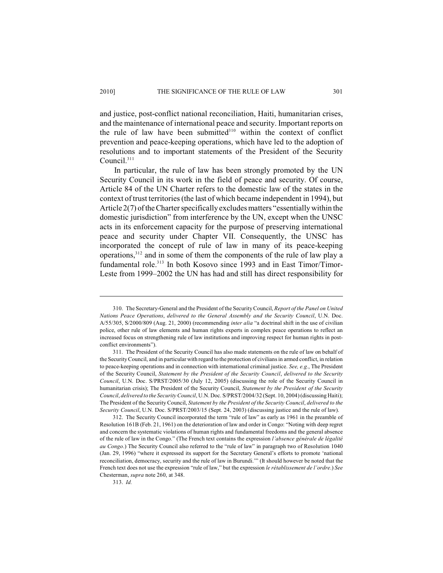and justice, post-conflict national reconciliation, Haiti, humanitarian crises, and the maintenance of international peace and security. Important reports on the rule of law have been submitted $310$  within the context of conflict prevention and peace-keeping operations, which have led to the adoption of resolutions and to important statements of the President of the Security

In particular, the rule of law has been strongly promoted by the UN Security Council in its work in the field of peace and security. Of course, Article 84 of the UN Charter refers to the domestic law of the states in the context of trust territories (the last of which became independent in 1994), but Article 2(7) of the Charter specifically excludes matters "essentially within the domestic jurisdiction" from interference by the UN, except when the UNSC acts in its enforcement capacity for the purpose of preserving international peace and security under Chapter VII. Consequently, the UNSC has incorporated the concept of rule of law in many of its peace-keeping operations, $312$  and in some of them the components of the rule of law play a fundamental role.<sup>313</sup> In both Kosovo since 1993 and in East Timor/Timor-Leste from 1999–2002 the UN has had and still has direct responsibility for

313. *Id.*

Council. 311

<sup>310.</sup> The Secretary-General and the President of the Security Council, *Report of the Panel on United Nations Peace Operations*, *delivered to the General Assembly and the Security Council*, U.N. Doc. A/55/305, S/2000/809 (Aug. 21, 2000) (recommending *inter alia* "a doctrinal shift in the use of civilian police, other rule of law elements and human rights experts in complex peace operations to reflect an increased focus on strengthening rule of law institutions and improving respect for human rights in postconflict environments").

<sup>311.</sup> The President of the Security Council has also made statements on the rule of law on behalf of the Security Council, and in particular with regard to the protection of civilians in armed conflict, in relation to peace-keeping operations and in connection with international criminal justice. *See, e.g.*, The President of the Security Council, *Statement by the President of the Security Council*, *delivered to the Security Council*, U.N. Doc. S/PRST/2005/30 (July 12, 2005) (discussing the role of the Security Council in humanitarian crisis); The President of the Security Council, *Statement by the President of the Security Council*, *delivered to the Security Council*, U.N. Doc. S/PRST/2004/32 (Sept. 10, 2004) (discussing Haiti); The President of the Security Council, *Statement by the President of the Security Council*, *delivered to the Security Council*, U.N. Doc. S/PRST/2003/15 (Sept. 24, 2003) (discussing justice and the rule of law).

<sup>312.</sup> The Security Council incorporated the term "rule of law" as early as 1961 in the preamble of Resolution 161B (Feb. 21, 1961) on the deterioration of law and order in Congo: "Noting with deep regret and concern the systematic violations of human rights and fundamental freedoms and the general absence of the rule of law in the Congo." (The French text contains the expression *l'absence générale de légalité au Congo*.) The Security Council also referred to the "rule of law" in paragraph two of Resolution 1040 (Jan. 29, 1996) "where it expressed its support for the Secretary General's efforts to promote 'national reconciliation, democracy, security and the rule of law in Burundi.'" (It should however be noted that the French text does not use the expression "rule of law," but the expression *le rétablissement de l'ordre*.) *See* Chesterman, *supra* note 260, at 348.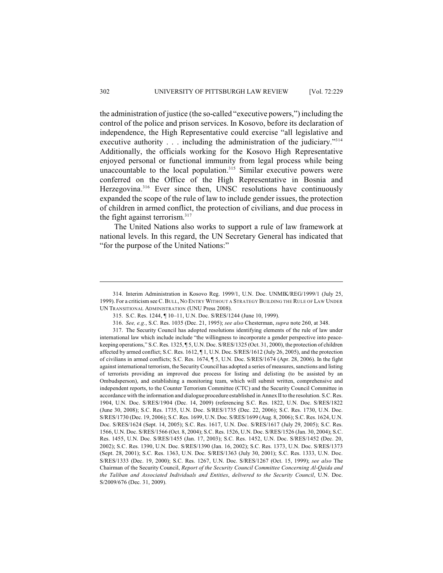the administration of justice (the so-called "executive powers,") including the control of the police and prison services. In Kosovo, before its declaration of independence, the High Representative could exercise "all legislative and executive authority . . . including the administration of the judiciary."<sup>314</sup> Additionally, the officials working for the Kosovo High Representative enjoyed personal or functional immunity from legal process while being unaccountable to the local population.<sup>315</sup> Similar executive powers were conferred on the Office of the High Representative in Bosnia and Herzegovina. $316$  Ever since then, UNSC resolutions have continuously expanded the scope of the rule of law to include gender issues, the protection of children in armed conflict, the protection of civilians, and due process in the fight against terrorism. $317$ 

The United Nations also works to support a rule of law framework at national levels. In this regard, the UN Secretary General has indicated that "for the purpose of the United Nations:"

<sup>314.</sup> Interim Administration in Kosovo Reg. 1999/1, U.N. Doc. UNMIK/REG/1999/1 (July 25, 1999). For a criticism see C.BULL, NO ENTRY WITHOUT A STRATEGY BUILDING THE RULE OF LAW UNDER UN TRANSITIONAL ADMINISTRATION (UNU Press 2008).

<sup>315.</sup> S.C. Res. 1244, ¶ 10–11, U.N. Doc. S/RES/1244 (June 10, 1999).

<sup>316.</sup> *See, e.g.*, S.C. Res. 1035 (Dec. 21, 1995); *see also* Chesterman, *supra* note 260, at 348.

<sup>317.</sup> The Security Council has adopted resolutions identifying elements of the rule of law under international law which include include "the willingness to incorporate a gender perspective into peacekeeping operations," S.C. Res. 1325, ¶ 5, U.N. Doc. S/RES/1325 (Oct. 31, 2000), the protection of children affected by armed conflict; S.C. Res. 1612, ¶ 1, U.N. Doc. S/RES/1612 (July 26, 2005), and the protection of civilians in armed conflicts; S.C. Res. 1674, ¶ 5, U.N. Doc. S/RES/1674 (Apr. 28, 2006). In the fight against international terrorism, the Security Council has adopted a series of measures, sanctions and listing of terrorists providing an improved due process for listing and delisting (to be assisted by an Ombudsperson), and establishing a monitoring team, which will submit written, comprehensive and independent reports, to the Counter Terrorism Committee (CTC) and the Security Council Committee in accordance with the information and dialogue procedure established in Annex IIto the resolution. S.C. Res. 1904, U.N. Doc. S/RES/1904 (Dec. 14, 2009) (referencing S.C. Res. 1822, U.N. Doc. S/RES/1822 (June 30, 2008); S.C. Res. 1735, U.N. Doc. S/RES/1735 (Dec. 22, 2006); S.C. Res. 1730, U.N. Doc. S/RES/1730 (Dec. 19, 2006); S.C. Res. 1699, U.N. Doc. S/RES/1699 (Aug. 8, 2006); S.C. Res. 1624, U.N. Doc. S/RES/1624 (Sept. 14, 2005); S.C. Res. 1617, U.N. Doc. S/RES/1617 (July 29, 2005); S.C. Res. 1566, U.N. Doc. S/RES/1566 (Oct. 8, 2004); S.C. Res. 1526, U.N. Doc. S/RES/1526 (Jan. 30, 2004); S.C. Res. 1455, U.N. Doc. S/RES/1455 (Jan. 17, 2003); S.C. Res. 1452, U.N. Doc. S/RES/1452 (Dec. 20, 2002); S.C. Res. 1390, U.N. Doc. S/RES/1390 (Jan. 16, 2002); S.C. Res. 1373, U.N. Doc. S/RES/1373 (Sept. 28, 2001); S.C. Res. 1363, U.N. Doc. S/RES/1363 (July 30, 2001); S.C. Res. 1333, U.N. Doc. S/RES/1333 (Dec. 19, 2000); S.C. Res. 1267, U.N. Doc. S/RES/1267 (Oct. 15, 1999); *see also* The Chairman of the Security Council, *Report of the Security Council Committee Concerning Al-Qaida and the Taliban and Associated Individuals and Entities*, *delivered to the Security Council*, U.N. Doc. S/2009/676 (Dec. 31, 2009).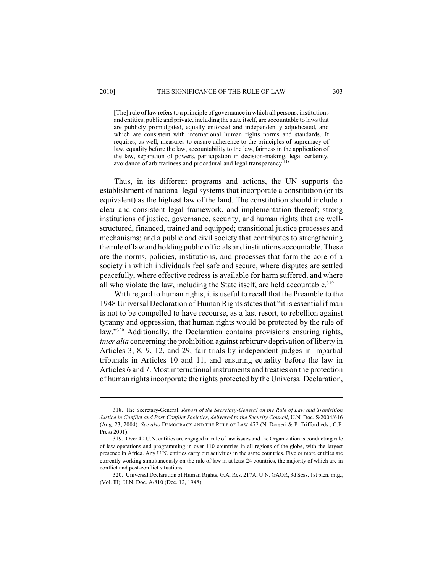[The] rule oflaw refers to a principle of governance in which all persons, institutions and entities, public and private, including the state itself, are accountable to laws that are publicly promulgated, equally enforced and independently adjudicated, and which are consistent with international human rights norms and standards. It requires, as well, measures to ensure adherence to the principles of supremacy of law, equality before the law, accountability to the law, fairness in the application of the law, separation of powers, participation in decision-making, legal certainty, avoidance of arbitrariness and procedural and legal transparency.<sup>3</sup>

Thus, in its different programs and actions, the UN supports the establishment of national legal systems that incorporate a constitution (or its equivalent) as the highest law of the land. The constitution should include a clear and consistent legal framework, and implementation thereof; strong institutions of justice, governance, security, and human rights that are wellstructured, financed, trained and equipped; transitional justice processes and mechanisms; and a public and civil society that contributes to strengthening the rule of law and holding public officials and institutions accountable. These are the norms, policies, institutions, and processes that form the core of a society in which individuals feel safe and secure, where disputes are settled peacefully, where effective redress is available for harm suffered, and where all who violate the law, including the State itself, are held accountable.<sup>319</sup>

With regard to human rights, it is useful to recall that the Preamble to the 1948 Universal Declaration of Human Rights states that "it is essential if man is not to be compelled to have recourse, as a last resort, to rebellion against tyranny and oppression, that human rights would be protected by the rule of law."<sup>320</sup> Additionally, the Declaration contains provisions ensuring rights, *inter alia* concerning the prohibition against arbitrary deprivation of liberty in Articles 3, 8, 9, 12, and 29, fair trials by independent judges in impartial tribunals in Articles 10 and 11, and ensuring equality before the law in Articles 6 and 7. Most international instruments and treaties on the protection of human rights incorporate the rights protected by the Universal Declaration,

<sup>318.</sup> The Secretary-General, *Report of the Secretary-General on the Rule of Law and Tranisition Justice in Conflict and Post-Conflict Societies*, *delivered to the Security Council*, U.N. Doc. S/2004/616 (Aug. 23, 2004). *See also* DEMOCRACY AND THE RULE OF LAW 472 (N. Dorseri & P. Trifford eds., C.F. Press 2001).

<sup>319.</sup> Over 40 U.N. entities are engaged in rule of law issues and the Organization is conducting rule of law operations and programming in over 110 countries in all regions of the globe, with the largest presence in Africa. Any U.N. entities carry out activities in the same countries. Five or more entities are currently working simultaneously on the rule of law in at least 24 countries, the majority of which are in conflict and post-conflict situations.

<sup>320.</sup> Universal Declaration of Human Rights, G.A. Res. 217A, U.N. GAOR, 3d Sess. 1st plen. mtg., (Vol. III), U.N. Doc. A/810 (Dec. 12, 1948).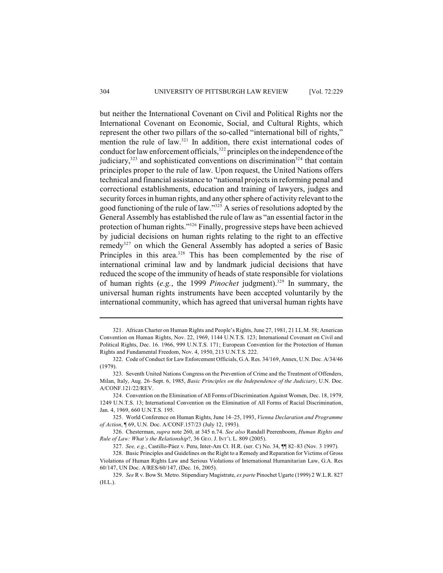but neither the International Covenant on Civil and Political Rights nor the International Covenant on Economic, Social, and Cultural Rights, which represent the other two pillars of the so-called "international bill of rights," mention the rule of law. $321$  In addition, there exist international codes of conduct for law enforcement officials,  $322$  principles on the independence of the judiciary,  $323$  and sophisticated conventions on discrimination  $324$  that contain principles proper to the rule of law. Upon request, the United Nations offers technical and financial assistance to "national projects in reforming penal and correctional establishments, education and training of lawyers, judges and security forces in human rights, and any other sphere of activity relevant to the good functioning of the rule of law." $325$  A series of resolutions adopted by the General Assembly has established the rule of law as "an essential factor in the protection of human rights."<sup>326</sup> Finally, progressive steps have been achieved by judicial decisions on human rights relating to the right to an effective remedy<sup>327</sup> on which the General Assembly has adopted a series of Basic Principles in this area. $328$  This has been complemented by the rise of international criminal law and by landmark judicial decisions that have reduced the scope of the immunity of heads of state responsible for violations of human rights (e.g., the 1999 *Pinochet* judgment).<sup>329</sup> In summary, the universal human rights instruments have been accepted voluntarily by the international community, which has agreed that universal human rights have

<sup>321.</sup> African Charter on Human Rights and People's Rights, June 27, 1981, 21 I.L.M. 58; American Convention on Human Rights, Nov. 22, 1969, 1144 U.N.T.S. 123; International Covenant on Civil and Political Rights, Dec. 16. 1966, 999 U.N.T.S. 171; European Convention for the Protection of Human Rights and Fundamental Freedom, Nov. 4, 1950, 213 U.N.T.S. 222.

<sup>322.</sup> Code of Conduct for Law Enforcement Officials, G.A. Res. 34/169, Annex, U.N. Doc. A/34/46 (1979).

<sup>323.</sup> Seventh United Nations Congress on the Prevention of Crime and the Treatment of Offenders, Milan, Italy, Aug. 26–Sept. 6, 1985, *Basic Principles on the Independence of the Judiciary*, U.N. Doc. A/CONF.121/22/REV.

<sup>324.</sup> Convention on the Elimination of All Forms of Discrimination Against Women, Dec. 18, 1979, 1249 U.N.T.S. 13; International Convention on the Elimination of All Forms of Racial Discrimination, Jan. 4, 1969, 660 U.N.T.S. 195.

<sup>325.</sup> World Conference on Human Rights, June 14–25, 1993, *Vienna Declaration and Programme of Action*, ¶ 69, U.N. Doc. A/CONF.157/23 (July 12, 1993).

<sup>326.</sup> Chesterman, *supra* note 260, at 345 n.74. *See also* Randall Peerenboom, *Human Rights and Rule of Law: What's the Relationship*?, 36 GEO. J. INT'L L. 809 (2005).

<sup>327.</sup> *See, e.g.*, Castillo-Páez v. Peru, Inter-Am Ct. H.R. (ser. C) No. 34, ¶¶ 82–83 (Nov. 3 1997).

<sup>328.</sup> Basic Principles and Guidelines on the Right to a Remedy and Reparation for Victims of Gross Violations of Human Rights Law and Serious Violations of International Humanitarian Law, G.A. Res 60/147, UN Doc. A/RES/60/147, (Dec. 16, 2005).

<sup>329.</sup> *See* R v. Bow St. Metro. Stipendiary Magistrate, *ex parte* Pinochet Ugarte (1999) 2 W.L.R. 827 (H.L.).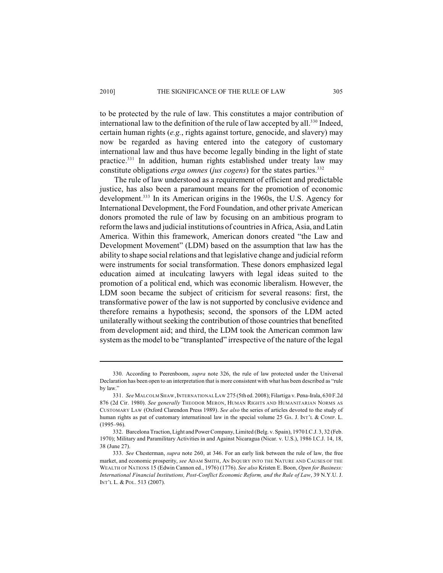to be protected by the rule of law. This constitutes a major contribution of international law to the definition of the rule of law accepted by all. $^{330}$  Indeed, certain human rights (*e.g.*, rights against torture, genocide, and slavery) may now be regarded as having entered into the category of customary international law and thus have become legally binding in the light of state practice.<sup>331</sup> In addition, human rights established under treaty law may constitute obligations *erga omnes* (*jus cogens*) for the states parties.<sup>332</sup>

The rule of law understood as a requirement of efficient and predictable justice, has also been a paramount means for the promotion of economic development.<sup>333</sup> In its American origins in the 1960s, the U.S. Agency for International Development, the Ford Foundation, and other private American donors promoted the rule of law by focusing on an ambitious program to reform the laws and judicial institutions of countries in Africa, Asia, and Latin America. Within this framework, American donors created "the Law and Development Movement" (LDM) based on the assumption that law has the ability to shape social relations and that legislative change and judicial reform were instruments for social transformation. These donors emphasized legal education aimed at inculcating lawyers with legal ideas suited to the promotion of a political end, which was economic liberalism. However, the LDM soon became the subject of criticism for several reasons: first, the transformative power of the law is not supported by conclusive evidence and therefore remains a hypothesis; second, the sponsors of the LDM acted unilaterally without seeking the contribution of those countries that benefited from development aid; and third, the LDM took the American common law system as the model to be "transplanted" irrespective of the nature of the legal

<sup>330.</sup> According to Peerenboom, *supra* note 326, the rule of law protected under the Universal Declaration has been open to an interpretation that is more consistent with what has been described as "rule by law."

<sup>331.</sup> *See* MALCOLM SHAW,INTERNATIONAL LAW 275 (5th ed. 2008); Filartiga v. Pena-Irala, 630 F.2d 876 (2d Cir. 1980). *See generally* THEODOR MERON, HUMAN RIGHTS AND HUMANITARIAN NORMS AS CUSTOMARY LAW (Oxford Clarendon Press 1989). *See also* the series of articles devoted to the study of human rights as pat of customary internatinoal law in the special volume 25 GA. J. INT'L & COMP. L. (1995–96).

<sup>332.</sup> Barcelona Traction, Light and Power Company, Limited (Belg. v. Spain), 1970 I.C.J. 3, 32 (Feb. 1970); Military and Paramilitary Activities in and Against Nicaragua (Nicar. v. U.S.), 1986 I.C.J. 14, 18, 38 (June 27).

<sup>333.</sup> *See* Chesterman, *supra* note 260, at 346. For an early link between the rule of law, the free market, and economic prosperity, *see* ADAM SMITH, AN INQUIRY INTO THE NATURE AND CAUSES OF THE WEALTH OF NATIONS 15 (Edwin Cannon ed., 1976) (1776). *See also* Kristen E. Boon, *Open for Business: International Financial Institutions, Post-Conflict Economic Reform, and the Rule of Law*, 39 N.Y.U. J. INT'L L. & POL. 513 (2007).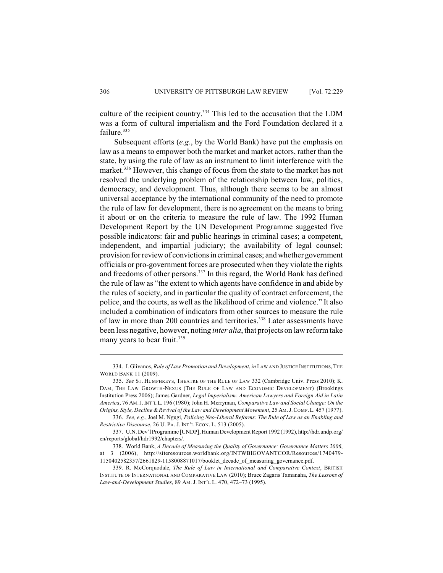culture of the recipient country.<sup>334</sup> This led to the accusation that the LDM was a form of cultural imperialism and the Ford Foundation declared it a failure.<sup>335</sup>

Subsequent efforts (*e.g.*, by the World Bank) have put the emphasis on law as a means to empower both the market and market actors, rather than the state, by using the rule of law as an instrument to limit interference with the market.<sup>336</sup> However, this change of focus from the state to the market has not resolved the underlying problem of the relationship between law, politics, democracy, and development. Thus, although there seems to be an almost universal acceptance by the international community of the need to promote the rule of law for development, there is no agreement on the means to bring it about or on the criteria to measure the rule of law. The 1992 Human Development Report by the UN Development Programme suggested five possible indicators: fair and public hearings in criminal cases; a competent, independent, and impartial judiciary; the availability of legal counsel; provision for review of convictions in criminal cases; and whether government officials or pro-government forces are prosecuted when they violate the rights and freedoms of other persons.<sup>337</sup> In this regard, the World Bank has defined the rule of law as "the extent to which agents have confidence in and abide by the rules of society, and in particular the quality of contract enforcement, the police, and the courts, as well as the likelihood of crime and violence." It also included a combination of indicators from other sources to measure the rule of law in more than 200 countries and territories.<sup>338</sup> Later assessments have been less negative, however, noting *inter alia*, that projects on law reform take many years to bear fruit.<sup>339</sup>

<sup>334.</sup> I. Glivanos, *Rule of Law Promotion and Development*, *in* LAW AND JUSTICE INSTITUTIONS,THE WORLD BANK 11 (2009).

<sup>335.</sup> *See* ST. HUMPHREYS, THEATRE OF THE RULE OF LAW 332 (Cambridge Univ. Press 2010); K. DAM, THE LAW GROWTH-NEXUS (THE RULE OF LAW AND ECONOMIC DEVELOPMENT) (Brookings Institution Press 2006); James Gardner, *Legal Imperialism: American Lawyers and Foreign Aid in Latin America*, 76 AM.J.INT'L L. 196 (1980); John H. Merryman, *Comparative Law and Social Change: On the Origins, Style, Decline &Revival of the Law and Development Movement*, 25 AM.J.COMP.L. 457 (1977).

<sup>336.</sup> *See, e.g.*, Joel M. Ngugi*, Policing Neo-Liberal Reforms: The Rule of Law as an Enabling and Restrictive Discourse*, 26 U. PA. J. INT'L ECON. L. 513 (2005).

<sup>337.</sup> U.N. Dev'l Programme [UNDP], Human Development Report 1992 (1992), http://hdr.undp.org/ en/reports/global/hdr1992/chapters/.

<sup>338.</sup> World Bank, *A Decade of Measuring the Quality of Governance: Governance Matters 2006*, at 3 (2006), http://siteresources.worldbank.org/INTWBIGOVANTCOR/Resources/1740479- 1150402582357/2661829-1158008871017/booklet\_decade\_of\_measuring\_governance.pdf.

<sup>339.</sup> R. McCorquodale, *The Rule of Law in International and Comparative Context*, BRITISH INSTITUTE OF INTERNATIONAL AND COMPARATIVE LAW (2010); Bruce Zagaris Tamanaha, *The Lessons of Law-and-Development Studies*, 89 AM. J. INT'L L. 470, 472–73 (1995).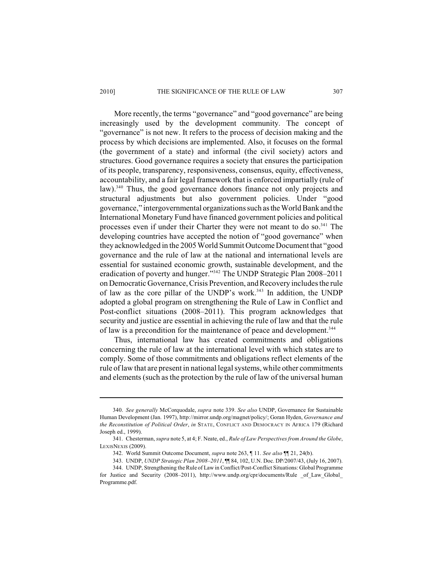#### 2010] THE SIGNIFICANCE OF THE RULE OF LAW 307

More recently, the terms "governance" and "good governance" are being increasingly used by the development community. The concept of "governance" is not new. It refers to the process of decision making and the process by which decisions are implemented. Also, it focuses on the formal (the government of a state) and informal (the civil society) actors and structures. Good governance requires a society that ensures the participation of its people, transparency, responsiveness, consensus, equity, effectiveness, accountability, and a fair legal framework that is enforced impartially (rule of law).<sup>340</sup> Thus, the good governance donors finance not only projects and structural adjustments but also government policies. Under "good governance," intergovernmental organizations such as the World Bank and the International Monetary Fund have financed government policies and political processes even if under their Charter they were not meant to do so. $341$  The developing countries have accepted the notion of "good governance" when they acknowledged in the 2005 World Summit Outcome Document that "good governance and the rule of law at the national and international levels are essential for sustained economic growth, sustainable development, and the eradication of poverty and hunger."<sup>342</sup> The UNDP Strategic Plan 2008–2011 on Democratic Governance, Crisis Prevention, and Recovery includes the rule of law as the core pillar of the UNDP's work.<sup>343</sup> In addition, the UNDP adopted a global program on strengthening the Rule of Law in Conflict and Post-conflict situations (2008–2011). This program acknowledges that security and justice are essential in achieving the rule of law and that the rule of law is a precondition for the maintenance of peace and development.<sup>344</sup>

Thus, international law has created commitments and obligations concerning the rule of law at the international level with which states are to comply. Some of those commitments and obligations reflect elements of the rule of law that are present in national legal systems, while other commitments and elements (such as the protection by the rule of law of the universal human

<sup>340.</sup> *See generally* McCorquodale, *supra* note 339. *See also* UNDP, Governance for Sustainable Human Development (Jan. 1997), http://mirror.undp.org/magnet/policy/; Goran Hyden, *Governance and the Reconstitution of Political Order*, *in* STATE, CONFLICT AND DEMOCRACY IN AFRICA 179 (Richard Joseph ed., 1999).

<sup>341.</sup> Chesterman, *supra* note 5, at 4; F. Neate, ed., *Rule of Law Perspectives from Around the Globe*, LEXISNEXIS (2009).

<sup>342.</sup> World Summit Outcome Document, *supra* note 263, ¶ 11. *See also* ¶¶ 21, 24(b).

<sup>343.</sup> UNDP, *UNDP Strategic Plan 2008–2011*, ¶¶ 84, 102, U.N. Doc. DP/2007/43, (July 16, 2007).

<sup>344.</sup> UNDP, Strengthening the Rule of Law in Conflict/Post-Conflict Situations: Global Programme

for Justice and Security (2008–2011), http://www.undp.org/cpr/documents/Rule of Law Global Programme.pdf.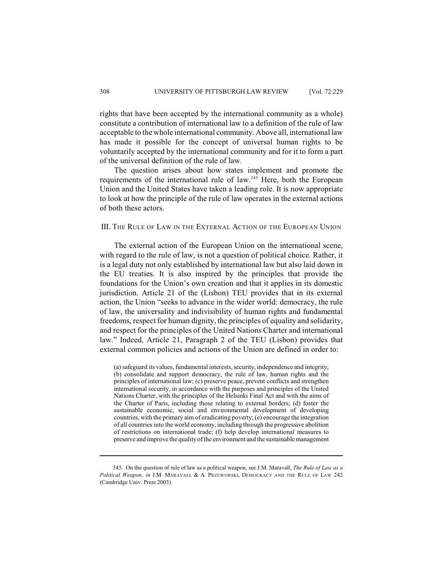rights that have been accepted by the international community as a whole) constitute a contribution of international law to a definition of the rule of law acceptable to the whole international community. Above all, international law has made it possible for the concept of universal human rights to be voluntarily accepted by the international community and for it to form a part of the universal definition of the rule of law.

The question arises about how states implement and promote the requirements of the international rule of law.  $345$  Here, both the European Union and the United States have taken a leading role. It is now appropriate to look at how the principle of the rule of law operates in the external actions of both these actors.

## III. THE RULE OF LAW IN THE EXTERNAL ACTION OF THE EUROPEAN UNION

The external action of the European Union on the international scene, with regard to the rule of law, is not a question of political choice. Rather, it is a legal duty not only established by international law but also laid down in the EU treaties. It is also inspired by the principles that provide the foundations for the Union's own creation and that it applies in its domestic jurisdiction. Article 21 of the (Lisbon) TEU provides that in its external action, the Union "seeks to advance in the wider world: democracy, the rule of law, the universality and indivisibility of human rights and fundamental freedoms, respect for human dignity, the principles of equality and solidarity, and respect for the principles of the United Nations Charter and international law." Indeed, Article 21, Paragraph 2 of the TEU (Lisbon) provides that external common policies and actions of the Union are defined in order to:

(a) safeguard its values, fundamental interests, security, independence and integrity; (b) consolidate and support democracy, the rule of law, human rights and the principles of international law; (c) preserve peace, prevent conflicts and strengthen international security, in accordance with the purposes and principles of the United Nations Charter, with the principles of the Helsinki Final Act and with the aims of the Charter of Paris, including those relating to external borders; (d) foster the sustainable economic, social and environmental development of developing countries, with the primary aim of eradicating poverty; (e) encourage the integration of all countries into the world economy, including through the progressive abolition of restrictions on international trade; (f) help develop international measures to preserve and improve the quality of the environment and the sustainable management

<sup>345.</sup> On the question of rule of law as a political weapon, see J.M. Maravall, *The Rule of Law as a Political Weapon*, *in* J.M. MARAVALL & A. PRZEWORSKI, DEMOCRACY AND THE RULE OF LAW 242 (Cambridge Univ. Press 2003).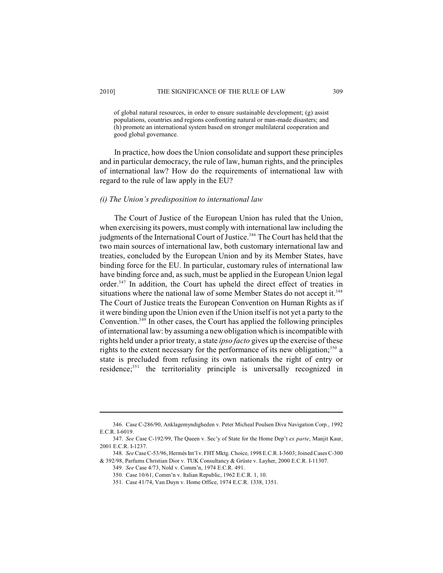of global natural resources, in order to ensure sustainable development; (g) assist populations, countries and regions confronting natural or man-made disasters; and (h) promote an international system based on stronger multilateral cooperation and good global governance.

In practice, how does the Union consolidate and support these principles and in particular democracy, the rule of law, human rights, and the principles of international law? How do the requirements of international law with regard to the rule of law apply in the EU?

## *(i) The Union's predisposition to international law*

The Court of Justice of the European Union has ruled that the Union, when exercising its powers, must comply with international law including the judgments of the International Court of Justice.<sup>346</sup> The Court has held that the two main sources of international law, both customary international law and treaties, concluded by the European Union and by its Member States, have binding force for the EU. In particular, customary rules of international law have binding force and, as such, must be applied in the European Union legal order.<sup>347</sup> In addition, the Court has upheld the direct effect of treaties in situations where the national law of some Member States do not accept it.<sup>348</sup> The Court of Justice treats the European Convention on Human Rights as if it were binding upon the Union even if the Union itself is not yet a party to the Convention.<sup>349</sup> In other cases, the Court has applied the following principles of international law: by assuming a new obligation which is incompatible with rights held under a prior treaty, a state *ipso facto* gives up the exercise of these rights to the extent necessary for the performance of its new obligation;  $350$  a state is precluded from refusing its own nationals the right of entry or residence; $351$  the territoriality principle is universally recognized in

<sup>346.</sup> Case C-286/90, Anklagemyndigheden v. Peter Micheal Poulsen Diva Navigation Corp., 1992 E.C.R. I-6019.

<sup>347.</sup> *See* Case C-192/99, The Queen v. Sec'y of State for the Home Dep't *ex parte*, Manjit Kaur, 2001 E.C.R. I-1237.

<sup>348.</sup> *See* Case C-53/96, Hermès Int'l v. FHT Mktg. Choice, 1998 E.C.R. I-3603; Joined Cases C-300 & 392/98, Parfums Christian Dior v. TUK Consultancy & Grüste v. Layher, 2000 E.C.R. I-11307.

<sup>349.</sup> *See* Case 4/73, Nold v. Comm'n, 1974 E.C.R. 491.

<sup>350.</sup> Case 10/61, Comm'n v. Italian Republic, 1962 E.C.R. 1, 10.

<sup>351.</sup> Case 41/74, Van Duyn v. Home Office, 1974 E.C.R. 1338, 1351.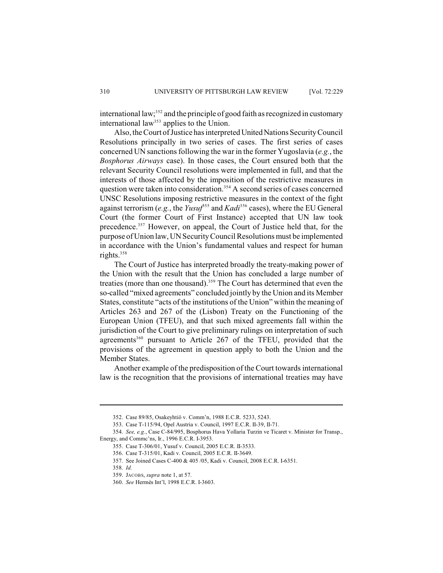international law;<sup>352</sup> and the principle of good faith as recognized in customary international law<sup>353</sup> applies to the Union.

Also, the Court of Justice has interpreted United Nations Security Council Resolutions principally in two series of cases. The first series of cases concerned UN sanctions following the war in the former Yugoslavia (*e.g.*, the *Bosphorus Airways* case). In those cases, the Court ensured both that the relevant Security Council resolutions were implemented in full, and that the interests of those affected by the imposition of the restrictive measures in question were taken into consideration.<sup> $354$ </sup> A second series of cases concerned UNSC Resolutions imposing restrictive measures in the context of the fight against terrorism (*e.g.*, the  $Y_{usu}f^{355}$  and  $Kadi^{356}$  cases), where the EU General Court (the former Court of First Instance) accepted that UN law took precedence.<sup>357</sup> However, on appeal, the Court of Justice held that, for the purpose of Union law,UNSecurityCouncil Resolutions must be implemented in accordance with the Union's fundamental values and respect for human rights.<sup>358</sup>

The Court of Justice has interpreted broadly the treaty-making power of the Union with the result that the Union has concluded a large number of treaties (more than one thousand).<sup>359</sup> The Court has determined that even the so-called "mixed agreements" concluded jointly by the Union and its Member States, constitute "acts of the institutions of the Union" within the meaning of Articles 263 and 267 of the (Lisbon) Treaty on the Functioning of the European Union (TFEU), and that such mixed agreements fall within the jurisdiction of the Court to give preliminary rulings on interpretation of such agreements<sup>360</sup> pursuant to Article 267 of the TFEU, provided that the provisions of the agreement in question apply to both the Union and the Member States.

Another example of the predisposition of the Court towards international law is the recognition that the provisions of international treaties may have

<sup>352.</sup> Case 89/85, Osakeyhtiö v. Comm'n, 1988 E.C.R. 5233, 5243.

<sup>353.</sup> Case T-115/94, Opel Austria v. Council, 1997 E.C.R. II-39, II-71.

<sup>354.</sup> *See, e.g.*, Case C-84/995, Bosphorus Hava Yollaria Turzin ve Ticaret v. Minister for Transp., Energy, and Commc'ns, Ir., 1996 E.C.R. I-3953.

<sup>355.</sup> Case T-306/01, Yusuf v. Council, 2005 E.C.R. II-3533.

<sup>356.</sup> Case T-315/01, Kadi v. Council, 2005 E.C.R. II-3649.

<sup>357.</sup> See Joined Cases C-400 & 405 /05, Kadi v. Council, 2008 E.C.R. I-6351.

<sup>358.</sup> *Id.*

<sup>359.</sup> JACOBS, *supra* note 1, at 57.

<sup>360.</sup> *See* Hermès Int'l, 1998 E.C.R. I-3603.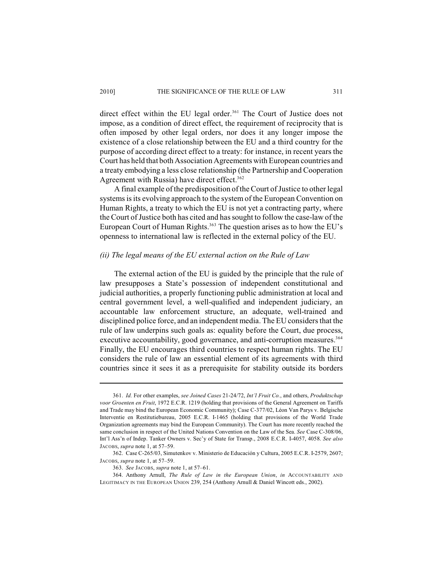direct effect within the EU legal order. $361$  The Court of Justice does not impose, as a condition of direct effect, the requirement of reciprocity that is often imposed by other legal orders, nor does it any longer impose the existence of a close relationship between the EU and a third country for the purpose of according direct effect to a treaty: for instance, in recent years the Court has held that both Association Agreements with European countries and a treaty embodying a less close relationship (the Partnership and Cooperation Agreement with Russia) have direct effect.<sup>362</sup>

A final example of the predisposition of the Court of Justice to other legal systems is its evolving approach to the system of the European Convention on Human Rights, a treaty to which the EU is not yet a contracting party, where the Court of Justice both has cited and has sought to follow the case-law of the European Court of Human Rights.<sup>363</sup> The question arises as to how the EU's openness to international law is reflected in the external policy of the EU.

# *(ii) The legal means of the EU external action on the Rule of Law*

The external action of the EU is guided by the principle that the rule of law presupposes a State's possession of independent constitutional and judicial authorities, a properly functioning public administration at local and central government level, a well-qualified and independent judiciary, an accountable law enforcement structure, an adequate, well-trained and disciplined police force, and an independent media. The EU considers that the rule of law underpins such goals as: equality before the Court, due process, executive accountability, good governance, and anti-corruption measures.<sup>364</sup> Finally, the EU encourages third countries to respect human rights. The EU considers the rule of law an essential element of its agreements with third countries since it sees it as a prerequisite for stability outside its borders

<sup>361.</sup> *Id.* For other examples, *see Joined Cases* 21-24/72, *Int'l Fruit Co.*, and others, *Produktschap voor Groenten en Fruit*, 1972 E.C.R. 1219 (holding that provisions of the General Agreement on Tariffs and Trade may bind the European Economic Community); Case C-377/02, Léon Van Parys v. Belgische Interventie en Restitutiebureau, 2005 E.C.R. I-1465 (holding that provisions of the World Trade Organization agreements may bind the European Community). The Court has more recently reached the same conclusion in respect of the United Nations Convention on the Law of the Sea. *See* Case C-308/06, Int'l Ass'n of Indep. Tanker Owners v. Sec'y of State for Transp., 2008 E.C.R. I-4057, 4058. *See also* JACOBS, *supra* note 1, at 57–59.

<sup>362.</sup> Case C-265/03, Simutenkov v. Ministerio de Educación y Cultura, 2005 E.C.R. I-2579, 2607; JACOBS, *supra* note 1, at 57–59.

<sup>363.</sup> *See* JACOBS, *supra* note 1, at 57–61.

<sup>364.</sup> Anthony Arnull, *The Rule of Law in the European Union*, *in* ACCOUNTABILITY AND LEGITIMACY IN THE EUROPEAN UNION 239, 254 (Anthony Arnull & Daniel Wincott eds., 2002).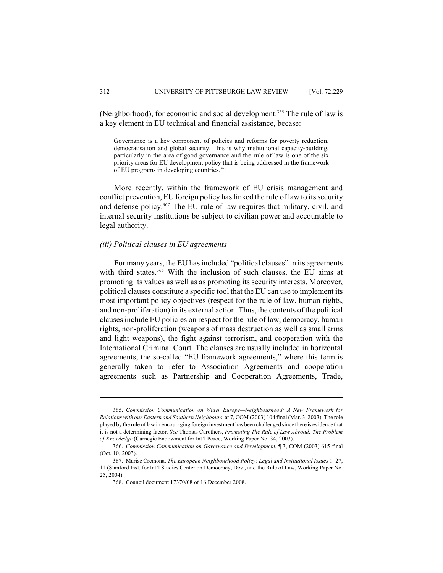(Neighborhood), for economic and social development.<sup>365</sup> The rule of law is a key element in EU technical and financial assistance, becase:

Governance is a key component of policies and reforms for poverty reduction, democratisation and global security. This is why institutional capacity-building, particularly in the area of good governance and the rule of law is one of the six priority areas for EU development policy that is being addressed in the framework of EU programs in developing countries.<sup>366</sup>

More recently, within the framework of EU crisis management and conflict prevention, EU foreign policy has linked the rule of law to its security and defense policy.<sup>367</sup> The EU rule of law requires that military, civil, and internal security institutions be subject to civilian power and accountable to legal authority.

## *(iii) Political clauses in EU agreements*

For many years, the EU has included "political clauses" in its agreements with third states.<sup>368</sup> With the inclusion of such clauses, the EU aims at promoting its values as well as as promoting its security interests. Moreover, political clauses constitute a specific tool that the EU can use to implement its most important policy objectives (respect for the rule of law, human rights, and non-proliferation) in its external action. Thus, the contents of the political clauses include EU policies on respect for the rule of law, democracy, human rights, non-proliferation (weapons of mass destruction as well as small arms and light weapons), the fight against terrorism, and cooperation with the International Criminal Court. The clauses are usually included in horizontal agreements, the so-called "EU framework agreements," where this term is generally taken to refer to Association Agreements and cooperation agreements such as Partnership and Cooperation Agreements, Trade,

<sup>365.</sup> *Commission Communication on Wider Europe—Neighbourhood: A New Framework for Relations with our Eastern and Southern Neighbours*, at 7, COM (2003) 104 final (Mar. 3, 2003). The role played by the rule of law in encouraging foreign investment has been challenged since there is evidence that it is not a determining factor. *See* Thomas Carothers, *Promoting The Rule of Law Abroad: The Problem of Knowledge* (Carnegie Endowment for Int'l Peace, Working Paper No. 34, 2003).

<sup>366.</sup> *Commission Communication on Governance and Development*, ¶ 3, COM (2003) 615 final (Oct. 10, 2003).

<sup>367.</sup> Marise Cremona, *The European Neighbourhood Policy: Legal and Institutional Issues* 1–27, 11 (Stanford Inst. for Int'l Studies Center on Democracy, Dev., and the Rule of Law, Working Paper No. 25, 2004).

<sup>368.</sup> Council document 17370/08 of 16 December 2008.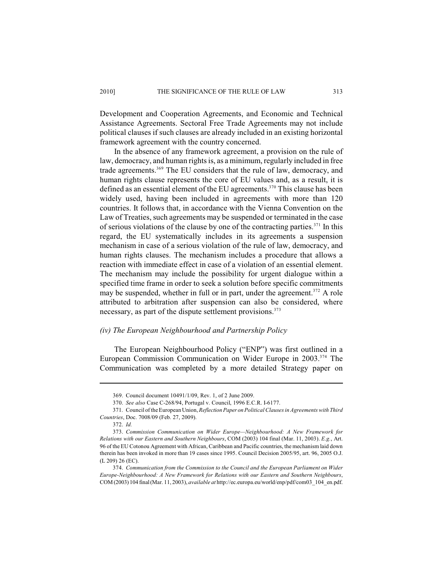Development and Cooperation Agreements, and Economic and Technical Assistance Agreements. Sectoral Free Trade Agreements may not include political clauses if such clauses are already included in an existing horizontal framework agreement with the country concerned.

In the absence of any framework agreement, a provision on the rule of law, democracy, and human rights is, as a minimum, regularly included in free trade agreements.<sup>369</sup> The EU considers that the rule of law, democracy, and human rights clause represents the core of EU values and, as a result, it is defined as an essential element of the EU agreements.<sup> $370$ </sup> This clause has been widely used, having been included in agreements with more than 120 countries. It follows that, in accordance with the Vienna Convention on the Law of Treaties, such agreements may be suspended or terminated in the case of serious violations of the clause by one of the contracting parties.<sup> $371$ </sup> In this regard, the EU systematically includes in its agreements a suspension mechanism in case of a serious violation of the rule of law, democracy, and human rights clauses. The mechanism includes a procedure that allows a reaction with immediate effect in case of a violation of an essential element. The mechanism may include the possibility for urgent dialogue within a specified time frame in order to seek a solution before specific commitments may be suspended, whether in full or in part, under the agreement.<sup>372</sup> A role attributed to arbitration after suspension can also be considered, where necessary, as part of the dispute settlement provisions.<sup>373</sup>

## *(iv) The European Neighbourhood and Partnership Policy*

The European Neighbourhood Policy ("ENP") was first outlined in a European Commission Communication on Wider Europe in 2003.<sup>374</sup> The Communication was completed by a more detailed Strategy paper on

<sup>369.</sup> Council document 10491/1/09, Rev. 1, of 2 June 2009.

<sup>370.</sup> *See also* Case C-268/94, Portugal v. Council, 1996 E.C.R. I-6177.

<sup>371.</sup> Council of the European Union, *Reflection Paper on Political Clauses in Agreements with Third Countries*, Doc. 7008/09 (Feb. 27, 2009).

<sup>372.</sup> *Id.*

<sup>373.</sup> *Commission Communication on Wider Europe—Neighbourhood: A New Framework for Relations with our Eastern and Southern Neighbours*, COM (2003) 104 final (Mar. 11, 2003). *E.g.*, Art. 96 of the EU Cotonou Agreement with African, Caribbean and Pacific countries, the mechanism laid down therein has been invoked in more than 19 cases since 1995. Council Decision 2005/95, art. 96, 2005 O.J. (L 209) 26 (EC).

<sup>374.</sup> *Communication from the Commission to the Council and the European Parliament on Wider Europe-Neighbourhood: A New Framework for Relations with our Eastern and Southern Neighbours*, COM (2003) 104 final (Mar. 11, 2003), *available at* http://ec.europa.eu/world/enp/pdf/com03\_104\_en.pdf.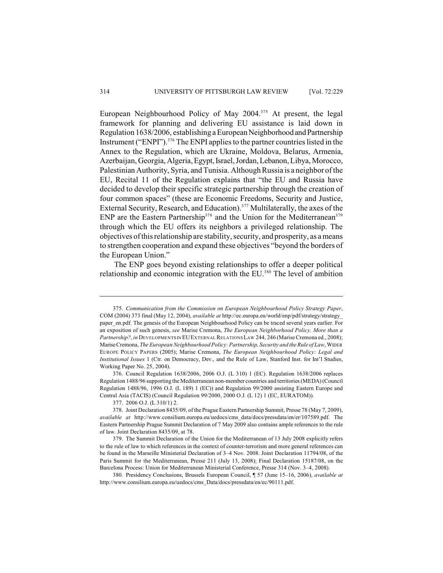European Neighbourhood Policy of May  $2004$ <sup>375</sup> At present, the legal framework for planning and delivering EU assistance is laid down in Regulation 1638/2006, establishing a European Neighborhood and Partnership Instrument ("ENPI").<sup>376</sup> The ENPI applies to the partner countries listed in the Annex to the Regulation, which are Ukraine, Moldova, Belarus, Armenia, Azerbaijan, Georgia, Algeria, Egypt, Israel, Jordan, Lebanon, Libya, Morocco, Palestinian Authority, Syria, and Tunisia. Although Russia is a neighbor of the EU, Recital 11 of the Regulation explains that "the EU and Russia have decided to develop their specific strategic partnership through the creation of four common spaces" (these are Economic Freedoms, Security and Justice, External Security, Research, and Education).<sup> $377$ </sup> Multilaterally, the axes of the ENP are the Eastern Partnership<sup>378</sup> and the Union for the Mediterranean<sup>379</sup> through which the EU offers its neighbors a privileged relationship. The objectives of this relationship are stability, security, and prosperity, as a means to strengthen cooperation and expand these objectives "beyond the borders of the European Union."

The ENP goes beyond existing relationships to offer a deeper political relationship and economic integration with the  $EU^{380}$ . The level of ambition

<sup>375.</sup> *Communication from the Commission on European Neighbourhood Policy Strategy Paper*, COM (2004) 373 final (May 12, 2004), *available at* http://ec.europa.eu/world/enp/pdf/strategy/strategy\_ paper en.pdf. The genesis of the European Neighbourhood Policy can be traced several years earlier. For an exposition of such genesis, *see* Marise Cremona, *The European Neighborhood Policy. More than a Partnership?*, *in* DEVELOPMENTS IN EUEXTERNAL RELATIONS LAW 244, 246 (Marise Cremona ed., 2008); Marise Cremona, *The European Neighbourhood Policy: Partnership, Security and the Rule of Law*, WIDER EUROPE POLICY PAPERS (2005); Marise Cremona, *The European Neighbourhood Policy: Legal and Institutional Issues* 1 (Ctr. on Democracy, Dev., and the Rule of Law, Stanford Inst. for Int'l Studies, Working Paper No. 25, 2004).

<sup>376.</sup> Council Regulation 1638/2006, 2006 O.J. (L 310) 1 (EC). Regulation 1638/2006 replaces Regulation 1488/96 supporting the Mediterranean non-member countries and territories(MEDA) (Council Regulation 1488/96, 1996 O.J. (L 189) 1 (EC)) and Regulation 99/2000 assisting Eastern Europe and Central Asia (TACIS) (Council Regulation 99/2000, 2000 O.J. (L 12) 1 (EC, EURATOM)).

<sup>377.</sup> 2006 O.J. (L 310/1) 2.

<sup>378.</sup> Joint Declaration 8435/09, of the Prague Eastern Partnership Summit, Presse 78 (May 7, 2009), *available at* http://www.consilium.europa.eu/uedocs/cms\_data/docs/pressdata/en/er/107589.pdf. The Eastern Partnership Prague Summit Declaration of 7 May 2009 also contains ample references to the rule of law. Joint Declaration 8435/09, at 78.

<sup>379.</sup> The Summit Declaration of the Union for the Mediterranean of 13 July 2008 explicitly refers to the rule of law to which references in the context of counter-terrorism and more general references can be found in the Marseille Ministerial Declaration of 3–4 Nov. 2008. Joint Declaration 11794/08, of the Paris Summit for the Mediterranean, Presse 211 (July 13, 2008); Final Declaration 15187/08, on the Barcelona Process: Union for Mediterranean Ministerial Conference, Presse 314 (Nov. 3–4, 2008).

<sup>380.</sup> Presidency Conclusions, Brussels European Council, ¶ 57 (June 15–16, 2006), *available at* http://www.consilium.europa.eu/uedocs/cms\_Data/docs/pressdata/en/ec/90111.pdf.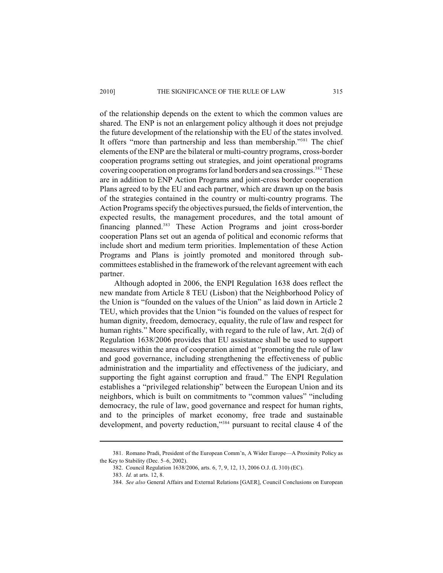#### 2010] THE SIGNIFICANCE OF THE RULE OF LAW 315

of the relationship depends on the extent to which the common values are shared. The ENP is not an enlargement policy although it does not prejudge the future development of the relationship with the EU of the states involved. It offers "more than partnership and less than membership."<sup>381</sup> The chief elements of the ENP are the bilateral or multi-country programs, cross-border cooperation programs setting out strategies, and joint operational programs covering cooperation on programs for land borders and sea crossings.<sup>382</sup> These are in addition to ENP Action Programs and joint-cross border cooperation Plans agreed to by the EU and each partner, which are drawn up on the basis of the strategies contained in the country or multi-country programs. The Action Programs specify the objectives pursued, the fields of intervention, the expected results, the management procedures, and the total amount of financing planned.<sup>383</sup> These Action Programs and joint cross-border cooperation Plans set out an agenda of political and economic reforms that include short and medium term priorities. Implementation of these Action Programs and Plans is jointly promoted and monitored through subcommittees established in the framework of the relevant agreement with each partner.

Although adopted in 2006, the ENPI Regulation 1638 does reflect the new mandate from Article 8 TEU (Lisbon) that the Neighborhood Policy of the Union is "founded on the values of the Union" as laid down in Article 2 TEU, which provides that the Union "is founded on the values of respect for human dignity, freedom, democracy, equality, the rule of law and respect for human rights." More specifically, with regard to the rule of law, Art. 2(d) of Regulation 1638/2006 provides that EU assistance shall be used to support measures within the area of cooperation aimed at "promoting the rule of law and good governance, including strengthening the effectiveness of public administration and the impartiality and effectiveness of the judiciary, and supporting the fight against corruption and fraud." The ENPI Regulation establishes a "privileged relationship" between the European Union and its neighbors, which is built on commitments to "common values" "including democracy, the rule of law, good governance and respect for human rights, and to the principles of market economy, free trade and sustainable development, and poverty reduction,"<sup>384</sup> pursuant to recital clause 4 of the

<sup>381.</sup> Romano Pradi, President of the European Comm'n, A Wider Europe—A Proximity Policy as the Key to Stability (Dec. 5–6, 2002).

<sup>382.</sup> Council Regulation 1638/2006, arts. 6, 7, 9, 12, 13, 2006 O.J. (L 310) (EC).

<sup>383.</sup> *Id.* at arts. 12, 8.

<sup>384.</sup> *See also* General Affairs and External Relations [GAER], Council Conclusions on European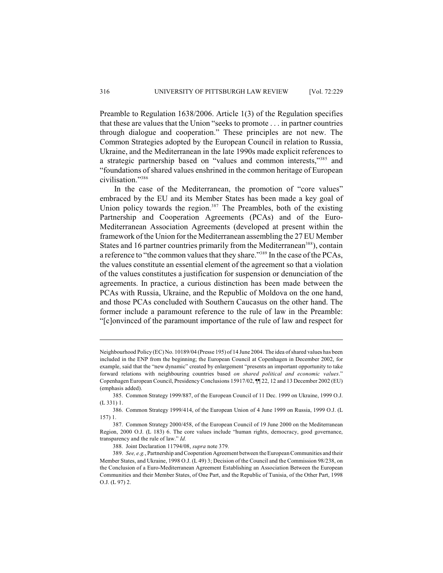Preamble to Regulation 1638/2006. Article 1(3) of the Regulation specifies that these are values that the Union "seeks to promote . . . in partner countries through dialogue and cooperation." These principles are not new. The Common Strategies adopted by the European Council in relation to Russia, Ukraine, and the Mediterranean in the late 1990s made explicit references to a strategic partnership based on "values and common interests,"<sup>385</sup> and "foundations of shared values enshrined in the common heritage of European civilisation."<sup>386</sup>

In the case of the Mediterranean, the promotion of "core values" embraced by the EU and its Member States has been made a key goal of Union policy towards the region.<sup>387</sup> The Preambles, both of the existing Partnership and Cooperation Agreements (PCAs) and of the Euro-Mediterranean Association Agreements (developed at present within the framework of the Union for the Mediterranean assembling the 27 EU Member States and 16 partner countries primarily from the Mediterranean<sup>388</sup>), contain a reference to "the common values that they share."<sup>389</sup> In the case of the PCAs, the values constitute an essential element of the agreement so that a violation of the values constitutes a justification for suspension or denunciation of the agreements. In practice, a curious distinction has been made between the PCAs with Russia, Ukraine, and the Republic of Moldova on the one hand, and those PCAs concluded with Southern Caucasus on the other hand. The former include a paramount reference to the rule of law in the Preamble: "[c]onvinced of the paramount importance of the rule of law and respect for

Neighbourhood Policy (EC) No. 10189/04 (Presse 195) of 14 June 2004. The idea of shared values has been included in the ENP from the beginning; the European Council at Copenhagen in December 2002, for example, said that the "new dynamic" created by enlargement "presents an important opportunity to take forward relations with neighbouring countries based *on shared political and economic values*." Copenhagen European Council, Presidency Conclusions 15917/02, ¶¶ 22, 12 and 13 December 2002 (EU) (emphasis added).

<sup>385.</sup> Common Strategy 1999/887, of the European Council of 11 Dec. 1999 on Ukraine, 1999 O.J. (L 331) 1.

<sup>386.</sup> Common Strategy 1999/414, of the European Union of 4 June 1999 on Russia, 1999 O.J. (L 157) 1.

<sup>387.</sup> Common Strategy 2000/458, of the European Council of 19 June 2000 on the Mediterranean Region, 2000 O.J. (L 183) 6. The core values include "human rights, democracy, good governance, transparency and the rule of law." *Id.*

<sup>388.</sup> Joint Declaration 11794/08, *supra* note 379.

<sup>389.</sup> *See, e.g.*, Partnership and Cooperation Agreement between the European Communities and their Member States, and Ukraine, 1998 O.J. (L 49) 3; Decision of the Council and the Commission 98/238, on the Conclusion of a Euro-Mediterranean Agreement Establishing an Association Between the European Communities and their Member States, of One Part, and the Republic of Tunisia, of the Other Part, 1998 O.J. (L 97) 2.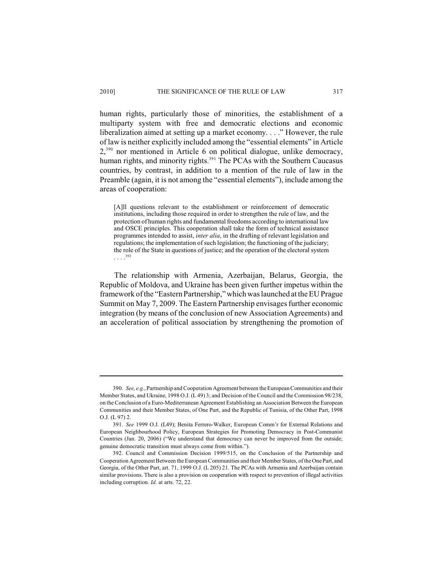human rights, particularly those of minorities, the establishment of a multiparty system with free and democratic elections and economic liberalization aimed at setting up a market economy. . . ." However, the rule of law is neither explicitly included among the "essential elements" in Article  $2,390$  nor mentioned in Article 6 on political dialogue, unlike democracy, human rights, and minority rights.<sup>391</sup> The PCAs with the Southern Caucasus countries, by contrast, in addition to a mention of the rule of law in the Preamble (again, it is not among the "essential elements"), include among the areas of cooperation:

[A]ll questions relevant to the establishment or reinforcement of democratic institutions, including those required in order to strengthen the rule of law, and the protection of human rights and fundamental freedoms according to international law and OSCE principles. This cooperation shall take the form of technical assistance programmes intended to assist, *inter alia*, in the drafting of relevant legislation and regulations; the implementation of such legislation; the functioning of the judiciary; the role of the State in questions of justice; and the operation of the electoral system  $\cdots^{392}$ 

The relationship with Armenia, Azerbaijan, Belarus, Georgia, the Republic of Moldova, and Ukraine has been given further impetus within the framework of the "Eastern Partnership,"which was launched at the EU Prague Summit on May 7, 2009. The Eastern Partnership envisages further economic integration (by means of the conclusion of new Association Agreements) and an acceleration of political association by strengthening the promotion of

<sup>390.</sup> *See, e.g.*, Partnership and Cooperation Agreement between the European Communities and their Member States, and Ukraine, 1998 O.J. (L 49) 3; and Decision of the Council and the Commission 98/238, on the Conclusion of a Euro-Mediterranean Agreement Establishing an Association Between the European Communities and their Member States, of One Part, and the Republic of Tunisia, of the Other Part, 1998 O.J. (L 97) 2.

<sup>391.</sup> *See* 1999 O.J. (L49); Benita Ferrero-Walker, European Comm'r for External Relations and European Neighbourhood Policy, European Strategies for Promoting Democracy in Post-Communist Countries (Jan. 20, 2006) ("We understand that democracy can never be improved from the outside; genuine democratic transition must always come from within.").

<sup>392.</sup> Council and Commission Decision 1999/515, on the Conclusion of the Partnership and Cooperation Agreement Between the European Communities and their Member States, of the One Part, and Georgia, of the Other Part, art. 71, 1999 O.J. (L 205) 21. The PCAs with Armenia and Azerbaijan contain similar provisions. There is also a provision on cooperation with respect to prevention of illegal activities including corruption. *Id.* at arts. 72, 22.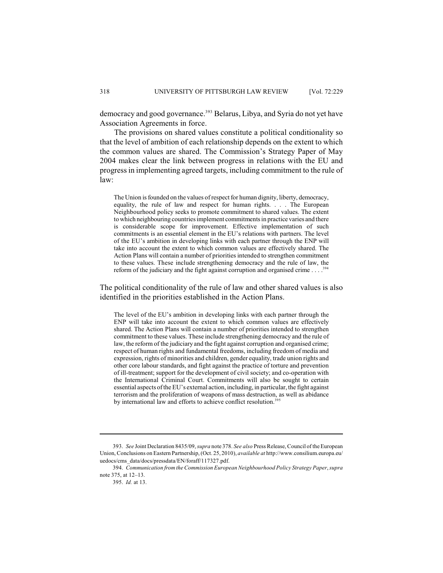democracy and good governance.<sup>393</sup> Belarus, Libya, and Syria do not yet have Association Agreements in force.

The provisions on shared values constitute a political conditionality so that the level of ambition of each relationship depends on the extent to which the common values are shared. The Commission's Strategy Paper of May 2004 makes clear the link between progress in relations with the EU and progress in implementing agreed targets, including commitment to the rule of law:

The Union is founded on the values of respect for human dignity, liberty, democracy, equality, the rule of law and respect for human rights. . . . The European Neighbourhood policy seeks to promote commitment to shared values. The extent to which neighbouring countries implement commitments in practice varies and there is considerable scope for improvement. Effective implementation of such commitments is an essential element in the EU's relations with partners. The level of the EU's ambition in developing links with each partner through the ENP will take into account the extent to which common values are effectively shared. The Action Plans will contain a number of priorities intended to strengthen commitment to these values. These include strengthening democracy and the rule of law, the reform of the judiciary and the fight against corruption and organised crime  $\ldots$ .<sup>394</sup>

The political conditionality of the rule of law and other shared values is also identified in the priorities established in the Action Plans.

The level of the EU's ambition in developing links with each partner through the ENP will take into account the extent to which common values are effectively shared. The Action Plans will contain a number of priorities intended to strengthen commitment to these values. These include strengthening democracy and the rule of law, the reform of the judiciary and the fight against corruption and organised crime; respect of human rights and fundamental freedoms, including freedom of media and expression, rights of minorities and children, gender equality, trade union rights and other core labour standards, and fight against the practice of torture and prevention of ill-treatment; support for the development of civil society; and co-operation with the International Criminal Court. Commitments will also be sought to certain essential aspects of the EU's external action, including, in particular, the fight against terrorism and the proliferation of weapons of mass destruction, as well as abidance by international law and efforts to achieve conflict resolution.<sup>395</sup>

<sup>393.</sup> *See* Joint Declaration 8435/09, *supra* note 378. *See also* Press Release, Council of the European Union, Conclusions on Eastern Partnership, (Oct. 25, 2010), *available at* http://www.consilium.europa.eu/ uedocs/cms\_data/docs/pressdata/EN/foraff/117327.pdf.

<sup>394.</sup> *Communication from the Commission European Neighbourhood Policy Strategy Paper*, *supra* note 375, at 12–13.

<sup>395.</sup> *Id.* at 13.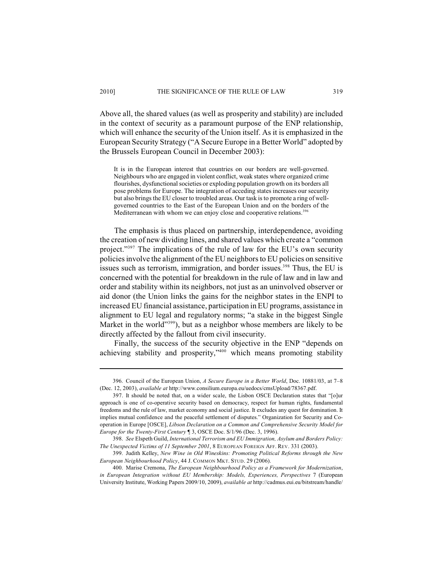Above all, the shared values (as well as prosperity and stability) are included in the context of security as a paramount purpose of the ENP relationship, which will enhance the security of the Union itself. As it is emphasized in the European Security Strategy ("A Secure Europe in a Better World" adopted by the Brussels European Council in December 2003):

It is in the European interest that countries on our borders are well-governed. Neighbours who are engaged in violent conflict, weak states where organized crime flourishes, dysfunctional societies or exploding population growth on its borders all pose problems for Europe. The integration of acceding states increases our security but also brings the EU closer to troubled areas. Our task is to promote a ring of wellgoverned countries to the East of the European Union and on the borders of the Mediterranean with whom we can enjoy close and cooperative relations.<sup>396</sup>

The emphasis is thus placed on partnership, interdependence, avoiding the creation of new dividing lines, and shared values which create a "common project."<sup>397</sup> The implications of the rule of law for the EU's own security policies involve the alignment of the EU neighbors to EU policies on sensitive issues such as terrorism, immigration, and border issues.<sup>398</sup> Thus, the EU is concerned with the potential for breakdown in the rule of law and in law and order and stability within its neighbors, not just as an uninvolved observer or aid donor (the Union links the gains for the neighbor states in the ENPI to increased EU financial assistance, participation in EU programs, assistance in alignment to EU legal and regulatory norms; "a stake in the biggest Single Market in the world"<sup>399</sup>), but as a neighbor whose members are likely to be directly affected by the fallout from civil insecurity.

Finally, the success of the security objective in the ENP "depends on achieving stability and prosperity," $400$  which means promoting stability

<sup>396.</sup> Council of the European Union, *A Secure Europe in a Better World*, Doc. 10881/03, at 7–8 (Dec. 12, 2003), *available at* http://www.consilium.europa.eu/uedocs/cmsUpload/78367.pdf.

<sup>397.</sup> It should be noted that, on a wider scale, the Lisbon OSCE Declaration states that "[o]ur approach is one of co-operative security based on democracy, respect for human rights, fundamental freedoms and the rule of law, market economy and social justice. It excludes any quest for domination. It implies mutual confidence and the peaceful settlement of disputes." Organization for Security and Cooperation in Europe [OSCE], *Libson Declaration on a Common and Comprehensive Security Model for Europe for the Twenty-First Century* ¶ 3, OSCE Doc. S/1/96 (Dec. 3, 1996).

<sup>398.</sup> *See* Elspeth Guild, *International Terrorism and EU Immigration, Asylum and Borders Policy: The Unexpected Victims of 11 September 2001*, 8 EUROPEAN FOREIGN AFF. REV. 331 (2003).

<sup>399.</sup> Judith Kelley, *New Wine in Old Wineskins: Promoting Political Reforms through the New European Neighbourhood Policy*, 44 J. COMMON MKT. STUD. 29 (2006).

<sup>400.</sup> Marise Cremona, *The European Neighbourhood Policy as a Framework for Modernization*, *in European Integration without EU Membership: Models, Experiences, Perspectives* 7 (European University Institute, Working Papers 2009/10, 2009), *available at* http://cadmus.eui.eu/bitstream/handle/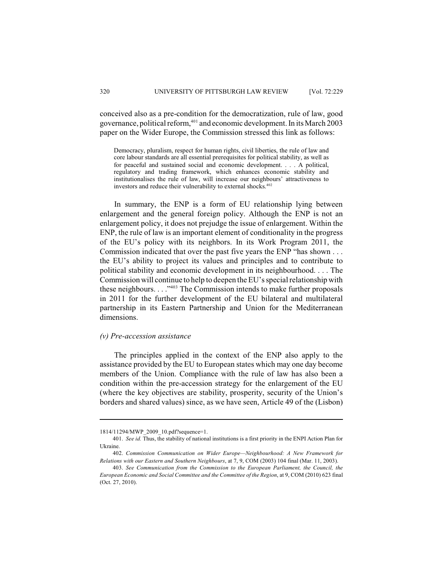conceived also as a pre-condition for the democratization, rule of law, good governance, political reform,  $401$  and economic development. In its March 2003 paper on the Wider Europe, the Commission stressed this link as follows:

Democracy, pluralism, respect for human rights, civil liberties, the rule of law and core labour standards are all essential prerequisites for political stability, as well as for peaceful and sustained social and economic development. . . . A political, regulatory and trading framework, which enhances economic stability and institutionalises the rule of law, will increase our neighbours' attractiveness to investors and reduce their vulnerability to external shocks. 402

In summary, the ENP is a form of EU relationship lying between enlargement and the general foreign policy. Although the ENP is not an enlargement policy, it does not prejudge the issue of enlargement. Within the ENP, the rule of law is an important element of conditionality in the progress of the EU's policy with its neighbors. In its Work Program 2011, the Commission indicated that over the past five years the ENP "has shown . . . the EU's ability to project its values and principles and to contribute to political stability and economic development in its neighbourhood. . . . The Commission will continue to help to deepen the EU's special relationship with these neighbours.  $\dots$ <sup>2403</sup> The Commission intends to make further proposals in 2011 for the further development of the EU bilateral and multilateral partnership in its Eastern Partnership and Union for the Mediterranean dimensions.

### *(v) Pre-accession assistance*

The principles applied in the context of the ENP also apply to the assistance provided by the EU to European states which may one day become members of the Union. Compliance with the rule of law has also been a condition within the pre-accession strategy for the enlargement of the EU (where the key objectives are stability, prosperity, security of the Union's borders and shared values) since, as we have seen, Article 49 of the (Lisbon)

<sup>1814/11294/</sup>MWP\_2009\_10.pdf?sequence=1.

<sup>401.</sup> *See id.* Thus, the stability of national institutions is a first priority in the ENPI Action Plan for Ukraine.

<sup>402.</sup> *Commission Communication on Wider Europe—Neighbourhood: A New Framework for Relations with our Eastern and Southern Neighbours*, at 7, 9, COM (2003) 104 final (Mar. 11, 2003).

<sup>403.</sup> *See Communication from the Commission to the European Parliament, the Council, the European Economic and Social Committee and the Committee of the Region*, at 9, COM (2010) 623 final (Oct. 27, 2010).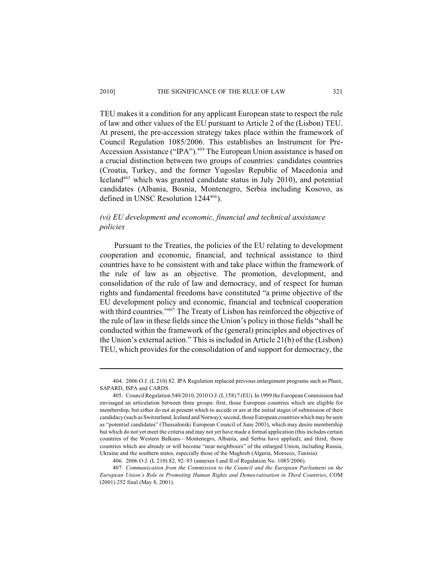# 2010] THE SIGNIFICANCE OF THE RULE OF LAW 321

TEU makes it a condition for any applicant European state to respect the rule of law and other values of the EU pursuant to Article 2 of the (Lisbon) TEU. At present, the pre-accession strategy takes place within the framework of Council Regulation 1085/2006. This establishes an Instrument for Pre-Accession Assistance ("IPA").<sup>404</sup> The European Union assistance is based on a crucial distinction between two groups of countries: candidates countries (Croatia, Turkey, and the former Yugoslav Republic of Macedonia and Iceland<sup> $405$ </sup> which was granted candidate status in July 2010), and potential candidates (Albania, Bosnia, Montenegro, Serbia including Kosovo, as defined in UNSC Resolution  $1244^{406}$ ).

# *(vi) EU development and economic, financial and technical assistance policies*

Pursuant to the Treaties, the policies of the EU relating to development cooperation and economic, financial, and technical assistance to third countries have to be consistent with and take place within the framework of the rule of law as an objective. The promotion, development, and consolidation of the rule of law and democracy, and of respect for human rights and fundamental freedoms have constituted "a prime objective of the EU development policy and economic, financial and technical cooperation with third countries." $407$  The Treaty of Lisbon has reinforced the objective of the rule of law in these fields since the Union's policy in those fields "shall be conducted within the framework of the (general) principles and objectives of the Union's external action." This is included in Article 21(b) of the (Lisbon) TEU, which provides for the consolidation of and support for democracy, the

<sup>404.</sup> 2006 O.J. (L 210) 82. IPA Regulation replaced previous enlargement programs such as Phare, SAPARD, ISPA and CARDS.

<sup>405.</sup> Council Regulation 540/2010, 2010 O.J. (L 158) 7 (EU). In 1999 the European Commission had envisaged an articulation between three groups: first, those European countries which are eligible for membership, but either do not at present which to accede or are at the initial stages of submission of their candidacy (such as Switzerland, Iceland and Norway); second, those European countries which may be seen as "potential candidates" (Thessaloniki European Council of June 2003), which may desire membership but which do not yet meet the criteria and may not yet have made a formal application (this includes certain countries of the Western Balkans—Montenegro, Albania, and Serbia have applied); and third, those countries which are already or will become "near neighbours" of the enlarged Union, including Russia, Ukraine and the southern states, especially those of the Maghreb (Algeria, Morocco, Tunisia).

<sup>406.</sup> 2006 O.J. (L 210) 82, 92–93 (annexes I and II of Regulation No. 1085/2006).

<sup>407.</sup> *Communication from the Commission to the Council and the European Parliament on the European Union's Role in Promoting Human Rights and Democratisation in Third Countries*, COM (2001) 252 final (May 8, 2001).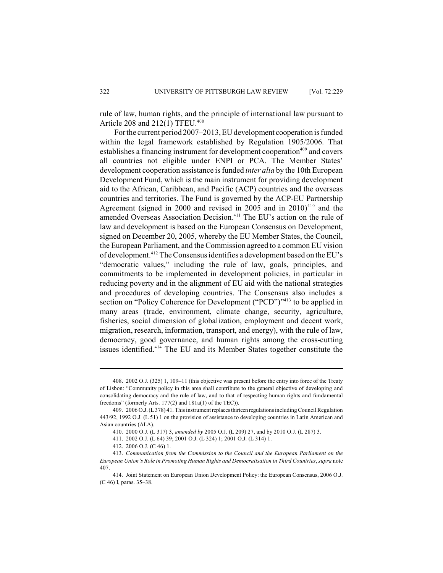rule of law, human rights, and the principle of international law pursuant to Article 208 and  $212(1)$  TFEU.<sup>408</sup>

For the current period 2007–2013, EU development cooperation is funded within the legal framework established by Regulation 1905/2006. That establishes a financing instrument for development cooperation<sup>409</sup> and covers all countries not eligible under ENPI or PCA. The Member States' development cooperation assistance is funded *inter alia* by the 10th European Development Fund, which is the main instrument for providing development aid to the African, Caribbean, and Pacific (ACP) countries and the overseas countries and territories. The Fund is governed by the ACP-EU Partnership Agreement (signed in 2000 and revised in 2005 and in  $2010$ <sup>410</sup> and the amended Overseas Association Decision.<sup>411</sup> The EU's action on the rule of law and development is based on the European Consensus on Development, signed on December 20, 2005, whereby the EU Member States, the Council, the European Parliament, and the Commission agreed to a common EU vision of development.<sup>412</sup> The Consensus identifies a development based on the EU's "democratic values," including the rule of law, goals, principles, and commitments to be implemented in development policies, in particular in reducing poverty and in the alignment of EU aid with the national strategies and procedures of developing countries. The Consensus also includes a section on "Policy Coherence for Development ("PCD")"<sup>413</sup> to be applied in many areas (trade, environment, climate change, security, agriculture, fisheries, social dimension of globalization, employment and decent work, migration, research, information, transport, and energy), with the rule of law, democracy, good governance, and human rights among the cross-cutting issues identified.<sup>414</sup> The EU and its Member States together constitute the

<sup>408.</sup> 2002 O.J. (325) 1, 109–11 (this objective was present before the entry into force of the Treaty of Lisbon: "Community policy in this area shall contribute to the general objective of developing and consolidating democracy and the rule of law, and to that of respecting human rights and fundamental freedoms" (formerly Arts. 177(2) and 181a(1) of the TEC)).

<sup>409.</sup> 2006 O.J. (L 378) 41. This instrument replaces thirteen regulations including Council Regulation 443/92, 1992 O.J. (L 51) 1 on the provision of assistance to developing countries in Latin American and Asian countries (ALA).

<sup>410.</sup> 2000 O.J. (L 317) 3, *amended by* 2005 O.J. (L 209) 27, and by 2010 O.J. (L 287) 3.

<sup>411.</sup> 2002 O.J. (L 64) 39; 2001 O.J. (L 324) 1; 2001 O.J. (L 314) 1.

<sup>412.</sup> 2006 O.J. (C 46) 1.

<sup>413.</sup> *Communication from the Commission to the Council and the European Parliament on the European Union's Role in Promoting Human Rights and Democratisation in Third Countries*, *supra* note 407.

<sup>414.</sup> Joint Statement on European Union Development Policy: the European Consensus, 2006 O.J. (C 46) I, paras. 35–38.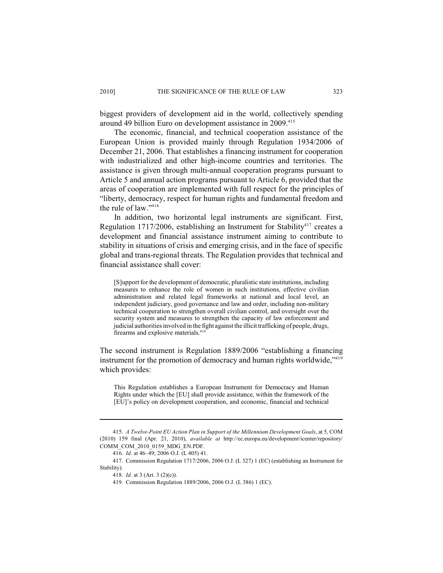biggest providers of development aid in the world, collectively spending around 49 billion Euro on development assistance in 2009.<sup>415</sup>

The economic, financial, and technical cooperation assistance of the European Union is provided mainly through Regulation 1934/2006 of December 21, 2006. That establishes a financing instrument for cooperation with industrialized and other high-income countries and territories. The assistance is given through multi-annual cooperation programs pursuant to Article 5 and annual action programs pursuant to Article 6, provided that the areas of cooperation are implemented with full respect for the principles of "liberty, democracy, respect for human rights and fundamental freedom and the rule of law." 416

In addition, two horizontal legal instruments are significant. First, Regulation 1717/2006, establishing an Instrument for Stability<sup>417</sup> creates a development and financial assistance instrument aiming to contribute to stability in situations of crisis and emerging crisis, and in the face of specific global and trans-regional threats. The Regulation provides that technical and financial assistance shall cover:

[S]upport for the development of democratic, pluralistic state institutions, including measures to enhance the role of women in such institutions, effective civilian administration and related legal frameworks at national and local level, an independent judiciary, good governance and law and order, including non-military technical cooperation to strengthen overall civilian control, and oversight over the security system and measures to strengthen the capacity of law enforcement and judicial authorities involved in the fight against the illicit trafficking of people, drugs, firearms and explosive materials.<sup>418</sup>

The second instrument is Regulation 1889/2006 "establishing a financing instrument for the promotion of democracy and human rights worldwide,<sup>"419</sup> which provides:

This Regulation establishes a European Instrument for Democracy and Human Rights under which the [EU] shall provide assistance, within the framework of the [EU]'s policy on development cooperation, and economic, financial and technical

<sup>415.</sup> *A Twelve-Point EU Action Plan in Support of the Millennium Development Goals*, at 5, COM (2010) 159 final (Apr. 21, 2010), *available at* http://ec.europa.eu/development/icenter/repository/ COMM\_COM\_2010\_0159\_MDG\_EN.PDF.

<sup>416.</sup> *Id*. at 46–49; 2006 O.J. (L 405) 41.

<sup>417.</sup> Commission Regulation 1717/2006, 2006 O.J. (L 327) 1 (EC) (establishing an Instrument for Stability).

<sup>418.</sup> *Id.* at 3 (Art. 3 (2)(c)).

<sup>419.</sup> Commission Regulation 1889/2006, 2006 O.J. (L 386) 1 (EC).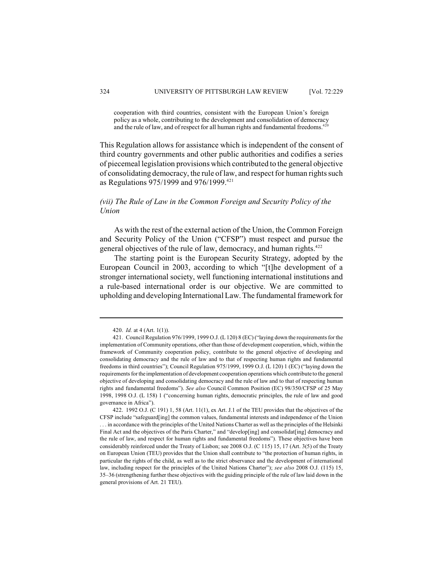cooperation with third countries, consistent with the European Union's foreign policy as a whole, contributing to the development and consolidation of democracy and the rule of law, and of respect for all human rights and fundamental freedoms.<sup>420</sup>

This Regulation allows for assistance which is independent of the consent of third country governments and other public authorities and codifies a series of piecemeal legislation provisions which contributed to the general objective of consolidating democracy, the rule of law, and respect for human rights such as Regulations 975/1999 and 976/1999.<sup>421</sup>

# *(vii) The Rule of Law in the Common Foreign and Security Policy of the Union*

As with the rest of the external action of the Union, the Common Foreign and Security Policy of the Union ("CFSP") must respect and pursue the general objectives of the rule of law, democracy, and human rights.<sup>422</sup>

The starting point is the European Security Strategy, adopted by the European Council in 2003, according to which "[t]he development of a stronger international society, well functioning international institutions and a rule-based international order is our objective. We are committed to upholding and developing International Law. The fundamental framework for

<sup>420.</sup> *Id.* at 4 (Art. 1(1)).

<sup>421.</sup> Council Regulation 976/1999, 1999 O.J. (L 120) 8 (EC) ("laying down the requirements for the implementation of Community operations, other than those of development cooperation, which, within the framework of Community cooperation policy, contribute to the general objective of developing and consolidating democracy and the rule of law and to that of respecting human rights and fundamental freedoms in third countries"); Council Regulation 975/1999, 1999 O.J. (L 120) 1 (EC) ("laying down the requirements for the implementation of development cooperation operations which contribute to the general objective of developing and consolidating democracy and the rule of law and to that of respecting human rights and fundamental freedoms"). *See also* Council Common Position (EC) 98/350/CFSP of 25 May 1998, 1998 O.J. (L 158) 1 ("concerning human rights, democratic principles, the rule of law and good governance in Africa").

<sup>422.</sup> 1992 O.J. (C 191) 1, 58 (Art. 11(1), ex Art. J.1 of the TEU provides that the objectives of the CFSP include "safeguard[ing] the common values, fundamental interests and independence of the Union . . . in accordance with the principles of the United Nations Charter as well asthe principles of the Helsinki Final Act and the objectives of the Paris Charter," and "develop[ing] and consolidat[ing] democracy and the rule of law, and respect for human rights and fundamental freedoms"). These objectives have been considerably reinforced under the Treaty of Lisbon; see 2008 O.J. (C 115) 15, 17 (Art. 3(5) of the Treaty on European Union (TEU) provides that the Union shall contribute to "the protection of human rights, in particular the rights of the child, as well as to the strict observance and the development of international law, including respect for the principles of the United Nations Charter"); *see also* 2008 O.J. (115) 15, 35–36 (strengthening further these objectives with the guiding principle of the rule of law laid down in the general provisions of Art. 21 TEU).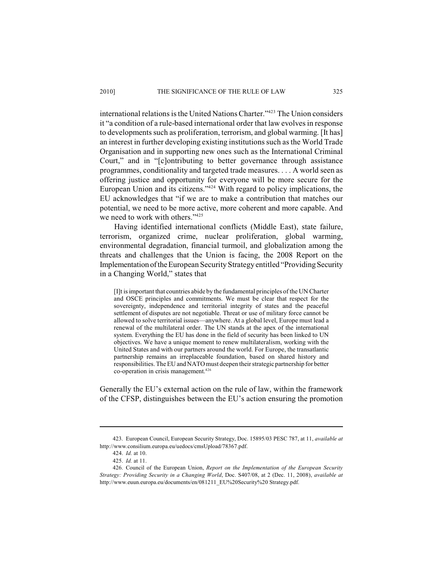international relations is the United Nations Charter."  $423$  The Union considers it "a condition of a rule-based international order that law evolves in response to developments such as proliferation, terrorism, and global warming. [It has] an interest in further developing existing institutions such as the World Trade Organisation and in supporting new ones such as the International Criminal Court," and in "[c]ontributing to better governance through assistance programmes, conditionality and targeted trade measures. . . . A world seen as offering justice and opportunity for everyone will be more secure for the European Union and its citizens."<sup>424</sup> With regard to policy implications, the EU acknowledges that "if we are to make a contribution that matches our potential, we need to be more active, more coherent and more capable. And we need to work with others."<sup>425</sup>

Having identified international conflicts (Middle East), state failure, terrorism, organized crime, nuclear proliferation, global warming, environmental degradation, financial turmoil, and globalization among the threats and challenges that the Union is facing, the 2008 Report on the Implementation of the European Security Strategy entitled "Providing Security in a Changing World," states that

[I]t is important that countries abide by the fundamental principles of the UN Charter and OSCE principles and commitments. We must be clear that respect for the sovereignty, independence and territorial integrity of states and the peaceful settlement of disputes are not negotiable. Threat or use of military force cannot be allowed to solve territorial issues—anywhere. At a global level, Europe must lead a renewal of the multilateral order. The UN stands at the apex of the international system. Everything the EU has done in the field of security has been linked to UN objectives. We have a unique moment to renew multilateralism, working with the United States and with our partners around the world. For Europe, the transatlantic partnership remains an irreplaceable foundation, based on shared history and responsibilities. The EU and NATO must deepen their strategic partnership for better co-operation in crisis management. 426

Generally the EU's external action on the rule of law, within the framework of the CFSP, distinguishes between the EU's action ensuring the promotion

<sup>423.</sup> European Council, European Security Strategy, Doc. 15895/03 PESC 787, at 11, *available at* http://www.consilium.europa.eu/uedocs/cmsUpload/78367.pdf.

<sup>424.</sup> *Id.* at 10.

<sup>425.</sup> *Id.* at 11.

<sup>426.</sup> Council of the European Union, *Report on the Implementation of the European Security Strategy: Providing Security in a Changing World*, Doc. S407/08, at 2 (Dec. 11, 2008), *available at* http://www.euun.europa.eu/documents/en/081211\_EU%20Security%20 Strategy.pdf.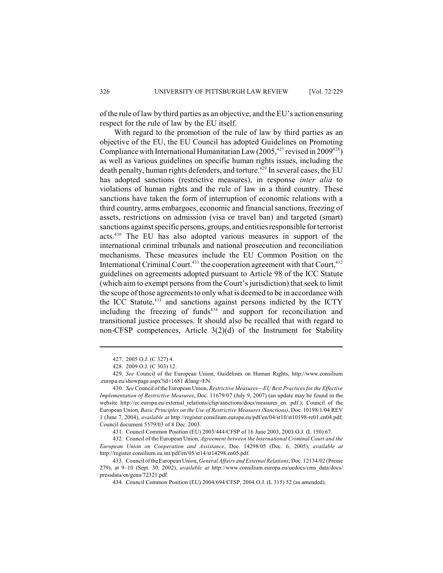of the rule of law by third parties as an objective, and the EU's action ensuring respect for the rule of law by the EU itself.

With regard to the promotion of the rule of law by third parties as an objective of the EU, the EU Council has adopted Guidelines on Promoting Compliance with International Humanitarian Law (2005, <sup>427</sup> revised in 2009<sup>428</sup>) as well as various guidelines on specific human rights issues, including the death penalty, human rights defenders, and torture.<sup>429</sup> In several cases, the EU has adopted sanctions (restrictive measures), in response *inter alia* to violations of human rights and the rule of law in a third country. These sanctions have taken the form of interruption of economic relations with a third country, arms embargoes, economic and financial sanctions, freezing of assets, restrictions on admission (visa or travel ban) and targeted (smart) sanctions against specific persons, groups, and entities responsible for terrorist acts. $430$  The EU has also adopted various measures in support of the international criminal tribunals and national prosecution and reconciliation mechanisms. These measures include the EU Common Position on the International Criminal Court.<sup>431</sup> the cooperation agreement with that Court,<sup>432</sup> guidelines on agreements adopted pursuant to Article 98 of the ICC Statute (which aim to exempt persons from the Court's jurisdiction) that seek to limit the scope of those agreements to only what is deemed to be in accordance with the ICC Statute,<sup>433</sup> and sanctions against persons indicted by the ICTY including the freezing of funds $434$  and support for reconciliation and transitional justice processes. It should also be recalled that with regard to non-CFSP competences, Article 3(2)(d) of the Instrument for Stability

<sup>427.</sup> 2005 O.J. (C 327) 4.

<sup>428.</sup> 2009 O.J. (C 303) 12.

<sup>429.</sup> *See* Council of the European Union, Guidelines on Human Rights, http://www.consilium .europa.eu/showpage.aspx?id=1681 &lang=EN.

<sup>430.</sup> *See* Council of the European Union, *Restrictive Measures—EU Best Practices for the Effective Implementation of Restrictive Measures*, Doc. 11679/07 (July 9, 2007) (an update may be found in the website http://ec.europa.eu/external\_relations/cfsp/sanctions/docs/measures\_en. pdf.); Council of the European Union, *Basic Principles on the Use of Restrictive Measures (Sanctions)*, Doc. 10198/1/04 REV 1 (June 7, 2004), *available at* http://register.consilium.europa.eu/pdf/en/04/st10/st10198-re01.en04.pdf; Council document 5579/03 of 8 Dec. 2003.

<sup>431.</sup> Council Common Position (EU) 2003/444/CFSP of 16 June 2003, 2003 O.J. (L 150) 67.

<sup>432.</sup> Council of the European Union, *Agreement between the International Criminal Court and the European Union on Cooperation and Assistance*, Doc. 14298/05 (Dec. 6, 2005), *available at* http://register.consilium.eu.int/pdf/en/05/st14/st14298.en05.pdf.

<sup>433.</sup> Council of the European Union, *General Affairs and External Relations*, Doc. 12134/02 (Presse 279), at 9–10 (Sept. 30, 2002), *available at* http://www.consilium.europa.eu/uedocs/cms\_data/docs/ pressdata/en/gena/72321.pdf.

<sup>434.</sup> Council Common Position (EU) 2004/694/CFSP, 2004 O.J. (L 315) 52 (as amended).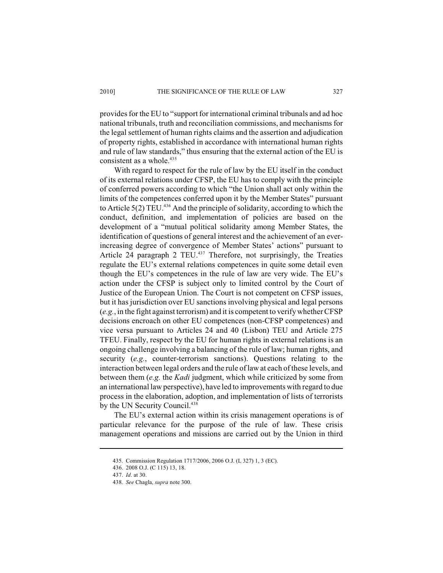provides for the EU to "support for international criminal tribunals and ad hoc national tribunals, truth and reconciliation commissions, and mechanisms for the legal settlement of human rights claims and the assertion and adjudication of property rights, established in accordance with international human rights and rule of law standards," thus ensuring that the external action of the EU is consistent as a whole.<sup>435</sup>

With regard to respect for the rule of law by the EU itself in the conduct of its external relations under CFSP, the EU has to comply with the principle of conferred powers according to which "the Union shall act only within the limits of the competences conferred upon it by the Member States" pursuant to Article  $5(2)$  TEU.<sup>436</sup> And the principle of solidarity, according to which the conduct, definition, and implementation of policies are based on the development of a "mutual political solidarity among Member States, the identification of questions of general interest and the achievement of an everincreasing degree of convergence of Member States' actions" pursuant to Article 24 paragraph 2 TEU. $437$  Therefore, not surprisingly, the Treaties regulate the EU's external relations competences in quite some detail even though the EU's competences in the rule of law are very wide. The EU's action under the CFSP is subject only to limited control by the Court of Justice of the European Union. The Court is not competent on CFSP issues, but it has jurisdiction over EU sanctions involving physical and legal persons (*e.g.*, in the fight against terrorism) and it is competent to verify whether CFSP decisions encroach on other EU competences (non-CFSP competences) and vice versa pursuant to Articles 24 and 40 (Lisbon) TEU and Article 275 TFEU. Finally, respect by the EU for human rights in external relations is an ongoing challenge involving a balancing of the rule of law; human rights, and security (*e.g.*, counter-terrorism sanctions). Questions relating to the interaction between legal orders and the rule of law at each of these levels, and between them (*e.g.* the *Kadi* judgment, which while criticized by some from an international law perspective), have led to improvements with regard to due process in the elaboration, adoption, and implementation of lists of terrorists by the UN Security Council.<sup>438</sup>

The EU's external action within its crisis management operations is of particular relevance for the purpose of the rule of law. These crisis management operations and missions are carried out by the Union in third

<sup>435.</sup> Commission Regulation 1717/2006, 2006 O.J. (L 327) 1, 3 (EC).

<sup>436.</sup> 2008 O.J. (C 115) 13, 18.

<sup>437.</sup> *Id*. at 30.

<sup>438.</sup> *See* Chagla, *supra* note 300.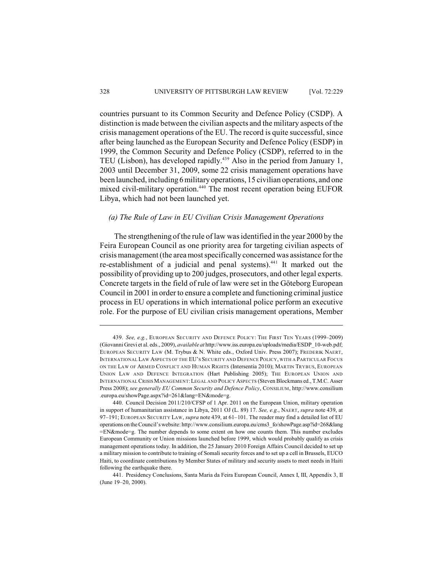countries pursuant to its Common Security and Defence Policy (CSDP). A distinction is made between the civilian aspects and the military aspects of the crisis management operations of the EU. The record is quite successful, since after being launched as the European Security and Defence Policy (ESDP) in 1999, the Common Security and Defence Policy (CSDP), referred to in the TEU (Lisbon), has developed rapidly. $439$  Also in the period from January 1, 2003 until December 31, 2009, some 22 crisis management operations have been launched, including 6 military operations, 15 civilian operations, and one mixed civil-military operation.<sup>440</sup> The most recent operation being EUFOR Libya, which had not been launched yet.

### *(a) The Rule of Law in EU Civilian Crisis Management Operations*

The strengthening of the rule of law was identified in the year 2000 by the Feira European Council as one priority area for targeting civilian aspects of crisis management (the area most specifically concerned was assistance for the re-establishment of a judicial and penal systems).<sup>441</sup> It marked out the possibility of providing up to 200 judges, prosecutors, and other legal experts. Concrete targets in the field of rule of law were set in the Göteborg European Council in 2001 in order to ensure a complete and functioning criminal justice process in EU operations in which international police perform an executive role. For the purpose of EU civilian crisis management operations, Member

<sup>439.</sup> *See, e.g.*, EUROPEAN SECURITY AND DEFENCE POLICY: THE FIRST TEN YEARS (1999–2009) (Giovanni Grevi et al. eds., 2009), *available at* http://www.iss.europa.eu/uploads/media/ESDP\_10-web.pdf; EUROPEAN SECURITY LAW (M. Trybus & N. White eds., Oxford Univ. Press 2007); FREDERIK NAERT, INTERNATIONAL LAW ASPECTS OF THE EU'S SECURITY AND DEFENCE POLICY, WITH A PARTICULAR FOCUS ON THE LAW OF ARMED CONFLICT AND HUMAN RIGHTS (Intersentia 2010); MARTIN TRYBUS, EUROPEAN UNION LAW AND DEFENCE INTEGRATION (Hart Publishing 2005); THE EUROPEAN UNION AND INTERNATIONAL CRISIS MANAGEMENT:LEGAL AND POLICY ASPECTS (Steven Blockmans ed., T.M.C. Asser Press 2008); *see generally EU Common Security and Defence Policy*, CONSILIUM, http://www.consilium .europa.eu/showPage.aspx?id=261&lang=EN&mode=g.

<sup>440.</sup> Council Decision 2011/210/CFSP of 1 Apr. 2011 on the European Union, military operation in support of humanitarian assistance in Libya, 2011 OJ (L. 89) 17. *See, e.g.*, NAERT, *supra* note 439, at 97–191; EUROPEAN SECURITY LAW, *supra* note 439, at 61–101. The reader may find a detailed list of EU operations on the Council's website: http://www.consilium.europa.eu/cms3\_fo/showPage.asp?id=268&lang =EN&mode=g. The number depends to some extent on how one counts them. This number excludes European Community or Union missions launched before 1999, which would probably qualify as crisis management operations today. In addition, the 25 January 2010 Foreign Affairs Council decided to set up a military mission to contribute to training of Somali security forces and to set up a cell in Brussels, EUCO Haiti, to coordinate contributions by Member States of military and security assets to meet needs in Haiti following the earthquake there.

<sup>441.</sup> Presidency Conclusions, Santa Maria da Feira European Council, Annex I, III, Appendix 3, II (June 19–20, 2000).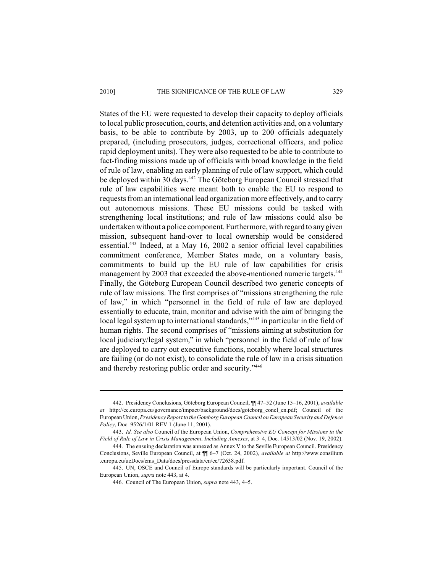#### 2010] THE SIGNIFICANCE OF THE RULE OF LAW 329

States of the EU were requested to develop their capacity to deploy officials to local public prosecution, courts, and detention activities and, on a voluntary basis, to be able to contribute by 2003, up to 200 officials adequately prepared, (including prosecutors, judges, correctional officers, and police rapid deployment units). They were also requested to be able to contribute to fact-finding missions made up of officials with broad knowledge in the field of rule of law, enabling an early planning of rule of law support, which could be deployed within 30 days.<sup>442</sup> The Göteborg European Council stressed that rule of law capabilities were meant both to enable the EU to respond to requests from an international lead organization more effectively, and to carry out autonomous missions. These EU missions could be tasked with strengthening local institutions; and rule of law missions could also be undertaken without a police component. Furthermore, with regard to any given mission, subsequent hand-over to local ownership would be considered essential. $443$  Indeed, at a May 16, 2002 a senior official level capabilities commitment conference, Member States made, on a voluntary basis, commitments to build up the EU rule of law capabilities for crisis management by 2003 that exceeded the above-mentioned numeric targets.<sup>444</sup> Finally, the Göteborg European Council described two generic concepts of rule of law missions. The first comprises of "missions strengthening the rule of law," in which "personnel in the field of rule of law are deployed essentially to educate, train, monitor and advise with the aim of bringing the local legal system up to international standards,"<sup>445</sup> in particular in the field of human rights. The second comprises of "missions aiming at substitution for local judiciary/legal system," in which "personnel in the field of rule of law are deployed to carry out executive functions, notably where local structures are failing (or do not exist), to consolidate the rule of law in a crisis situation and thereby restoring public order and security."446

<sup>442.</sup> Presidency Conclusions, Göteborg European Council, ¶¶ 47–52 (June 15–16, 2001), *available at* http://ec.europa.eu/governance/impact/background/docs/goteborg\_concl\_en.pdf; Council of the European Union, *Presidency Report to the Goteborg European Council on European Security and Defence Policy*, Doc. 9526/1/01 REV 1 (June 11, 2001).

<sup>443.</sup> *Id. See also* Council of the European Union, *Comprehensive EU Concept for Missions in the Field of Rule of Law in Crisis Management, Including Annexes*, at 3–4, Doc. 14513/02 (Nov. 19, 2002).

<sup>444.</sup> The ensuing declaration was annexed as Annex V to the Seville European Council. Presidency Conclusions, Seville European Council, at ¶¶ 6–7 (Oct. 24, 2002), *available at* http://www.consilium .europa.eu/ueDocs/cms\_Data/docs/pressdata/en/ec/72638.pdf.

<sup>445.</sup> UN, OSCE and Council of Europe standards will be particularly important. Council of the European Union, *supra* note 443, at 4.

<sup>446.</sup> Council of The European Union, *supra* note 443, 4–5.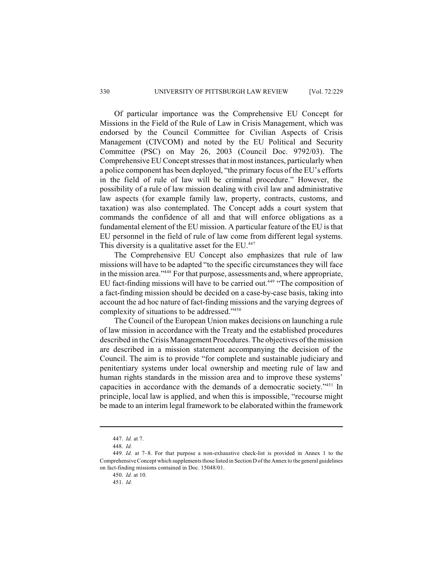Of particular importance was the Comprehensive EU Concept for Missions in the Field of the Rule of Law in Crisis Management, which was endorsed by the Council Committee for Civilian Aspects of Crisis Management (CIVCOM) and noted by the EU Political and Security Committee (PSC) on May 26, 2003 (Council Doc. 9792/03). The Comprehensive EU Concept stresses that in most instances, particularly when a police component has been deployed, "the primary focus of the EU's efforts in the field of rule of law will be criminal procedure." However, the possibility of a rule of law mission dealing with civil law and administrative law aspects (for example family law, property, contracts, customs, and taxation) was also contemplated. The Concept adds a court system that commands the confidence of all and that will enforce obligations as a fundamental element of the EU mission. A particular feature of the EU is that EU personnel in the field of rule of law come from different legal systems. This diversity is a qualitative asset for the EU.<sup>447</sup>

The Comprehensive EU Concept also emphasizes that rule of law missions will have to be adapted "to the specific circumstances they will face in the mission area."<sup>448</sup> For that purpose, assessments and, where appropriate, EU fact-finding missions will have to be carried out.<sup> $449$ </sup> "The composition of a fact-finding mission should be decided on a case-by-case basis, taking into account the ad hoc nature of fact-finding missions and the varying degrees of complexity of situations to be addressed." 450

The Council of the European Union makes decisions on launching a rule of law mission in accordance with the Treaty and the established procedures described in the Crisis Management Procedures. The objectives of the mission are described in a mission statement accompanying the decision of the Council. The aim is to provide "for complete and sustainable judiciary and penitentiary systems under local ownership and meeting rule of law and human rights standards in the mission area and to improve these systems' capacities in accordance with the demands of a democratic society."<sup>451</sup> In principle, local law is applied, and when this is impossible, "recourse might be made to an interim legal framework to be elaborated within the framework

<sup>447.</sup> *Id.* at 7.

<sup>448.</sup> *Id.*

<sup>449.</sup> *Id.* at 7–8. For that purpose a non-exhaustive check-list is provided in Annex 1 to the Comprehensive Concept which supplements those listed in Section D of the Annex to the general guidelines on fact-finding missions contained in Doc. 15048/01.

<sup>450.</sup> *Id.* at 10.

<sup>451.</sup> *Id.*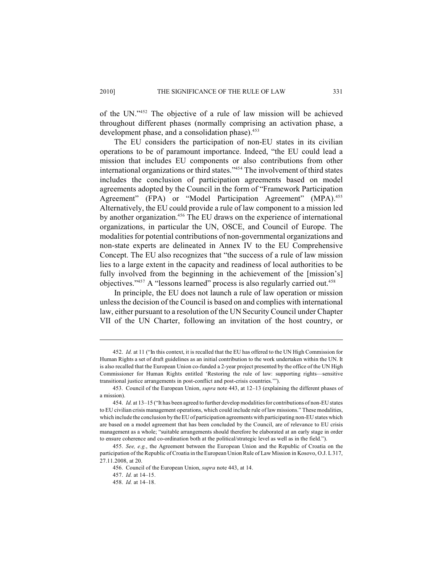of the UN." $452$  The objective of a rule of law mission will be achieved throughout different phases (normally comprising an activation phase, a development phase, and a consolidation phase).<sup>453</sup>

The EU considers the participation of non-EU states in its civilian operations to be of paramount importance. Indeed, "the EU could lead a mission that includes EU components or also contributions from other international organizations or third states."<sup>454</sup> The involvement of third states includes the conclusion of participation agreements based on model agreements adopted by the Council in the form of "Framework Participation Agreement" (FPA) or "Model Participation Agreement" (MPA).<sup>455</sup> Alternatively, the EU could provide a rule of law component to a mission led by another organization.<sup> $456$ </sup> The EU draws on the experience of international organizations, in particular the UN, OSCE, and Council of Europe. The modalities for potential contributions of non-governmental organizations and non-state experts are delineated in Annex IV to the EU Comprehensive Concept. The EU also recognizes that "the success of a rule of law mission lies to a large extent in the capacity and readiness of local authorities to be fully involved from the beginning in the achievement of the [mission's] objectives." $457$  A "lessons learned" process is also regularly carried out. $458$ 

In principle, the EU does not launch a rule of law operation or mission unless the decision of the Council is based on and complies with international law, either pursuant to a resolution of the UN Security Council under Chapter VII of the UN Charter, following an invitation of the host country, or

<sup>452.</sup> *Id.* at 11 ("In this context, it is recalled that the EU has offered to the UN High Commission for Human Rights a set of draft guidelines as an initial contribution to the work undertaken within the UN. It is also recalled that the European Union co-funded a 2-year project presented by the office of the UN High Commissioner for Human Rights entitled 'Restoring the rule of law: supporting rights—sensitive transitional justice arrangements in post-conflict and post-crisis countries.'").

<sup>453.</sup> Council of the European Union, *supra* note 443, at 12–13 (explaining the different phases of a mission).

<sup>454.</sup> *Id.* at 13–15 ("It has been agreed to further develop modalities for contributions of non-EU states to EU civilian crisis management operations, which could include rule of law missions." These modalities, which include the conclusion by the EU of participation agreements with participating non-EU states which are based on a model agreement that has been concluded by the Council, are of relevance to EU crisis management as a whole; "suitable arrangements should therefore be elaborated at an early stage in order to ensure coherence and co-ordination both at the political/strategic level as well as in the field.").

<sup>455.</sup> *See, e.g.*, the Agreement between the European Union and the Republic of Croatia on the participation of the Republic of Croatia in the European Union Rule of Law Mission in Kosovo, O.J. L 317, 27.11.2008, at 20.

<sup>456.</sup> Council of the European Union, *supra* note 443, at 14.

<sup>457.</sup> *Id.* at 14–15.

<sup>458.</sup> *Id.* at 14–18.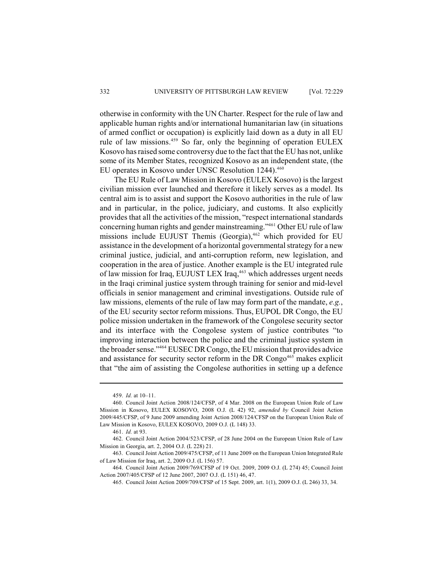otherwise in conformity with the UN Charter. Respect for the rule of law and applicable human rights and/or international humanitarian law (in situations of armed conflict or occupation) is explicitly laid down as a duty in all EU rule of law missions.<sup>459</sup> So far, only the beginning of operation EULEX Kosovo has raised some controversy due to the fact that the EU has not, unlike some of its Member States, recognized Kosovo as an independent state, (the EU operates in Kosovo under UNSC Resolution 1244).<sup>460</sup>

The EU Rule of Law Mission in Kosovo (EULEX Kosovo) is the largest civilian mission ever launched and therefore it likely serves as a model. Its central aim is to assist and support the Kosovo authorities in the rule of law and in particular, in the police, judiciary, and customs. It also explicitly provides that all the activities of the mission, "respect international standards concerning human rights and gender mainstreaming."<sup>461</sup> Other EU rule of law missions include EUJUST Themis (Georgia),<sup>462</sup> which provided for EU assistance in the development of a horizontal governmental strategy for a new criminal justice, judicial, and anti-corruption reform, new legislation, and cooperation in the area of justice. Another example is the EU integrated rule of law mission for Iraq, EUJUST LEX Iraq,<sup>463</sup> which addresses urgent needs in the Iraqi criminal justice system through training for senior and mid-level officials in senior management and criminal investigations. Outside rule of law missions, elements of the rule of law may form part of the mandate, *e.g.*, of the EU security sector reform missions. Thus, EUPOL DR Congo, the EU police mission undertaken in the framework of the Congolese security sector and its interface with the Congolese system of justice contributes "to improving interaction between the police and the criminal justice system in the broader sense."<sup>464</sup> EUSEC DR Congo, the EU mission that provides advice and assistance for security sector reform in the DR Congo<sup>465</sup> makes explicit that "the aim of assisting the Congolese authorities in setting up a defence

<sup>459.</sup> *Id.* at 10–11.

<sup>460.</sup> Council Joint Action 2008/124/CFSP, of 4 Mar. 2008 on the European Union Rule of Law Mission in Kosovo, EULEX KOSOVO, 2008 O.J. (L 42) 92, *amended by* Council Joint Action 2009/445/CFSP, of 9 June 2009 amending Joint Action 2008/124/CFSP on the European Union Rule of Law Mission in Kosovo, EULEX KOSOVO, 2009 O.J. (L 148) 33.

<sup>461.</sup> *Id.* at 93.

<sup>462.</sup> Council Joint Action 2004/523/CFSP, of 28 June 2004 on the European Union Rule of Law Mission in Georgia, art. 2, 2004 O.J. (L 228) 21.

<sup>463.</sup> Council Joint Action 2009/475/CFSP, of 11 June 2009 on the European Union Integrated Rule of Law Mission for Iraq, art. 2, 2009 O.J. (L 156) 57.

<sup>464.</sup> Council Joint Action 2009/769/CFSP of 19 Oct. 2009, 2009 O.J. (L 274) 45; Council Joint Action 2007/405/CFSP of 12 June 2007, 2007 O.J. (L 151) 46, 47.

<sup>465.</sup> Council Joint Action 2009/709/CFSP of 15 Sept. 2009, art. 1(1), 2009 O.J. (L 246) 33, 34.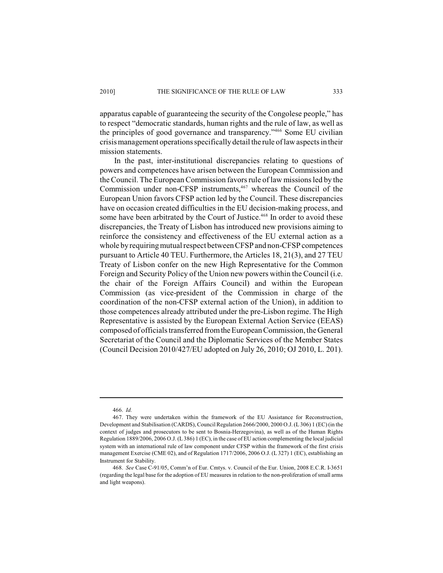apparatus capable of guaranteeing the security of the Congolese people," has to respect "democratic standards, human rights and the rule of law, as well as the principles of good governance and transparency."<sup>466</sup> Some EU civilian crisis management operations specifically detail the rule of law aspects in their mission statements.

In the past, inter-institutional discrepancies relating to questions of powers and competences have arisen between the European Commission and the Council. The European Commission favors rule of law missions led by the Commission under non-CFSP instruments, $467$  whereas the Council of the European Union favors CFSP action led by the Council. These discrepancies have on occasion created difficulties in the EU decision-making process, and some have been arbitrated by the Court of Justice.<sup>468</sup> In order to avoid these discrepancies, the Treaty of Lisbon has introduced new provisions aiming to reinforce the consistency and effectiveness of the EU external action as a whole by requiring mutual respect between CFSP and non-CFSP competences pursuant to Article 40 TEU. Furthermore, the Articles 18, 21(3), and 27 TEU Treaty of Lisbon confer on the new High Representative for the Common Foreign and Security Policy of the Union new powers within the Council (i.e. the chair of the Foreign Affairs Council) and within the European Commission (as vice-president of the Commission in charge of the coordination of the non-CFSP external action of the Union), in addition to those competences already attributed under the pre-Lisbon regime. The High Representative is assisted by the European External Action Service (EEAS) composed of officials transferred from the European Commission, the General Secretariat of the Council and the Diplomatic Services of the Member States (Council Decision 2010/427/EU adopted on July 26, 2010; OJ 2010, L. 201).

<sup>466.</sup> *Id.*

<sup>467.</sup> They were undertaken within the framework of the EU Assistance for Reconstruction, Development and Stabilisation (CARDS), Council Regulation 2666/2000, 2000 O.J. (L 306) 1 (EC) (in the context of judges and prosecutors to be sent to Bosnia-Herzegovina), as well as of the Human Rights Regulation 1889/2006, 2006 O.J. (L 386) 1 (EC), in the case of EU action complementing the local judicial system with an international rule of law component under CFSP within the framework of the first crisis management Exercise (CME 02), and of Regulation 1717/2006, 2006 O.J. (L 327) 1 (EC), establishing an Instrument for Stability.

<sup>468.</sup> *See* Case C-91/05, Comm'n of Eur. Cmtys. v. Council of the Eur. Union, 2008 E.C.R. I-3651 (regarding the legal base for the adoption of EU measures in relation to the non-proliferation of small arms and light weapons).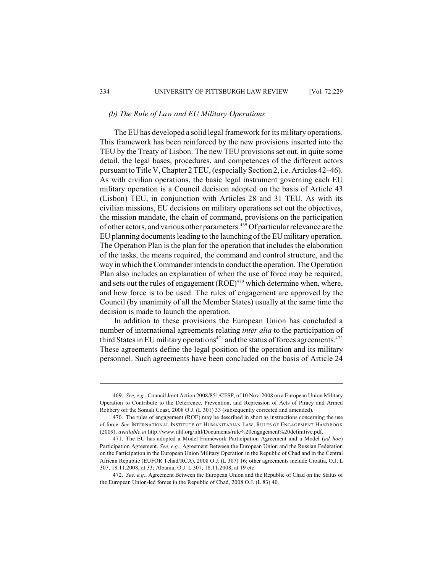## *(b) The Rule of Law and EU Military Operations*

The EU has developed a solid legal framework for its military operations. This framework has been reinforced by the new provisions inserted into the TEU by the Treaty of Lisbon. The new TEU provisions set out, in quite some detail, the legal bases, procedures, and competences of the different actors pursuant to Title V, Chapter 2 TEU, (especially Section 2, i.e. Articles 42–46). As with civilian operations, the basic legal instrument governing each EU military operation is a Council decision adopted on the basis of Article 43 (Lisbon) TEU, in conjunction with Articles 28 and 31 TEU. As with its civilian missions, EU decisions on military operations set out the objectives, the mission mandate, the chain of command, provisions on the participation of other actors, and various other parameters.<sup>469</sup> Of particular relevance are the EU planning documents leading to the launching of the EU military operation. The Operation Plan is the plan for the operation that includes the elaboration of the tasks, the means required, the command and control structure, and the way in which the Commander intends to conduct the operation. The Operation Plan also includes an explanation of when the use of force may be required, and sets out the rules of engagement  $(ROE)^{470}$  which determine when, where, and how force is to be used. The rules of engagement are approved by the Council (by unanimity of all the Member States) usually at the same time the decision is made to launch the operation.

In addition to these provisions the European Union has concluded a number of international agreements relating *inter alia* to the participation of third States in EU military operations<sup> $471$ </sup> and the status of forces agreements.  $472$ These agreements define the legal position of the operation and its military personnel. Such agreements have been concluded on the basis of Article 24

<sup>469.</sup> *See, e.g.*, Council Joint Action 2008/851/CFSP, of 10 Nov. 2008 on a European Union Military Operation to Contribute to the Deterrence, Prevention, and Repression of Acts of Piracy and Armed Robbery off the Somali Coast, 2008 O.J. (L 301) 33 (subsequently corrected and amended).

<sup>470.</sup> The rules of engagement (ROE) may be described in short as instructions concerning the use of force. *See* INTERNATIONAL INSTITUTE OF HUMANITARIAN LAW, RULES OF ENGAGEMENT HANDBOOK (2009), *available at* http://www.iihl.org/iihl/Documents/rule%20engagement%20definitive.pdf.

<sup>471.</sup> The EU has adopted a Model Framework Participation Agreement and a Model (*ad hoc*) Participation Agreement. *See, e.g.*, Agreement Between the European Union and the Russian Federation on the Participation in the European Union Military Operation in the Republic of Chad and in the Central African Republic (EUFOR Tchad/RCA), 2008 O.J. (L 307) 16; other agreements include Croatia, O.J. L 307, 18.11.2008, at 33; Albania, O.J. L 307, 18.11.2008, at 19 etc.

<sup>472.</sup> *See, e.g.*, Agreement Between the European Union and the Republic of Chad on the Status of the European Union-led forces in the Republic of Chad, 2008 O.J. (L 83) 40.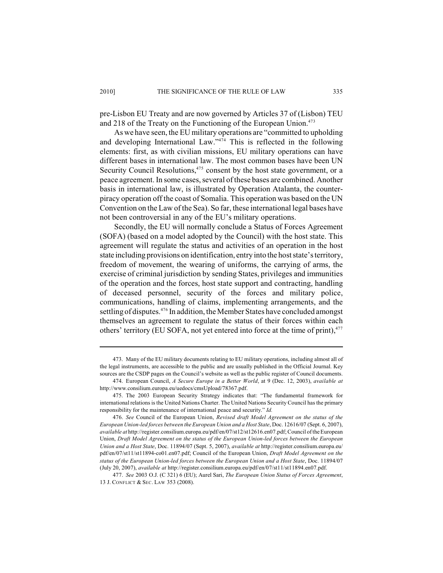pre-Lisbon EU Treaty and are now governed by Articles 37 of (Lisbon) TEU and 218 of the Treaty on the Functioning of the European Union.<sup>473</sup>

As we have seen, the EU military operations are "committed to upholding and developing International Law." $474$  This is reflected in the following elements: first, as with civilian missions, EU military operations can have different bases in international law. The most common bases have been UN Security Council Resolutions, $475$  consent by the host state government, or a peace agreement. In some cases, several of these bases are combined. Another basis in international law, is illustrated by Operation Atalanta, the counterpiracy operation off the coast of Somalia. This operation was based on the UN Convention on the Law of the Sea). So far, these international legal bases have not been controversial in any of the EU's military operations.

Secondly, the EU will normally conclude a Status of Forces Agreement (SOFA) (based on a model adopted by the Council) with the host state. This agreement will regulate the status and activities of an operation in the host state including provisions on identification, entry into the host state's territory, freedom of movement, the wearing of uniforms, the carrying of arms, the exercise of criminal jurisdiction by sending States, privileges and immunities of the operation and the forces, host state support and contracting, handling of deceased personnel, security of the forces and military police, communications, handling of claims, implementing arrangements, and the settling of disputes.  $476$  In addition, the Member States have concluded amongst themselves an agreement to regulate the status of their forces within each others' territory (EU SOFA, not yet entered into force at the time of print),<sup>477</sup>

<sup>473.</sup> Many of the EU military documents relating to EU military operations, including almost all of the legal instruments, are accessible to the public and are usually published in the Official Journal. Key sources are the CSDP pages on the Council's website as well as the public register of Council documents.

<sup>474.</sup> European Council, *A Secure Europe in a Better World*, at 9 (Dec. 12, 2003), *available at* http://www.consilium.europa.eu/uedocs/cmsUpload/78367.pdf.

<sup>475.</sup> The 2003 European Security Strategy indicates that: "The fundamental framework for international relations is the United Nations Charter. The United Nations Security Council has the primary responsibility for the maintenance of international peace and security." *Id.*

<sup>476.</sup> *See* Council of the European Union, *Revised draft Model Agreement on the status of the European Union-led forces between the European Union and a Host State*, Doc. 12616/07 (Sept. 6, 2007), *available at* http://register.consilium.europa.eu/pdf/en/07/st12/st12616.en07.pdf; Council of the European Union, *Draft Model Agreement on the status of the European Union-led forces between the European Union and a Host State*, Doc. 11894/07 (Sept. 5, 2007), *available at* http://register.consilium.europa.eu/ pdf/en/07/st11/st11894-co01.en07.pdf; Council of the European Union, *Draft Model Agreement on the status of the European Union-led forces between the European Union and a Host State*, Doc. 11894/07 (July 20, 2007), *available at* http://register.consilium.europa.eu/pdf/en/07/st11/st11894.en07.pdf.

<sup>477.</sup> *See* 2003 O.J. (C 321) 6 (EU); Aurel Sari, *The European Union Status of Forces Agreement*, 13 J. CONFLICT & SEC. LAW 353 (2008).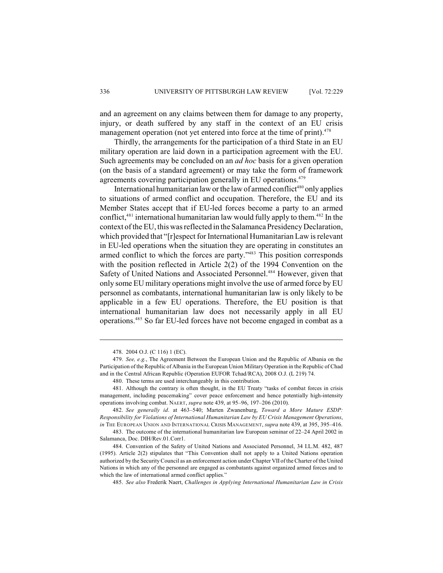and an agreement on any claims between them for damage to any property, injury, or death suffered by any staff in the context of an EU crisis management operation (not yet entered into force at the time of print).<sup>478</sup>

Thirdly, the arrangements for the participation of a third State in an EU military operation are laid down in a participation agreement with the EU. Such agreements may be concluded on an *ad hoc* basis for a given operation (on the basis of a standard agreement) or may take the form of framework agreements covering participation generally in EU operations.<sup>479</sup>

International humanitarian law or the law of armed conflict<sup>480</sup> only applies to situations of armed conflict and occupation. Therefore, the EU and its Member States accept that if EU-led forces become a party to an armed conflict,  $481$  international humanitarian law would fully apply to them.  $482$  In the context of the EU, this was reflected in the Salamanca Presidency Declaration, which provided that "[r]espect for International Humanitarian Law is relevant in EU-led operations when the situation they are operating in constitutes an armed conflict to which the forces are party."<sup>483</sup> This position corresponds with the position reflected in Article 2(2) of the 1994 Convention on the Safety of United Nations and Associated Personnel.<sup>484</sup> However, given that only some EU military operations might involve the use of armed force by EU personnel as combatants, international humanitarian law is only likely to be applicable in a few EU operations. Therefore, the EU position is that international humanitarian law does not necessarily apply in all EU operations.<sup>485</sup> So far EU-led forces have not become engaged in combat as a

<sup>478.</sup> 2004 O.J. (C 116) 1 (EC).

<sup>479.</sup> *See, e.g.*, The Agreement Between the European Union and the Republic of Albania on the Participation ofthe Republic of Albania in the European Union Military Operation in the Republic of Chad and in the Central African Republic (Operation EUFOR Tchad/RCA), 2008 O.J. (L 219) 74.

<sup>480.</sup> These terms are used interchangeably in this contribution.

<sup>481.</sup> Although the contrary is often thought, in the EU Treaty "tasks of combat forces in crisis management, including peacemaking" cover peace enforcement and hence potentially high-intensity operations involving combat. NAERT, *supra* note 439, at 95–96, 197–206 (2010).

<sup>482.</sup> *See generally id*. at 463–540; Marten Zwanenburg, *Toward a More Mature ESDP: Responsibility for Violations of International Humanitarian Law by EU Crisis Management Operations*, *in* THE EUROPEAN UNION AND INTERNATIONAL CRISIS MANAGEMENT, *supra* note 439, at 395, 395–416.

<sup>483.</sup> The outcome of the international humanitarian law European seminar of 22–24 April 2002 in Salamanca, Doc. DIH/Rev.01.Corr1.

<sup>484.</sup> Convention of the Safety of United Nations and Associated Personnel, 34 I.L.M. 482, 487 (1995). Article 2(2) stipulates that "This Convention shall not apply to a United Nations operation authorized by the Security Council as an enforcement action under Chapter VII of the Charter of the United Nations in which any of the personnel are engaged as combatants against organized armed forces and to which the law of international armed conflict applies."

<sup>485.</sup> *See also* Frederik Naert, *Challenges in Applying International Humanitarian Law in Crisis*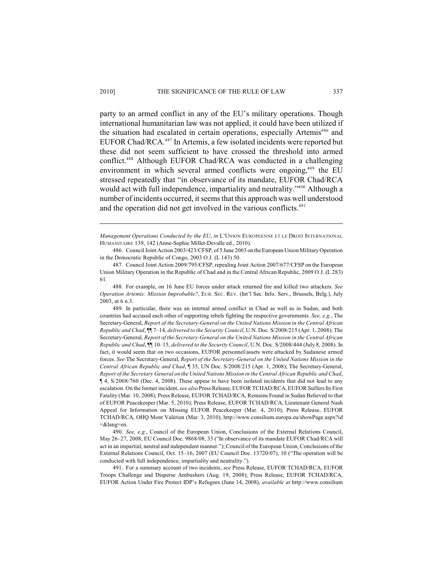party to an armed conflict in any of the EU's military operations. Though international humanitarian law was not applied, it could have been utilized if the situation had escalated in certain operations, especially Artemis<sup>486</sup> and EUFOR Chad/RCA.<sup>487</sup> In Artemis, a few isolated incidents were reported but these did not seem sufficient to have crossed the threshold into armed conflict.<sup>488</sup> Although EUFOR Chad/RCA was conducted in a challenging environment in which several armed conflicts were ongoing, $489$  the EU stressed repeatedly that "in observance of its mandate, EUFOR Chad/RCA would act with full independence, impartiality and neutrality."<sup>490</sup> Although a number of incidents occurred, it seems that this approach was well understood and the operation did not get involved in the various conflicts.<sup>491</sup>

486. Council Joint Action 2003/423/CFSP, of 5 June 2003 on the European Union Military Operation in the Democratic Republic of Congo, 2003 O.J. (L 143) 50.

490. *See, e.g.*, Council of the European Union, Conclusions of the External Relations Council, May 26–27, 2008, EU Council Doc. 9868/08, 33 ("In observance of its mandate EUFOR Chad/RCA will act in an impartial, neutral and independent manner."); Council of the European Union, Conclusions of the External Relations Council, Oct. 15–16, 2007 (EU Council Doc. 13720/07), 10 ("The operation will be conducted with full independence, impartiality and neutrality.").

491. For a summary account of two incidents, *see* Press Release, EUFOR TCHAD/RCA, EUFOR Troops Challenge and Disperse Ambushers (Aug. 19, 2008); Press Release, EUFOR TCHAD/RCA, EUFOR Action Under Fire Protect IDP's Refugees (June 14, 2008), *available at* http://www.consilium

*Management Operations Conducted by the EU*, *in* L'UNION EUROPEENNE ET LE DROIT INTERNATIONAL HUMANITAIRE 139, 142 (Anne-Sophie Millet-Devalle ed., 2010).

<sup>487.</sup> Council Joint Action 2009/795/CFSP, repealing Joint Action 2007/677/CFSP on the European Union Military Operation in the Republic of Chad and in the Central African Republic, 2009 O.J. (L 283) 61.

<sup>488.</sup> For example, on 16 June EU forces under attack returned fire and killed two attackers. *See Operation Artemis: Mission Improbable?*, EUR. SEC. REV. (Int'l Sec. Info. Serv., Brussels, Belg.), July 2003, at 6 n.3.

<sup>489.</sup> In particular, there was an internal armed conflict in Chad as well as in Sudan, and both countries had accused each other of supporting rebels fighting the respective governments. *See, e.g.*, The Secretary-General, *Report of the Secretary-General on the United Nations Mission in the Central African Republic and Chad*, ¶¶ 7–14, *delivered to the Security Council*, U.N. Doc. S/2008/215 (Apr. 1, 2008); The Secretary-General, *Report of the Secretary-General on the United Nations Mission in the Central African Republic and Chad*, ¶¶ 10–15, *delivered to the Security Council*, U.N. Doc. S/2008/444 (July 8, 2008). In fact, it would seem that on two occasions, EUFOR personnel/assets were attacked by Sudanese armed forces. *See* The Secretary-General, *Report of the Secretary-General on the United Nations Mission in the Central African Republic and Chad*, ¶ 35, UN Doc. S/2008/215 (Apr. 1, 2008); The Secretary-General, *Report of the Secretary General on the United Nations Mission in the Central African Republic and Chad*, ¶ 4, S/2008/760 (Dec. 4, 2008). These appear to have been isolated incidents that did not lead to any escalation. On the former incident, *see also* Press Release, EUFOR TCHAD/RCA, EUFOR Suffers Its First Fatality (Mar. 10, 2008); Press Release, EUFOR TCHAD/RCA, Remains Found in Sudan Believed to that of EUFOR Peacekeeper (Mar. 5, 2010); Press Release, EUFOR TCHAD/RCA, Lieutenant General Nash Appeal for Information on Missing EUFOR Peacekeeper (Mar. 4, 2010); Press Release, EUFOR TCHAD/RCA, OHQ Mont Valérien (Mar. 3, 2010), http://www.consilium.europa.eu/showPage.aspx?id =&lang=en.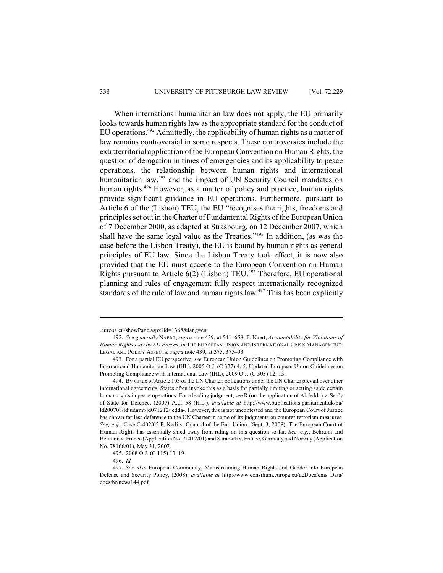When international humanitarian law does not apply, the EU primarily looks towards human rights law as the appropriate standard for the conduct of EU operations.<sup> $492$ </sup> Admittedly, the applicability of human rights as a matter of law remains controversial in some respects. These controversies include the extraterritorial application of the European Convention on Human Rights, the question of derogation in times of emergencies and its applicability to peace operations, the relationship between human rights and international humanitarian law, $493$  and the impact of UN Security Council mandates on human rights.<sup>494</sup> However, as a matter of policy and practice, human rights provide significant guidance in EU operations. Furthermore, pursuant to Article 6 of the (Lisbon) TEU, the EU "recognises the rights, freedoms and principles set out in the Charter of Fundamental Rights of the European Union of 7 December 2000, as adapted at Strasbourg, on 12 December 2007, which shall have the same legal value as the Treaties."<sup>495</sup> In addition, (as was the case before the Lisbon Treaty), the EU is bound by human rights as general principles of EU law. Since the Lisbon Treaty took effect, it is now also provided that the EU must accede to the European Convention on Human Rights pursuant to Article  $6(2)$  (Lisbon) TEU.<sup>496</sup> Therefore, EU operational planning and rules of engagement fully respect internationally recognized standards of the rule of law and human rights law.<sup>497</sup> This has been explicitly

<sup>.</sup>europa.eu/showPage.aspx?id=1368&lang=en.

<sup>492.</sup> *See generally* NAERT, *supra* note 439, at 541–658; F. Naert, *Accountability for Violations of Human Rights Law by EU Forces*, *in* THE EUROPEAN UNION AND INTERNATIONAL CRISIS MANAGEMENT: LEGAL AND POLICY ASPECTS, *supra* note 439, at 375, 375–93.

<sup>493.</sup> For a partial EU perspective, *see* European Union Guidelines on Promoting Compliance with International Humanitarian Law (IHL), 2005 O.J. (C 327) 4, 5; Updated European Union Guidelines on Promoting Compliance with International Law (IHL), 2009 O.J. (C 303) 12, 13.

<sup>494.</sup> By virtue of Article 103 of the UN Charter, obligations under the UN Charter prevail over other international agreements. States often invoke this as a basis for partially limiting or setting aside certain human rights in peace operations. For a leading judgment, see R (on the application of Al-Jedda) v. Sec'y of State for Defence, (2007) A.C. 58 (H.L.), *available at* http://www.publications.parliament.uk/pa/ ld200708/ldjudgmt/jd071212/jedda-. However, this is not uncontested and the European Court of Justice has shown far less deference to the UN Charter in some of its judgments on counter-terrorism measures. *See, e.g*., Case C-402/05 P, Kadi v. Council of the Eur. Union, (Sept. 3, 2008). The European Court of Human Rights has essentially shied away from ruling on this question so far. *See, e.g.*, Behrami and Behrami v. France (Application No. 71412/01) and Saramati v. France, Germany and Norway (Application No. 78166/01), May 31, 2007.

<sup>495.</sup> 2008 O.J. (C 115) 13, 19.

<sup>496.</sup> *Id.*

<sup>497.</sup> *See also* European Community, Mainstreaming Human Rights and Gender into European Defense and Security Policy, (2008), *available at* http://www.consilium.europa.eu/ueDocs/cms\_Data/ docs/hr/news144.pdf.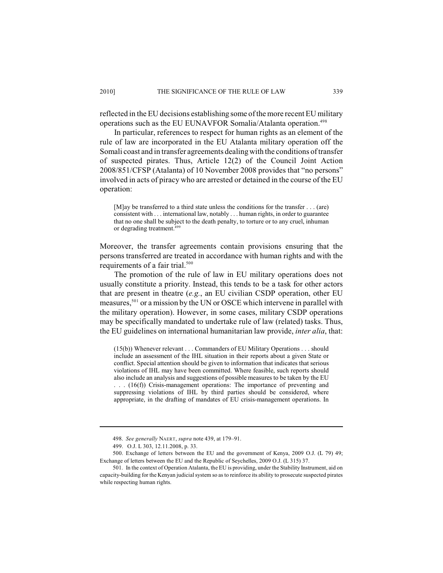reflected in the EU decisions establishing some of the more recent EU military operations such as the EU EUNAVFOR Somalia/Atalanta operation.<sup>498</sup>

In particular, references to respect for human rights as an element of the rule of law are incorporated in the EU Atalanta military operation off the Somali coast and in transfer agreements dealing with the conditions of transfer of suspected pirates. Thus, Article 12(2) of the Council Joint Action 2008/851/CFSP (Atalanta) of 10 November 2008 provides that "no persons" involved in acts of piracy who are arrested or detained in the course of the EU operation:

[M]ay be transferred to a third state unless the conditions for the transfer . . . (are) consistent with . . . international law, notably . . . human rights, in order to guarantee that no one shall be subject to the death penalty, to torture or to any cruel, inhuman or degrading treatment. 499

Moreover, the transfer agreements contain provisions ensuring that the persons transferred are treated in accordance with human rights and with the requirements of a fair trial.<sup>500</sup>

The promotion of the rule of law in EU military operations does not usually constitute a priority. Instead, this tends to be a task for other actors that are present in theatre (*e.g.*, an EU civilian CSDP operation, other EU measures,  $501$  or a mission by the UN or OSCE which intervene in parallel with the military operation). However, in some cases, military CSDP operations may be specifically mandated to undertake rule of law (related) tasks. Thus, the EU guidelines on international humanitarian law provide, *inter alia*, that:

(15(b)) Whenever relevant . . . Commanders of EU Military Operations . . . should include an assessment of the IHL situation in their reports about a given State or conflict. Special attention should be given to information that indicates that serious violations of IHL may have been committed. Where feasible, such reports should also include an analysis and suggestions of possible measuresto be taken by the EU . . . (16(f)) Crisis-management operations: The importance of preventing and suppressing violations of IHL by third parties should be considered, where appropriate, in the drafting of mandates of EU crisis-management operations. In

<sup>498.</sup> *See generally* NAERT, *supra* note 439, at 179–91.

<sup>499.</sup> O.J. L 303, 12.11.2008, p. 33.

<sup>500.</sup> Exchange of letters between the EU and the government of Kenya, 2009 O.J. (L 79) 49; Exchange of letters between the EU and the Republic of Seychelles, 2009 O.J. (L 315) 37.

<sup>501.</sup> In the context of Operation Atalanta, the EU is providing, under the Stability Instrument, aid on capacity-building for the Kenyan judicial system so asto reinforce its ability to prosecute suspected pirates while respecting human rights.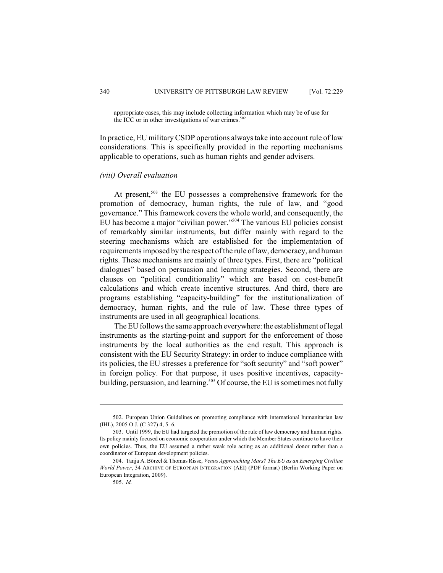appropriate cases, this may include collecting information which may be of use for the ICC or in other investigations of war crimes. $502$ 

In practice, EU military CSDP operations always take into account rule of law considerations. This is specifically provided in the reporting mechanisms applicable to operations, such as human rights and gender advisers.

# *(viii) Overall evaluation*

At present, $503$  the EU possesses a comprehensive framework for the promotion of democracy, human rights, the rule of law, and "good governance." This framework covers the whole world, and consequently, the EU has become a major "civilian power."<sup>504</sup> The various EU policies consist of remarkably similar instruments, but differ mainly with regard to the steering mechanisms which are established for the implementation of requirements imposed by the respect of the rule of law, democracy, and human rights. These mechanisms are mainly of three types. First, there are "political dialogues" based on persuasion and learning strategies. Second, there are clauses on "political conditionality" which are based on cost-benefit calculations and which create incentive structures. And third, there are programs establishing "capacity-building" for the institutionalization of democracy, human rights, and the rule of law. These three types of instruments are used in all geographical locations.

The EU follows the same approach everywhere: the establishment of legal instruments as the starting-point and support for the enforcement of those instruments by the local authorities as the end result. This approach is consistent with the EU Security Strategy: in order to induce compliance with its policies, the EU stresses a preference for "soft security" and "soft power" in foreign policy. For that purpose, it uses positive incentives, capacitybuilding, persuasion, and learning.<sup>505</sup> Of course, the EU is sometimes not fully

<sup>502.</sup> European Union Guidelines on promoting compliance with international humanitarian law (IHL), 2005 O.J. (C 327) 4, 5–6.

<sup>503.</sup> Until 1999, the EU had targeted the promotion of the rule of law democracy and human rights. Its policy mainly focused on economic cooperation under which the Member States continue to have their own policies. Thus, the EU assumed a rather weak role acting as an additional donor rather than a coordinator of European development policies.

<sup>504.</sup> Tanja A. Börzel & Thomas Risse, *Venus Approaching Mars? The EU as an Emerging Civilian World Power*, 34 ARCHIVE OF EUROPEAN INTEGRATION (AEI) (PDF format) (Berlin Working Paper on European Integration, 2009).

<sup>505.</sup> *Id.*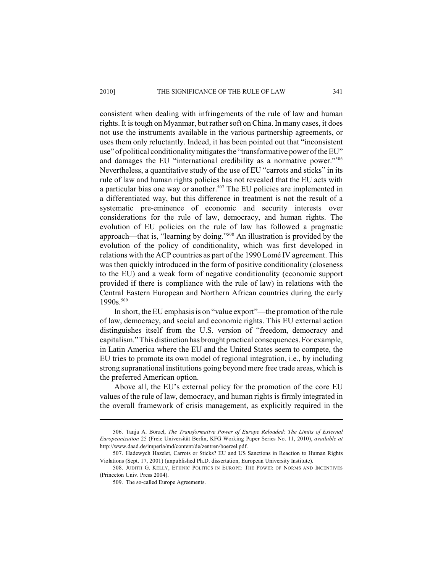consistent when dealing with infringements of the rule of law and human rights. It is tough on Myanmar, but rather soft on China. In many cases, it does not use the instruments available in the various partnership agreements, or uses them only reluctantly. Indeed, it has been pointed out that "inconsistent use" of political conditionality mitigates the "transformative power of the EU" and damages the EU "international credibility as a normative power." 506 Nevertheless, a quantitative study of the use of EU "carrots and sticks" in its rule of law and human rights policies has not revealed that the EU acts with a particular bias one way or another.<sup>507</sup> The EU policies are implemented in a differentiated way, but this difference in treatment is not the result of a systematic pre-eminence of economic and security interests over considerations for the rule of law, democracy, and human rights. The evolution of EU policies on the rule of law has followed a pragmatic approach—that is, "learning by doing."<sup>508</sup> An illustration is provided by the evolution of the policy of conditionality, which was first developed in relations with the ACP countries as part of the 1990 Lomé IV agreement. This was then quickly introduced in the form of positive conditionality (closeness to the EU) and a weak form of negative conditionality (economic support provided if there is compliance with the rule of law) in relations with the Central Eastern European and Northern African countries during the early 1990s.<sup>509</sup>

In short, the EU emphasis is on "value export"—the promotion of the rule of law, democracy, and social and economic rights. This EU external action distinguishes itself from the U.S. version of "freedom, democracy and capitalism." This distinction has brought practical consequences. For example, in Latin America where the EU and the United States seem to compete, the EU tries to promote its own model of regional integration, i.e., by including strong supranational institutions going beyond mere free trade areas, which is the preferred American option.

Above all, the EU's external policy for the promotion of the core EU values of the rule of law, democracy, and human rights is firmly integrated in the overall framework of crisis management, as explicitly required in the

<sup>506.</sup> Tanja A. Börzel, *The Transformative Power of Europe Reloaded: The Limits of External Europeanization* 25 (Freie Universität Berlin, KFG Working Paper Series No. 11, 2010), *available at* http://www.daad.de/imperia/md/content/de/zentren/boerzel.pdf.

<sup>507.</sup> Hadewych Hazelet, Carrots or Sticks? EU and US Sanctions in Reaction to Human Rights Violations (Sept. 17, 2001) (unpublished Ph.D. dissertation, European University Institute).

<sup>508.</sup> JUDITH G. KELLY, ETHNIC POLITICS IN EUROPE: THE POWER OF NORMS AND INCENTIVES (Princeton Univ. Press 2004).

<sup>509.</sup> The so-called Europe Agreements.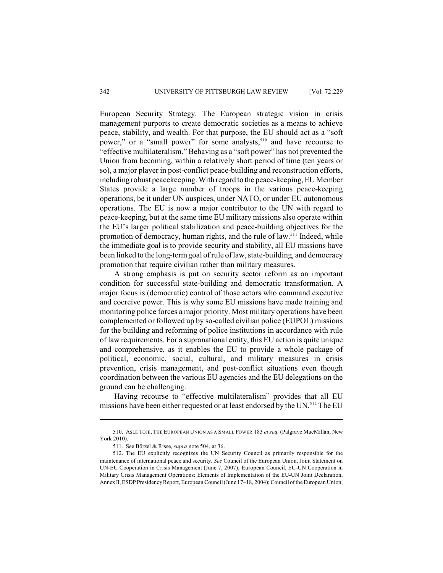European Security Strategy. The European strategic vision in crisis management purports to create democratic societies as a means to achieve peace, stability, and wealth. For that purpose, the EU should act as a "soft power," or a "small power" for some analysts,<sup>510</sup> and have recourse to "effective multilateralism." Behaving as a "soft power" has not prevented the Union from becoming, within a relatively short period of time (ten years or so), a major player in post-conflict peace-building and reconstruction efforts, including robust peacekeeping. With regard to the peace-keeping, EU Member States provide a large number of troops in the various peace-keeping operations, be it under UN auspices, under NATO, or under EU autonomous operations. The EU is now a major contributor to the UN with regard to peace-keeping, but at the same time EU military missions also operate within the EU's larger political stabilization and peace-building objectives for the promotion of democracy, human rights, and the rule of law.<sup>511</sup> Indeed, while the immediate goal is to provide security and stability, all EU missions have been linked to the long-termgoal of rule of law, state-building, and democracy promotion that require civilian rather than military measures.

A strong emphasis is put on security sector reform as an important condition for successful state-building and democratic transformation. A major focus is (democratic) control of those actors who command executive and coercive power. This is why some EU missions have made training and monitoring police forces a major priority. Most military operations have been complemented or followed up by so-called civilian police (EUPOL) missions for the building and reforming of police institutions in accordance with rule of law requirements. For a supranational entity, this EU action is quite unique and comprehensive, as it enables the EU to provide a whole package of political, economic, social, cultural, and military measures in crisis prevention, crisis management, and post-conflict situations even though coordination between the various EU agencies and the EU delegations on the ground can be challenging.

Having recourse to "effective multilateralism" provides that all EU missions have been either requested or at least endorsed by the UN.<sup>512</sup> The EU

<sup>510.</sup> ASLE TOJE, THE EUROPEAN UNION AS A SMALL POWER 183 *et seq.* (Palgrave MacMillan, New York 2010).

<sup>511.</sup> See Börzel & Risse, *supra* note 504, at 36.

<sup>512.</sup> The EU explicitly recognizes the UN Security Council as primarily responsible for the maintenance of international peace and security. *See* Council of the European Union, Joint Statement on UN-EU Cooperation in Crisis Management (June 7, 2007); European Council, EU-UN Cooperation in Military Crisis Management Operations: Elements of Implementation of the EU-UN Joint Declaration, Annex II, ESDP Presidency Report, European Council (June 17–18, 2004); Council of the European Union,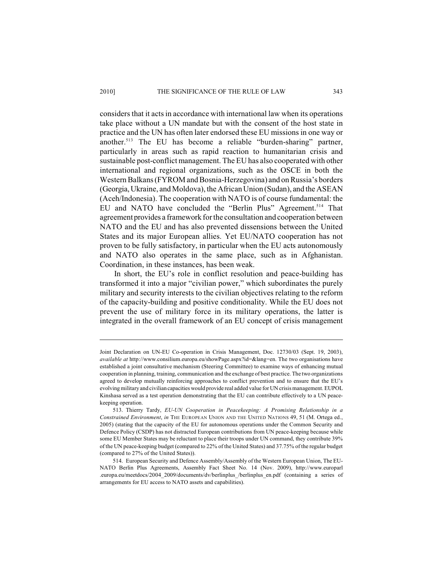considers that it actsin accordance with international law when its operations take place without a UN mandate but with the consent of the host state in practice and the UN has often later endorsed these EU missions in one way or another.<sup>513</sup> The EU has become a reliable "burden-sharing" partner, particularly in areas such as rapid reaction to humanitarian crisis and sustainable post-conflict management. The EU has also cooperated with other international and regional organizations, such as the OSCE in both the Western Balkans (FYROM and Bosnia-Herzegovina) and on Russia's borders (Georgia, Ukraine, and Moldova), the African Union (Sudan), and the ASEAN (Aceh/Indonesia). The cooperation with NATO is of course fundamental: the EU and NATO have concluded the "Berlin Plus" Agreement.<sup>514</sup> That agreement provides a framework for the consultation and cooperation between NATO and the EU and has also prevented dissensions between the United States and its major European allies. Yet EU/NATO cooperation has not proven to be fully satisfactory, in particular when the EU acts autonomously and NATO also operates in the same place, such as in Afghanistan. Coordination, in these instances, has been weak.

In short, the EU's role in conflict resolution and peace-building has transformed it into a major "civilian power," which subordinates the purely military and security interests to the civilian objectives relating to the reform of the capacity-building and positive conditionality. While the EU does not prevent the use of military force in its military operations, the latter is integrated in the overall framework of an EU concept of crisis management

Joint Declaration on UN-EU Co-operation in Crisis Management, Doc. 12730/03 (Sept. 19, 2003), *available at* http://www.consilium.europa.eu/showPage.aspx?id=&lang=en. The two organisations have established a joint consultative mechanism (Steering Committee) to examine ways of enhancing mutual cooperation in planning, training, communication and the exchange of best practice. The two organizations agreed to develop mutually reinforcing approaches to conflict prevention and to ensure that the EU's evolving military and civilian capacities would provide real added value for UN crisis management. EUPOL Kinshasa served as a test operation demonstrating that the EU can contribute effectively to a UN peacekeeping operation.

<sup>513.</sup> Thierry Tardy, *EU-UN Cooperation in Peacekeeping: A Promising Relationship in a Constrained Environment*, *in* THE EUROPEAN UNION AND THE UNITED NATIONS 49, 51 (M. Ortega ed., 2005) (stating that the capacity of the EU for autonomous operations under the Common Security and Defence Policy (CSDP) has not distracted European contributions from UN peace-keeping because while some EU Member States may be reluctant to place their troops under UN command, they contribute 39% of the UN peace-keeping budget (compared to 22% of the United States) and 37.75% of the regular budget (compared to 27% of the United States)).

<sup>514.</sup> European Security and Defence Assembly/Assembly of the Western European Union, The EU-NATO Berlin Plus Agreements, Assembly Fact Sheet No. 14 (Nov. 2009), http://www.europarl .europa.eu/meetdocs/2004\_2009/documents/dv/berlinplus\_/berlinplus\_en.pdf (containing a series of arrangements for EU access to NATO assets and capabilities).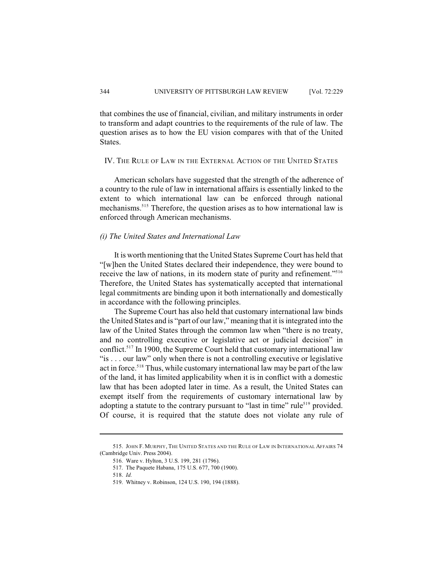that combines the use of financial, civilian, and military instruments in order to transform and adapt countries to the requirements of the rule of law. The question arises as to how the EU vision compares with that of the United States.

# IV. THE RULE OF LAW IN THE EXTERNAL ACTION OF THE UNITED STATES

American scholars have suggested that the strength of the adherence of a country to the rule of law in international affairs is essentially linked to the extent to which international law can be enforced through national mechanisms.<sup>515</sup> Therefore, the question arises as to how international law is enforced through American mechanisms.

# *(i) The United States and International Law*

It is worth mentioning that the United States Supreme Court has held that "[w]hen the United States declared their independence, they were bound to receive the law of nations, in its modern state of purity and refinement."<sup>516</sup> Therefore, the United States has systematically accepted that international legal commitments are binding upon it both internationally and domestically in accordance with the following principles.

The Supreme Court has also held that customary international law binds the United States and is "part of our law," meaning that it is integrated into the law of the United States through the common law when "there is no treaty, and no controlling executive or legislative act or judicial decision" in conflict.<sup> $517$ </sup> In 1900, the Supreme Court held that customary international law "is . . . our law" only when there is not a controlling executive or legislative act in force.<sup>518</sup> Thus, while customary international law may be part of the law of the land, it has limited applicability when it is in conflict with a domestic law that has been adopted later in time. As a result, the United States can exempt itself from the requirements of customary international law by adopting a statute to the contrary pursuant to "last in time" rule<sup>519</sup> provided. Of course, it is required that the statute does not violate any rule of

<sup>515.</sup> JOHN F. MURPHY, THE UNITED STATES AND THE RULE OF LAW IN INTERNATIONAL AFFAIRS 74 (Cambridge Univ. Press 2004).

<sup>516.</sup> Ware v. Hylton, 3 U.S. 199, 281 (1796).

<sup>517.</sup> The Paquete Habana, 175 U.S. 677, 700 (1900).

<sup>518.</sup> *Id.*

<sup>519.</sup> Whitney v. Robinson, 124 U.S. 190, 194 (1888).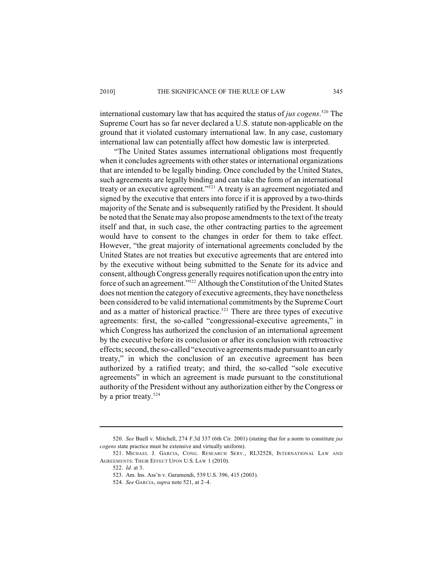international customary law that has acquired the status of *jus cogens*.<sup>520</sup> The Supreme Court has so far never declared a U.S. statute non-applicable on the ground that it violated customary international law. In any case, customary international law can potentially affect how domestic law is interpreted.

"The United States assumes international obligations most frequently when it concludes agreements with other states or international organizations that are intended to be legally binding. Once concluded by the United States, such agreements are legally binding and can take the form of an international treaty or an executive agreement."  $2^{521}$  A treaty is an agreement negotiated and signed by the executive that enters into force if it is approved by a two-thirds majority of the Senate and is subsequently ratified by the President. It should be noted that the Senate may also propose amendments to the text of the treaty itself and that, in such case, the other contracting parties to the agreement would have to consent to the changes in order for them to take effect. However, "the great majority of international agreements concluded by the United States are not treaties but executive agreements that are entered into by the executive without being submitted to the Senate for its advice and consent, although Congress generally requires notification upon the entry into force of such an agreement."<sup>522</sup> Although the Constitution of the United States does not mention the category of executive agreements, they have nonetheless been considered to be valid international commitments by the Supreme Court and as a matter of historical practice.<sup>523</sup> There are three types of executive agreements: first, the so-called "congressional-executive agreements," in which Congress has authorized the conclusion of an international agreement by the executive before its conclusion or after its conclusion with retroactive effects; second, the so-called "executive agreements made pursuant to an early treaty," in which the conclusion of an executive agreement has been authorized by a ratified treaty; and third, the so-called "sole executive agreements" in which an agreement is made pursuant to the constitutional authority of the President without any authorization either by the Congress or by a prior treaty.<sup>524</sup>

<sup>520.</sup> *See* Buell v. Mitchell, 274 F.3d 337 (6th Cir. 2001) (stating that for a norm to constitute *jus cogens* state practice must be extensive and virtually uniform).

<sup>521.</sup> MICHAEL J. GARCIA, CONG. RESEARCH SERV., RL32528, INTERNATIONAL LAW AND AGREEMENTS: THEIR EFFECT UPON U.S. LAW 1 (2010).

<sup>522.</sup> *Id.* at 3.

<sup>523.</sup> Am. Ins. Ass'n v. Garamendi, 539 U.S. 396, 415 (2003).

<sup>524.</sup> *See* GARCIA, *supra* note 521, at 2–4.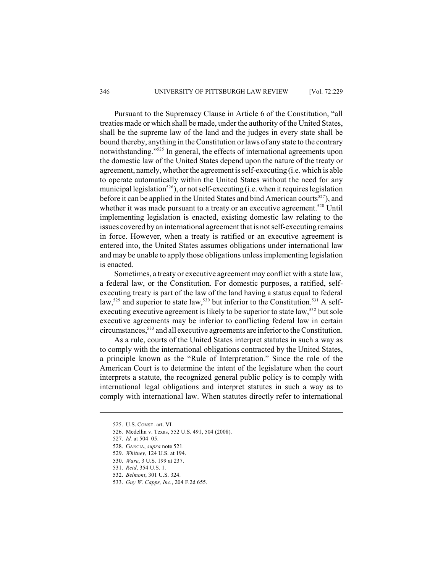Pursuant to the Supremacy Clause in Article 6 of the Constitution, "all treaties made or which shall be made, under the authority of the United States, shall be the supreme law of the land and the judges in every state shall be bound thereby, anything in the Constitution or laws of any state to the contrary notwithstanding."<sup>525</sup> In general, the effects of international agreements upon the domestic law of the United States depend upon the nature of the treaty or agreement, namely, whether the agreement is self-executing (i.e. which is able to operate automatically within the United States without the need for any municipal legislation<sup>526</sup>), or not self-executing (i.e. when it requires legislation before it can be applied in the United States and bind American courts<sup>527</sup>), and whether it was made pursuant to a treaty or an executive agreement.<sup>528</sup> Until implementing legislation is enacted, existing domestic law relating to the issues covered by an international agreement that is not self-executing remains in force. However, when a treaty is ratified or an executive agreement is entered into, the United States assumes obligations under international law and may be unable to apply those obligations unless implementing legislation is enacted.

Sometimes, a treaty or executive agreement may conflict with a state law, a federal law, or the Constitution. For domestic purposes, a ratified, selfexecuting treaty is part of the law of the land having a status equal to federal law,<sup>529</sup> and superior to state law,<sup>530</sup> but inferior to the Constitution.<sup>531</sup> A selfexecuting executive agreement is likely to be superior to state law,<sup>532</sup> but sole executive agreements may be inferior to conflicting federal law in certain circumstances,<sup>533</sup> and all executive agreements are inferior to the Constitution.

As a rule, courts of the United States interpret statutes in such a way as to comply with the international obligations contracted by the United States, a principle known as the "Rule of Interpretation." Since the role of the American Court is to determine the intent of the legislature when the court interprets a statute, the recognized general public policy is to comply with international legal obligations and interpret statutes in such a way as to comply with international law. When statutes directly refer to international

<sup>525.</sup> U.S. CONST. art. VI.

<sup>526.</sup> Medellin v. Texas, 552 U.S. 491, 504 (2008).

<sup>527.</sup> *Id.* at 504–05.

<sup>528.</sup> GARCIA, *supra* note 521.

<sup>529.</sup> *Whitney*, 124 U.S. at 194.

<sup>530.</sup> *Ware*, 3 U.S. 199 at 237.

<sup>531.</sup> *Reid*, 354 U.S. 1.

<sup>532.</sup> *Belmont*, 301 U.S. 324.

<sup>533.</sup> *Guy W. Capps, Inc.*, 204 F.2d 655.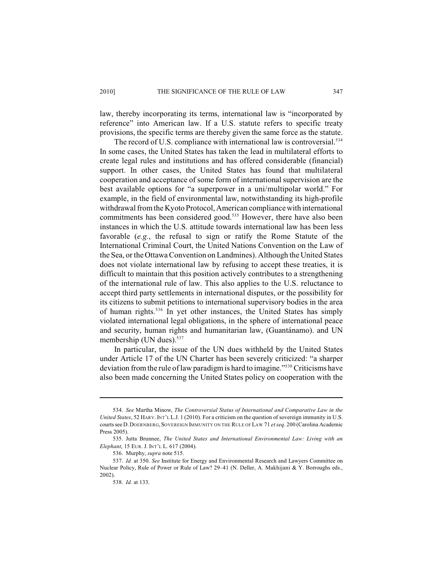law, thereby incorporating its terms, international law is "incorporated by reference" into American law. If a U.S. statute refers to specific treaty provisions, the specific terms are thereby given the same force as the statute.

The record of U.S. compliance with international law is controversial.<sup>534</sup> In some cases, the United States has taken the lead in multilateral efforts to create legal rules and institutions and has offered considerable (financial) support. In other cases, the United States has found that multilateral cooperation and acceptance of some form of international supervision are the best available options for "a superpower in a uni/multipolar world." For example, in the field of environmental law, notwithstanding its high-profile withdrawal from the Kyoto Protocol, American compliance with international commitments has been considered good.<sup>535</sup> However, there have also been instances in which the U.S. attitude towards international law has been less favorable (*e.g.*, the refusal to sign or ratify the Rome Statute of the International Criminal Court, the United Nations Convention on the Law of the Sea, or the Ottawa Convention on Landmines). Although the United States does not violate international law by refusing to accept these treaties, it is difficult to maintain that this position actively contributes to a strengthening of the international rule of law. This also applies to the U.S. reluctance to accept third party settlements in international disputes, or the possibility for its citizens to submit petitions to international supervisory bodies in the area of human rights.<sup>536</sup> In yet other instances, the United States has simply violated international legal obligations, in the sphere of international peace and security, human rights and humanitarian law, (Guantánamo). and UN membership (UN dues).<sup>537</sup>

In particular, the issue of the UN dues withheld by the United States under Article 17 of the UN Charter has been severely criticized: "a sharper deviation from the rule of law paradigm is hard to imagine."<sup>538</sup> Criticisms have also been made concerning the United States policy on cooperation with the

<sup>534.</sup> *See* Martha Minow, *The Controversial Status of International and Comparative Law in the United States*, 52 HARV. INT'L L.J. 1 (2010). For a criticism on the question of sovereign immunity in U.S. courts see D.DOERNBERG,SOVEREIGN IMMUNITY ON THE RULE OF LAW 71 *et seq.* 200 (Carolina Academic Press 2005).

<sup>535.</sup> Jutta Brunnee, *The United States and International Environmental Law: Living with an Elephant*, 15 EUR. J. INT'L L. 617 (2004).

<sup>536.</sup> Murphy, *supra* note 515.

<sup>537.</sup> *Id.* at 350. *See* Institute for Energy and Environmental Research and Lawyers Committee on Nuclear Policy, Rule of Power or Rule of Law? 29–41 (N. Deller, A. Makhijani & Y. Borroughs eds., 2002).

<sup>538.</sup> *Id.* at 133.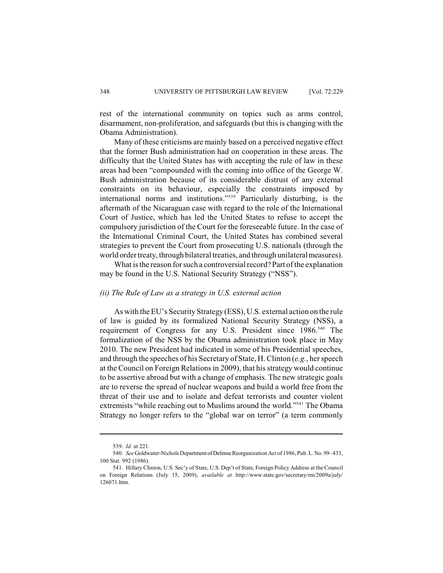rest of the international community on topics such as arms control, disarmament, non-proliferation, and safeguards (but this is changing with the Obama Administration).

Many of these criticisms are mainly based on a perceived negative effect that the former Bush administration had on cooperation in these areas. The difficulty that the United States has with accepting the rule of law in these areas had been "compounded with the coming into office of the George W. Bush administration because of its considerable distrust of any external constraints on its behaviour, especially the constraints imposed by international norms and institutions."<sup>539</sup> Particularly disturbing, is the aftermath of the Nicaraguan case with regard to the role of the International Court of Justice, which has led the United States to refuse to accept the compulsory jurisdiction of the Court for the foreseeable future. In the case of the International Criminal Court, the United States has combined several strategies to prevent the Court from prosecuting U.S. nationals (through the world order treaty, through bilateral treaties, and through unilateral measures).

What is the reason for such a controversial record? Part of the explanation may be found in the U.S. National Security Strategy ("NSS").

# *(ii) The Rule of Law as a strategy in U.S. external action*

As with the EU's Security Strategy (ESS), U.S. external action on the rule of law is guided by its formalized National Security Strategy (NSS), a requirement of Congress for any U.S. President since 1986.<sup>540</sup> The formalization of the NSS by the Obama administration took place in May 2010. The new President had indicated in some of his Presidential speeches, and through the speeches of his Secretary of State, H. Clinton (*e.g.*, her speech at the Council on Foreign Relations in 2009), that his strategy would continue to be assertive abroad but with a change of emphasis. The new strategic goals are to reverse the spread of nuclear weapons and build a world free from the threat of their use and to isolate and defeat terrorists and counter violent extremists "while reaching out to Muslims around the world."<sup>541</sup> The Obama Strategy no longer refers to the "global war on terror" (a term commonly

<sup>539.</sup> *Id.* at 221.

<sup>540.</sup> *See* Goldwater-Nichols Department of Defense Reorganization Act of 1986, Pub. L. No. 99–433, 100 Stat. 992 (1986).

<sup>541.</sup> Hillary Clinton, U.S. Sec'y of State, U.S. Dep't of State, Foreign Policy Address at the Council on Foreign Relations (July 15, 2009), *available at* http://www.state.gov/secretary/rm/2009a/july/ 126071.htm.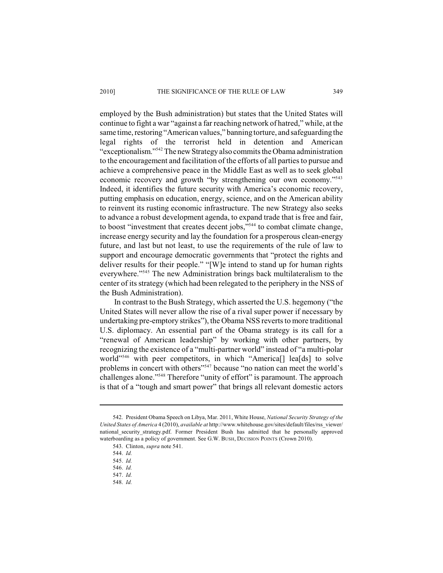employed by the Bush administration) but states that the United States will continue to fight a war "against a far reaching network of hatred," while, at the same time, restoring "American values," banning torture, and safeguarding the legal rights of the terrorist held in detention and American "exceptionalism."<sup>542</sup> The new Strategy also commits the Obama administration to the encouragement and facilitation of the efforts of all parties to pursue and achieve a comprehensive peace in the Middle East as well as to seek global economic recovery and growth "by strengthening our own economy."<sup>543</sup> Indeed, it identifies the future security with America's economic recovery, putting emphasis on education, energy, science, and on the American ability to reinvent its rusting economic infrastructure. The new Strategy also seeks to advance a robust development agenda, to expand trade that is free and fair, to boost "investment that creates decent jobs,"<sup>544</sup> to combat climate change, increase energy security and lay the foundation for a prosperous clean-energy future, and last but not least, to use the requirements of the rule of law to support and encourage democratic governments that "protect the rights and deliver results for their people." "[W]e intend to stand up for human rights everywhere."<sup>545</sup> The new Administration brings back multilateralism to the center of its strategy (which had been relegated to the periphery in the NSS of the Bush Administration).

In contrast to the Bush Strategy, which asserted the U.S. hegemony ("the United States will never allow the rise of a rival super power if necessary by undertaking pre-emptory strikes"), the Obama NSS reverts to more traditional U.S. diplomacy. An essential part of the Obama strategy is its call for a "renewal of American leadership" by working with other partners, by recognizing the existence of a "multi-partner world" instead of "a multi-polar world" with peer competitors, in which "America<sup>[]</sup> lea<sup>[ds]</sup> to solve problems in concert with others"<sup>547</sup> because "no nation can meet the world's challenges alone."<sup>548</sup> Therefore "unity of effort" is paramount. The approach is that of a "tough and smart power" that brings all relevant domestic actors

<sup>542.</sup> President Obama Speech on Libya, Mar. 2011, White House, *National Security Strategy of the United States of America* 4 (2010), *available at* http://www.whitehouse.gov/sites/default/files/rss\_viewer/ national security strategy.pdf. Former President Bush has admitted that he personally approved waterboarding as a policy of government. See G.W. BUSH, DECISION POINTS (Crown 2010).

<sup>543.</sup> Clinton, *supra* note 541.

<sup>544.</sup> *Id.*

<sup>545.</sup> *Id.*

<sup>546.</sup> *Id.*

<sup>547.</sup> *Id.*

<sup>548.</sup> *Id.*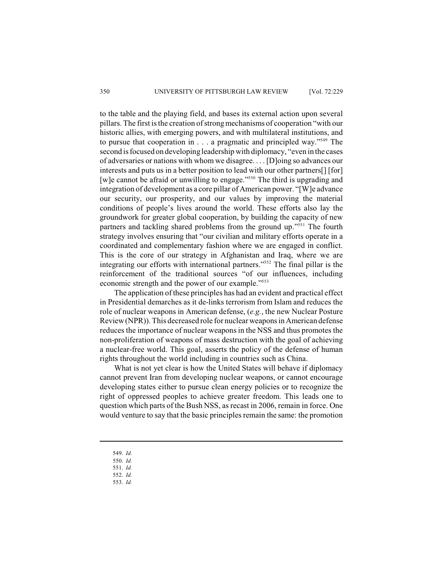to the table and the playing field, and bases its external action upon several pillars. The first is the creation of strongmechanisms of cooperation "with our historic allies, with emerging powers, and with multilateral institutions, and to pursue that cooperation in  $\ldots$  a pragmatic and principled way."<sup>549</sup> The second is focused on developing leadership with diplomacy, "even in the cases of adversaries or nations with whom we disagree. . . . [D]oing so advances our interests and puts us in a better position to lead with our other partners[] [for] [w]e cannot be afraid or unwilling to engage."<sup> $550$ </sup> The third is upgrading and integration of development as a core pillar of American power. "[W]e advance our security, our prosperity, and our values by improving the material conditions of people's lives around the world. These efforts also lay the groundwork for greater global cooperation, by building the capacity of new partners and tackling shared problems from the ground up."<sup>551</sup> The fourth strategy involves ensuring that "our civilian and military efforts operate in a coordinated and complementary fashion where we are engaged in conflict. This is the core of our strategy in Afghanistan and Iraq, where we are integrating our efforts with international partners."<sup>552</sup> The final pillar is the reinforcement of the traditional sources "of our influences, including economic strength and the power of our example."<sup>553</sup>

The application of these principles has had an evident and practical effect in Presidential demarches as it de-links terrorism from Islam and reduces the role of nuclear weapons in American defense, (*e.g.*, the new Nuclear Posture Review (NPR)). This decreased role for nuclear weapons in American defense reduces the importance of nuclear weapons in the NSS and thus promotes the non-proliferation of weapons of mass destruction with the goal of achieving a nuclear-free world. This goal, asserts the policy of the defense of human rights throughout the world including in countries such as China.

What is not yet clear is how the United States will behave if diplomacy cannot prevent Iran from developing nuclear weapons, or cannot encourage developing states either to pursue clean energy policies or to recognize the right of oppressed peoples to achieve greater freedom. This leads one to question which parts of the Bush NSS, as recast in 2006, remain in force. One would venture to say that the basic principles remain the same: the promotion

- 549. *Id.*
- 550. *Id.*
- 551. *Id.*
- 552. *Id.*
- 553. *Id.*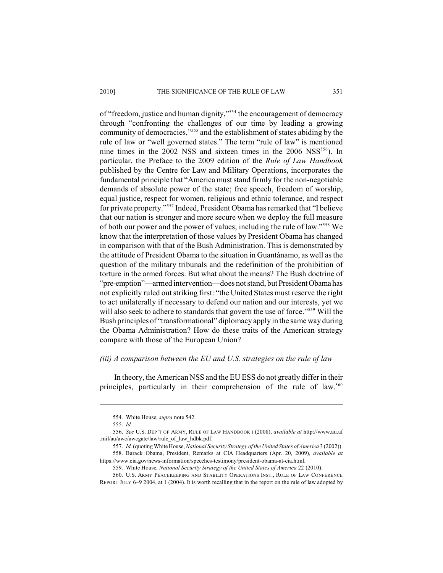of "freedom, justice and human dignity,"<sup>554</sup> the encouragement of democracy through "confronting the challenges of our time by leading a growing community of democracies,"<sup>555</sup> and the establishment of states abiding by the rule of law or "well governed states." The term "rule of law" is mentioned nine times in the 2002 NSS and sixteen times in the  $2006$  NSS<sup>556</sup>). In particular, the Preface to the 2009 edition of the *Rule of Law Handbook* published by the Centre for Law and Military Operations, incorporates the fundamental principle that "America must stand firmly for the non-negotiable demands of absolute power of the state; free speech, freedom of worship, equal justice, respect for women, religious and ethnic tolerance, and respect for private property."<sup>557</sup> Indeed, President Obama has remarked that "I believe that our nation is stronger and more secure when we deploy the full measure of both our power and the power of values, including the rule of law."<sup>558</sup> We know that the interpretation of those values by President Obama has changed in comparison with that of the Bush Administration. This is demonstrated by the attitude of President Obama to the situation in Guantánamo, as well as the question of the military tribunals and the redefinition of the prohibition of torture in the armed forces. But what about the means? The Bush doctrine of "pre-emption"—armed intervention—does not stand, but President Obama has not explicitly ruled out striking first: "the United States must reserve the right to act unilaterally if necessary to defend our nation and our interests, yet we will also seek to adhere to standards that govern the use of force."<sup>559</sup> Will the Bush principles of "transformational" diplomacy apply in the same way during the Obama Administration? How do these traits of the American strategy compare with those of the European Union?

## *(iii) A comparison between the EU and U.S. strategies on the rule of law*

In theory, the American NSS and the EU ESS do not greatly differ in their principles, particularly in their comprehension of the rule of law.<sup>560</sup>

<sup>554.</sup> White House, *supra* note 542.

<sup>555.</sup> *Id.*

<sup>556.</sup> *See* U.S. DEP'T OF ARMY, RULE OF LAW HANDBOOK I (2008), *available at* http://www.au.af .mil/au/awc/awcgate/law/rule\_of\_law\_hdbk.pdf.

<sup>557.</sup> *Id.* (quoting White House, *National Security Strategy of the United States of America* 3 (2002)). 558. Barack Obama, President, Remarks at CIA Headquarters (Apr. 20, 2009), *available at* https://www.cia.gov/news-information/speeches-testimony/president-obama-at-cia.html.

<sup>559.</sup> White House, *National Security Strategy of the United States of America* 22 (2010).

<sup>560.</sup> U.S. ARMY PEACEKEEPING AND STABILITY OPERATIONS INST., RULE OF LAW CONFERENCE REPORT JULY 6–9 2004, at 1 (2004). It is worth recalling that in the report on the rule of law adopted by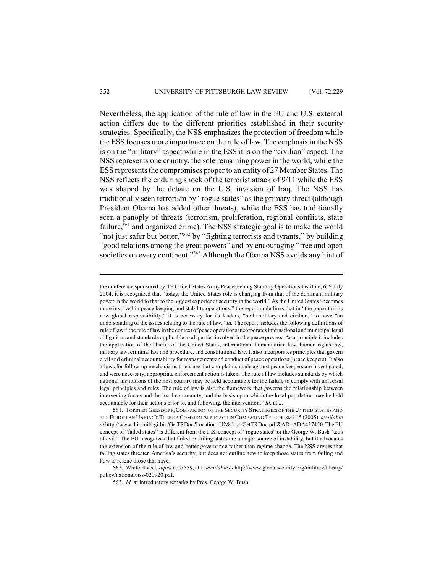Nevertheless, the application of the rule of law in the EU and U.S. external action differs due to the different priorities established in their security strategies. Specifically, the NSS emphasizes the protection of freedom while the ESS focuses more importance on the rule of law. The emphasis in the NSS is on the "military" aspect while in the ESS it is on the "civilian" aspect. The NSS represents one country, the sole remaining power in the world, while the ESS represents the compromises proper to an entity of 27 Member States. The NSS reflects the enduring shock of the terrorist attack of 9/11 while the ESS was shaped by the debate on the U.S. invasion of Iraq. The NSS has traditionally seen terrorism by "rogue states" as the primary threat (although President Obama has added other threats), while the ESS has traditionally seen a panoply of threats (terrorism, proliferation, regional conflicts, state failure,<sup>561</sup> and organized crime). The NSS strategic goal is to make the world "not just safer but better," $562$  by "fighting terrorists and tyrants," by building "good relations among the great powers" and by encouraging "free and open societies on every continent."<sup>563</sup> Although the Obama NSS avoids any hint of

the conference sponsored by the United States Army Peacekeeping Stability Operations Institute, 6–9 July 2004, it is recognized that "today, the United States role is changing from that of the dominant military power in the world to that to the biggest exporter of security in the world." As the United States "becomes more involved in peace keeping and stability operations," the report underlines that in "the pursuit of its new global responsibility," it is necessary for its leaders, "both military and civilian," to have "an understanding of the issues relating to the rule of law." *Id.* The report includes the following definitions of rule of law: "the rule oflaw in the context of peace operations incorporates international and municipal legal obligations and standards applicable to all parties involved in the peace process. As a principle it includes the application of the charter of the United States, international humanitarian law, human rights law, military law, criminal law and procedure, and constitutional law. It also incorporates principles that govern civil and criminal accountability for management and conduct of peace operations (peace keepers). It also allows for follow-up mechanisms to ensure that complaints made against peace keepers are investigated, and were necessary, appropriate enforcement action is taken. The rule of law includes standards by which national institutions of the host country may be held accountable for the failure to comply with universal legal principles and rules. The rule of law is also the framework that governs the relationship between intervening forces and the local community; and the basis upon which the local population may be held accountable for their actions prior to, and following, the intervention." *Id.* at 2.

<sup>561.</sup> TORSTEN GERSDORF,COMPARISON OF THE SECURITY STRATEGIES OF THE UNITED STATES AND THE EUROPEAN UNION:IS THERE A COMMON APPROACH IN COMBATING TERRORISM? 15 (2005), *available at* http://www.dtic.mil/cgi-bin/GetTRDoc?Location=U2&doc=GetTRDoc.pdf&AD=ADA437450. The EU concept of "failed states" is different from the U.S. concept of "rogue states" or the George W. Bush "axis of evil." The EU recognizes that failed or failing states are a major source of instability, but it advocates the extension of the rule of law and better governance rather than regime change. The NSS argues that failing states threaten America's security, but does not outline how to keep those states from failing and how to rescue those that have.

<sup>562.</sup> White House, *supra* note 559, at 1, *available at* http://www.globalsecurity.org/military/library/ policy/national/nss-020920.pdf.

<sup>563.</sup> *Id.* at introductory remarks by Pres. George W. Bush.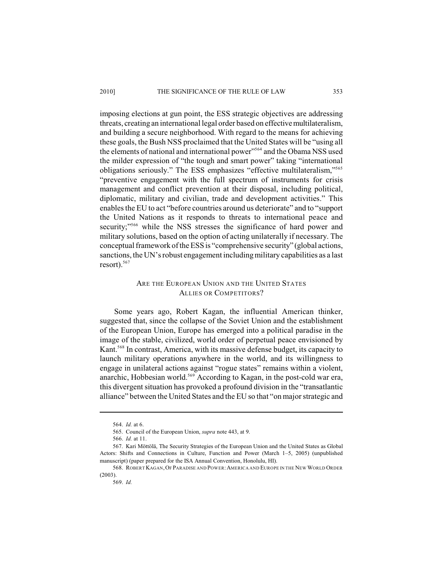imposing elections at gun point, the ESS strategic objectives are addressing threats, creating an international legal order based on effective multilateralism, and building a secure neighborhood. With regard to the means for achieving these goals, the Bush NSS proclaimed that the United States will be "using all the elements of national and international power"<sup>564</sup> and the Obama NSS used the milder expression of "the tough and smart power" taking "international obligations seriously." The ESS emphasizes "effective multilateralism,"<sup>565</sup> "preventive engagement with the full spectrum of instruments for crisis management and conflict prevention at their disposal, including political, diplomatic, military and civilian, trade and development activities." This enables the EU to act "before countries around us deteriorate" and to "support the United Nations as it responds to threats to international peace and security;"<sup>566</sup> while the NSS stresses the significance of hard power and military solutions, based on the option of acting unilaterally if necessary. The conceptual framework of the ESS is "comprehensive security" (global actions, sanctions, the UN's robust engagement including military capabilities as a last  $resort$ ).<sup>567</sup>

# ARE THE EUROPEAN UNION AND THE UNITED STATES ALLIES OR COMPETITORS?

Some years ago, Robert Kagan, the influential American thinker, suggested that, since the collapse of the Soviet Union and the establishment of the European Union, Europe has emerged into a political paradise in the image of the stable, civilized, world order of perpetual peace envisioned by Kant.<sup>568</sup> In contrast, America, with its massive defense budget, its capacity to launch military operations anywhere in the world, and its willingness to engage in unilateral actions against "rogue states" remains within a violent, anarchic, Hobbesian world.<sup>569</sup> According to Kagan, in the post-cold war era, this divergent situation has provoked a profound division in the "transatlantic alliance" between the United States and the EU so that "on major strategic and

<sup>564.</sup> *Id.* at 6.

<sup>565.</sup> Council of the European Union, *supra* note 443, at 9.

<sup>566.</sup> *Id.* at 11.

<sup>567.</sup> Kari Möttölä, The Security Strategies of the European Union and the United States as Global Actors: Shifts and Connections in Culture, Function and Power (March 1–5, 2005) (unpublished manuscript) (paper prepared for the ISA Annual Convention, Honolulu, HI).

<sup>568.</sup> ROBERT KAGAN,OF PARADISE AND POWER:AMERICA AND EUROPE IN THE NEW WORLD ORDER (2003).

<sup>569.</sup> *Id.*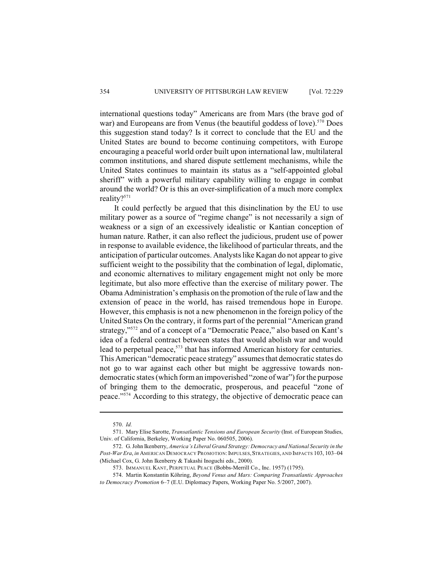international questions today" Americans are from Mars (the brave god of war) and Europeans are from Venus (the beautiful goddess of love).<sup>570</sup> Does this suggestion stand today? Is it correct to conclude that the EU and the United States are bound to become continuing competitors, with Europe encouraging a peaceful world order built upon international law, multilateral common institutions, and shared dispute settlement mechanisms, while the United States continues to maintain its status as a "self-appointed global sheriff" with a powerful military capability willing to engage in combat around the world? Or is this an over-simplification of a much more complex reality?<sup>571</sup>

It could perfectly be argued that this disinclination by the EU to use military power as a source of "regime change" is not necessarily a sign of weakness or a sign of an excessively idealistic or Kantian conception of human nature. Rather, it can also reflect the judicious, prudent use of power in response to available evidence, the likelihood of particular threats, and the anticipation of particular outcomes. Analystslike Kagan do not appear to give sufficient weight to the possibility that the combination of legal, diplomatic, and economic alternatives to military engagement might not only be more legitimate, but also more effective than the exercise of military power. The Obama Administration's emphasis on the promotion of the rule of law and the extension of peace in the world, has raised tremendous hope in Europe. However, this emphasis is not a new phenomenon in the foreign policy of the United States On the contrary, it forms part of the perennial "American grand strategy,"<sup>572</sup> and of a concept of a "Democratic Peace," also based on Kant's idea of a federal contract between states that would abolish war and would lead to perpetual peace,  $573$  that has informed American history for centuries. This American "democratic peace strategy" assumes that democratic states do not go to war against each other but might be aggressive towards nondemocratic states (which form an impoverished "zone of war") for the purpose of bringing them to the democratic, prosperous, and peaceful "zone of peace."<sup>574</sup> According to this strategy, the objective of democratic peace can

574. Martin Konstantin Köhring, *Beyond Venus and Mars: Comparing Transatlantic Approaches to Democracy Promotion* 6–7 (E.U. Diplomacy Papers, Working Paper No. 5/2007, 2007).

<sup>570.</sup> *Id.*

<sup>571.</sup> Mary Elise Sarotte, *Transatlantic Tensions and European Security* (Inst. of European Studies, Univ. of California, Berkeley, Working Paper No. 060505, 2006).

<sup>572.</sup> G. John Ikenberry, *America's Liberal Grand Strategy: Democracy and National Security in the Post-War Era*, *in* AMERICAN DEMOCRACY PROMOTION:IMPULSES,STRATEGIES, AND IMPACTS 103, 103–04 (Michael Cox, G. John Ikenberry & Takashi Inoguchi eds., 2000).

<sup>573.</sup> IMMANUEL KANT, PERPETUAL PEACE (Bobbs-Merrill Co., Inc. 1957) (1795).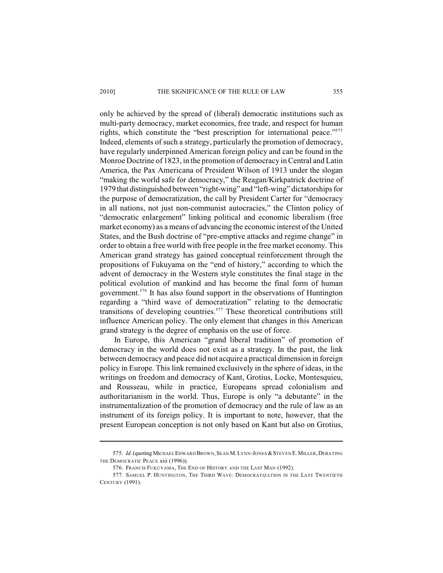only be achieved by the spread of (liberal) democratic institutions such as multi-party democracy, market economies, free trade, and respect for human rights, which constitute the "best prescription for international peace."<sup>575</sup> Indeed, elements of such a strategy, particularly the promotion of democracy, have regularly underpinned American foreign policy and can be found in the Monroe Doctrine of 1823, in the promotion of democracy in Central and Latin America, the Pax Americana of President Wilson of 1913 under the slogan "making the world safe for democracy," the Reagan/Kirkpatrick doctrine of 1979 that distinguished between "right-wing" and "left-wing" dictatorships for the purpose of democratization, the call by President Carter for "democracy in all nations, not just non-communist autocracies," the Clinton policy of "democratic enlargement" linking political and economic liberalism (free market economy) as a means of advancing the economic interest of the United States, and the Bush doctrine of "pre-emptive attacks and regime change" in order to obtain a free world with free people in the free market economy. This American grand strategy has gained conceptual reinforcement through the propositions of Fukuyama on the "end of history," according to which the advent of democracy in the Western style constitutes the final stage in the political evolution of mankind and has become the final form of human government.<sup>576</sup> It has also found support in the observations of Huntington regarding a "third wave of democratization" relating to the democratic transitions of developing countries.<sup> $577$ </sup> These theoretical contributions still influence American policy. The only element that changes in this American grand strategy is the degree of emphasis on the use of force.

In Europe, this American "grand liberal tradition" of promotion of democracy in the world does not exist as a strategy. In the past, the link between democracy and peace did not acquire a practical dimension in foreign policy in Europe. This link remained exclusively in the sphere of ideas, in the writings on freedom and democracy of Kant, Grotius, Locke, Montesquieu, and Rousseau, while in practice, Europeans spread colonialism and authoritarianism in the world. Thus, Europe is only "a debutante" in the instrumentalization of the promotion of democracy and the rule of law as an instrument of its foreign policy. It is important to note, however, that the present European conception is not only based on Kant but also on Grotius,

<sup>575.</sup> *Id.* (quoting MICHAEL EDWARD BROWN, SEAN M. LYNN-JONES & STEVEN E. MILLER, DEBATING THE DEMOCRATIC PEACE xiii (1996)).

<sup>576.</sup> FRANCIS FUKUYAMA, THE END OF HISTORY AND THE LAST MAN (1992).

<sup>577.</sup> SAMUEL P. HUNTINGTON, THE THIRD WAVE: DEMOCRATIZATION IN THE LATE TWENTIETH CENTURY (1991).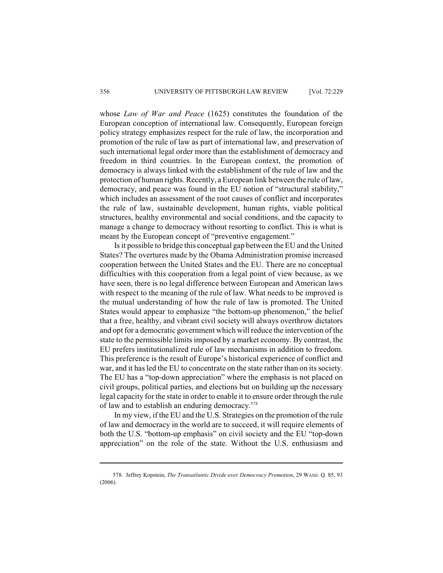whose *Law of War and Peace* (1625) constitutes the foundation of the European conception of international law. Consequently, European foreign policy strategy emphasizes respect for the rule of law, the incorporation and promotion of the rule of law as part of international law, and preservation of such international legal order more than the establishment of democracy and freedom in third countries. In the European context, the promotion of democracy is always linked with the establishment of the rule of law and the protection of human rights. Recently, a European link between the rule of law, democracy, and peace was found in the EU notion of "structural stability," which includes an assessment of the root causes of conflict and incorporates the rule of law, sustainable development, human rights, viable political structures, healthy environmental and social conditions, and the capacity to manage a change to democracy without resorting to conflict. This is what is meant by the European concept of "preventive engagement."

Is it possible to bridge this conceptual gap between the EU and the United States? The overtures made by the Obama Administration promise increased cooperation between the United States and the EU. There are no conceptual difficulties with this cooperation from a legal point of view because, as we have seen, there is no legal difference between European and American laws with respect to the meaning of the rule of law. What needs to be improved is the mutual understanding of how the rule of law is promoted. The United States would appear to emphasize "the bottom-up phenomenon," the belief that a free, healthy, and vibrant civil society will always overthrow dictators and opt for a democratic government which will reduce the intervention of the state to the permissible limits imposed by a market economy. By contrast, the EU prefers institutionalized rule of law mechanisms in addition to freedom. This preference is the result of Europe's historical experience of conflict and war, and it has led the EU to concentrate on the state rather than on its society. The EU has a "top-down appreciation" where the emphasis is not placed on civil groups, political parties, and elections but on building up the necessary legal capacity for the state in order to enable it to ensure order through the rule of law and to establish an enduring democracy.<sup>578</sup>

In my view, if the EU and the U.S. Strategies on the promotion of the rule of law and democracy in the world are to succeed, it will require elements of both the U.S. "bottom-up emphasis" on civil society and the EU "top-down appreciation" on the role of the state. Without the U.S. enthusiasm and

<sup>578.</sup> Jeffrey Kopstein, *The Transatlantic Divide over Democracy Promotion*, 29 WASH. Q. 85, 93 (2006).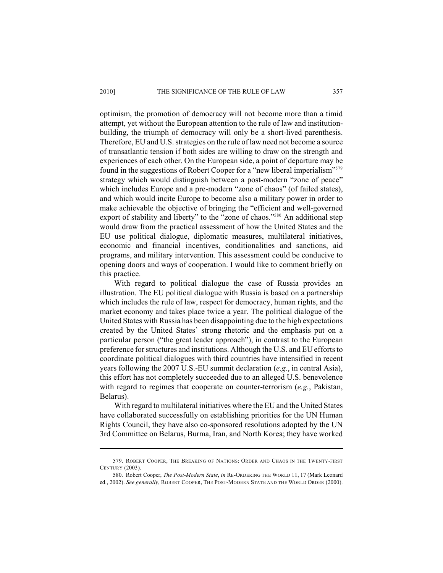optimism, the promotion of democracy will not become more than a timid attempt, yet without the European attention to the rule of law and institutionbuilding, the triumph of democracy will only be a short-lived parenthesis. Therefore, EU and U.S. strategies on the rule of law need not become a source of transatlantic tension if both sides are willing to draw on the strength and experiences of each other. On the European side, a point of departure may be found in the suggestions of Robert Cooper for a "new liberal imperialism"<sup>579</sup> strategy which would distinguish between a post-modern "zone of peace" which includes Europe and a pre-modern "zone of chaos" (of failed states), and which would incite Europe to become also a military power in order to make achievable the objective of bringing the "efficient and well-governed export of stability and liberty" to the "zone of chaos."<sup>580</sup> An additional step would draw from the practical assessment of how the United States and the EU use political dialogue, diplomatic measures, multilateral initiatives, economic and financial incentives, conditionalities and sanctions, aid programs, and military intervention. This assessment could be conducive to opening doors and ways of cooperation. I would like to comment briefly on this practice.

With regard to political dialogue the case of Russia provides an illustration. The EU political dialogue with Russia is based on a partnership which includes the rule of law, respect for democracy, human rights, and the market economy and takes place twice a year. The political dialogue of the United States with Russia has been disappointing due to the high expectations created by the United States' strong rhetoric and the emphasis put on a particular person ("the great leader approach"), in contrast to the European preference for structures and institutions. Although the U.S. and EU efforts to coordinate political dialogues with third countries have intensified in recent years following the 2007 U.S.-EU summit declaration (*e.g.*, in central Asia), this effort has not completely succeeded due to an alleged U.S. benevolence with regard to regimes that cooperate on counter-terrorism (*e.g.*, Pakistan, Belarus).

With regard to multilateral initiatives where the EU and the United States have collaborated successfully on establishing priorities for the UN Human Rights Council, they have also co-sponsored resolutions adopted by the UN 3rd Committee on Belarus, Burma, Iran, and North Korea; they have worked

<sup>579.</sup> ROBERT COOPER, THE BREAKING OF NATIONS: ORDER AND CHAOS IN THE TWENTY-FIRST CENTURY (2003).

<sup>580.</sup> Robert Cooper, *The Post-Modern State*, *in* RE-ORDERING THE WORLD 11, 17 (Mark Leonard ed., 2002). *See generally*, ROBERT COOPER, THE POST-MODERN STATE AND THE WORLD ORDER (2000).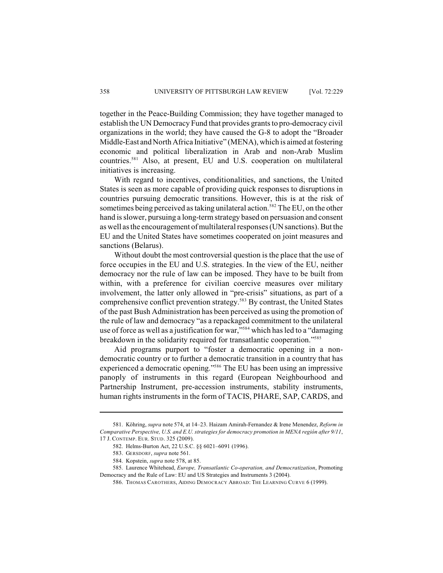together in the Peace-Building Commission; they have together managed to establish the UN Democracy Fund that provides grants to pro-democracy civil organizations in the world; they have caused the G-8 to adopt the "Broader Middle-East and North Africa Initiative" (MENA), which is aimed at fostering economic and political liberalization in Arab and non-Arab Muslim countries.<sup>581</sup> Also, at present, EU and U.S. cooperation on multilateral initiatives is increasing.

With regard to incentives, conditionalities, and sanctions, the United States is seen as more capable of providing quick responses to disruptions in countries pursuing democratic transitions. However, this is at the risk of sometimes being perceived as taking unilateral action.<sup>582</sup> The EU, on the other hand is slower, pursuing a long-term strategy based on persuasion and consent as well as the encouragement of multilateral responses (UN sanctions). But the EU and the United States have sometimes cooperated on joint measures and sanctions (Belarus).

Without doubt the most controversial question is the place that the use of force occupies in the EU and U.S. strategies. In the view of the EU, neither democracy nor the rule of law can be imposed. They have to be built from within, with a preference for civilian coercive measures over military involvement, the latter only allowed in "pre-crisis" situations, as part of a comprehensive conflict prevention strategy.<sup>583</sup> By contrast, the United States of the past Bush Administration has been perceived as using the promotion of the rule of law and democracy "as a repackaged commitment to the unilateral use of force as well as a justification for war," $s<sup>84</sup>$  which has led to a "damaging breakdown in the solidarity required for transatlantic cooperation."<sup>585</sup>

Aid programs purport to "foster a democratic opening in a nondemocratic country or to further a democratic transition in a country that has experienced a democratic opening."<sup>586</sup> The EU has been using an impressive panoply of instruments in this regard (European Neighbourhood and Partnership Instrument, pre-accession instruments, stability instruments, human rights instruments in the form of TACIS, PHARE, SAP, CARDS, and

<sup>581.</sup> Köhring, *supra* note 574, at 14–23. Haizam Amirah-Fernandez & Irene Menendez, *Reform in Comparative Perspective, U.S. and E.U. strategies for democracy promotion in MENA región after 9/11*, 17 J. CONTEMP. EUR. STUD. 325 (2009).

<sup>582.</sup> Helms-Burton Act, 22 U.S.C. §§ 6021–6091 (1996).

<sup>583.</sup> GERSDORF, *supra* note 561.

<sup>584.</sup> Kopstein, *supra* note 578, at 85.

<sup>585.</sup> Laurence Whitehead, *Europe, Transatlantic Co-operation, and Democratization*, Promoting Democracy and the Rule of Law: EU and US Strategies and Instruments 3 (2004).

<sup>586.</sup> THOMAS CAROTHERS, AIDING DEMOCRACY ABROAD: THE LEARNING CURVE 6 (1999).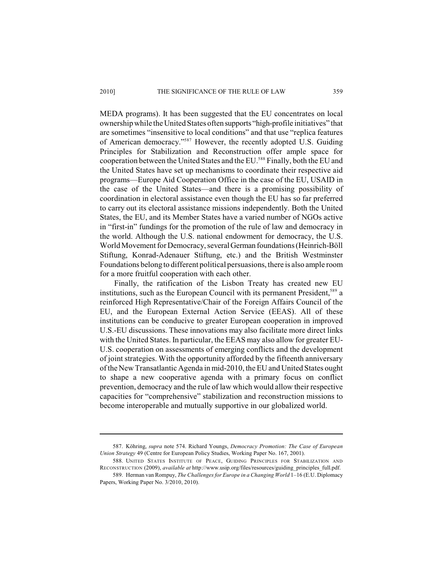MEDA programs). It has been suggested that the EU concentrates on local ownership while the United States often supports "high-profile initiatives" that are sometimes "insensitive to local conditions" and that use "replica features of American democracy."<sup>587</sup> However, the recently adopted U.S. Guiding Principles for Stabilization and Reconstruction offer ample space for cooperation between the United States and the EU.<sup>588</sup> Finally, both the EU and the United States have set up mechanisms to coordinate their respective aid programs—Europe Aid Cooperation Office in the case of the EU, USAID in the case of the United States—and there is a promising possibility of coordination in electoral assistance even though the EU has so far preferred to carry out its electoral assistance missions independently. Both the United States, the EU, and its Member States have a varied number of NGOs active in "first-in" fundings for the promotion of the rule of law and democracy in the world. Although the U.S. national endowment for democracy, the U.S. World Movement for Democracy, several German foundations (Heinrich-Böll Stiftung, Konrad-Adenauer Stiftung, etc.) and the British Westminster Foundations belong to different political persuasions, there is also ample room for a more fruitful cooperation with each other.

Finally, the ratification of the Lisbon Treaty has created new EU institutions, such as the European Council with its permanent President,<sup>589</sup> a reinforced High Representative/Chair of the Foreign Affairs Council of the EU, and the European External Action Service (EEAS). All of these institutions can be conducive to greater European cooperation in improved U.S.-EU discussions. These innovations may also facilitate more direct links with the United States. In particular, the EEAS may also allow for greater EU-U.S. cooperation on assessments of emerging conflicts and the development of joint strategies. With the opportunity afforded by the fifteenth anniversary of the New Transatlantic Agenda in mid-2010, the EU and United States ought to shape a new cooperative agenda with a primary focus on conflict prevention, democracy and the rule of law which would allow their respective capacities for "comprehensive" stabilization and reconstruction missions to become interoperable and mutually supportive in our globalized world.

<sup>587.</sup> Köhring, *supra* note 574. Richard Youngs, *Democracy Promotion: The Case of European Union Strategy* 49 (Centre for European Policy Studies, Working Paper No. 167, 2001).

<sup>588.</sup> UNITED STATES INSTITUTE OF PEACE, GUIDING PRINCIPLES FOR STABILIZATION AND RECONSTRUCTION (2009), *available at* http://www.usip.org/files/resources/guiding\_principles\_full.pdf.

<sup>589.</sup> Herman van Rompuy, *The Challenges for Europe in a Changing World* 1–16 (E.U. Diplomacy Papers, Working Paper No. 3/2010, 2010).